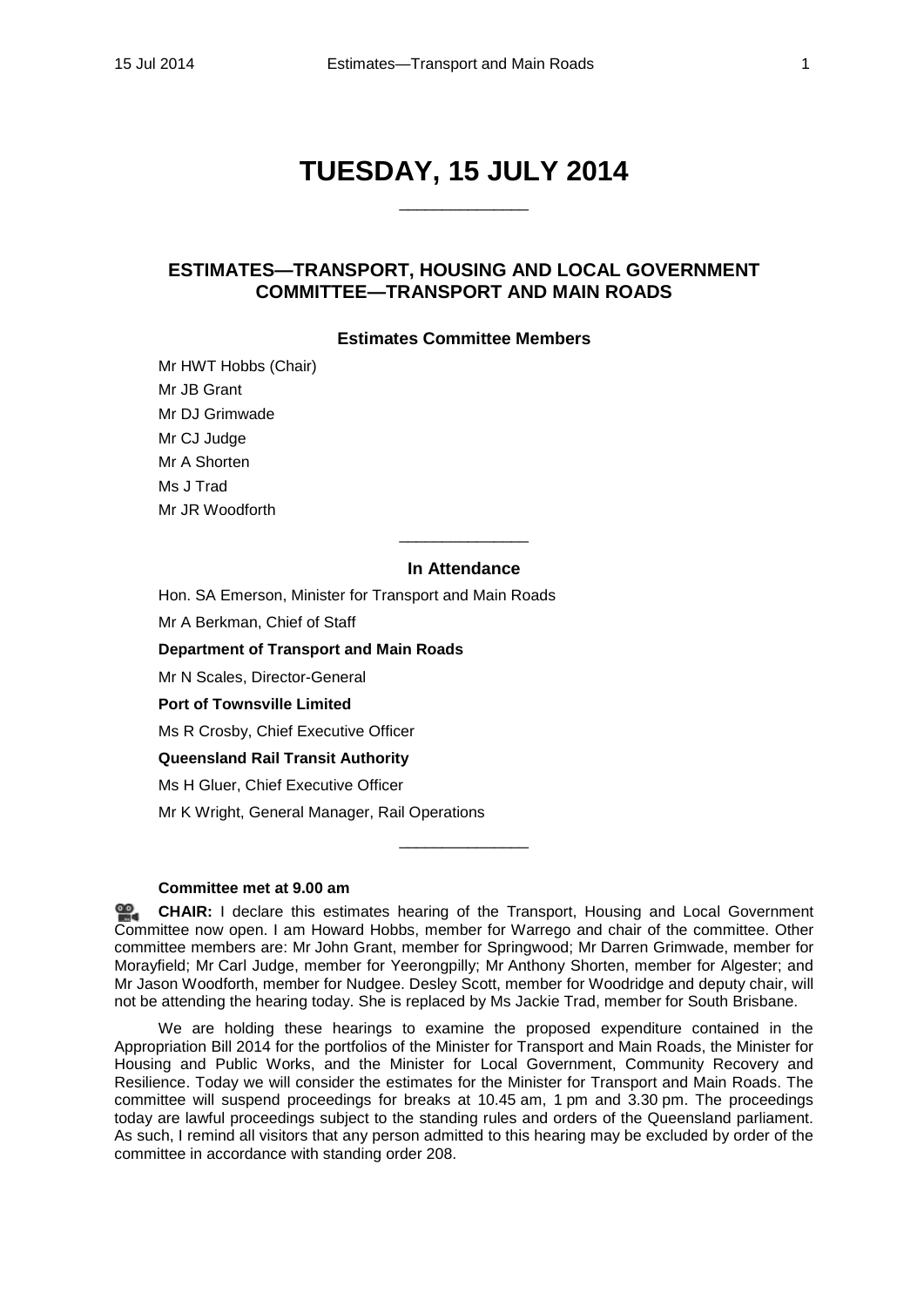# **TUESDAY, 15 JULY 2014**

\_\_\_\_\_\_\_\_\_\_\_\_\_\_\_

# **ESTIMATES—TRANSPORT, HOUSING AND LOCAL GOVERNMENT COMMITTEE—TRANSPORT AND MAIN ROADS**

## **Estimates Committee Members**

Mr HWT Hobbs (Chair) Mr JB Grant Mr DJ Grimwade Mr CJ Judge Mr A Shorten Ms J Trad Mr JR Woodforth

# **In Attendance**

\_\_\_\_\_\_\_\_\_\_\_\_\_\_\_

Hon. SA Emerson, Minister for Transport and Main Roads

Mr A Berkman, Chief of Staff

**Department of Transport and Main Roads**

Mr N Scales, Director-General

**Port of Townsville Limited**

Ms R Crosby, Chief Executive Officer

**Queensland Rail Transit Authority**

Ms H Gluer, Chief Executive Officer

Mr K Wright, General Manager, Rail Operations

#### **Committee met at 9.00 am**

**[CHAIR:](http://www.parliament.qld.gov.au/docs/find.aspx?id=0MbaTHLGC20140715_090102)** I declare this estimates hearing of the Transport, Housing and Local Government Committee now open. I am Howard Hobbs, member for Warrego and chair of the committee. Other committee members are: Mr John Grant, member for Springwood; Mr Darren Grimwade, member for Morayfield; Mr Carl Judge, member for Yeerongpilly; Mr Anthony Shorten, member for Algester; and Mr Jason Woodforth, member for Nudgee. Desley Scott, member for Woodridge and deputy chair, will not be attending the hearing today. She is replaced by Ms Jackie Trad, member for South Brisbane.

\_\_\_\_\_\_\_\_\_\_\_\_\_\_\_

We are holding these hearings to examine the proposed expenditure contained in the Appropriation Bill 2014 for the portfolios of the Minister for Transport and Main Roads, the Minister for Housing and Public Works, and the Minister for Local Government, Community Recovery and Resilience. Today we will consider the estimates for the Minister for Transport and Main Roads. The committee will suspend proceedings for breaks at 10.45 am, 1 pm and 3.30 pm. The proceedings today are lawful proceedings subject to the standing rules and orders of the Queensland parliament. As such, I remind all visitors that any person admitted to this hearing may be excluded by order of the committee in accordance with standing order 208.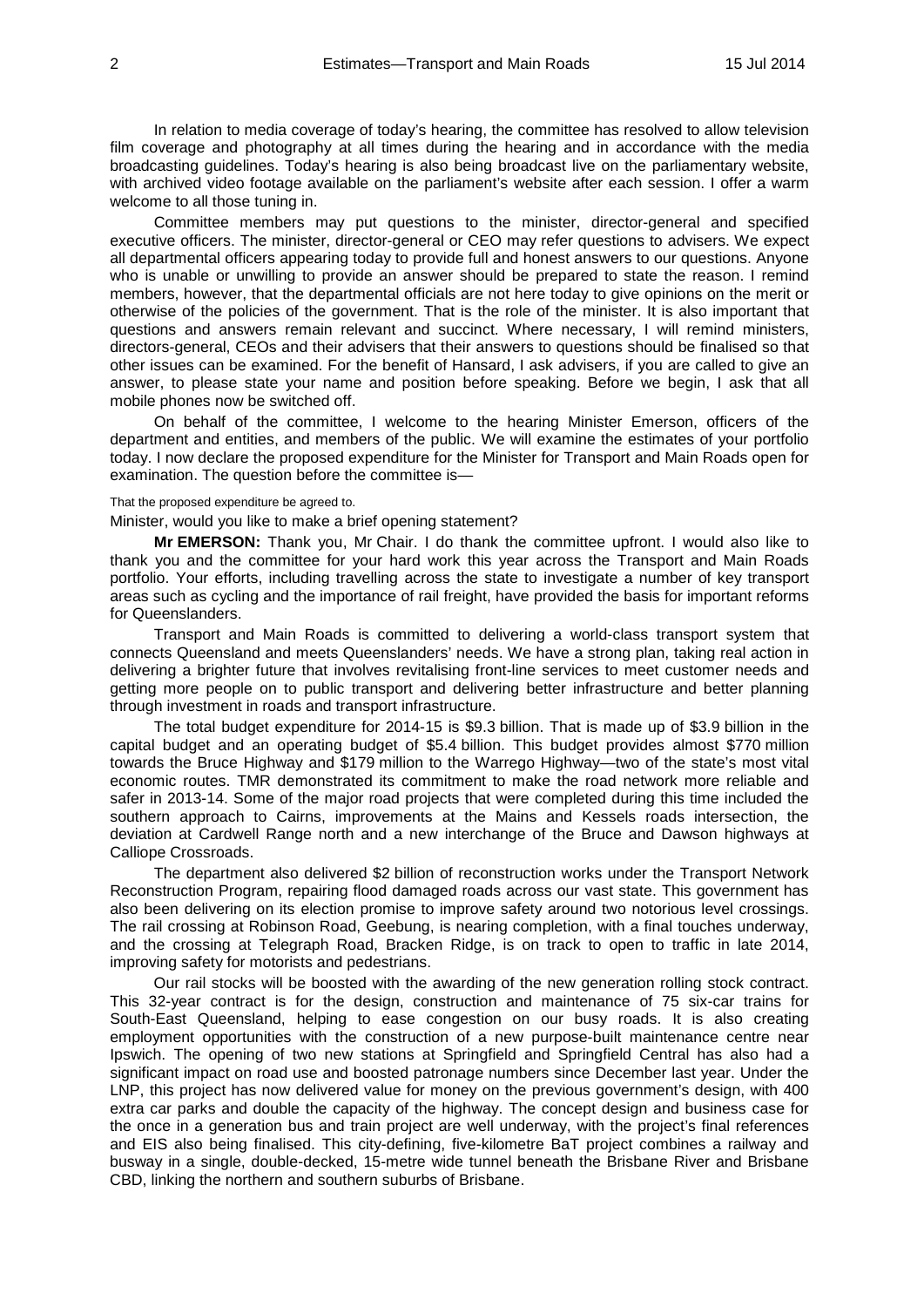In relation to media coverage of today's hearing, the committee has resolved to allow television film coverage and photography at all times during the hearing and in accordance with the media broadcasting guidelines. Today's hearing is also being broadcast live on the parliamentary website, with archived video footage available on the parliament's website after each session. I offer a warm welcome to all those tuning in.

Committee members may put questions to the minister, director-general and specified executive officers. The minister, director-general or CEO may refer questions to advisers. We expect all departmental officers appearing today to provide full and honest answers to our questions. Anyone who is unable or unwilling to provide an answer should be prepared to state the reason. I remind members, however, that the departmental officials are not here today to give opinions on the merit or otherwise of the policies of the government. That is the role of the minister. It is also important that questions and answers remain relevant and succinct. Where necessary, I will remind ministers, directors-general, CEOs and their advisers that their answers to questions should be finalised so that other issues can be examined. For the benefit of Hansard, I ask advisers, if you are called to give an answer, to please state your name and position before speaking. Before we begin, I ask that all mobile phones now be switched off.

On behalf of the committee, I welcome to the hearing Minister Emerson, officers of the department and entities, and members of the public. We will examine the estimates of your portfolio today. I now declare the proposed expenditure for the Minister for Transport and Main Roads open for examination. The question before the committee is—

## That the proposed expenditure be agreed to.

#### Minister, would you like to make a brief opening statement?

**Mr EMERSON:** Thank you, Mr Chair. I do thank the committee upfront. I would also like to thank you and the committee for your hard work this year across the Transport and Main Roads portfolio. Your efforts, including travelling across the state to investigate a number of key transport areas such as cycling and the importance of rail freight, have provided the basis for important reforms for Queenslanders.

Transport and Main Roads is committed to delivering a world-class transport system that connects Queensland and meets Queenslanders' needs. We have a strong plan, taking real action in delivering a brighter future that involves revitalising front-line services to meet customer needs and getting more people on to public transport and delivering better infrastructure and better planning through investment in roads and transport infrastructure.

The total budget expenditure for 2014-15 is \$9.3 billion. That is made up of \$3.9 billion in the capital budget and an operating budget of \$5.4 billion. This budget provides almost \$770 million towards the Bruce Highway and \$179 million to the Warrego Highway—two of the state's most vital economic routes. TMR demonstrated its commitment to make the road network more reliable and safer in 2013-14. Some of the major road projects that were completed during this time included the southern approach to Cairns, improvements at the Mains and Kessels roads intersection, the deviation at Cardwell Range north and a new interchange of the Bruce and Dawson highways at Calliope Crossroads.

The department also delivered \$2 billion of reconstruction works under the Transport Network Reconstruction Program, repairing flood damaged roads across our vast state. This government has also been delivering on its election promise to improve safety around two notorious level crossings. The rail crossing at Robinson Road, Geebung, is nearing completion, with a final touches underway, and the crossing at Telegraph Road, Bracken Ridge, is on track to open to traffic in late 2014, improving safety for motorists and pedestrians.

Our rail stocks will be boosted with the awarding of the new generation rolling stock contract. This 32-year contract is for the design, construction and maintenance of 75 six-car trains for South-East Queensland, helping to ease congestion on our busy roads. It is also creating employment opportunities with the construction of a new purpose-built maintenance centre near Ipswich. The opening of two new stations at Springfield and Springfield Central has also had a significant impact on road use and boosted patronage numbers since December last year. Under the LNP, this project has now delivered value for money on the previous government's design, with 400 extra car parks and double the capacity of the highway. The concept design and business case for the once in a generation bus and train project are well underway, with the project's final references and EIS also being finalised. This city-defining, five-kilometre BaT project combines a railway and busway in a single, double-decked, 15-metre wide tunnel beneath the Brisbane River and Brisbane CBD, linking the northern and southern suburbs of Brisbane.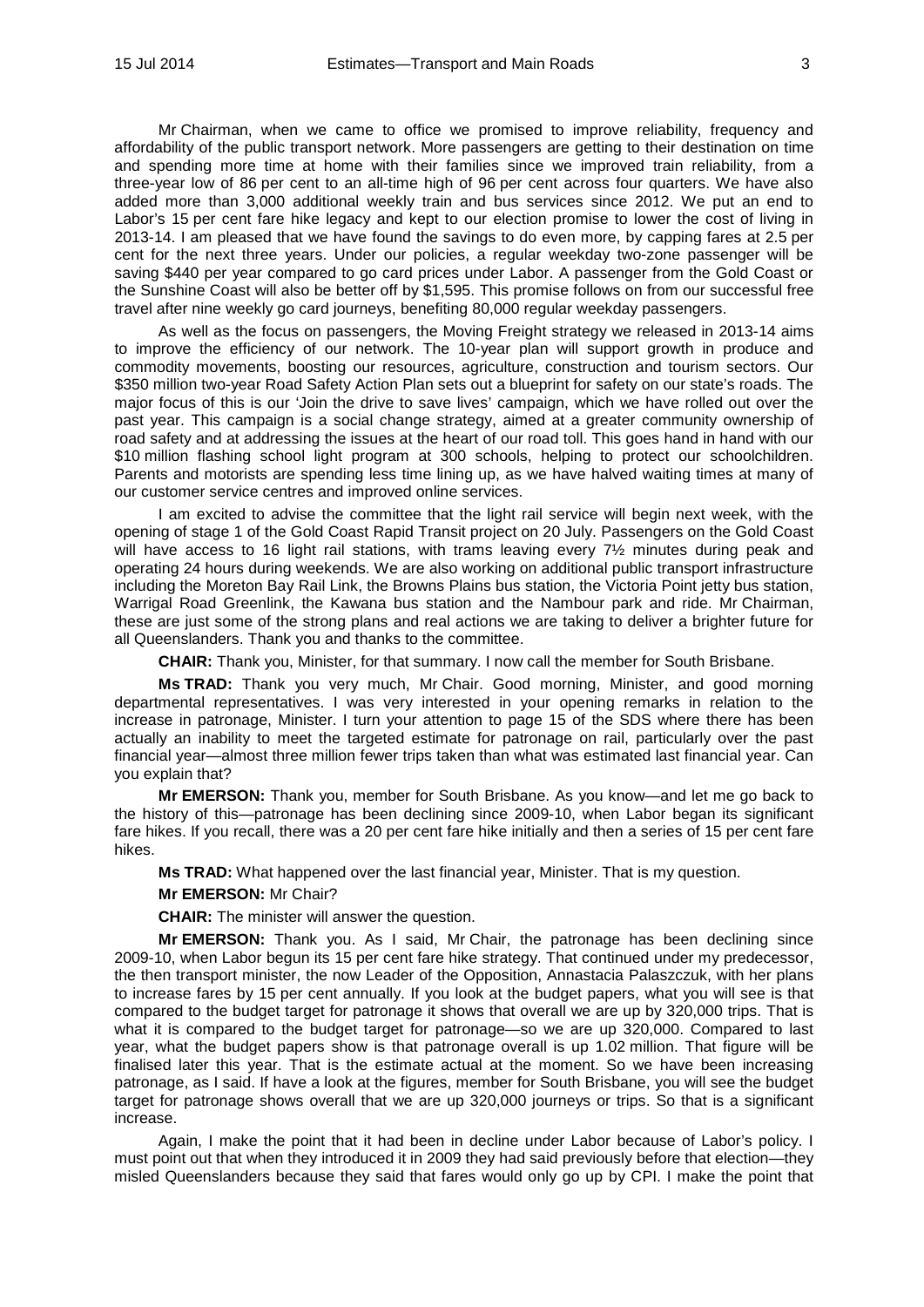Mr Chairman, when we came to office we promised to improve reliability, frequency and affordability of the public transport network. More passengers are getting to their destination on time and spending more time at home with their families since we improved train reliability, from a three-year low of 86 per cent to an all-time high of 96 per cent across four quarters. We have also added more than 3,000 additional weekly train and bus services since 2012. We put an end to Labor's 15 per cent fare hike legacy and kept to our election promise to lower the cost of living in 2013-14. I am pleased that we have found the savings to do even more, by capping fares at 2.5 per cent for the next three years. Under our policies, a regular weekday two-zone passenger will be saving \$440 per year compared to go card prices under Labor. A passenger from the Gold Coast or the Sunshine Coast will also be better off by \$1,595. This promise follows on from our successful free travel after nine weekly go card journeys, benefiting 80,000 regular weekday passengers.

As well as the focus on passengers, the Moving Freight strategy we released in 2013-14 aims to improve the efficiency of our network. The 10-year plan will support growth in produce and commodity movements, boosting our resources, agriculture, construction and tourism sectors. Our \$350 million two-year Road Safety Action Plan sets out a blueprint for safety on our state's roads. The major focus of this is our 'Join the drive to save lives' campaign, which we have rolled out over the past year. This campaign is a social change strategy, aimed at a greater community ownership of road safety and at addressing the issues at the heart of our road toll. This goes hand in hand with our \$10 million flashing school light program at 300 schools, helping to protect our schoolchildren. Parents and motorists are spending less time lining up, as we have halved waiting times at many of our customer service centres and improved online services.

I am excited to advise the committee that the light rail service will begin next week, with the opening of stage 1 of the Gold Coast Rapid Transit project on 20 July. Passengers on the Gold Coast will have access to 16 light rail stations, with trams leaving every  $7\frac{1}{2}$  minutes during peak and operating 24 hours during weekends. We are also working on additional public transport infrastructure including the Moreton Bay Rail Link, the Browns Plains bus station, the Victoria Point jetty bus station, Warrigal Road Greenlink, the Kawana bus station and the Nambour park and ride. Mr Chairman, these are just some of the strong plans and real actions we are taking to deliver a brighter future for all Queenslanders. Thank you and thanks to the committee.

**CHAIR:** Thank you, Minister, for that summary. I now call the member for South Brisbane.

**Ms TRAD:** Thank you very much, Mr Chair. Good morning, Minister, and good morning departmental representatives. I was very interested in your opening remarks in relation to the increase in patronage, Minister. I turn your attention to page 15 of the SDS where there has been actually an inability to meet the targeted estimate for patronage on rail, particularly over the past financial year—almost three million fewer trips taken than what was estimated last financial year. Can you explain that?

**Mr EMERSON:** Thank you, member for South Brisbane. As you know—and let me go back to the history of this—patronage has been declining since 2009-10, when Labor began its significant fare hikes. If you recall, there was a 20 per cent fare hike initially and then a series of 15 per cent fare hikes.

**Ms TRAD:** What happened over the last financial year, Minister. That is my question.

#### **Mr EMERSON:** Mr Chair?

**CHAIR:** The minister will answer the question.

**Mr EMERSON:** Thank you. As I said, Mr Chair, the patronage has been declining since 2009-10, when Labor begun its 15 per cent fare hike strategy. That continued under my predecessor, the then transport minister, the now Leader of the Opposition, Annastacia Palaszczuk, with her plans to increase fares by 15 per cent annually. If you look at the budget papers, what you will see is that compared to the budget target for patronage it shows that overall we are up by 320,000 trips. That is what it is compared to the budget target for patronage—so we are up 320,000. Compared to last year, what the budget papers show is that patronage overall is up 1.02 million. That figure will be finalised later this year. That is the estimate actual at the moment. So we have been increasing patronage, as I said. If have a look at the figures, member for South Brisbane, you will see the budget target for patronage shows overall that we are up 320,000 journeys or trips. So that is a significant increase.

Again, I make the point that it had been in decline under Labor because of Labor's policy. I must point out that when they introduced it in 2009 they had said previously before that election—they misled Queenslanders because they said that fares would only go up by CPI. I make the point that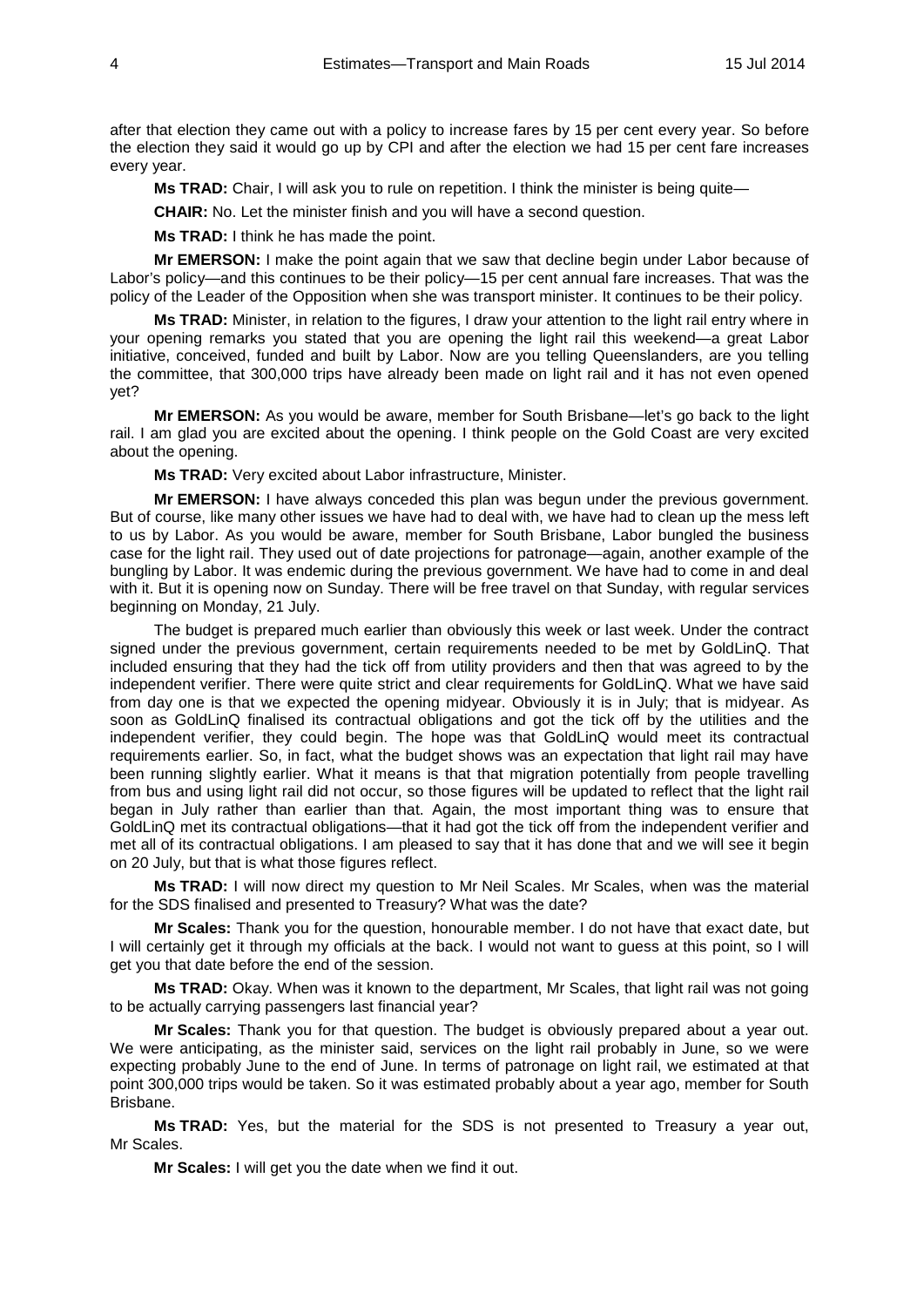after that election they came out with a policy to increase fares by 15 per cent every year. So before the election they said it would go up by CPI and after the election we had 15 per cent fare increases every year.

**Ms TRAD:** Chair, I will ask you to rule on repetition. I think the minister is being quite—

**CHAIR:** No. Let the minister finish and you will have a second question.

**Ms TRAD:** I think he has made the point.

**Mr EMERSON:** I make the point again that we saw that decline begin under Labor because of Labor's policy—and this continues to be their policy—15 per cent annual fare increases. That was the policy of the Leader of the Opposition when she was transport minister. It continues to be their policy.

**Ms TRAD:** Minister, in relation to the figures, I draw your attention to the light rail entry where in your opening remarks you stated that you are opening the light rail this weekend—a great Labor initiative, conceived, funded and built by Labor. Now are you telling Queenslanders, are you telling the committee, that 300,000 trips have already been made on light rail and it has not even opened yet?

**Mr EMERSON:** As you would be aware, member for South Brisbane—let's go back to the light rail. I am glad you are excited about the opening. I think people on the Gold Coast are very excited about the opening.

**Ms TRAD:** Very excited about Labor infrastructure, Minister.

**Mr EMERSON:** I have always conceded this plan was begun under the previous government. But of course, like many other issues we have had to deal with, we have had to clean up the mess left to us by Labor. As you would be aware, member for South Brisbane, Labor bungled the business case for the light rail. They used out of date projections for patronage—again, another example of the bungling by Labor. It was endemic during the previous government. We have had to come in and deal with it. But it is opening now on Sunday. There will be free travel on that Sunday, with regular services beginning on Monday, 21 July.

The budget is prepared much earlier than obviously this week or last week. Under the contract signed under the previous government, certain requirements needed to be met by GoldLinQ. That included ensuring that they had the tick off from utility providers and then that was agreed to by the independent verifier. There were quite strict and clear requirements for GoldLinQ. What we have said from day one is that we expected the opening midyear. Obviously it is in July; that is midyear. As soon as GoldLinQ finalised its contractual obligations and got the tick off by the utilities and the independent verifier, they could begin. The hope was that GoldLinQ would meet its contractual requirements earlier. So, in fact, what the budget shows was an expectation that light rail may have been running slightly earlier. What it means is that that migration potentially from people travelling from bus and using light rail did not occur, so those figures will be updated to reflect that the light rail began in July rather than earlier than that. Again, the most important thing was to ensure that GoldLinQ met its contractual obligations—that it had got the tick off from the independent verifier and met all of its contractual obligations. I am pleased to say that it has done that and we will see it begin on 20 July, but that is what those figures reflect.

**Ms TRAD:** I will now direct my question to Mr Neil Scales. Mr Scales, when was the material for the SDS finalised and presented to Treasury? What was the date?

**Mr Scales:** Thank you for the question, honourable member. I do not have that exact date, but I will certainly get it through my officials at the back. I would not want to guess at this point, so I will get you that date before the end of the session.

**Ms TRAD:** Okay. When was it known to the department, Mr Scales, that light rail was not going to be actually carrying passengers last financial year?

**Mr Scales:** Thank you for that question. The budget is obviously prepared about a year out. We were anticipating, as the minister said, services on the light rail probably in June, so we were expecting probably June to the end of June. In terms of patronage on light rail, we estimated at that point 300,000 trips would be taken. So it was estimated probably about a year ago, member for South Brisbane.

**Ms TRAD:** Yes, but the material for the SDS is not presented to Treasury a year out, Mr Scales.

**Mr Scales:** I will get you the date when we find it out.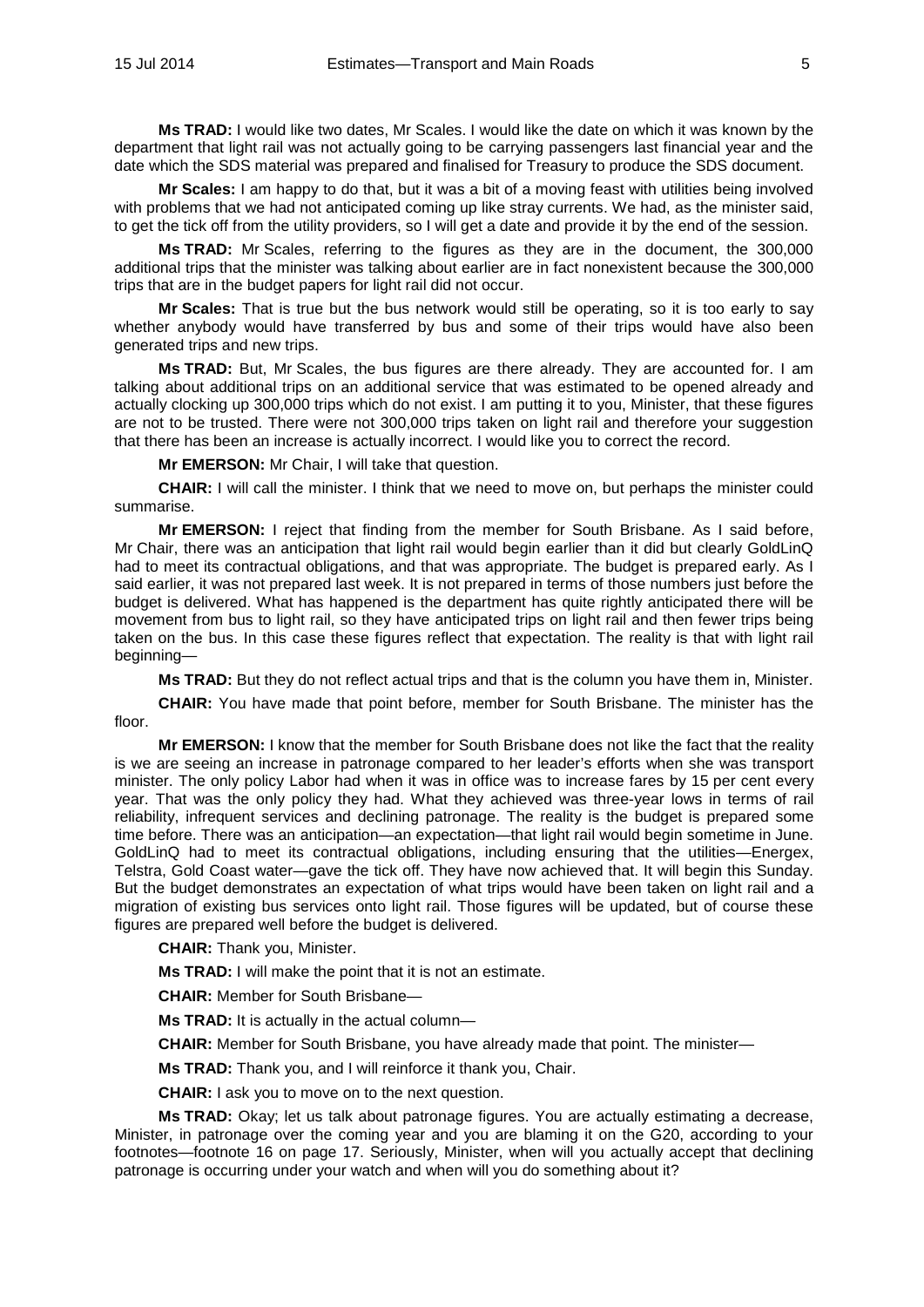**Ms TRAD:** I would like two dates, Mr Scales. I would like the date on which it was known by the department that light rail was not actually going to be carrying passengers last financial year and the date which the SDS material was prepared and finalised for Treasury to produce the SDS document.

**Mr Scales:** I am happy to do that, but it was a bit of a moving feast with utilities being involved with problems that we had not anticipated coming up like stray currents. We had, as the minister said, to get the tick off from the utility providers, so I will get a date and provide it by the end of the session.

**Ms TRAD:** Mr Scales, referring to the figures as they are in the document, the 300,000 additional trips that the minister was talking about earlier are in fact nonexistent because the 300,000 trips that are in the budget papers for light rail did not occur.

**Mr Scales:** That is true but the bus network would still be operating, so it is too early to say whether anybody would have transferred by bus and some of their trips would have also been generated trips and new trips.

**Ms TRAD:** But, Mr Scales, the bus figures are there already. They are accounted for. I am talking about additional trips on an additional service that was estimated to be opened already and actually clocking up 300,000 trips which do not exist. I am putting it to you, Minister, that these figures are not to be trusted. There were not 300,000 trips taken on light rail and therefore your suggestion that there has been an increase is actually incorrect. I would like you to correct the record.

**Mr EMERSON:** Mr Chair, I will take that question.

**CHAIR:** I will call the minister. I think that we need to move on, but perhaps the minister could summarise.

**Mr EMERSON:** I reject that finding from the member for South Brisbane. As I said before, Mr Chair, there was an anticipation that light rail would begin earlier than it did but clearly GoldLinQ had to meet its contractual obligations, and that was appropriate. The budget is prepared early. As I said earlier, it was not prepared last week. It is not prepared in terms of those numbers just before the budget is delivered. What has happened is the department has quite rightly anticipated there will be movement from bus to light rail, so they have anticipated trips on light rail and then fewer trips being taken on the bus. In this case these figures reflect that expectation. The reality is that with light rail beginning—

**Ms TRAD:** But they do not reflect actual trips and that is the column you have them in, Minister.

**CHAIR:** You have made that point before, member for South Brisbane. The minister has the floor.

**Mr EMERSON:** I know that the member for South Brisbane does not like the fact that the reality is we are seeing an increase in patronage compared to her leader's efforts when she was transport minister. The only policy Labor had when it was in office was to increase fares by 15 per cent every year. That was the only policy they had. What they achieved was three-year lows in terms of rail reliability, infrequent services and declining patronage. The reality is the budget is prepared some time before. There was an anticipation—an expectation—that light rail would begin sometime in June. GoldLinQ had to meet its contractual obligations, including ensuring that the utilities—Energex, Telstra, Gold Coast water—gave the tick off. They have now achieved that. It will begin this Sunday. But the budget demonstrates an expectation of what trips would have been taken on light rail and a migration of existing bus services onto light rail. Those figures will be updated, but of course these figures are prepared well before the budget is delivered.

**CHAIR:** Thank you, Minister.

**Ms TRAD:** I will make the point that it is not an estimate.

**CHAIR:** Member for South Brisbane—

**Ms TRAD:** It is actually in the actual column—

**CHAIR:** Member for South Brisbane, you have already made that point. The minister—

**Ms TRAD:** Thank you, and I will reinforce it thank you, Chair.

**CHAIR:** I ask you to move on to the next question.

**Ms TRAD:** Okay; let us talk about patronage figures. You are actually estimating a decrease, Minister, in patronage over the coming year and you are blaming it on the G20, according to your footnotes—footnote 16 on page 17. Seriously, Minister, when will you actually accept that declining patronage is occurring under your watch and when will you do something about it?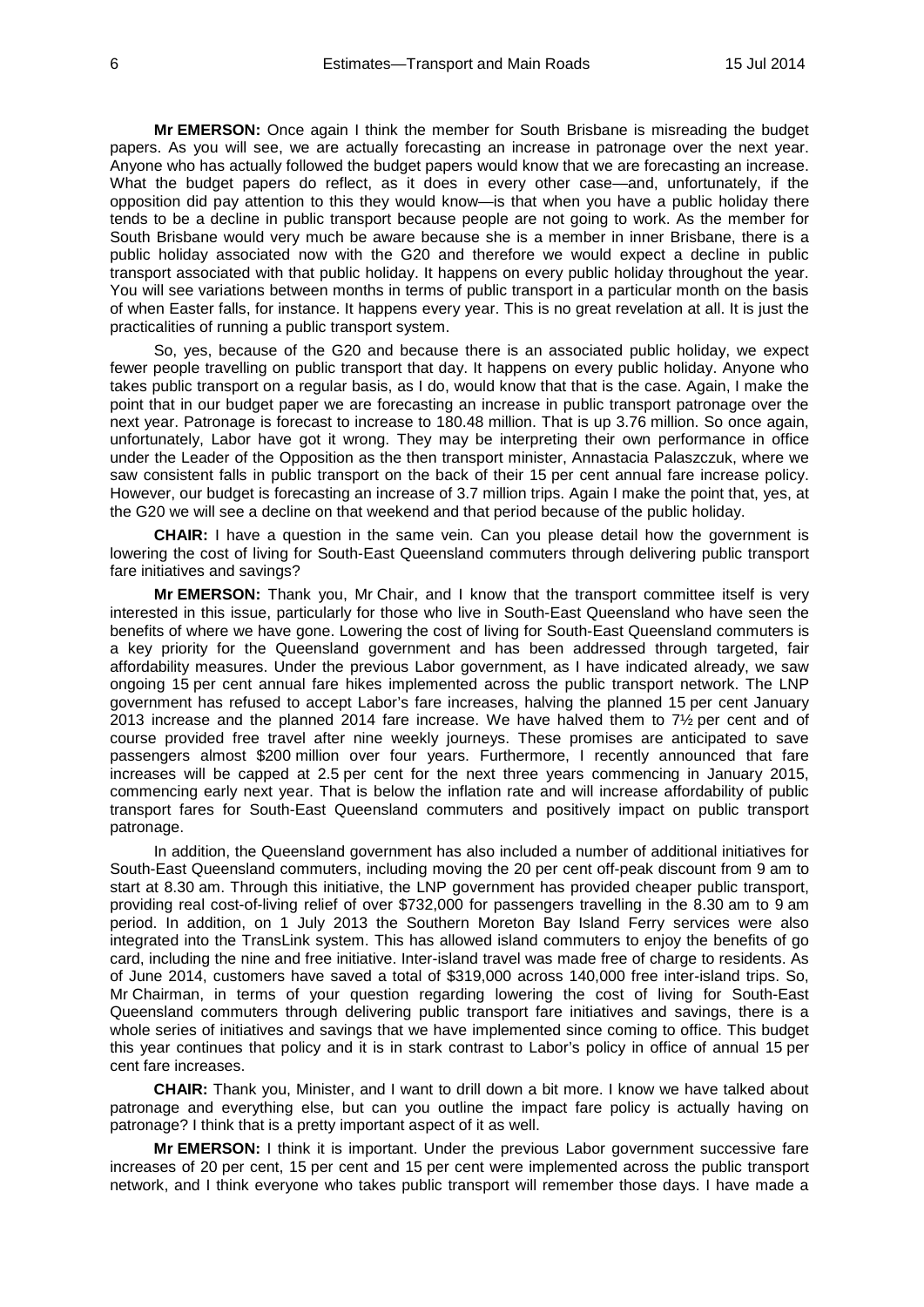**Mr EMERSON:** Once again I think the member for South Brisbane is misreading the budget papers. As you will see, we are actually forecasting an increase in patronage over the next year. Anyone who has actually followed the budget papers would know that we are forecasting an increase. What the budget papers do reflect, as it does in every other case—and, unfortunately, if the opposition did pay attention to this they would know—is that when you have a public holiday there tends to be a decline in public transport because people are not going to work. As the member for South Brisbane would very much be aware because she is a member in inner Brisbane, there is a public holiday associated now with the G20 and therefore we would expect a decline in public transport associated with that public holiday. It happens on every public holiday throughout the year. You will see variations between months in terms of public transport in a particular month on the basis of when Easter falls, for instance. It happens every year. This is no great revelation at all. It is just the practicalities of running a public transport system.

So, yes, because of the G20 and because there is an associated public holiday, we expect fewer people travelling on public transport that day. It happens on every public holiday. Anyone who takes public transport on a regular basis, as I do, would know that that is the case. Again, I make the point that in our budget paper we are forecasting an increase in public transport patronage over the next year. Patronage is forecast to increase to 180.48 million. That is up 3.76 million. So once again, unfortunately, Labor have got it wrong. They may be interpreting their own performance in office under the Leader of the Opposition as the then transport minister, Annastacia Palaszczuk, where we saw consistent falls in public transport on the back of their 15 per cent annual fare increase policy. However, our budget is forecasting an increase of 3.7 million trips. Again I make the point that, yes, at the G20 we will see a decline on that weekend and that period because of the public holiday.

**CHAIR:** I have a question in the same vein. Can you please detail how the government is lowering the cost of living for South-East Queensland commuters through delivering public transport fare initiatives and savings?

**Mr EMERSON:** Thank you, Mr Chair, and I know that the transport committee itself is very interested in this issue, particularly for those who live in South-East Queensland who have seen the benefits of where we have gone. Lowering the cost of living for South-East Queensland commuters is a key priority for the Queensland government and has been addressed through targeted, fair affordability measures. Under the previous Labor government, as I have indicated already, we saw ongoing 15 per cent annual fare hikes implemented across the public transport network. The LNP government has refused to accept Labor's fare increases, halving the planned 15 per cent January 2013 increase and the planned 2014 fare increase. We have halved them to 7½ per cent and of course provided free travel after nine weekly journeys. These promises are anticipated to save passengers almost \$200 million over four years. Furthermore, I recently announced that fare increases will be capped at 2.5 per cent for the next three years commencing in January 2015, commencing early next year. That is below the inflation rate and will increase affordability of public transport fares for South-East Queensland commuters and positively impact on public transport patronage.

In addition, the Queensland government has also included a number of additional initiatives for South-East Queensland commuters, including moving the 20 per cent off-peak discount from 9 am to start at 8.30 am. Through this initiative, the LNP government has provided cheaper public transport, providing real cost-of-living relief of over \$732,000 for passengers travelling in the 8.30 am to 9 am period. In addition, on 1 July 2013 the Southern Moreton Bay Island Ferry services were also integrated into the TransLink system. This has allowed island commuters to enjoy the benefits of go card, including the nine and free initiative. Inter-island travel was made free of charge to residents. As of June 2014, customers have saved a total of \$319,000 across 140,000 free inter-island trips. So, Mr Chairman, in terms of your question regarding lowering the cost of living for South-East Queensland commuters through delivering public transport fare initiatives and savings, there is a whole series of initiatives and savings that we have implemented since coming to office. This budget this year continues that policy and it is in stark contrast to Labor's policy in office of annual 15 per cent fare increases.

**CHAIR:** Thank you, Minister, and I want to drill down a bit more. I know we have talked about patronage and everything else, but can you outline the impact fare policy is actually having on patronage? I think that is a pretty important aspect of it as well.

**Mr EMERSON:** I think it is important. Under the previous Labor government successive fare increases of 20 per cent, 15 per cent and 15 per cent were implemented across the public transport network, and I think everyone who takes public transport will remember those days. I have made a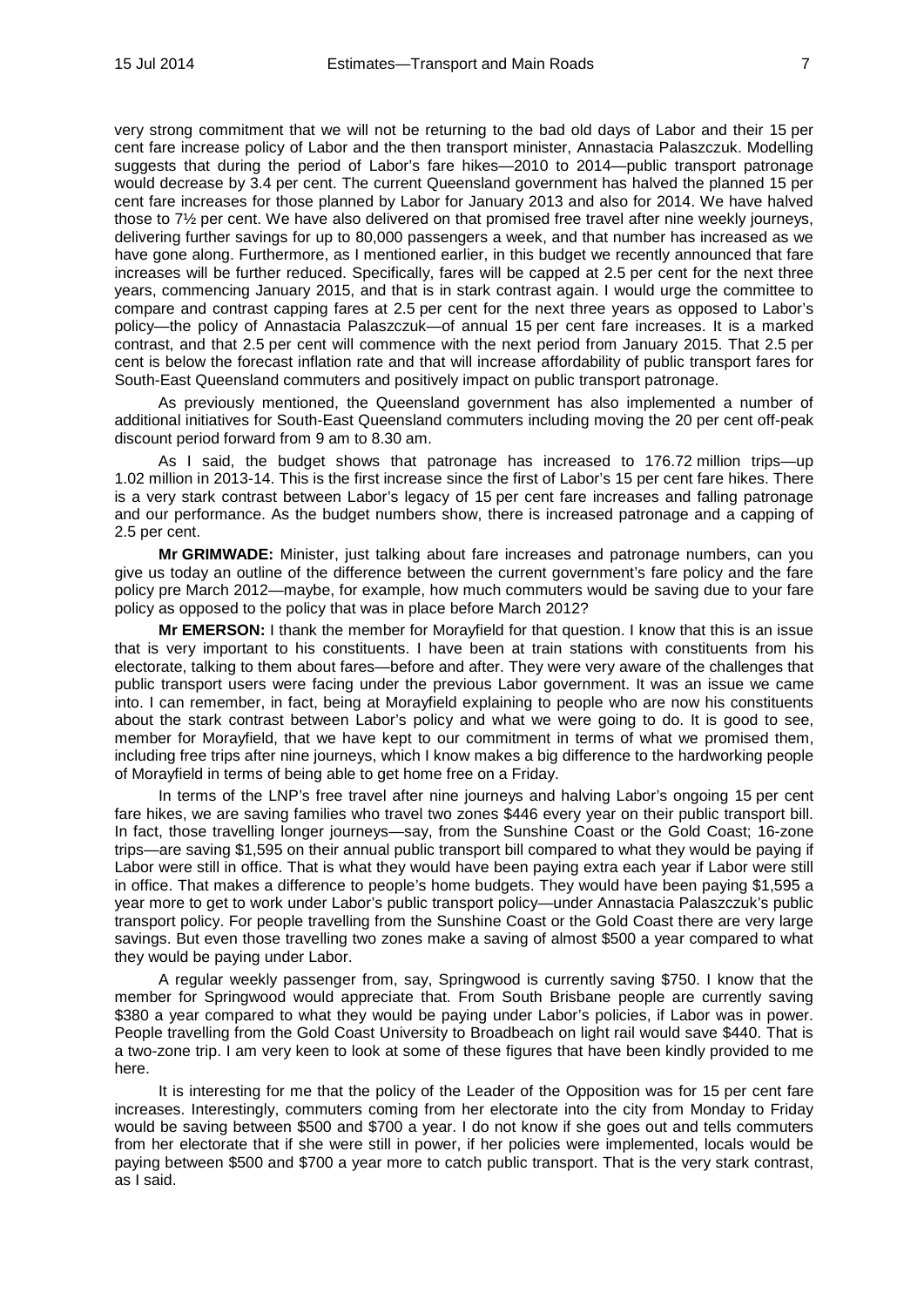very strong commitment that we will not be returning to the bad old days of Labor and their 15 per cent fare increase policy of Labor and the then transport minister, Annastacia Palaszczuk. Modelling suggests that during the period of Labor's fare hikes—2010 to 2014—public transport patronage would decrease by 3.4 per cent. The current Queensland government has halved the planned 15 per cent fare increases for those planned by Labor for January 2013 and also for 2014. We have halved those to 7½ per cent. We have also delivered on that promised free travel after nine weekly journeys, delivering further savings for up to 80,000 passengers a week, and that number has increased as we have gone along. Furthermore, as I mentioned earlier, in this budget we recently announced that fare increases will be further reduced. Specifically, fares will be capped at 2.5 per cent for the next three years, commencing January 2015, and that is in stark contrast again. I would urge the committee to compare and contrast capping fares at 2.5 per cent for the next three years as opposed to Labor's policy—the policy of Annastacia Palaszczuk—of annual 15 per cent fare increases. It is a marked contrast, and that 2.5 per cent will commence with the next period from January 2015. That 2.5 per cent is below the forecast inflation rate and that will increase affordability of public transport fares for South-East Queensland commuters and positively impact on public transport patronage.

As previously mentioned, the Queensland government has also implemented a number of additional initiatives for South-East Queensland commuters including moving the 20 per cent off-peak discount period forward from 9 am to 8.30 am.

As I said, the budget shows that patronage has increased to 176.72 million trips—up 1.02 million in 2013-14. This is the first increase since the first of Labor's 15 per cent fare hikes. There is a very stark contrast between Labor's legacy of 15 per cent fare increases and falling patronage and our performance. As the budget numbers show, there is increased patronage and a capping of 2.5 per cent.

**Mr GRIMWADE:** Minister, just talking about fare increases and patronage numbers, can you give us today an outline of the difference between the current government's fare policy and the fare policy pre March 2012—maybe, for example, how much commuters would be saving due to your fare policy as opposed to the policy that was in place before March 2012?

**Mr EMERSON:** I thank the member for Morayfield for that question. I know that this is an issue that is very important to his constituents. I have been at train stations with constituents from his electorate, talking to them about fares—before and after. They were very aware of the challenges that public transport users were facing under the previous Labor government. It was an issue we came into. I can remember, in fact, being at Morayfield explaining to people who are now his constituents about the stark contrast between Labor's policy and what we were going to do. It is good to see, member for Morayfield, that we have kept to our commitment in terms of what we promised them, including free trips after nine journeys, which I know makes a big difference to the hardworking people of Morayfield in terms of being able to get home free on a Friday.

In terms of the LNP's free travel after nine journeys and halving Labor's ongoing 15 per cent fare hikes, we are saving families who travel two zones \$446 every year on their public transport bill. In fact, those travelling longer journeys—say, from the Sunshine Coast or the Gold Coast; 16-zone trips—are saving \$1,595 on their annual public transport bill compared to what they would be paying if Labor were still in office. That is what they would have been paying extra each year if Labor were still in office. That makes a difference to people's home budgets. They would have been paying \$1,595 a year more to get to work under Labor's public transport policy—under Annastacia Palaszczuk's public transport policy. For people travelling from the Sunshine Coast or the Gold Coast there are very large savings. But even those travelling two zones make a saving of almost \$500 a year compared to what they would be paying under Labor.

A regular weekly passenger from, say, Springwood is currently saving \$750. I know that the member for Springwood would appreciate that. From South Brisbane people are currently saving \$380 a year compared to what they would be paying under Labor's policies, if Labor was in power. People travelling from the Gold Coast University to Broadbeach on light rail would save \$440. That is a two-zone trip. I am very keen to look at some of these figures that have been kindly provided to me here.

It is interesting for me that the policy of the Leader of the Opposition was for 15 per cent fare increases. Interestingly, commuters coming from her electorate into the city from Monday to Friday would be saving between \$500 and \$700 a year. I do not know if she goes out and tells commuters from her electorate that if she were still in power, if her policies were implemented, locals would be paying between \$500 and \$700 a year more to catch public transport. That is the very stark contrast, as I said.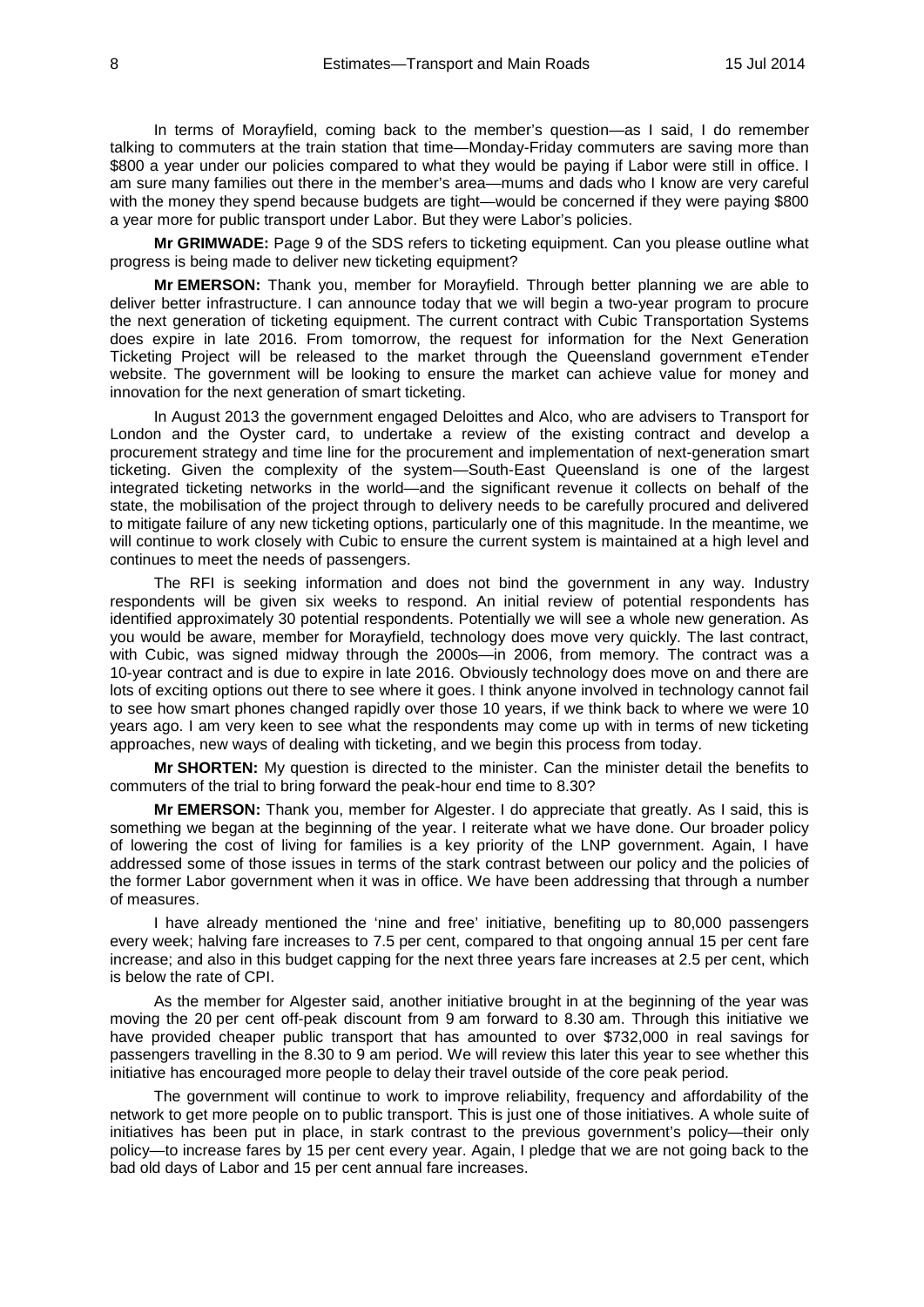In terms of Morayfield, coming back to the member's question—as I said, I do remember talking to commuters at the train station that time—Monday-Friday commuters are saving more than \$800 a year under our policies compared to what they would be paying if Labor were still in office. I am sure many families out there in the member's area—mums and dads who I know are very careful with the money they spend because budgets are tight—would be concerned if they were paying \$800 a year more for public transport under Labor. But they were Labor's policies.

**Mr GRIMWADE:** Page 9 of the SDS refers to ticketing equipment. Can you please outline what progress is being made to deliver new ticketing equipment?

**Mr EMERSON:** Thank you, member for Morayfield. Through better planning we are able to deliver better infrastructure. I can announce today that we will begin a two-year program to procure the next generation of ticketing equipment. The current contract with Cubic Transportation Systems does expire in late 2016. From tomorrow, the request for information for the Next Generation Ticketing Project will be released to the market through the Queensland government eTender website. The government will be looking to ensure the market can achieve value for money and innovation for the next generation of smart ticketing.

In August 2013 the government engaged Deloittes and Alco, who are advisers to Transport for London and the Oyster card, to undertake a review of the existing contract and develop a procurement strategy and time line for the procurement and implementation of next-generation smart ticketing. Given the complexity of the system—South-East Queensland is one of the largest integrated ticketing networks in the world—and the significant revenue it collects on behalf of the state, the mobilisation of the project through to delivery needs to be carefully procured and delivered to mitigate failure of any new ticketing options, particularly one of this magnitude. In the meantime, we will continue to work closely with Cubic to ensure the current system is maintained at a high level and continues to meet the needs of passengers.

The RFI is seeking information and does not bind the government in any way. Industry respondents will be given six weeks to respond. An initial review of potential respondents has identified approximately 30 potential respondents. Potentially we will see a whole new generation. As you would be aware, member for Morayfield, technology does move very quickly. The last contract, with Cubic, was signed midway through the 2000s—in 2006, from memory. The contract was a 10-year contract and is due to expire in late 2016. Obviously technology does move on and there are lots of exciting options out there to see where it goes. I think anyone involved in technology cannot fail to see how smart phones changed rapidly over those 10 years, if we think back to where we were 10 years ago. I am very keen to see what the respondents may come up with in terms of new ticketing approaches, new ways of dealing with ticketing, and we begin this process from today.

**Mr SHORTEN:** My question is directed to the minister. Can the minister detail the benefits to commuters of the trial to bring forward the peak-hour end time to 8.30?

**Mr EMERSON:** Thank you, member for Algester. I do appreciate that greatly. As I said, this is something we began at the beginning of the year. I reiterate what we have done. Our broader policy of lowering the cost of living for families is a key priority of the LNP government. Again, I have addressed some of those issues in terms of the stark contrast between our policy and the policies of the former Labor government when it was in office. We have been addressing that through a number of measures.

I have already mentioned the 'nine and free' initiative, benefiting up to 80,000 passengers every week; halving fare increases to 7.5 per cent, compared to that ongoing annual 15 per cent fare increase; and also in this budget capping for the next three years fare increases at 2.5 per cent, which is below the rate of CPI.

As the member for Algester said, another initiative brought in at the beginning of the year was moving the 20 per cent off-peak discount from 9 am forward to 8.30 am. Through this initiative we have provided cheaper public transport that has amounted to over \$732,000 in real savings for passengers travelling in the 8.30 to 9 am period. We will review this later this year to see whether this initiative has encouraged more people to delay their travel outside of the core peak period.

The government will continue to work to improve reliability, frequency and affordability of the network to get more people on to public transport. This is just one of those initiatives. A whole suite of initiatives has been put in place, in stark contrast to the previous government's policy—their only policy—to increase fares by 15 per cent every year. Again, I pledge that we are not going back to the bad old days of Labor and 15 per cent annual fare increases.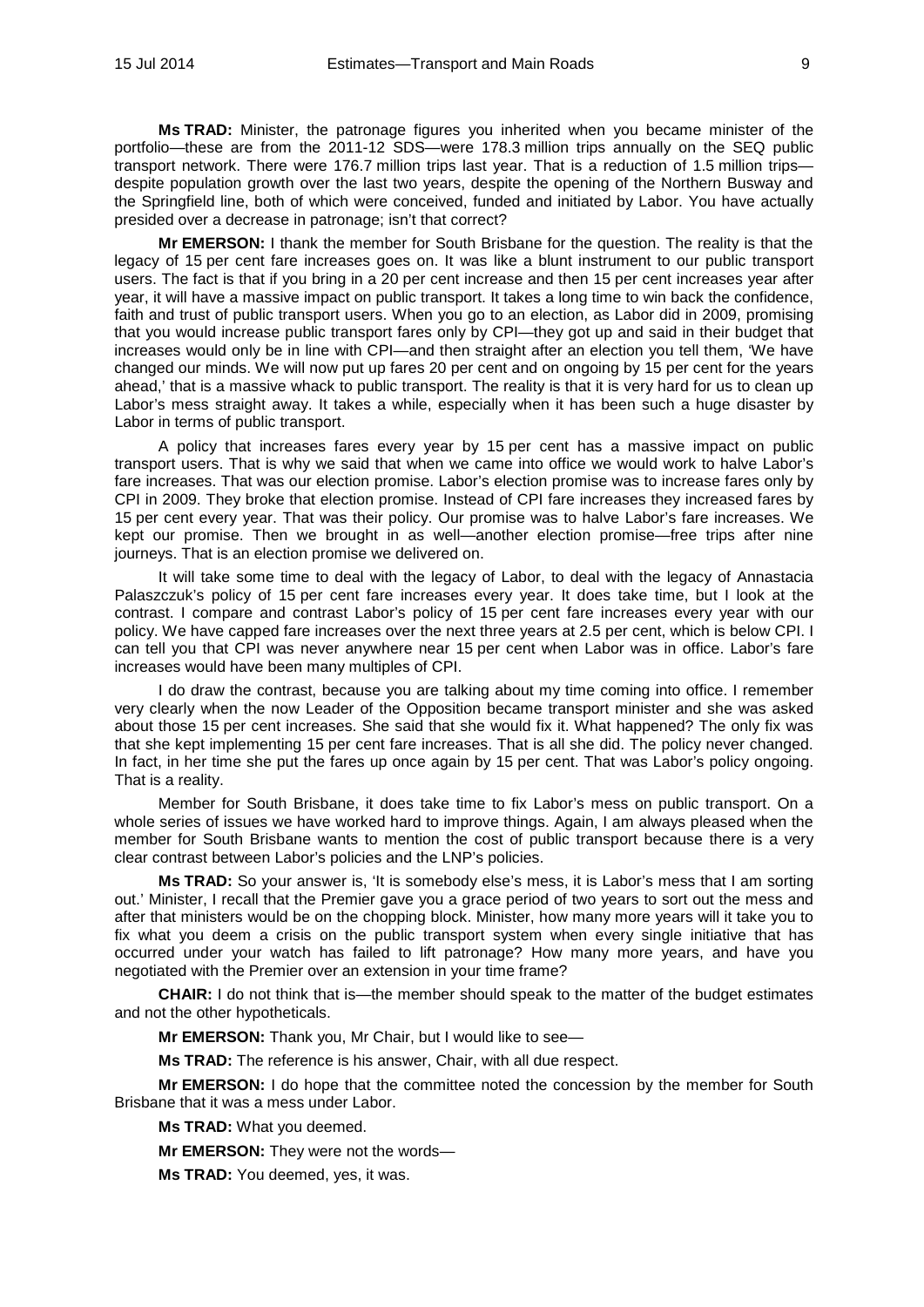**Ms TRAD:** Minister, the patronage figures you inherited when you became minister of the portfolio—these are from the 2011-12 SDS—were 178.3 million trips annually on the SEQ public transport network. There were 176.7 million trips last year. That is a reduction of 1.5 million trips despite population growth over the last two years, despite the opening of the Northern Busway and the Springfield line, both of which were conceived, funded and initiated by Labor. You have actually presided over a decrease in patronage; isn't that correct?

**Mr EMERSON:** I thank the member for South Brisbane for the question. The reality is that the legacy of 15 per cent fare increases goes on. It was like a blunt instrument to our public transport users. The fact is that if you bring in a 20 per cent increase and then 15 per cent increases year after year, it will have a massive impact on public transport. It takes a long time to win back the confidence, faith and trust of public transport users. When you go to an election, as Labor did in 2009, promising that you would increase public transport fares only by CPI—they got up and said in their budget that increases would only be in line with CPI—and then straight after an election you tell them, 'We have changed our minds. We will now put up fares 20 per cent and on ongoing by 15 per cent for the years ahead,' that is a massive whack to public transport. The reality is that it is very hard for us to clean up Labor's mess straight away. It takes a while, especially when it has been such a huge disaster by Labor in terms of public transport.

A policy that increases fares every year by 15 per cent has a massive impact on public transport users. That is why we said that when we came into office we would work to halve Labor's fare increases. That was our election promise. Labor's election promise was to increase fares only by CPI in 2009. They broke that election promise. Instead of CPI fare increases they increased fares by 15 per cent every year. That was their policy. Our promise was to halve Labor's fare increases. We kept our promise. Then we brought in as well—another election promise—free trips after nine journeys. That is an election promise we delivered on.

It will take some time to deal with the legacy of Labor, to deal with the legacy of Annastacia Palaszczuk's policy of 15 per cent fare increases every year. It does take time, but I look at the contrast. I compare and contrast Labor's policy of 15 per cent fare increases every year with our policy. We have capped fare increases over the next three years at 2.5 per cent, which is below CPI. I can tell you that CPI was never anywhere near 15 per cent when Labor was in office. Labor's fare increases would have been many multiples of CPI.

I do draw the contrast, because you are talking about my time coming into office. I remember very clearly when the now Leader of the Opposition became transport minister and she was asked about those 15 per cent increases. She said that she would fix it. What happened? The only fix was that she kept implementing 15 per cent fare increases. That is all she did. The policy never changed. In fact, in her time she put the fares up once again by 15 per cent. That was Labor's policy ongoing. That is a reality.

Member for South Brisbane, it does take time to fix Labor's mess on public transport. On a whole series of issues we have worked hard to improve things. Again, I am always pleased when the member for South Brisbane wants to mention the cost of public transport because there is a very clear contrast between Labor's policies and the LNP's policies.

**Ms TRAD:** So your answer is, 'It is somebody else's mess, it is Labor's mess that I am sorting out.' Minister, I recall that the Premier gave you a grace period of two years to sort out the mess and after that ministers would be on the chopping block. Minister, how many more years will it take you to fix what you deem a crisis on the public transport system when every single initiative that has occurred under your watch has failed to lift patronage? How many more years, and have you negotiated with the Premier over an extension in your time frame?

**CHAIR:** I do not think that is—the member should speak to the matter of the budget estimates and not the other hypotheticals.

**Mr EMERSON:** Thank you, Mr Chair, but I would like to see—

**Ms TRAD:** The reference is his answer, Chair, with all due respect.

**Mr EMERSON:** I do hope that the committee noted the concession by the member for South Brisbane that it was a mess under Labor.

**Ms TRAD:** What you deemed.

**Mr EMERSON:** They were not the words—

**Ms TRAD:** You deemed, yes, it was.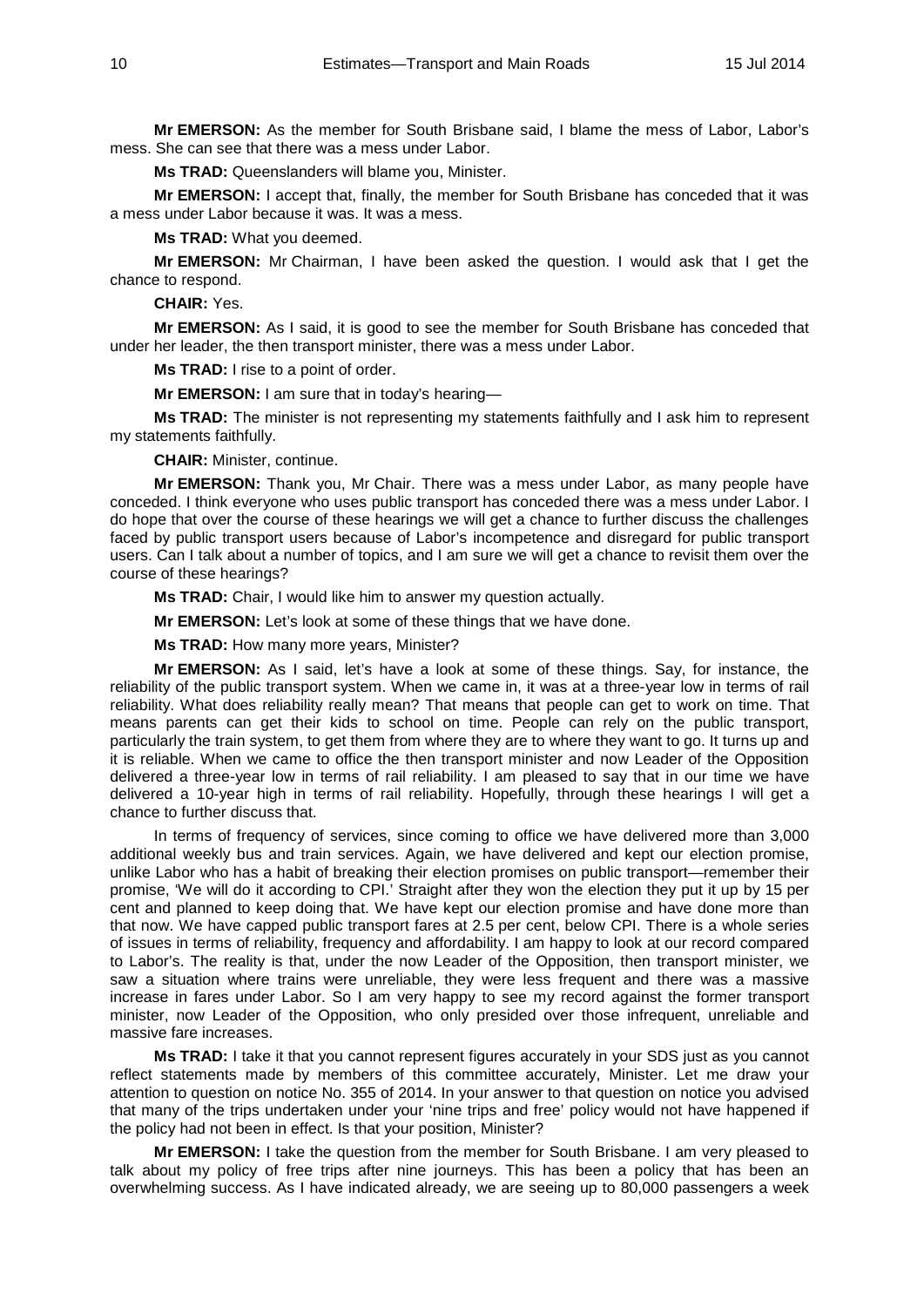**Mr EMERSON:** As the member for South Brisbane said, I blame the mess of Labor, Labor's mess. She can see that there was a mess under Labor.

**Ms TRAD:** Queenslanders will blame you, Minister.

**Mr EMERSON:** I accept that, finally, the member for South Brisbane has conceded that it was a mess under Labor because it was. It was a mess.

**Ms TRAD:** What you deemed.

**Mr EMERSON:** Mr Chairman, I have been asked the question. I would ask that I get the chance to respond.

**CHAIR:** Yes.

**Mr EMERSON:** As I said, it is good to see the member for South Brisbane has conceded that under her leader, the then transport minister, there was a mess under Labor.

**Ms TRAD:** I rise to a point of order.

**Mr EMERSON:** I am sure that in today's hearing—

**Ms TRAD:** The minister is not representing my statements faithfully and I ask him to represent my statements faithfully.

**CHAIR:** Minister, continue.

**Mr EMERSON:** Thank you, Mr Chair. There was a mess under Labor, as many people have conceded. I think everyone who uses public transport has conceded there was a mess under Labor. I do hope that over the course of these hearings we will get a chance to further discuss the challenges faced by public transport users because of Labor's incompetence and disregard for public transport users. Can I talk about a number of topics, and I am sure we will get a chance to revisit them over the course of these hearings?

**Ms TRAD:** Chair, I would like him to answer my question actually.

**Mr EMERSON:** Let's look at some of these things that we have done.

**Ms TRAD:** How many more years, Minister?

**Mr EMERSON:** As I said, let's have a look at some of these things. Say, for instance, the reliability of the public transport system. When we came in, it was at a three-year low in terms of rail reliability. What does reliability really mean? That means that people can get to work on time. That means parents can get their kids to school on time. People can rely on the public transport, particularly the train system, to get them from where they are to where they want to go. It turns up and it is reliable. When we came to office the then transport minister and now Leader of the Opposition delivered a three-year low in terms of rail reliability. I am pleased to say that in our time we have delivered a 10-year high in terms of rail reliability. Hopefully, through these hearings I will get a chance to further discuss that.

In terms of frequency of services, since coming to office we have delivered more than 3,000 additional weekly bus and train services. Again, we have delivered and kept our election promise, unlike Labor who has a habit of breaking their election promises on public transport—remember their promise, 'We will do it according to CPI.' Straight after they won the election they put it up by 15 per cent and planned to keep doing that. We have kept our election promise and have done more than that now. We have capped public transport fares at 2.5 per cent, below CPI. There is a whole series of issues in terms of reliability, frequency and affordability. I am happy to look at our record compared to Labor's. The reality is that, under the now Leader of the Opposition, then transport minister, we saw a situation where trains were unreliable, they were less frequent and there was a massive increase in fares under Labor. So I am very happy to see my record against the former transport minister, now Leader of the Opposition, who only presided over those infrequent, unreliable and massive fare increases.

**Ms TRAD:** I take it that you cannot represent figures accurately in your SDS just as you cannot reflect statements made by members of this committee accurately, Minister. Let me draw your attention to question on notice No. 355 of 2014. In your answer to that question on notice you advised that many of the trips undertaken under your 'nine trips and free' policy would not have happened if the policy had not been in effect. Is that your position, Minister?

**Mr EMERSON:** I take the question from the member for South Brisbane. I am very pleased to talk about my policy of free trips after nine journeys. This has been a policy that has been an overwhelming success. As I have indicated already, we are seeing up to 80,000 passengers a week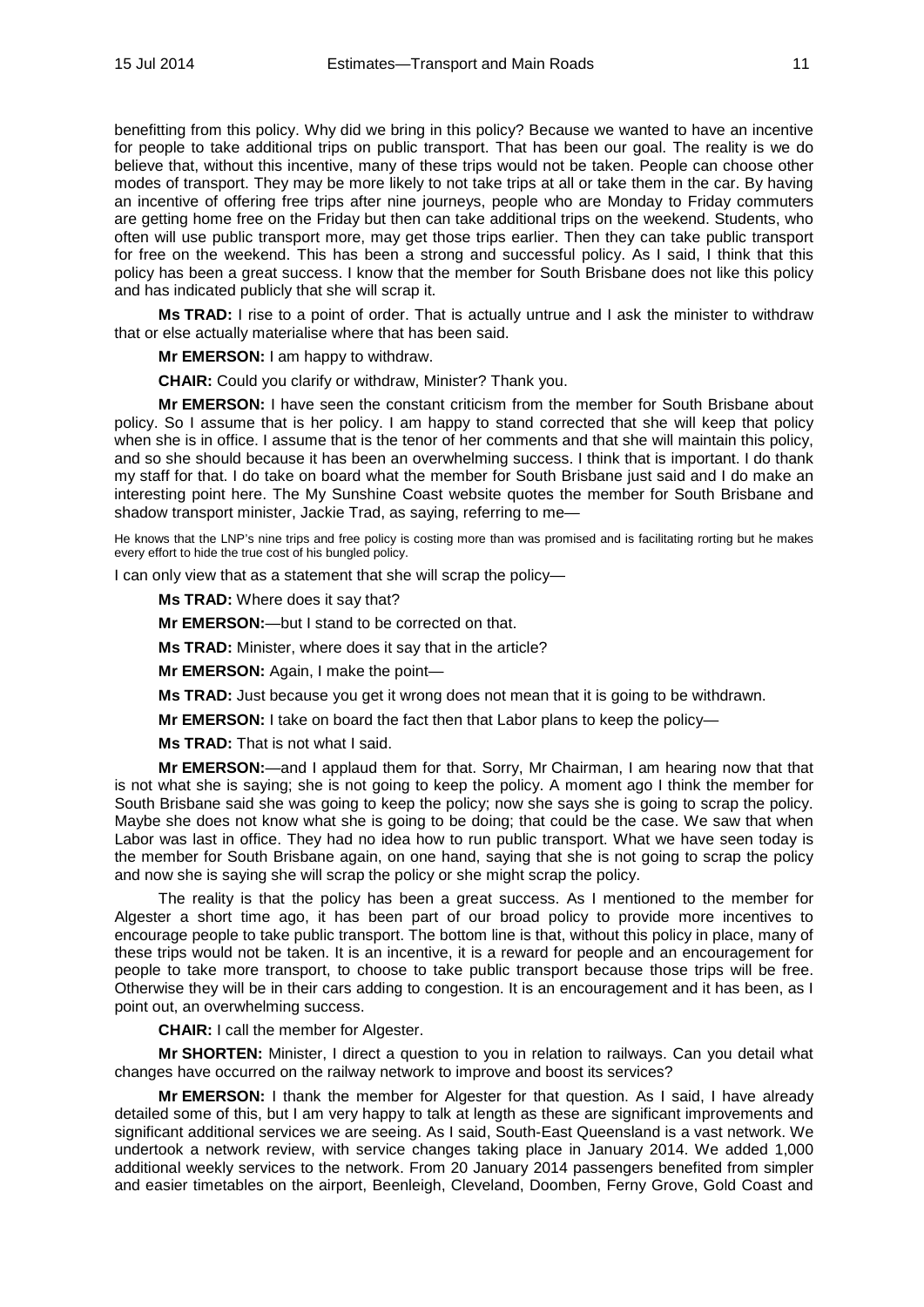benefitting from this policy. Why did we bring in this policy? Because we wanted to have an incentive for people to take additional trips on public transport. That has been our goal. The reality is we do believe that, without this incentive, many of these trips would not be taken. People can choose other modes of transport. They may be more likely to not take trips at all or take them in the car. By having an incentive of offering free trips after nine journeys, people who are Monday to Friday commuters are getting home free on the Friday but then can take additional trips on the weekend. Students, who often will use public transport more, may get those trips earlier. Then they can take public transport for free on the weekend. This has been a strong and successful policy. As I said, I think that this policy has been a great success. I know that the member for South Brisbane does not like this policy and has indicated publicly that she will scrap it.

**Ms TRAD:** I rise to a point of order. That is actually untrue and I ask the minister to withdraw that or else actually materialise where that has been said.

**Mr EMERSON:** I am happy to withdraw.

**CHAIR:** Could you clarify or withdraw, Minister? Thank you.

**Mr EMERSON:** I have seen the constant criticism from the member for South Brisbane about policy. So I assume that is her policy. I am happy to stand corrected that she will keep that policy when she is in office. I assume that is the tenor of her comments and that she will maintain this policy, and so she should because it has been an overwhelming success. I think that is important. I do thank my staff for that. I do take on board what the member for South Brisbane just said and I do make an interesting point here. The My Sunshine Coast website quotes the member for South Brisbane and shadow transport minister, Jackie Trad, as saying, referring to me—

He knows that the LNP's nine trips and free policy is costing more than was promised and is facilitating rorting but he makes every effort to hide the true cost of his bungled policy.

I can only view that as a statement that she will scrap the policy—

**Ms TRAD:** Where does it say that?

**Mr EMERSON:**—but I stand to be corrected on that.

**Ms TRAD:** Minister, where does it say that in the article?

**Mr EMERSON:** Again, I make the point—

**Ms TRAD:** Just because you get it wrong does not mean that it is going to be withdrawn.

**Mr EMERSON:** I take on board the fact then that Labor plans to keep the policy—

**Ms TRAD:** That is not what I said.

**Mr EMERSON:**—and I applaud them for that. Sorry, Mr Chairman, I am hearing now that that is not what she is saying; she is not going to keep the policy. A moment ago I think the member for South Brisbane said she was going to keep the policy; now she says she is going to scrap the policy. Maybe she does not know what she is going to be doing; that could be the case. We saw that when Labor was last in office. They had no idea how to run public transport. What we have seen today is the member for South Brisbane again, on one hand, saying that she is not going to scrap the policy and now she is saying she will scrap the policy or she might scrap the policy.

The reality is that the policy has been a great success. As I mentioned to the member for Algester a short time ago, it has been part of our broad policy to provide more incentives to encourage people to take public transport. The bottom line is that, without this policy in place, many of these trips would not be taken. It is an incentive, it is a reward for people and an encouragement for people to take more transport, to choose to take public transport because those trips will be free. Otherwise they will be in their cars adding to congestion. It is an encouragement and it has been, as I point out, an overwhelming success.

**CHAIR:** I call the member for Algester.

**Mr SHORTEN:** Minister, I direct a question to you in relation to railways. Can you detail what changes have occurred on the railway network to improve and boost its services?

**Mr EMERSON:** I thank the member for Algester for that question. As I said, I have already detailed some of this, but I am very happy to talk at length as these are significant improvements and significant additional services we are seeing. As I said, South-East Queensland is a vast network. We undertook a network review, with service changes taking place in January 2014. We added 1,000 additional weekly services to the network. From 20 January 2014 passengers benefited from simpler and easier timetables on the airport, Beenleigh, Cleveland, Doomben, Ferny Grove, Gold Coast and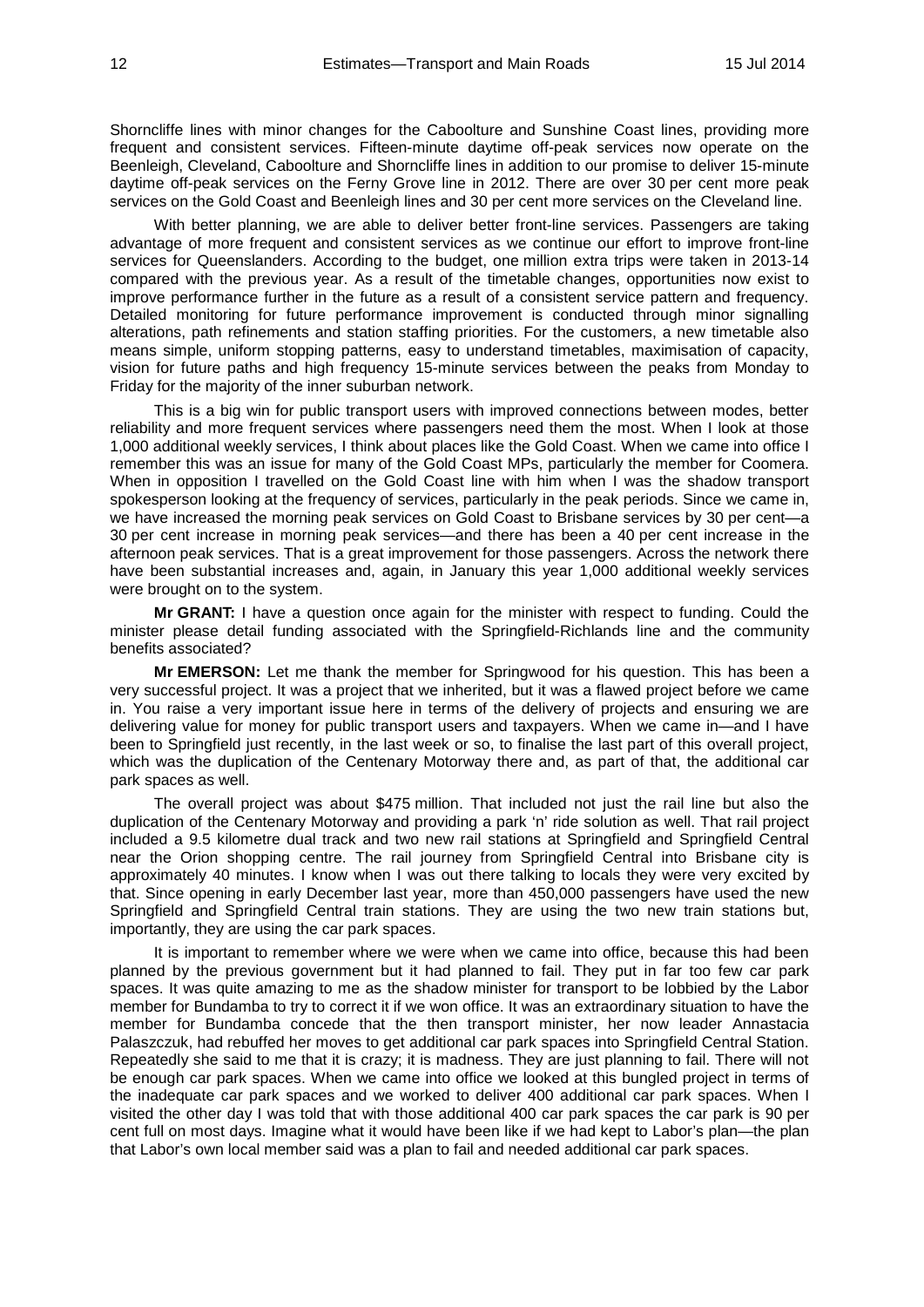Shorncliffe lines with minor changes for the Caboolture and Sunshine Coast lines, providing more frequent and consistent services. Fifteen-minute daytime off-peak services now operate on the Beenleigh, Cleveland, Caboolture and Shorncliffe lines in addition to our promise to deliver 15-minute daytime off-peak services on the Ferny Grove line in 2012. There are over 30 per cent more peak services on the Gold Coast and Beenleigh lines and 30 per cent more services on the Cleveland line.

With better planning, we are able to deliver better front-line services. Passengers are taking advantage of more frequent and consistent services as we continue our effort to improve front-line services for Queenslanders. According to the budget, one million extra trips were taken in 2013-14 compared with the previous year. As a result of the timetable changes, opportunities now exist to improve performance further in the future as a result of a consistent service pattern and frequency. Detailed monitoring for future performance improvement is conducted through minor signalling alterations, path refinements and station staffing priorities. For the customers, a new timetable also means simple, uniform stopping patterns, easy to understand timetables, maximisation of capacity, vision for future paths and high frequency 15-minute services between the peaks from Monday to Friday for the majority of the inner suburban network.

This is a big win for public transport users with improved connections between modes, better reliability and more frequent services where passengers need them the most. When I look at those 1,000 additional weekly services, I think about places like the Gold Coast. When we came into office I remember this was an issue for many of the Gold Coast MPs, particularly the member for Coomera. When in opposition I travelled on the Gold Coast line with him when I was the shadow transport spokesperson looking at the frequency of services, particularly in the peak periods. Since we came in, we have increased the morning peak services on Gold Coast to Brisbane services by 30 per cent—a 30 per cent increase in morning peak services—and there has been a 40 per cent increase in the afternoon peak services. That is a great improvement for those passengers. Across the network there have been substantial increases and, again, in January this year 1,000 additional weekly services were brought on to the system.

**Mr GRANT:** I have a question once again for the minister with respect to funding. Could the minister please detail funding associated with the Springfield-Richlands line and the community benefits associated?

**Mr EMERSON:** Let me thank the member for Springwood for his question. This has been a very successful project. It was a project that we inherited, but it was a flawed project before we came in. You raise a very important issue here in terms of the delivery of projects and ensuring we are delivering value for money for public transport users and taxpayers. When we came in—and I have been to Springfield just recently, in the last week or so, to finalise the last part of this overall project, which was the duplication of the Centenary Motorway there and, as part of that, the additional car park spaces as well.

The overall project was about \$475 million. That included not just the rail line but also the duplication of the Centenary Motorway and providing a park 'n' ride solution as well. That rail project included a 9.5 kilometre dual track and two new rail stations at Springfield and Springfield Central near the Orion shopping centre. The rail journey from Springfield Central into Brisbane city is approximately 40 minutes. I know when I was out there talking to locals they were very excited by that. Since opening in early December last year, more than 450,000 passengers have used the new Springfield and Springfield Central train stations. They are using the two new train stations but, importantly, they are using the car park spaces.

It is important to remember where we were when we came into office, because this had been planned by the previous government but it had planned to fail. They put in far too few car park spaces. It was quite amazing to me as the shadow minister for transport to be lobbied by the Labor member for Bundamba to try to correct it if we won office. It was an extraordinary situation to have the member for Bundamba concede that the then transport minister, her now leader Annastacia Palaszczuk, had rebuffed her moves to get additional car park spaces into Springfield Central Station. Repeatedly she said to me that it is crazy; it is madness. They are just planning to fail. There will not be enough car park spaces. When we came into office we looked at this bungled project in terms of the inadequate car park spaces and we worked to deliver 400 additional car park spaces. When I visited the other day I was told that with those additional 400 car park spaces the car park is 90 per cent full on most days. Imagine what it would have been like if we had kept to Labor's plan—the plan that Labor's own local member said was a plan to fail and needed additional car park spaces.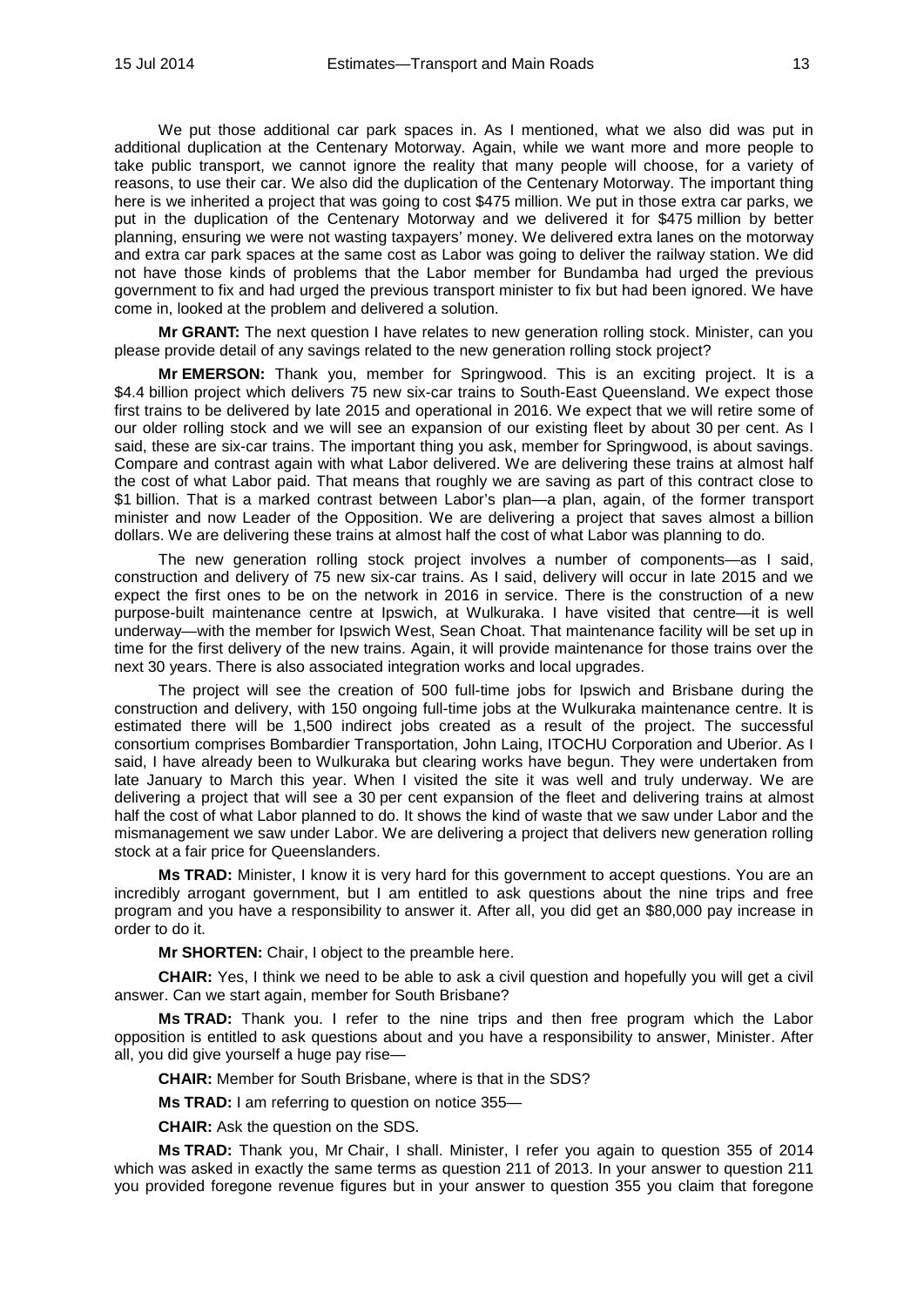We put those additional car park spaces in. As I mentioned, what we also did was put in additional duplication at the Centenary Motorway. Again, while we want more and more people to take public transport, we cannot ignore the reality that many people will choose, for a variety of reasons, to use their car. We also did the duplication of the Centenary Motorway. The important thing here is we inherited a project that was going to cost \$475 million. We put in those extra car parks, we put in the duplication of the Centenary Motorway and we delivered it for \$475 million by better planning, ensuring we were not wasting taxpayers' money. We delivered extra lanes on the motorway and extra car park spaces at the same cost as Labor was going to deliver the railway station. We did not have those kinds of problems that the Labor member for Bundamba had urged the previous government to fix and had urged the previous transport minister to fix but had been ignored. We have come in, looked at the problem and delivered a solution.

**Mr GRANT:** The next question I have relates to new generation rolling stock. Minister, can you please provide detail of any savings related to the new generation rolling stock project?

**Mr EMERSON:** Thank you, member for Springwood. This is an exciting project. It is a \$4.4 billion project which delivers 75 new six-car trains to South-East Queensland. We expect those first trains to be delivered by late 2015 and operational in 2016. We expect that we will retire some of our older rolling stock and we will see an expansion of our existing fleet by about 30 per cent. As I said, these are six-car trains. The important thing you ask, member for Springwood, is about savings. Compare and contrast again with what Labor delivered. We are delivering these trains at almost half the cost of what Labor paid. That means that roughly we are saving as part of this contract close to \$1 billion. That is a marked contrast between Labor's plan—a plan, again, of the former transport minister and now Leader of the Opposition. We are delivering a project that saves almost a billion dollars. We are delivering these trains at almost half the cost of what Labor was planning to do.

The new generation rolling stock project involves a number of components—as I said, construction and delivery of 75 new six-car trains. As I said, delivery will occur in late 2015 and we expect the first ones to be on the network in 2016 in service. There is the construction of a new purpose-built maintenance centre at Ipswich, at Wulkuraka. I have visited that centre—it is well underway—with the member for Ipswich West, Sean Choat. That maintenance facility will be set up in time for the first delivery of the new trains. Again, it will provide maintenance for those trains over the next 30 years. There is also associated integration works and local upgrades.

The project will see the creation of 500 full-time jobs for Ipswich and Brisbane during the construction and delivery, with 150 ongoing full-time jobs at the Wulkuraka maintenance centre. It is estimated there will be 1,500 indirect jobs created as a result of the project. The successful consortium comprises Bombardier Transportation, John Laing, ITOCHU Corporation and Uberior. As I said, I have already been to Wulkuraka but clearing works have begun. They were undertaken from late January to March this year. When I visited the site it was well and truly underway. We are delivering a project that will see a 30 per cent expansion of the fleet and delivering trains at almost half the cost of what Labor planned to do. It shows the kind of waste that we saw under Labor and the mismanagement we saw under Labor. We are delivering a project that delivers new generation rolling stock at a fair price for Queenslanders.

**Ms TRAD:** Minister, I know it is very hard for this government to accept questions. You are an incredibly arrogant government, but I am entitled to ask questions about the nine trips and free program and you have a responsibility to answer it. After all, you did get an \$80,000 pay increase in order to do it.

**Mr SHORTEN:** Chair, I object to the preamble here.

**CHAIR:** Yes, I think we need to be able to ask a civil question and hopefully you will get a civil answer. Can we start again, member for South Brisbane?

**Ms TRAD:** Thank you. I refer to the nine trips and then free program which the Labor opposition is entitled to ask questions about and you have a responsibility to answer, Minister. After all, you did give yourself a huge pay rise—

**CHAIR:** Member for South Brisbane, where is that in the SDS?

**Ms TRAD:** I am referring to question on notice 355—

**CHAIR:** Ask the question on the SDS.

**Ms TRAD:** Thank you, Mr Chair, I shall. Minister, I refer you again to question 355 of 2014 which was asked in exactly the same terms as question 211 of 2013. In your answer to question 211 you provided foregone revenue figures but in your answer to question 355 you claim that foregone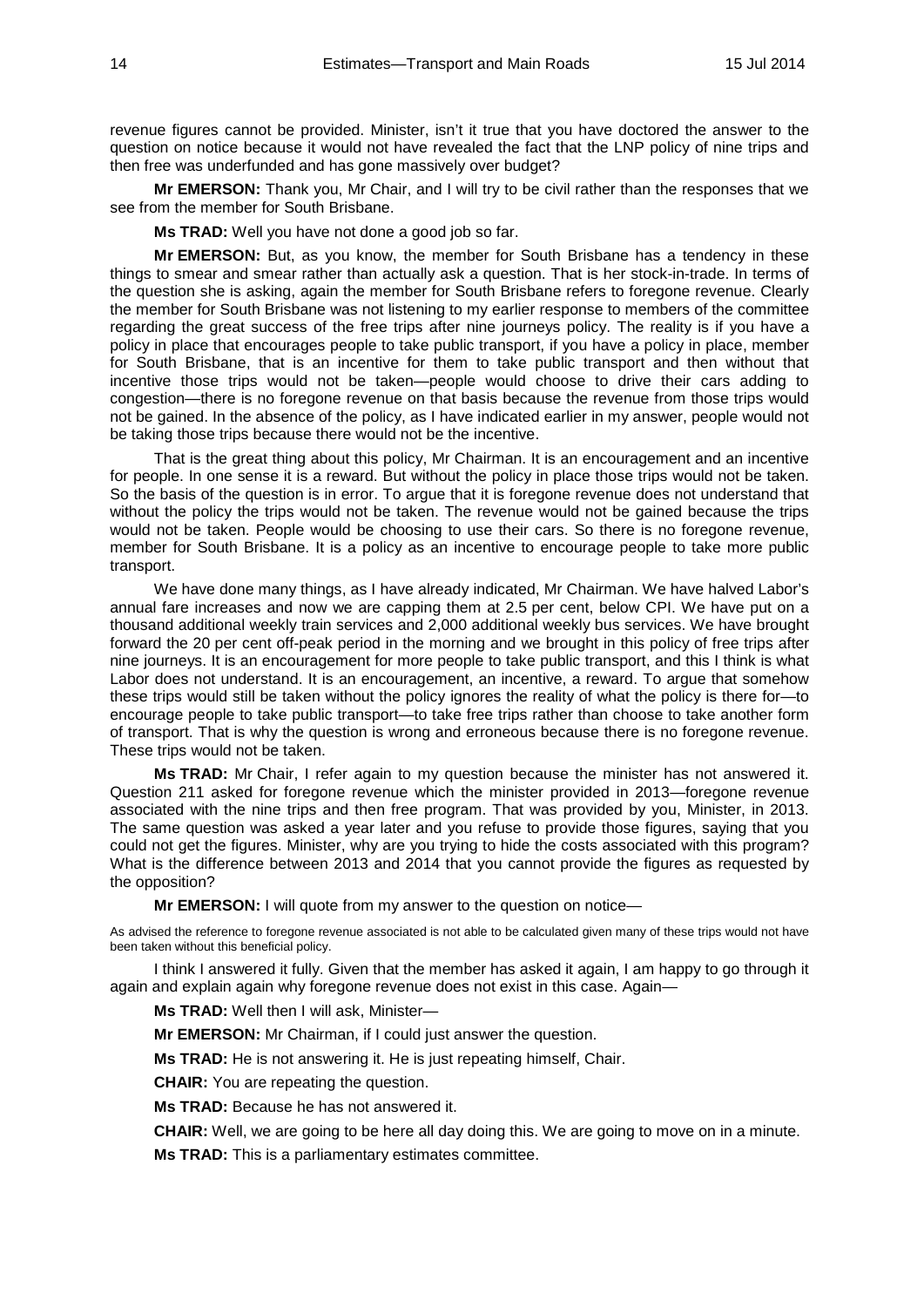revenue figures cannot be provided. Minister, isn't it true that you have doctored the answer to the question on notice because it would not have revealed the fact that the LNP policy of nine trips and then free was underfunded and has gone massively over budget?

**Mr EMERSON:** Thank you, Mr Chair, and I will try to be civil rather than the responses that we see from the member for South Brisbane.

**Ms TRAD:** Well you have not done a good job so far.

**Mr EMERSON:** But, as you know, the member for South Brisbane has a tendency in these things to smear and smear rather than actually ask a question. That is her stock-in-trade. In terms of the question she is asking, again the member for South Brisbane refers to foregone revenue. Clearly the member for South Brisbane was not listening to my earlier response to members of the committee regarding the great success of the free trips after nine journeys policy. The reality is if you have a policy in place that encourages people to take public transport, if you have a policy in place, member for South Brisbane, that is an incentive for them to take public transport and then without that incentive those trips would not be taken—people would choose to drive their cars adding to congestion—there is no foregone revenue on that basis because the revenue from those trips would not be gained. In the absence of the policy, as I have indicated earlier in my answer, people would not be taking those trips because there would not be the incentive.

That is the great thing about this policy, Mr Chairman. It is an encouragement and an incentive for people. In one sense it is a reward. But without the policy in place those trips would not be taken. So the basis of the question is in error. To argue that it is foregone revenue does not understand that without the policy the trips would not be taken. The revenue would not be gained because the trips would not be taken. People would be choosing to use their cars. So there is no foregone revenue, member for South Brisbane. It is a policy as an incentive to encourage people to take more public transport.

We have done many things, as I have already indicated, Mr Chairman. We have halved Labor's annual fare increases and now we are capping them at 2.5 per cent, below CPI. We have put on a thousand additional weekly train services and 2,000 additional weekly bus services. We have brought forward the 20 per cent off-peak period in the morning and we brought in this policy of free trips after nine journeys. It is an encouragement for more people to take public transport, and this I think is what Labor does not understand. It is an encouragement, an incentive, a reward. To argue that somehow these trips would still be taken without the policy ignores the reality of what the policy is there for—to encourage people to take public transport—to take free trips rather than choose to take another form of transport. That is why the question is wrong and erroneous because there is no foregone revenue. These trips would not be taken.

**Ms TRAD:** Mr Chair, I refer again to my question because the minister has not answered it. Question 211 asked for foregone revenue which the minister provided in 2013—foregone revenue associated with the nine trips and then free program. That was provided by you, Minister, in 2013. The same question was asked a year later and you refuse to provide those figures, saying that you could not get the figures. Minister, why are you trying to hide the costs associated with this program? What is the difference between 2013 and 2014 that you cannot provide the figures as requested by the opposition?

**Mr EMERSON:** I will quote from my answer to the question on notice—

As advised the reference to foregone revenue associated is not able to be calculated given many of these trips would not have been taken without this beneficial policy.

I think I answered it fully. Given that the member has asked it again, I am happy to go through it again and explain again why foregone revenue does not exist in this case. Again—

**Ms TRAD:** Well then I will ask, Minister—

**Mr EMERSON:** Mr Chairman, if I could just answer the question.

**Ms TRAD:** He is not answering it. He is just repeating himself, Chair.

**CHAIR:** You are repeating the question.

**Ms TRAD:** Because he has not answered it.

**CHAIR:** Well, we are going to be here all day doing this. We are going to move on in a minute.

**Ms TRAD:** This is a parliamentary estimates committee.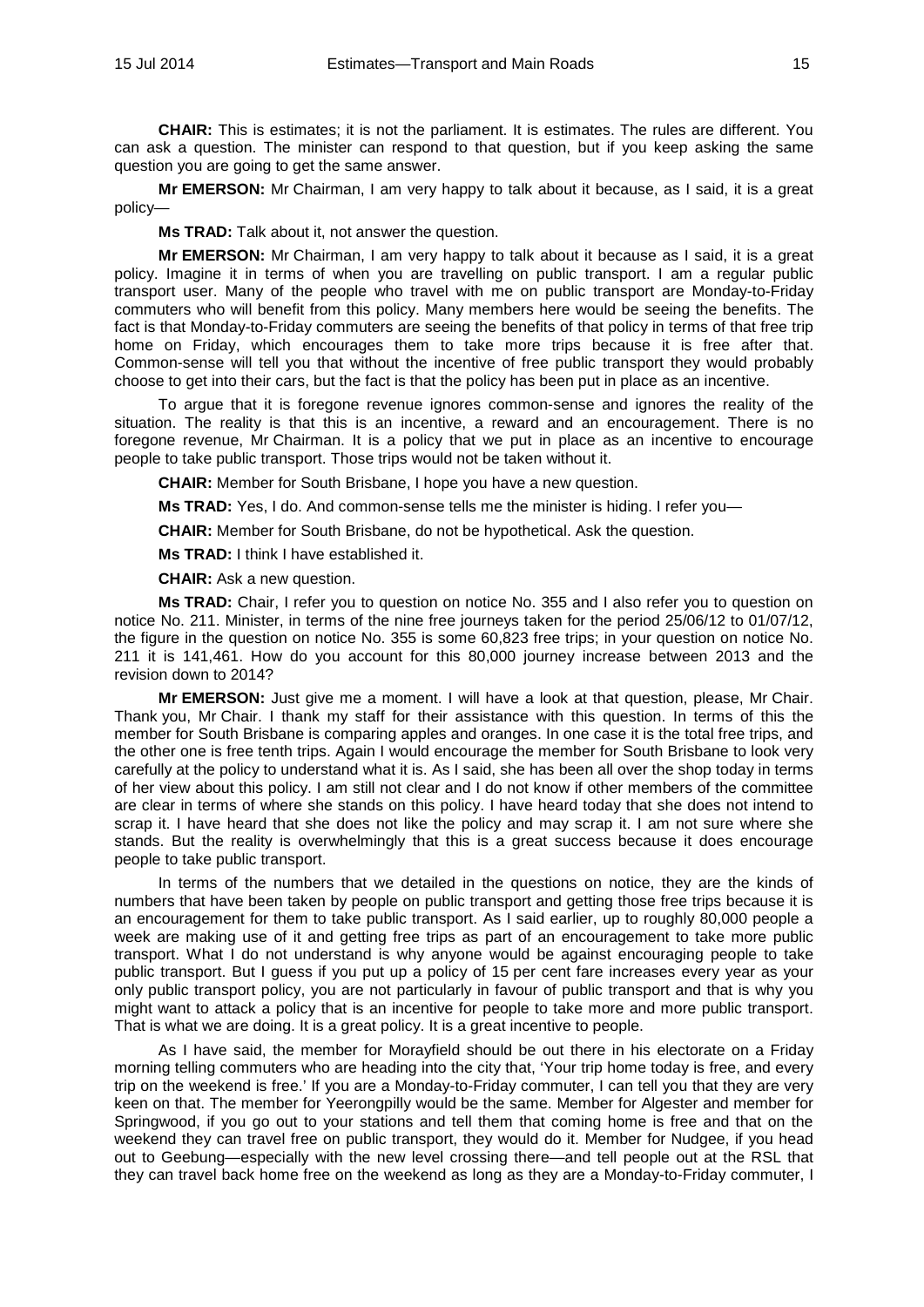**CHAIR:** This is estimates; it is not the parliament. It is estimates. The rules are different. You can ask a question. The minister can respond to that question, but if you keep asking the same question you are going to get the same answer.

**Mr EMERSON:** Mr Chairman, I am very happy to talk about it because, as I said, it is a great policy—

**Ms TRAD:** Talk about it, not answer the question.

**Mr EMERSON:** Mr Chairman, I am very happy to talk about it because as I said, it is a great policy. Imagine it in terms of when you are travelling on public transport. I am a regular public transport user. Many of the people who travel with me on public transport are Monday-to-Friday commuters who will benefit from this policy. Many members here would be seeing the benefits. The fact is that Monday-to-Friday commuters are seeing the benefits of that policy in terms of that free trip home on Friday, which encourages them to take more trips because it is free after that. Common-sense will tell you that without the incentive of free public transport they would probably choose to get into their cars, but the fact is that the policy has been put in place as an incentive.

To argue that it is foregone revenue ignores common-sense and ignores the reality of the situation. The reality is that this is an incentive, a reward and an encouragement. There is no foregone revenue, Mr Chairman. It is a policy that we put in place as an incentive to encourage people to take public transport. Those trips would not be taken without it.

**CHAIR:** Member for South Brisbane, I hope you have a new question.

**Ms TRAD:** Yes, I do. And common-sense tells me the minister is hiding. I refer you—

**CHAIR:** Member for South Brisbane, do not be hypothetical. Ask the question.

**Ms TRAD:** I think I have established it.

**CHAIR:** Ask a new question.

**Ms TRAD:** Chair, I refer you to question on notice No. 355 and I also refer you to question on notice No. 211. Minister, in terms of the nine free journeys taken for the period 25/06/12 to 01/07/12, the figure in the question on notice No. 355 is some 60,823 free trips; in your question on notice No. 211 it is 141,461. How do you account for this 80,000 journey increase between 2013 and the revision down to 2014?

**Mr EMERSON:** Just give me a moment. I will have a look at that question, please, Mr Chair. Thank you, Mr Chair. I thank my staff for their assistance with this question. In terms of this the member for South Brisbane is comparing apples and oranges. In one case it is the total free trips, and the other one is free tenth trips. Again I would encourage the member for South Brisbane to look very carefully at the policy to understand what it is. As I said, she has been all over the shop today in terms of her view about this policy. I am still not clear and I do not know if other members of the committee are clear in terms of where she stands on this policy. I have heard today that she does not intend to scrap it. I have heard that she does not like the policy and may scrap it. I am not sure where she stands. But the reality is overwhelmingly that this is a great success because it does encourage people to take public transport.

In terms of the numbers that we detailed in the questions on notice, they are the kinds of numbers that have been taken by people on public transport and getting those free trips because it is an encouragement for them to take public transport. As I said earlier, up to roughly 80,000 people a week are making use of it and getting free trips as part of an encouragement to take more public transport. What I do not understand is why anyone would be against encouraging people to take public transport. But I guess if you put up a policy of 15 per cent fare increases every year as your only public transport policy, you are not particularly in favour of public transport and that is why you might want to attack a policy that is an incentive for people to take more and more public transport. That is what we are doing. It is a great policy. It is a great incentive to people.

As I have said, the member for Morayfield should be out there in his electorate on a Friday morning telling commuters who are heading into the city that, 'Your trip home today is free, and every trip on the weekend is free.' If you are a Monday-to-Friday commuter, I can tell you that they are very keen on that. The member for Yeerongpilly would be the same. Member for Algester and member for Springwood, if you go out to your stations and tell them that coming home is free and that on the weekend they can travel free on public transport, they would do it. Member for Nudgee, if you head out to Geebung—especially with the new level crossing there—and tell people out at the RSL that they can travel back home free on the weekend as long as they are a Monday-to-Friday commuter, I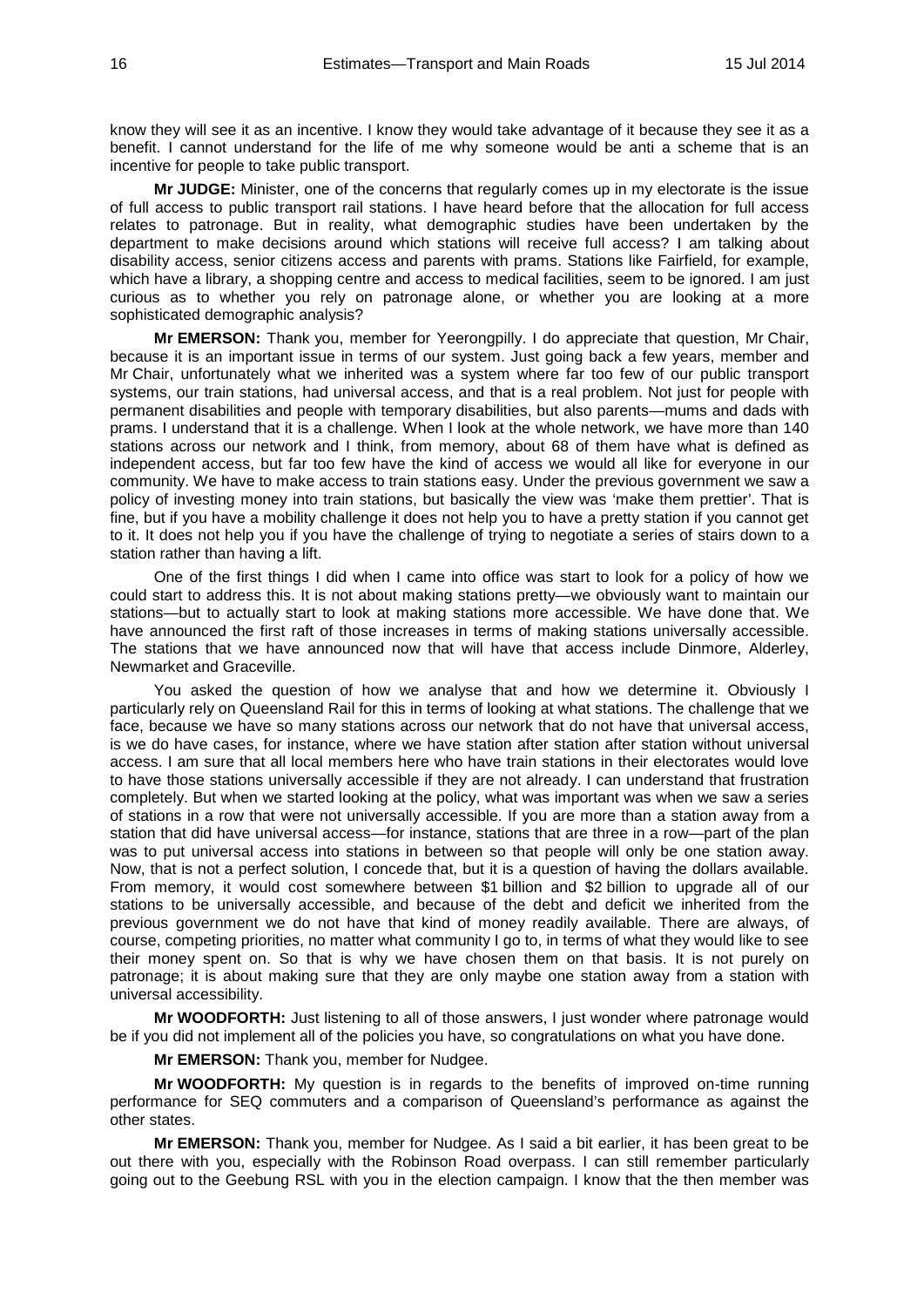know they will see it as an incentive. I know they would take advantage of it because they see it as a benefit. I cannot understand for the life of me why someone would be anti a scheme that is an incentive for people to take public transport.

**Mr JUDGE:** Minister, one of the concerns that regularly comes up in my electorate is the issue of full access to public transport rail stations. I have heard before that the allocation for full access relates to patronage. But in reality, what demographic studies have been undertaken by the department to make decisions around which stations will receive full access? I am talking about disability access, senior citizens access and parents with prams. Stations like Fairfield, for example, which have a library, a shopping centre and access to medical facilities, seem to be ignored. I am just curious as to whether you rely on patronage alone, or whether you are looking at a more sophisticated demographic analysis?

**Mr EMERSON:** Thank you, member for Yeerongpilly. I do appreciate that question, Mr Chair, because it is an important issue in terms of our system. Just going back a few years, member and Mr Chair, unfortunately what we inherited was a system where far too few of our public transport systems, our train stations, had universal access, and that is a real problem. Not just for people with permanent disabilities and people with temporary disabilities, but also parents—mums and dads with prams. I understand that it is a challenge. When I look at the whole network, we have more than 140 stations across our network and I think, from memory, about 68 of them have what is defined as independent access, but far too few have the kind of access we would all like for everyone in our community. We have to make access to train stations easy. Under the previous government we saw a policy of investing money into train stations, but basically the view was 'make them prettier'. That is fine, but if you have a mobility challenge it does not help you to have a pretty station if you cannot get to it. It does not help you if you have the challenge of trying to negotiate a series of stairs down to a station rather than having a lift.

One of the first things I did when I came into office was start to look for a policy of how we could start to address this. It is not about making stations pretty—we obviously want to maintain our stations—but to actually start to look at making stations more accessible. We have done that. We have announced the first raft of those increases in terms of making stations universally accessible. The stations that we have announced now that will have that access include Dinmore, Alderley, Newmarket and Graceville.

You asked the question of how we analyse that and how we determine it. Obviously I particularly rely on Queensland Rail for this in terms of looking at what stations. The challenge that we face, because we have so many stations across our network that do not have that universal access, is we do have cases, for instance, where we have station after station after station without universal access. I am sure that all local members here who have train stations in their electorates would love to have those stations universally accessible if they are not already. I can understand that frustration completely. But when we started looking at the policy, what was important was when we saw a series of stations in a row that were not universally accessible. If you are more than a station away from a station that did have universal access—for instance, stations that are three in a row—part of the plan was to put universal access into stations in between so that people will only be one station away. Now, that is not a perfect solution, I concede that, but it is a question of having the dollars available. From memory, it would cost somewhere between \$1 billion and \$2 billion to upgrade all of our stations to be universally accessible, and because of the debt and deficit we inherited from the previous government we do not have that kind of money readily available. There are always, of course, competing priorities, no matter what community I go to, in terms of what they would like to see their money spent on. So that is why we have chosen them on that basis. It is not purely on patronage; it is about making sure that they are only maybe one station away from a station with universal accessibility.

**Mr WOODFORTH:** Just listening to all of those answers, I just wonder where patronage would be if you did not implement all of the policies you have, so congratulations on what you have done.

**Mr EMERSON:** Thank you, member for Nudgee.

**Mr WOODFORTH:** My question is in regards to the benefits of improved on-time running performance for SEQ commuters and a comparison of Queensland's performance as against the other states.

**Mr EMERSON:** Thank you, member for Nudgee. As I said a bit earlier, it has been great to be out there with you, especially with the Robinson Road overpass. I can still remember particularly going out to the Geebung RSL with you in the election campaign. I know that the then member was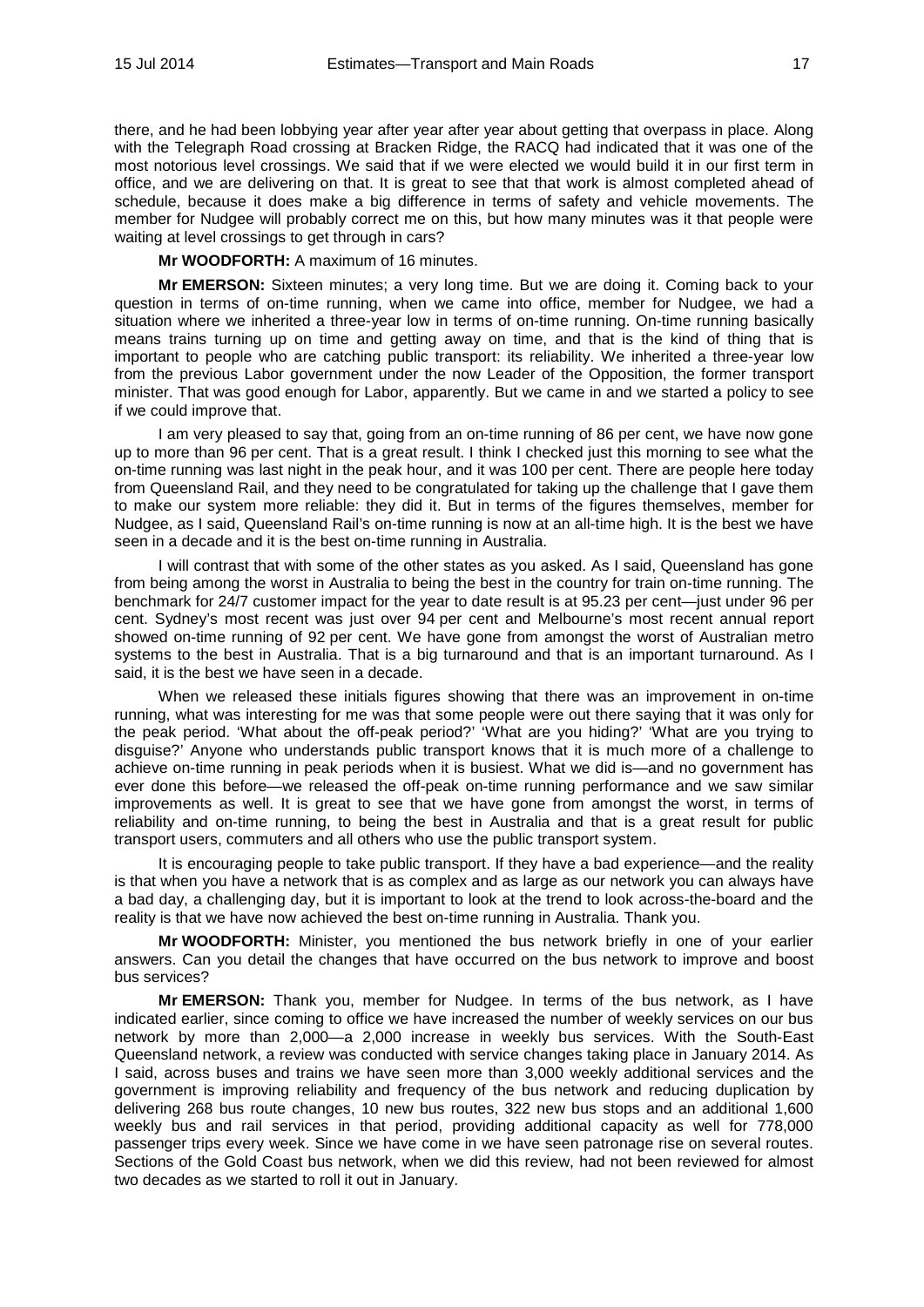there, and he had been lobbying year after year after year about getting that overpass in place. Along with the Telegraph Road crossing at Bracken Ridge, the RACQ had indicated that it was one of the most notorious level crossings. We said that if we were elected we would build it in our first term in office, and we are delivering on that. It is great to see that that work is almost completed ahead of schedule, because it does make a big difference in terms of safety and vehicle movements. The member for Nudgee will probably correct me on this, but how many minutes was it that people were waiting at level crossings to get through in cars?

**Mr WOODFORTH:** A maximum of 16 minutes.

**Mr EMERSON:** Sixteen minutes; a very long time. But we are doing it. Coming back to your question in terms of on-time running, when we came into office, member for Nudgee, we had a situation where we inherited a three-year low in terms of on-time running. On-time running basically means trains turning up on time and getting away on time, and that is the kind of thing that is important to people who are catching public transport: its reliability. We inherited a three-year low from the previous Labor government under the now Leader of the Opposition, the former transport minister. That was good enough for Labor, apparently. But we came in and we started a policy to see if we could improve that.

I am very pleased to say that, going from an on-time running of 86 per cent, we have now gone up to more than 96 per cent. That is a great result. I think I checked just this morning to see what the on-time running was last night in the peak hour, and it was 100 per cent. There are people here today from Queensland Rail, and they need to be congratulated for taking up the challenge that I gave them to make our system more reliable: they did it. But in terms of the figures themselves, member for Nudgee, as I said, Queensland Rail's on-time running is now at an all-time high. It is the best we have seen in a decade and it is the best on-time running in Australia.

I will contrast that with some of the other states as you asked. As I said, Queensland has gone from being among the worst in Australia to being the best in the country for train on-time running. The benchmark for 24/7 customer impact for the year to date result is at 95.23 per cent—just under 96 per cent. Sydney's most recent was just over 94 per cent and Melbourne's most recent annual report showed on-time running of 92 per cent. We have gone from amongst the worst of Australian metro systems to the best in Australia. That is a big turnaround and that is an important turnaround. As I said, it is the best we have seen in a decade.

When we released these initials figures showing that there was an improvement in on-time running, what was interesting for me was that some people were out there saying that it was only for the peak period. 'What about the off-peak period?' 'What are you hiding?' 'What are you trying to disguise?' Anyone who understands public transport knows that it is much more of a challenge to achieve on-time running in peak periods when it is busiest. What we did is—and no government has ever done this before—we released the off-peak on-time running performance and we saw similar improvements as well. It is great to see that we have gone from amongst the worst, in terms of reliability and on-time running, to being the best in Australia and that is a great result for public transport users, commuters and all others who use the public transport system.

It is encouraging people to take public transport. If they have a bad experience—and the reality is that when you have a network that is as complex and as large as our network you can always have a bad day, a challenging day, but it is important to look at the trend to look across-the-board and the reality is that we have now achieved the best on-time running in Australia. Thank you.

**Mr WOODFORTH:** Minister, you mentioned the bus network briefly in one of your earlier answers. Can you detail the changes that have occurred on the bus network to improve and boost bus services?

**Mr EMERSON:** Thank you, member for Nudgee. In terms of the bus network, as I have indicated earlier, since coming to office we have increased the number of weekly services on our bus network by more than 2,000—a 2,000 increase in weekly bus services. With the South-East Queensland network, a review was conducted with service changes taking place in January 2014. As I said, across buses and trains we have seen more than 3,000 weekly additional services and the government is improving reliability and frequency of the bus network and reducing duplication by delivering 268 bus route changes, 10 new bus routes, 322 new bus stops and an additional 1,600 weekly bus and rail services in that period, providing additional capacity as well for 778,000 passenger trips every week. Since we have come in we have seen patronage rise on several routes. Sections of the Gold Coast bus network, when we did this review, had not been reviewed for almost two decades as we started to roll it out in January.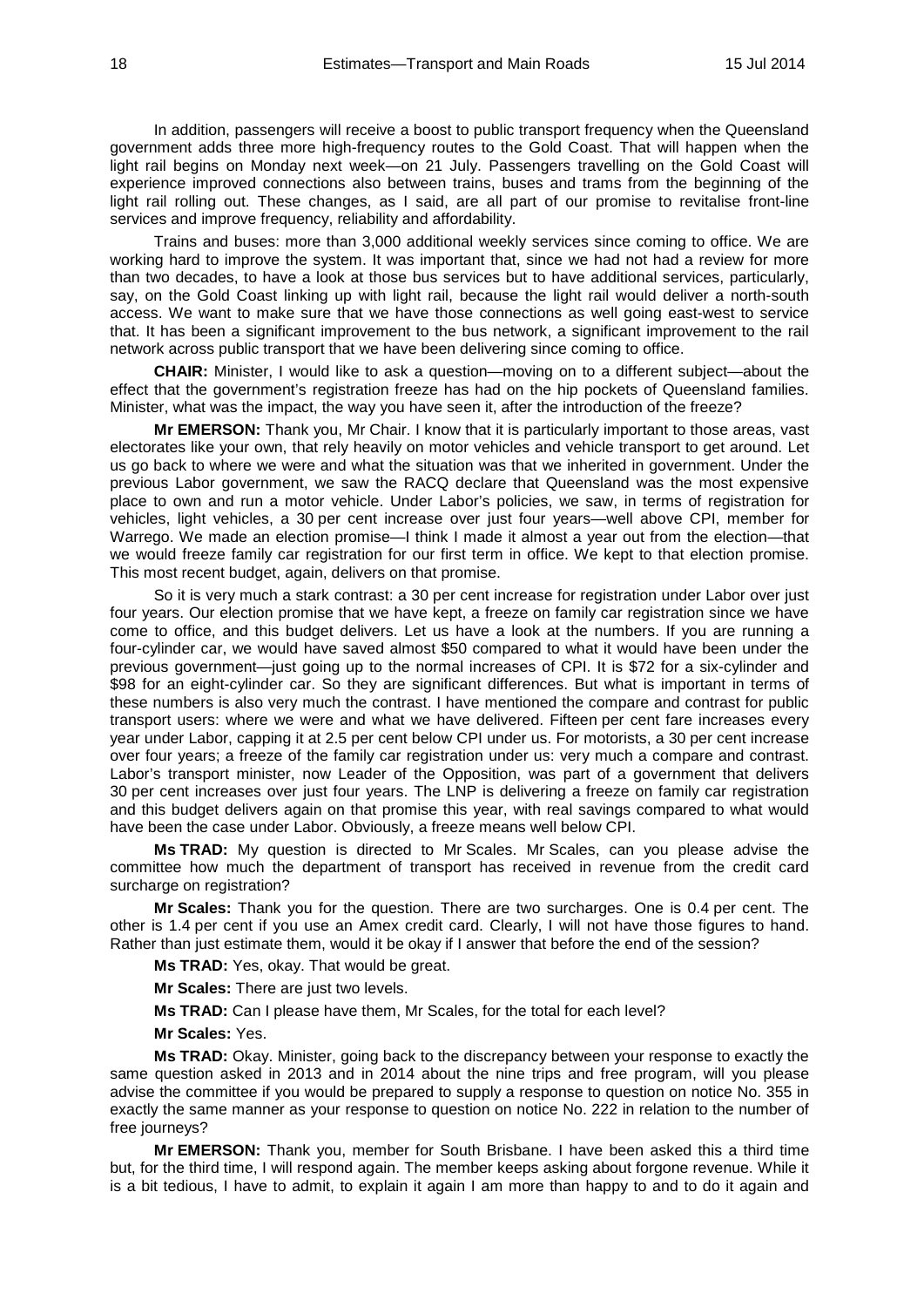In addition, passengers will receive a boost to public transport frequency when the Queensland government adds three more high-frequency routes to the Gold Coast. That will happen when the light rail begins on Monday next week—on 21 July. Passengers travelling on the Gold Coast will experience improved connections also between trains, buses and trams from the beginning of the light rail rolling out. These changes, as I said, are all part of our promise to revitalise front-line services and improve frequency, reliability and affordability.

Trains and buses: more than 3,000 additional weekly services since coming to office. We are working hard to improve the system. It was important that, since we had not had a review for more than two decades, to have a look at those bus services but to have additional services, particularly, say, on the Gold Coast linking up with light rail, because the light rail would deliver a north-south access. We want to make sure that we have those connections as well going east-west to service that. It has been a significant improvement to the bus network, a significant improvement to the rail network across public transport that we have been delivering since coming to office.

**CHAIR:** Minister, I would like to ask a question—moving on to a different subject—about the effect that the government's registration freeze has had on the hip pockets of Queensland families. Minister, what was the impact, the way you have seen it, after the introduction of the freeze?

**Mr EMERSON:** Thank you, Mr Chair. I know that it is particularly important to those areas, vast electorates like your own, that rely heavily on motor vehicles and vehicle transport to get around. Let us go back to where we were and what the situation was that we inherited in government. Under the previous Labor government, we saw the RACQ declare that Queensland was the most expensive place to own and run a motor vehicle. Under Labor's policies, we saw, in terms of registration for vehicles, light vehicles, a 30 per cent increase over just four years—well above CPI, member for Warrego. We made an election promise—I think I made it almost a year out from the election—that we would freeze family car registration for our first term in office. We kept to that election promise. This most recent budget, again, delivers on that promise.

So it is very much a stark contrast: a 30 per cent increase for registration under Labor over just four years. Our election promise that we have kept, a freeze on family car registration since we have come to office, and this budget delivers. Let us have a look at the numbers. If you are running a four-cylinder car, we would have saved almost \$50 compared to what it would have been under the previous government—just going up to the normal increases of CPI. It is \$72 for a six-cylinder and \$98 for an eight-cylinder car. So they are significant differences. But what is important in terms of these numbers is also very much the contrast. I have mentioned the compare and contrast for public transport users: where we were and what we have delivered. Fifteen per cent fare increases every year under Labor, capping it at 2.5 per cent below CPI under us. For motorists, a 30 per cent increase over four years; a freeze of the family car registration under us: very much a compare and contrast. Labor's transport minister, now Leader of the Opposition, was part of a government that delivers 30 per cent increases over just four years. The LNP is delivering a freeze on family car registration and this budget delivers again on that promise this year, with real savings compared to what would have been the case under Labor. Obviously, a freeze means well below CPI.

**Ms TRAD:** My question is directed to Mr Scales. Mr Scales, can you please advise the committee how much the department of transport has received in revenue from the credit card surcharge on registration?

**Mr Scales:** Thank you for the question. There are two surcharges. One is 0.4 per cent. The other is 1.4 per cent if you use an Amex credit card. Clearly, I will not have those figures to hand. Rather than just estimate them, would it be okay if I answer that before the end of the session?

**Ms TRAD:** Yes, okay. That would be great.

**Mr Scales:** There are just two levels.

**Ms TRAD:** Can I please have them, Mr Scales, for the total for each level?

**Mr Scales:** Yes.

**Ms TRAD:** Okay. Minister, going back to the discrepancy between your response to exactly the same question asked in 2013 and in 2014 about the nine trips and free program, will you please advise the committee if you would be prepared to supply a response to question on notice No. 355 in exactly the same manner as your response to question on notice No. 222 in relation to the number of free journeys?

**Mr EMERSON:** Thank you, member for South Brisbane. I have been asked this a third time but, for the third time, I will respond again. The member keeps asking about forgone revenue. While it is a bit tedious, I have to admit, to explain it again I am more than happy to and to do it again and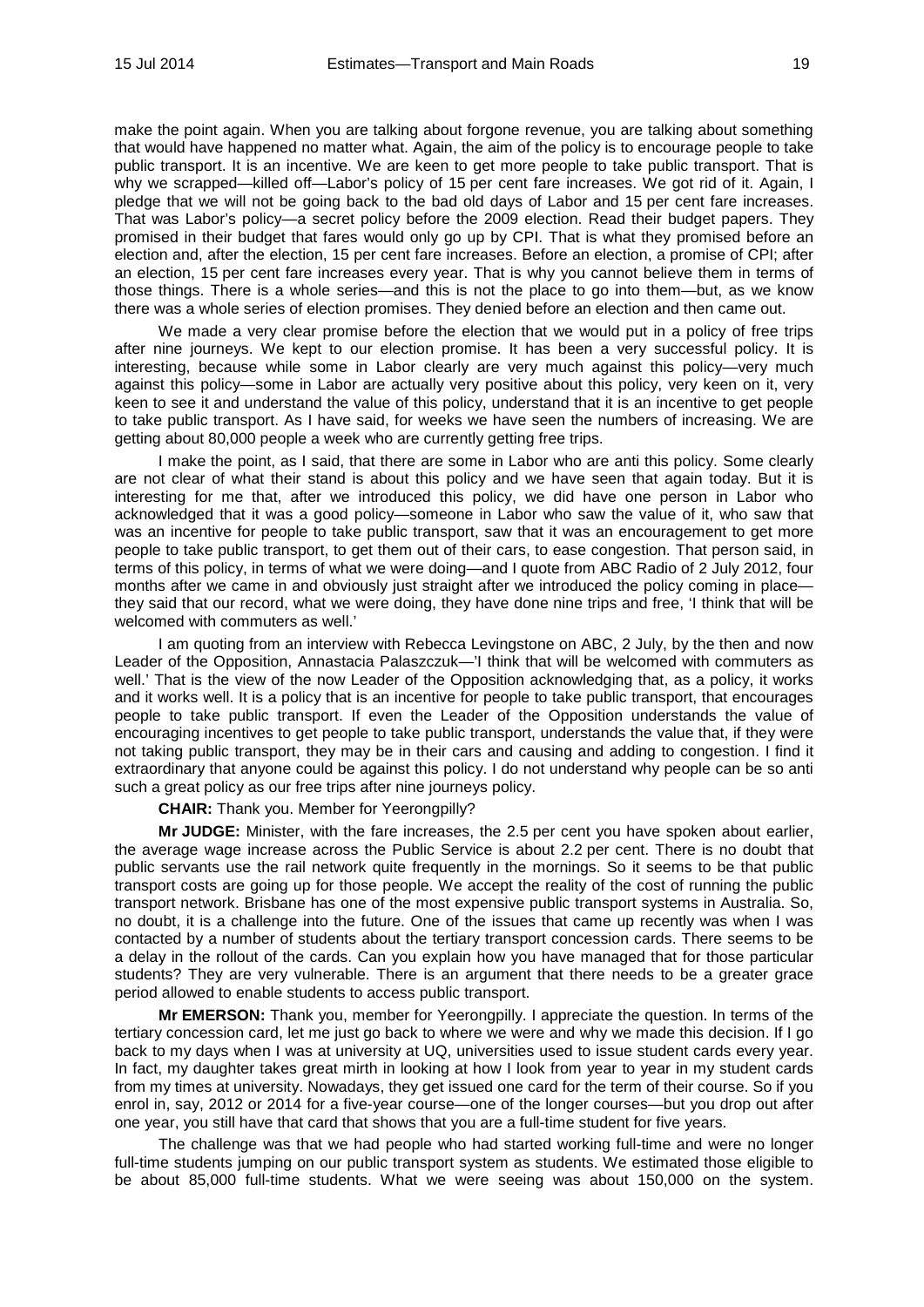make the point again. When you are talking about forgone revenue, you are talking about something that would have happened no matter what. Again, the aim of the policy is to encourage people to take public transport. It is an incentive. We are keen to get more people to take public transport. That is why we scrapped—killed off—Labor's policy of 15 per cent fare increases. We got rid of it. Again, I pledge that we will not be going back to the bad old days of Labor and 15 per cent fare increases. That was Labor's policy—a secret policy before the 2009 election. Read their budget papers. They promised in their budget that fares would only go up by CPI. That is what they promised before an election and, after the election, 15 per cent fare increases. Before an election, a promise of CPI; after an election, 15 per cent fare increases every year. That is why you cannot believe them in terms of those things. There is a whole series—and this is not the place to go into them—but, as we know there was a whole series of election promises. They denied before an election and then came out.

We made a very clear promise before the election that we would put in a policy of free trips after nine journeys. We kept to our election promise. It has been a very successful policy. It is interesting, because while some in Labor clearly are very much against this policy—very much against this policy—some in Labor are actually very positive about this policy, very keen on it, very keen to see it and understand the value of this policy, understand that it is an incentive to get people to take public transport. As I have said, for weeks we have seen the numbers of increasing. We are getting about 80,000 people a week who are currently getting free trips.

I make the point, as I said, that there are some in Labor who are anti this policy. Some clearly are not clear of what their stand is about this policy and we have seen that again today. But it is interesting for me that, after we introduced this policy, we did have one person in Labor who acknowledged that it was a good policy—someone in Labor who saw the value of it, who saw that was an incentive for people to take public transport, saw that it was an encouragement to get more people to take public transport, to get them out of their cars, to ease congestion. That person said, in terms of this policy, in terms of what we were doing—and I quote from ABC Radio of 2 July 2012, four months after we came in and obviously just straight after we introduced the policy coming in place they said that our record, what we were doing, they have done nine trips and free, 'I think that will be welcomed with commuters as well.'

I am quoting from an interview with Rebecca Levingstone on ABC, 2 July, by the then and now Leader of the Opposition, Annastacia Palaszczuk—'I think that will be welcomed with commuters as well.' That is the view of the now Leader of the Opposition acknowledging that, as a policy, it works and it works well. It is a policy that is an incentive for people to take public transport, that encourages people to take public transport. If even the Leader of the Opposition understands the value of encouraging incentives to get people to take public transport, understands the value that, if they were not taking public transport, they may be in their cars and causing and adding to congestion. I find it extraordinary that anyone could be against this policy. I do not understand why people can be so anti such a great policy as our free trips after nine journeys policy.

## **CHAIR:** Thank you. Member for Yeerongpilly?

**Mr JUDGE:** Minister, with the fare increases, the 2.5 per cent you have spoken about earlier, the average wage increase across the Public Service is about 2.2 per cent. There is no doubt that public servants use the rail network quite frequently in the mornings. So it seems to be that public transport costs are going up for those people. We accept the reality of the cost of running the public transport network. Brisbane has one of the most expensive public transport systems in Australia. So, no doubt, it is a challenge into the future. One of the issues that came up recently was when I was contacted by a number of students about the tertiary transport concession cards. There seems to be a delay in the rollout of the cards. Can you explain how you have managed that for those particular students? They are very vulnerable. There is an argument that there needs to be a greater grace period allowed to enable students to access public transport.

**Mr EMERSON:** Thank you, member for Yeerongpilly. I appreciate the question. In terms of the tertiary concession card, let me just go back to where we were and why we made this decision. If I go back to my days when I was at university at UQ, universities used to issue student cards every year. In fact, my daughter takes great mirth in looking at how I look from year to year in my student cards from my times at university. Nowadays, they get issued one card for the term of their course. So if you enrol in, say, 2012 or 2014 for a five-year course—one of the longer courses—but you drop out after one year, you still have that card that shows that you are a full-time student for five years.

The challenge was that we had people who had started working full-time and were no longer full-time students jumping on our public transport system as students. We estimated those eligible to be about 85,000 full-time students. What we were seeing was about 150,000 on the system.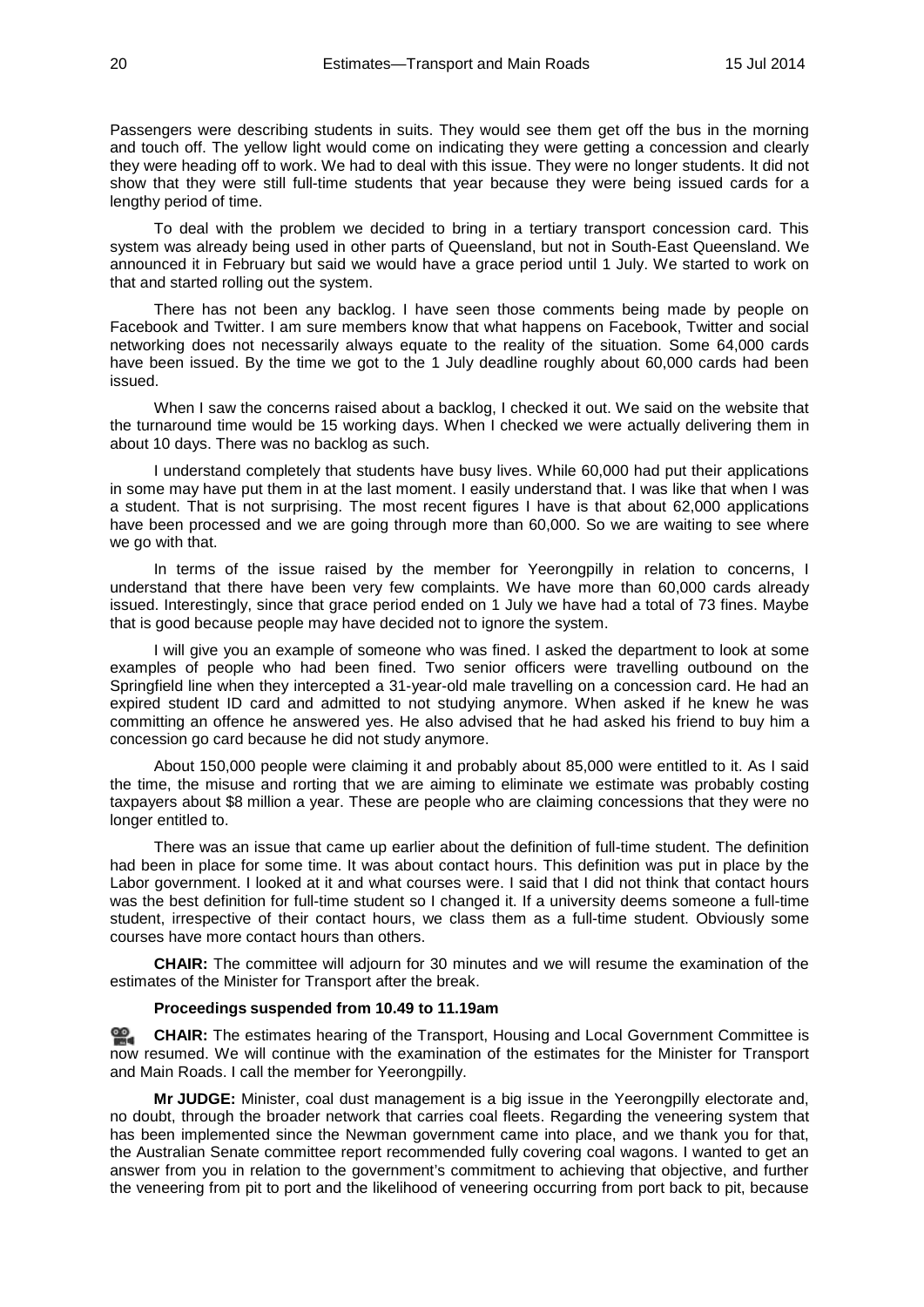Passengers were describing students in suits. They would see them get off the bus in the morning and touch off. The yellow light would come on indicating they were getting a concession and clearly they were heading off to work. We had to deal with this issue. They were no longer students. It did not show that they were still full-time students that year because they were being issued cards for a lengthy period of time.

To deal with the problem we decided to bring in a tertiary transport concession card. This system was already being used in other parts of Queensland, but not in South-East Queensland. We announced it in February but said we would have a grace period until 1 July. We started to work on that and started rolling out the system.

There has not been any backlog. I have seen those comments being made by people on Facebook and Twitter. I am sure members know that what happens on Facebook, Twitter and social networking does not necessarily always equate to the reality of the situation. Some 64,000 cards have been issued. By the time we got to the 1 July deadline roughly about 60,000 cards had been issued.

When I saw the concerns raised about a backlog, I checked it out. We said on the website that the turnaround time would be 15 working days. When I checked we were actually delivering them in about 10 days. There was no backlog as such.

I understand completely that students have busy lives. While 60,000 had put their applications in some may have put them in at the last moment. I easily understand that. I was like that when I was a student. That is not surprising. The most recent figures I have is that about 62,000 applications have been processed and we are going through more than 60,000. So we are waiting to see where we go with that.

In terms of the issue raised by the member for Yeerongpilly in relation to concerns, I understand that there have been very few complaints. We have more than 60,000 cards already issued. Interestingly, since that grace period ended on 1 July we have had a total of 73 fines. Maybe that is good because people may have decided not to ignore the system.

I will give you an example of someone who was fined. I asked the department to look at some examples of people who had been fined. Two senior officers were travelling outbound on the Springfield line when they intercepted a 31-year-old male travelling on a concession card. He had an expired student ID card and admitted to not studying anymore. When asked if he knew he was committing an offence he answered yes. He also advised that he had asked his friend to buy him a concession go card because he did not study anymore.

About 150,000 people were claiming it and probably about 85,000 were entitled to it. As I said the time, the misuse and rorting that we are aiming to eliminate we estimate was probably costing taxpayers about \$8 million a year. These are people who are claiming concessions that they were no longer entitled to.

There was an issue that came up earlier about the definition of full-time student. The definition had been in place for some time. It was about contact hours. This definition was put in place by the Labor government. I looked at it and what courses were. I said that I did not think that contact hours was the best definition for full-time student so I changed it. If a university deems someone a full-time student, irrespective of their contact hours, we class them as a full-time student. Obviously some courses have more contact hours than others.

**CHAIR:** The committee will adjourn for 30 minutes and we will resume the examination of the estimates of the Minister for Transport after the break.

#### **Proceedings suspended from 10.49 to 11.19am**

**[CHAIR:](http://www.parliament.qld.gov.au/docs/find.aspx?id=0MbaTHLGC20140715_111928)** The estimates hearing of the Transport, Housing and Local Government Committee is now resumed. We will continue with the examination of the estimates for the Minister for Transport and Main Roads. I call the member for Yeerongpilly.

**Mr JUDGE:** Minister, coal dust management is a big issue in the Yeerongpilly electorate and, no doubt, through the broader network that carries coal fleets. Regarding the veneering system that has been implemented since the Newman government came into place, and we thank you for that, the Australian Senate committee report recommended fully covering coal wagons. I wanted to get an answer from you in relation to the government's commitment to achieving that objective, and further the veneering from pit to port and the likelihood of veneering occurring from port back to pit, because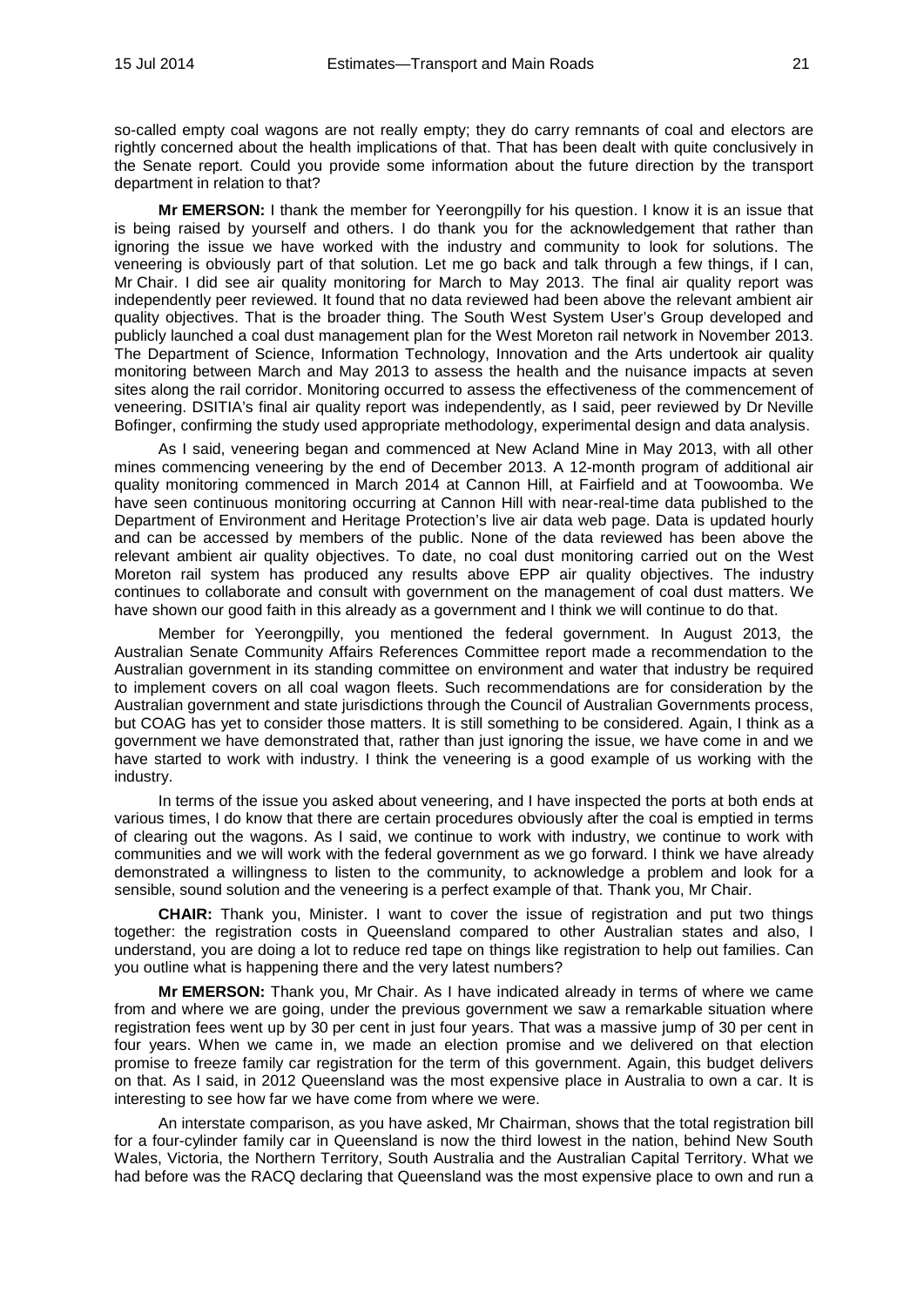so-called empty coal wagons are not really empty; they do carry remnants of coal and electors are rightly concerned about the health implications of that. That has been dealt with quite conclusively in the Senate report. Could you provide some information about the future direction by the transport department in relation to that?

**Mr EMERSON:** I thank the member for Yeerongpilly for his question. I know it is an issue that is being raised by yourself and others. I do thank you for the acknowledgement that rather than ignoring the issue we have worked with the industry and community to look for solutions. The veneering is obviously part of that solution. Let me go back and talk through a few things, if I can, Mr Chair. I did see air quality monitoring for March to May 2013. The final air quality report was independently peer reviewed. It found that no data reviewed had been above the relevant ambient air quality objectives. That is the broader thing. The South West System User's Group developed and publicly launched a coal dust management plan for the West Moreton rail network in November 2013. The Department of Science, Information Technology, Innovation and the Arts undertook air quality monitoring between March and May 2013 to assess the health and the nuisance impacts at seven sites along the rail corridor. Monitoring occurred to assess the effectiveness of the commencement of veneering. DSITIA's final air quality report was independently, as I said, peer reviewed by Dr Neville Bofinger, confirming the study used appropriate methodology, experimental design and data analysis.

As I said, veneering began and commenced at New Acland Mine in May 2013, with all other mines commencing veneering by the end of December 2013. A 12-month program of additional air quality monitoring commenced in March 2014 at Cannon Hill, at Fairfield and at Toowoomba. We have seen continuous monitoring occurring at Cannon Hill with near-real-time data published to the Department of Environment and Heritage Protection's live air data web page. Data is updated hourly and can be accessed by members of the public. None of the data reviewed has been above the relevant ambient air quality objectives. To date, no coal dust monitoring carried out on the West Moreton rail system has produced any results above EPP air quality objectives. The industry continues to collaborate and consult with government on the management of coal dust matters. We have shown our good faith in this already as a government and I think we will continue to do that.

Member for Yeerongpilly, you mentioned the federal government. In August 2013, the Australian Senate Community Affairs References Committee report made a recommendation to the Australian government in its standing committee on environment and water that industry be required to implement covers on all coal wagon fleets. Such recommendations are for consideration by the Australian government and state jurisdictions through the Council of Australian Governments process, but COAG has yet to consider those matters. It is still something to be considered. Again, I think as a government we have demonstrated that, rather than just ignoring the issue, we have come in and we have started to work with industry. I think the veneering is a good example of us working with the industry.

In terms of the issue you asked about veneering, and I have inspected the ports at both ends at various times, I do know that there are certain procedures obviously after the coal is emptied in terms of clearing out the wagons. As I said, we continue to work with industry, we continue to work with communities and we will work with the federal government as we go forward. I think we have already demonstrated a willingness to listen to the community, to acknowledge a problem and look for a sensible, sound solution and the veneering is a perfect example of that. Thank you, Mr Chair.

**CHAIR:** Thank you, Minister. I want to cover the issue of registration and put two things together: the registration costs in Queensland compared to other Australian states and also, I understand, you are doing a lot to reduce red tape on things like registration to help out families. Can you outline what is happening there and the very latest numbers?

**Mr EMERSON:** Thank you, Mr Chair. As I have indicated already in terms of where we came from and where we are going, under the previous government we saw a remarkable situation where registration fees went up by 30 per cent in just four years. That was a massive jump of 30 per cent in four years. When we came in, we made an election promise and we delivered on that election promise to freeze family car registration for the term of this government. Again, this budget delivers on that. As I said, in 2012 Queensland was the most expensive place in Australia to own a car. It is interesting to see how far we have come from where we were.

An interstate comparison, as you have asked, Mr Chairman, shows that the total registration bill for a four-cylinder family car in Queensland is now the third lowest in the nation, behind New South Wales, Victoria, the Northern Territory, South Australia and the Australian Capital Territory. What we had before was the RACQ declaring that Queensland was the most expensive place to own and run a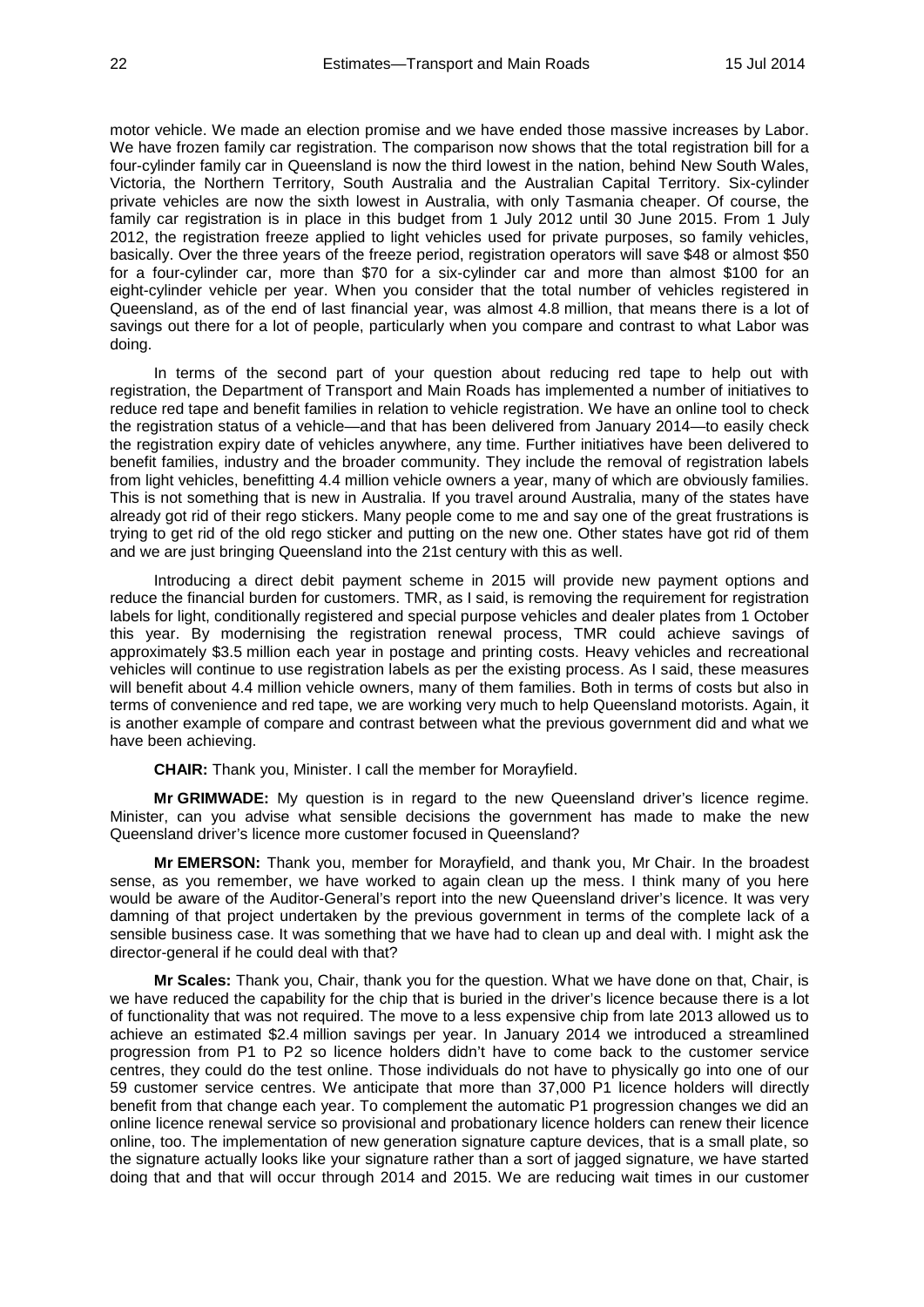motor vehicle. We made an election promise and we have ended those massive increases by Labor. We have frozen family car registration. The comparison now shows that the total registration bill for a four-cylinder family car in Queensland is now the third lowest in the nation, behind New South Wales, Victoria, the Northern Territory, South Australia and the Australian Capital Territory. Six-cylinder private vehicles are now the sixth lowest in Australia, with only Tasmania cheaper. Of course, the family car registration is in place in this budget from 1 July 2012 until 30 June 2015. From 1 July 2012, the registration freeze applied to light vehicles used for private purposes, so family vehicles, basically. Over the three years of the freeze period, registration operators will save \$48 or almost \$50 for a four-cylinder car, more than \$70 for a six-cylinder car and more than almost \$100 for an eight-cylinder vehicle per year. When you consider that the total number of vehicles registered in Queensland, as of the end of last financial year, was almost 4.8 million, that means there is a lot of savings out there for a lot of people, particularly when you compare and contrast to what Labor was doing.

In terms of the second part of your question about reducing red tape to help out with registration, the Department of Transport and Main Roads has implemented a number of initiatives to reduce red tape and benefit families in relation to vehicle registration. We have an online tool to check the registration status of a vehicle—and that has been delivered from January 2014—to easily check the registration expiry date of vehicles anywhere, any time. Further initiatives have been delivered to benefit families, industry and the broader community. They include the removal of registration labels from light vehicles, benefitting 4.4 million vehicle owners a year, many of which are obviously families. This is not something that is new in Australia. If you travel around Australia, many of the states have already got rid of their rego stickers. Many people come to me and say one of the great frustrations is trying to get rid of the old rego sticker and putting on the new one. Other states have got rid of them and we are just bringing Queensland into the 21st century with this as well.

Introducing a direct debit payment scheme in 2015 will provide new payment options and reduce the financial burden for customers. TMR, as I said, is removing the requirement for registration labels for light, conditionally registered and special purpose vehicles and dealer plates from 1 October this year. By modernising the registration renewal process, TMR could achieve savings of approximately \$3.5 million each year in postage and printing costs. Heavy vehicles and recreational vehicles will continue to use registration labels as per the existing process. As I said, these measures will benefit about 4.4 million vehicle owners, many of them families. Both in terms of costs but also in terms of convenience and red tape, we are working very much to help Queensland motorists. Again, it is another example of compare and contrast between what the previous government did and what we have been achieving.

**CHAIR:** Thank you, Minister. I call the member for Morayfield.

**Mr GRIMWADE:** My question is in regard to the new Queensland driver's licence regime. Minister, can you advise what sensible decisions the government has made to make the new Queensland driver's licence more customer focused in Queensland?

**Mr EMERSON:** Thank you, member for Morayfield, and thank you, Mr Chair. In the broadest sense, as you remember, we have worked to again clean up the mess. I think many of you here would be aware of the Auditor-General's report into the new Queensland driver's licence. It was very damning of that project undertaken by the previous government in terms of the complete lack of a sensible business case. It was something that we have had to clean up and deal with. I might ask the director-general if he could deal with that?

**Mr Scales:** Thank you, Chair, thank you for the question. What we have done on that, Chair, is we have reduced the capability for the chip that is buried in the driver's licence because there is a lot of functionality that was not required. The move to a less expensive chip from late 2013 allowed us to achieve an estimated \$2.4 million savings per year. In January 2014 we introduced a streamlined progression from P1 to P2 so licence holders didn't have to come back to the customer service centres, they could do the test online. Those individuals do not have to physically go into one of our 59 customer service centres. We anticipate that more than 37,000 P1 licence holders will directly benefit from that change each year. To complement the automatic P1 progression changes we did an online licence renewal service so provisional and probationary licence holders can renew their licence online, too. The implementation of new generation signature capture devices, that is a small plate, so the signature actually looks like your signature rather than a sort of jagged signature, we have started doing that and that will occur through 2014 and 2015. We are reducing wait times in our customer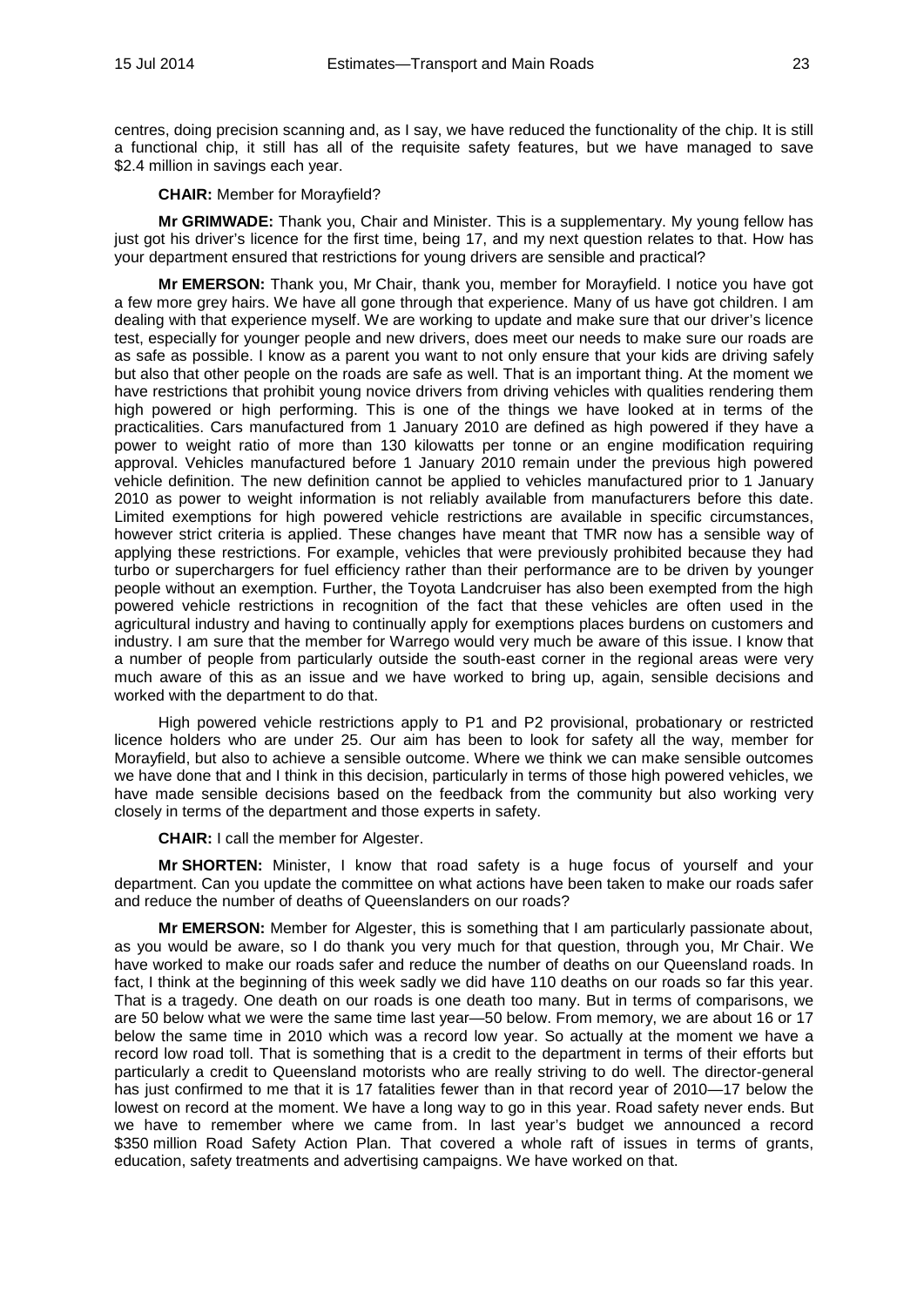centres, doing precision scanning and, as I say, we have reduced the functionality of the chip. It is still a functional chip, it still has all of the requisite safety features, but we have managed to save \$2.4 million in savings each year.

**CHAIR:** Member for Morayfield?

**Mr GRIMWADE:** Thank you, Chair and Minister. This is a supplementary. My young fellow has just got his driver's licence for the first time, being 17, and my next question relates to that. How has your department ensured that restrictions for young drivers are sensible and practical?

**Mr EMERSON:** Thank you, Mr Chair, thank you, member for Morayfield. I notice you have got a few more grey hairs. We have all gone through that experience. Many of us have got children. I am dealing with that experience myself. We are working to update and make sure that our driver's licence test, especially for younger people and new drivers, does meet our needs to make sure our roads are as safe as possible. I know as a parent you want to not only ensure that your kids are driving safely but also that other people on the roads are safe as well. That is an important thing. At the moment we have restrictions that prohibit young novice drivers from driving vehicles with qualities rendering them high powered or high performing. This is one of the things we have looked at in terms of the practicalities. Cars manufactured from 1 January 2010 are defined as high powered if they have a power to weight ratio of more than 130 kilowatts per tonne or an engine modification requiring approval. Vehicles manufactured before 1 January 2010 remain under the previous high powered vehicle definition. The new definition cannot be applied to vehicles manufactured prior to 1 January 2010 as power to weight information is not reliably available from manufacturers before this date. Limited exemptions for high powered vehicle restrictions are available in specific circumstances, however strict criteria is applied. These changes have meant that TMR now has a sensible way of applying these restrictions. For example, vehicles that were previously prohibited because they had turbo or superchargers for fuel efficiency rather than their performance are to be driven by younger people without an exemption. Further, the Toyota Landcruiser has also been exempted from the high powered vehicle restrictions in recognition of the fact that these vehicles are often used in the agricultural industry and having to continually apply for exemptions places burdens on customers and industry. I am sure that the member for Warrego would very much be aware of this issue. I know that a number of people from particularly outside the south-east corner in the regional areas were very much aware of this as an issue and we have worked to bring up, again, sensible decisions and worked with the department to do that.

High powered vehicle restrictions apply to P1 and P2 provisional, probationary or restricted licence holders who are under 25. Our aim has been to look for safety all the way, member for Morayfield, but also to achieve a sensible outcome. Where we think we can make sensible outcomes we have done that and I think in this decision, particularly in terms of those high powered vehicles, we have made sensible decisions based on the feedback from the community but also working very closely in terms of the department and those experts in safety.

**CHAIR:** I call the member for Algester.

**Mr SHORTEN:** Minister, I know that road safety is a huge focus of yourself and your department. Can you update the committee on what actions have been taken to make our roads safer and reduce the number of deaths of Queenslanders on our roads?

**Mr EMERSON:** Member for Algester, this is something that I am particularly passionate about, as you would be aware, so I do thank you very much for that question, through you, Mr Chair. We have worked to make our roads safer and reduce the number of deaths on our Queensland roads. In fact, I think at the beginning of this week sadly we did have 110 deaths on our roads so far this year. That is a tragedy. One death on our roads is one death too many. But in terms of comparisons, we are 50 below what we were the same time last year—50 below. From memory, we are about 16 or 17 below the same time in 2010 which was a record low year. So actually at the moment we have a record low road toll. That is something that is a credit to the department in terms of their efforts but particularly a credit to Queensland motorists who are really striving to do well. The director-general has just confirmed to me that it is 17 fatalities fewer than in that record year of 2010—17 below the lowest on record at the moment. We have a long way to go in this year. Road safety never ends. But we have to remember where we came from. In last year's budget we announced a record \$350 million Road Safety Action Plan. That covered a whole raft of issues in terms of grants, education, safety treatments and advertising campaigns. We have worked on that.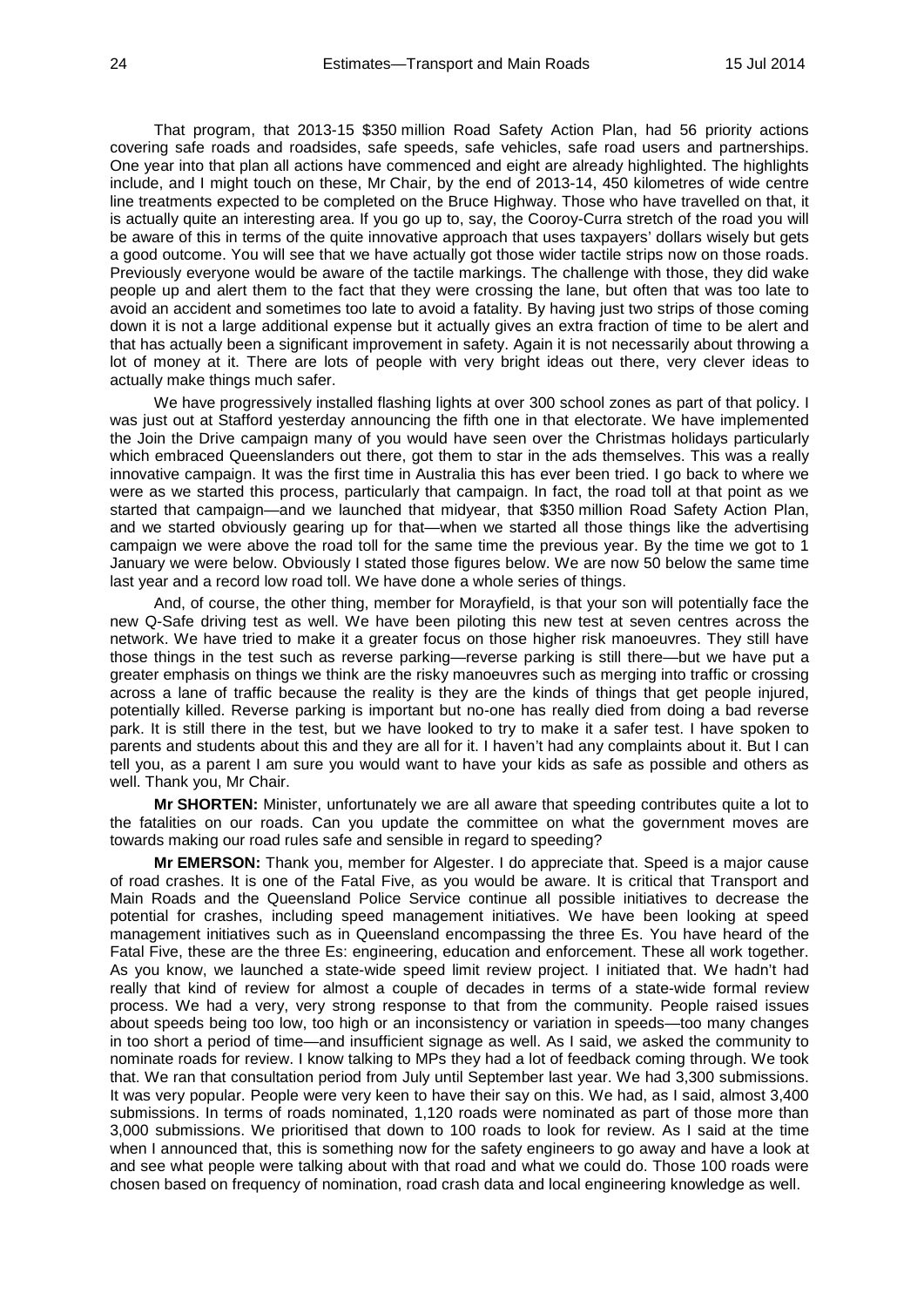That program, that 2013-15 \$350 million Road Safety Action Plan, had 56 priority actions covering safe roads and roadsides, safe speeds, safe vehicles, safe road users and partnerships. One year into that plan all actions have commenced and eight are already highlighted. The highlights include, and I might touch on these, Mr Chair, by the end of 2013-14, 450 kilometres of wide centre line treatments expected to be completed on the Bruce Highway. Those who have travelled on that, it is actually quite an interesting area. If you go up to, say, the Cooroy-Curra stretch of the road you will be aware of this in terms of the quite innovative approach that uses taxpayers' dollars wisely but gets a good outcome. You will see that we have actually got those wider tactile strips now on those roads. Previously everyone would be aware of the tactile markings. The challenge with those, they did wake people up and alert them to the fact that they were crossing the lane, but often that was too late to avoid an accident and sometimes too late to avoid a fatality. By having just two strips of those coming down it is not a large additional expense but it actually gives an extra fraction of time to be alert and that has actually been a significant improvement in safety. Again it is not necessarily about throwing a lot of money at it. There are lots of people with very bright ideas out there, very clever ideas to actually make things much safer.

We have progressively installed flashing lights at over 300 school zones as part of that policy. I was just out at Stafford yesterday announcing the fifth one in that electorate. We have implemented the Join the Drive campaign many of you would have seen over the Christmas holidays particularly which embraced Queenslanders out there, got them to star in the ads themselves. This was a really innovative campaign. It was the first time in Australia this has ever been tried. I go back to where we were as we started this process, particularly that campaign. In fact, the road toll at that point as we started that campaign—and we launched that midyear, that \$350 million Road Safety Action Plan, and we started obviously gearing up for that—when we started all those things like the advertising campaign we were above the road toll for the same time the previous year. By the time we got to 1 January we were below. Obviously I stated those figures below. We are now 50 below the same time last year and a record low road toll. We have done a whole series of things.

And, of course, the other thing, member for Morayfield, is that your son will potentially face the new Q-Safe driving test as well. We have been piloting this new test at seven centres across the network. We have tried to make it a greater focus on those higher risk manoeuvres. They still have those things in the test such as reverse parking—reverse parking is still there—but we have put a greater emphasis on things we think are the risky manoeuvres such as merging into traffic or crossing across a lane of traffic because the reality is they are the kinds of things that get people injured, potentially killed. Reverse parking is important but no-one has really died from doing a bad reverse park. It is still there in the test, but we have looked to try to make it a safer test. I have spoken to parents and students about this and they are all for it. I haven't had any complaints about it. But I can tell you, as a parent I am sure you would want to have your kids as safe as possible and others as well. Thank you, Mr Chair.

**Mr SHORTEN:** Minister, unfortunately we are all aware that speeding contributes quite a lot to the fatalities on our roads. Can you update the committee on what the government moves are towards making our road rules safe and sensible in regard to speeding?

**Mr EMERSON:** Thank you, member for Algester. I do appreciate that. Speed is a major cause of road crashes. It is one of the Fatal Five, as you would be aware. It is critical that Transport and Main Roads and the Queensland Police Service continue all possible initiatives to decrease the potential for crashes, including speed management initiatives. We have been looking at speed management initiatives such as in Queensland encompassing the three Es. You have heard of the Fatal Five, these are the three Es: engineering, education and enforcement. These all work together. As you know, we launched a state-wide speed limit review project. I initiated that. We hadn't had really that kind of review for almost a couple of decades in terms of a state-wide formal review process. We had a very, very strong response to that from the community. People raised issues about speeds being too low, too high or an inconsistency or variation in speeds—too many changes in too short a period of time—and insufficient signage as well. As I said, we asked the community to nominate roads for review. I know talking to MPs they had a lot of feedback coming through. We took that. We ran that consultation period from July until September last year. We had 3,300 submissions. It was very popular. People were very keen to have their say on this. We had, as I said, almost 3,400 submissions. In terms of roads nominated, 1,120 roads were nominated as part of those more than 3,000 submissions. We prioritised that down to 100 roads to look for review. As I said at the time when I announced that, this is something now for the safety engineers to go away and have a look at and see what people were talking about with that road and what we could do. Those 100 roads were chosen based on frequency of nomination, road crash data and local engineering knowledge as well.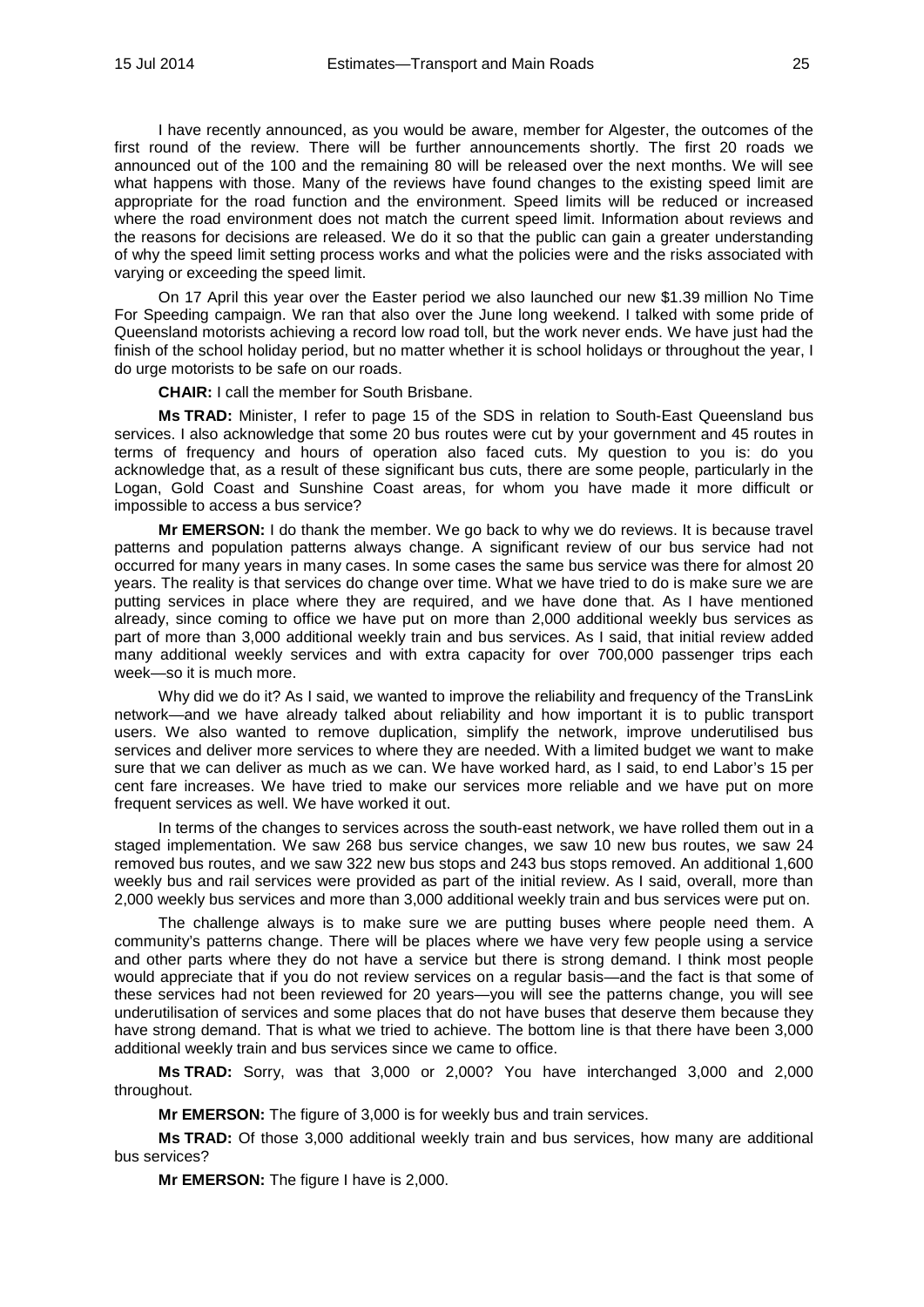I have recently announced, as you would be aware, member for Algester, the outcomes of the first round of the review. There will be further announcements shortly. The first 20 roads we announced out of the 100 and the remaining 80 will be released over the next months. We will see what happens with those. Many of the reviews have found changes to the existing speed limit are appropriate for the road function and the environment. Speed limits will be reduced or increased where the road environment does not match the current speed limit. Information about reviews and the reasons for decisions are released. We do it so that the public can gain a greater understanding of why the speed limit setting process works and what the policies were and the risks associated with varying or exceeding the speed limit.

On 17 April this year over the Easter period we also launched our new \$1.39 million No Time For Speeding campaign. We ran that also over the June long weekend. I talked with some pride of Queensland motorists achieving a record low road toll, but the work never ends. We have just had the finish of the school holiday period, but no matter whether it is school holidays or throughout the year, I do urge motorists to be safe on our roads.

**CHAIR:** I call the member for South Brisbane.

**Ms TRAD:** Minister, I refer to page 15 of the SDS in relation to South-East Queensland bus services. I also acknowledge that some 20 bus routes were cut by your government and 45 routes in terms of frequency and hours of operation also faced cuts. My question to you is: do you acknowledge that, as a result of these significant bus cuts, there are some people, particularly in the Logan, Gold Coast and Sunshine Coast areas, for whom you have made it more difficult or impossible to access a bus service?

**Mr EMERSON:** I do thank the member. We go back to why we do reviews. It is because travel patterns and population patterns always change. A significant review of our bus service had not occurred for many years in many cases. In some cases the same bus service was there for almost 20 years. The reality is that services do change over time. What we have tried to do is make sure we are putting services in place where they are required, and we have done that. As I have mentioned already, since coming to office we have put on more than 2,000 additional weekly bus services as part of more than 3,000 additional weekly train and bus services. As I said, that initial review added many additional weekly services and with extra capacity for over 700,000 passenger trips each week—so it is much more.

Why did we do it? As I said, we wanted to improve the reliability and frequency of the TransLink network—and we have already talked about reliability and how important it is to public transport users. We also wanted to remove duplication, simplify the network, improve underutilised bus services and deliver more services to where they are needed. With a limited budget we want to make sure that we can deliver as much as we can. We have worked hard, as I said, to end Labor's 15 per cent fare increases. We have tried to make our services more reliable and we have put on more frequent services as well. We have worked it out.

In terms of the changes to services across the south-east network, we have rolled them out in a staged implementation. We saw 268 bus service changes, we saw 10 new bus routes, we saw 24 removed bus routes, and we saw 322 new bus stops and 243 bus stops removed. An additional 1,600 weekly bus and rail services were provided as part of the initial review. As I said, overall, more than 2,000 weekly bus services and more than 3,000 additional weekly train and bus services were put on.

The challenge always is to make sure we are putting buses where people need them. A community's patterns change. There will be places where we have very few people using a service and other parts where they do not have a service but there is strong demand. I think most people would appreciate that if you do not review services on a regular basis—and the fact is that some of these services had not been reviewed for 20 years—you will see the patterns change, you will see underutilisation of services and some places that do not have buses that deserve them because they have strong demand. That is what we tried to achieve. The bottom line is that there have been 3,000 additional weekly train and bus services since we came to office.

**Ms TRAD:** Sorry, was that 3,000 or 2,000? You have interchanged 3,000 and 2,000 throughout.

**Mr EMERSON:** The figure of 3,000 is for weekly bus and train services.

**Ms TRAD:** Of those 3,000 additional weekly train and bus services, how many are additional bus services?

**Mr EMERSON:** The figure I have is 2,000.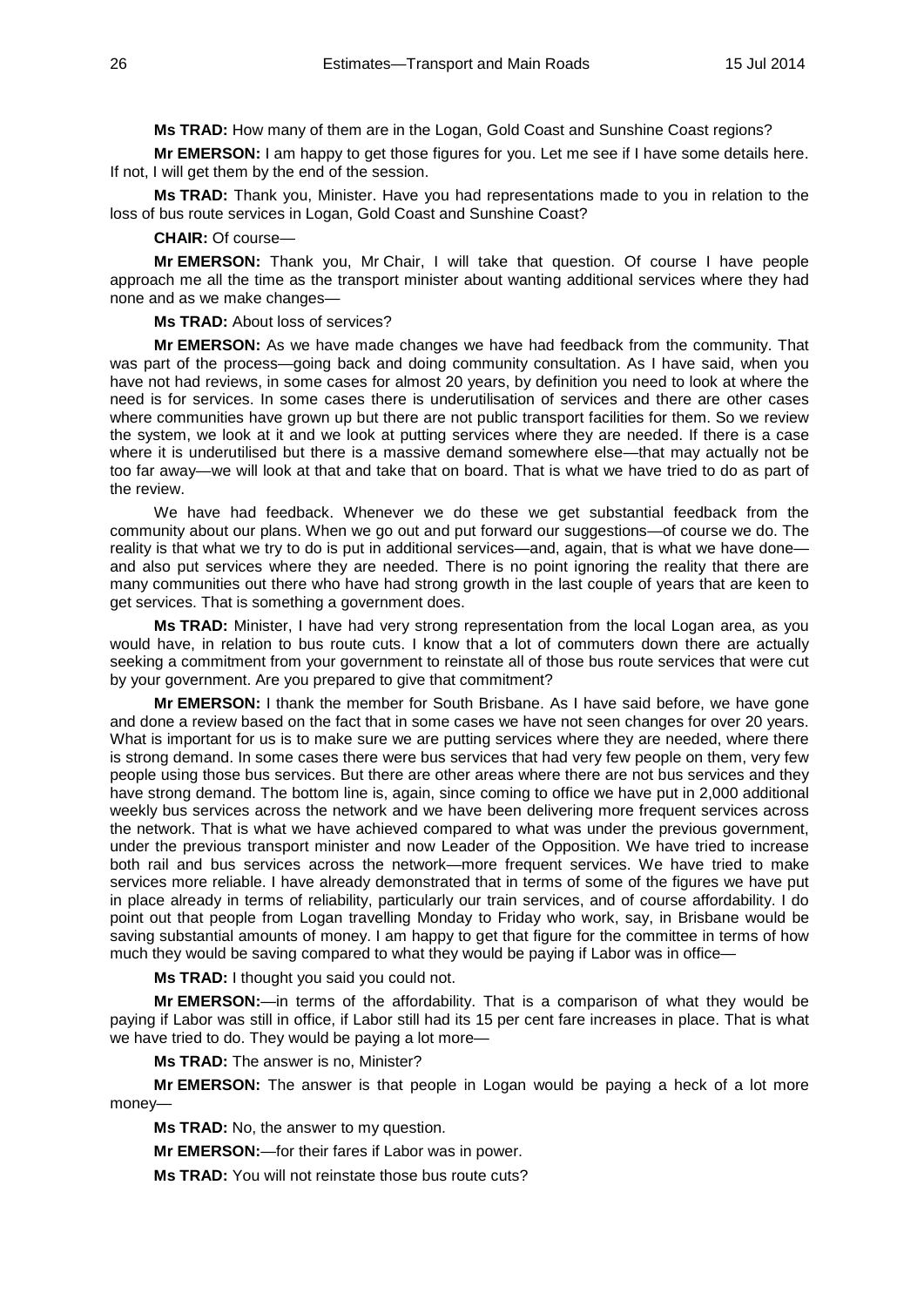**Ms TRAD:** How many of them are in the Logan, Gold Coast and Sunshine Coast regions?

**Mr EMERSON:** I am happy to get those figures for you. Let me see if I have some details here. If not, I will get them by the end of the session.

**Ms TRAD:** Thank you, Minister. Have you had representations made to you in relation to the loss of bus route services in Logan, Gold Coast and Sunshine Coast?

#### **CHAIR:** Of course—

**Mr EMERSON:** Thank you, Mr Chair, I will take that question. Of course I have people approach me all the time as the transport minister about wanting additional services where they had none and as we make changes—

**Ms TRAD:** About loss of services?

**Mr EMERSON:** As we have made changes we have had feedback from the community. That was part of the process—going back and doing community consultation. As I have said, when you have not had reviews, in some cases for almost 20 years, by definition you need to look at where the need is for services. In some cases there is underutilisation of services and there are other cases where communities have grown up but there are not public transport facilities for them. So we review the system, we look at it and we look at putting services where they are needed. If there is a case where it is underutilised but there is a massive demand somewhere else—that may actually not be too far away—we will look at that and take that on board. That is what we have tried to do as part of the review.

We have had feedback. Whenever we do these we get substantial feedback from the community about our plans. When we go out and put forward our suggestions—of course we do. The reality is that what we try to do is put in additional services—and, again, that is what we have done and also put services where they are needed. There is no point ignoring the reality that there are many communities out there who have had strong growth in the last couple of years that are keen to get services. That is something a government does.

**Ms TRAD:** Minister, I have had very strong representation from the local Logan area, as you would have, in relation to bus route cuts. I know that a lot of commuters down there are actually seeking a commitment from your government to reinstate all of those bus route services that were cut by your government. Are you prepared to give that commitment?

**Mr EMERSON:** I thank the member for South Brisbane. As I have said before, we have gone and done a review based on the fact that in some cases we have not seen changes for over 20 years. What is important for us is to make sure we are putting services where they are needed, where there is strong demand. In some cases there were bus services that had very few people on them, very few people using those bus services. But there are other areas where there are not bus services and they have strong demand. The bottom line is, again, since coming to office we have put in 2,000 additional weekly bus services across the network and we have been delivering more frequent services across the network. That is what we have achieved compared to what was under the previous government, under the previous transport minister and now Leader of the Opposition. We have tried to increase both rail and bus services across the network—more frequent services. We have tried to make services more reliable. I have already demonstrated that in terms of some of the figures we have put in place already in terms of reliability, particularly our train services, and of course affordability. I do point out that people from Logan travelling Monday to Friday who work, say, in Brisbane would be saving substantial amounts of money. I am happy to get that figure for the committee in terms of how much they would be saving compared to what they would be paying if Labor was in office—

**Ms TRAD:** I thought you said you could not.

**Mr EMERSON:**—in terms of the affordability. That is a comparison of what they would be paying if Labor was still in office, if Labor still had its 15 per cent fare increases in place. That is what we have tried to do. They would be paying a lot more—

**Ms TRAD:** The answer is no, Minister?

**Mr EMERSON:** The answer is that people in Logan would be paying a heck of a lot more money—

**Ms TRAD:** No, the answer to my question.

**Mr EMERSON:**—for their fares if Labor was in power.

**Ms TRAD:** You will not reinstate those bus route cuts?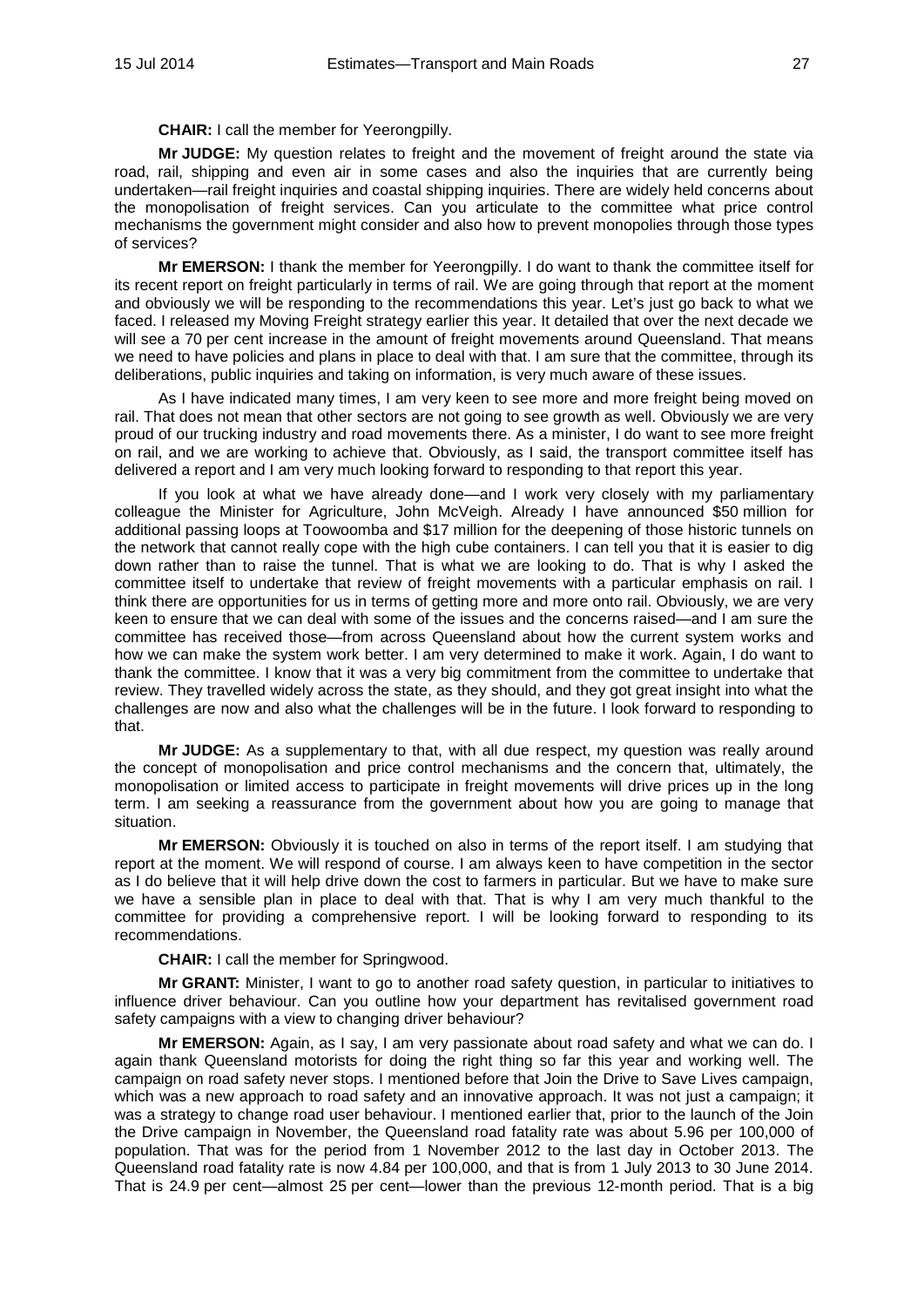**CHAIR:** I call the member for Yeerongpilly.

**Mr JUDGE:** My question relates to freight and the movement of freight around the state via road, rail, shipping and even air in some cases and also the inquiries that are currently being undertaken—rail freight inquiries and coastal shipping inquiries. There are widely held concerns about the monopolisation of freight services. Can you articulate to the committee what price control mechanisms the government might consider and also how to prevent monopolies through those types of services?

**Mr EMERSON:** I thank the member for Yeerongpilly. I do want to thank the committee itself for its recent report on freight particularly in terms of rail. We are going through that report at the moment and obviously we will be responding to the recommendations this year. Let's just go back to what we faced. I released my Moving Freight strategy earlier this year. It detailed that over the next decade we will see a 70 per cent increase in the amount of freight movements around Queensland. That means we need to have policies and plans in place to deal with that. I am sure that the committee, through its deliberations, public inquiries and taking on information, is very much aware of these issues.

As I have indicated many times, I am very keen to see more and more freight being moved on rail. That does not mean that other sectors are not going to see growth as well. Obviously we are very proud of our trucking industry and road movements there. As a minister, I do want to see more freight on rail, and we are working to achieve that. Obviously, as I said, the transport committee itself has delivered a report and I am very much looking forward to responding to that report this year.

If you look at what we have already done—and I work very closely with my parliamentary colleague the Minister for Agriculture, John McVeigh. Already I have announced \$50 million for additional passing loops at Toowoomba and \$17 million for the deepening of those historic tunnels on the network that cannot really cope with the high cube containers. I can tell you that it is easier to dig down rather than to raise the tunnel. That is what we are looking to do. That is why I asked the committee itself to undertake that review of freight movements with a particular emphasis on rail. I think there are opportunities for us in terms of getting more and more onto rail. Obviously, we are very keen to ensure that we can deal with some of the issues and the concerns raised—and I am sure the committee has received those—from across Queensland about how the current system works and how we can make the system work better. I am very determined to make it work. Again, I do want to thank the committee. I know that it was a very big commitment from the committee to undertake that review. They travelled widely across the state, as they should, and they got great insight into what the challenges are now and also what the challenges will be in the future. I look forward to responding to that.

**Mr JUDGE:** As a supplementary to that, with all due respect, my question was really around the concept of monopolisation and price control mechanisms and the concern that, ultimately, the monopolisation or limited access to participate in freight movements will drive prices up in the long term. I am seeking a reassurance from the government about how you are going to manage that situation.

**Mr EMERSON:** Obviously it is touched on also in terms of the report itself. I am studying that report at the moment. We will respond of course. I am always keen to have competition in the sector as I do believe that it will help drive down the cost to farmers in particular. But we have to make sure we have a sensible plan in place to deal with that. That is why I am very much thankful to the committee for providing a comprehensive report. I will be looking forward to responding to its recommendations.

**CHAIR:** I call the member for Springwood.

**Mr GRANT:** Minister, I want to go to another road safety question, in particular to initiatives to influence driver behaviour. Can you outline how your department has revitalised government road safety campaigns with a view to changing driver behaviour?

**Mr EMERSON:** Again, as I say, I am very passionate about road safety and what we can do. I again thank Queensland motorists for doing the right thing so far this year and working well. The campaign on road safety never stops. I mentioned before that Join the Drive to Save Lives campaign, which was a new approach to road safety and an innovative approach. It was not just a campaign; it was a strategy to change road user behaviour. I mentioned earlier that, prior to the launch of the Join the Drive campaign in November, the Queensland road fatality rate was about 5.96 per 100,000 of population. That was for the period from 1 November 2012 to the last day in October 2013. The Queensland road fatality rate is now 4.84 per 100,000, and that is from 1 July 2013 to 30 June 2014. That is 24.9 per cent—almost 25 per cent—lower than the previous 12-month period. That is a big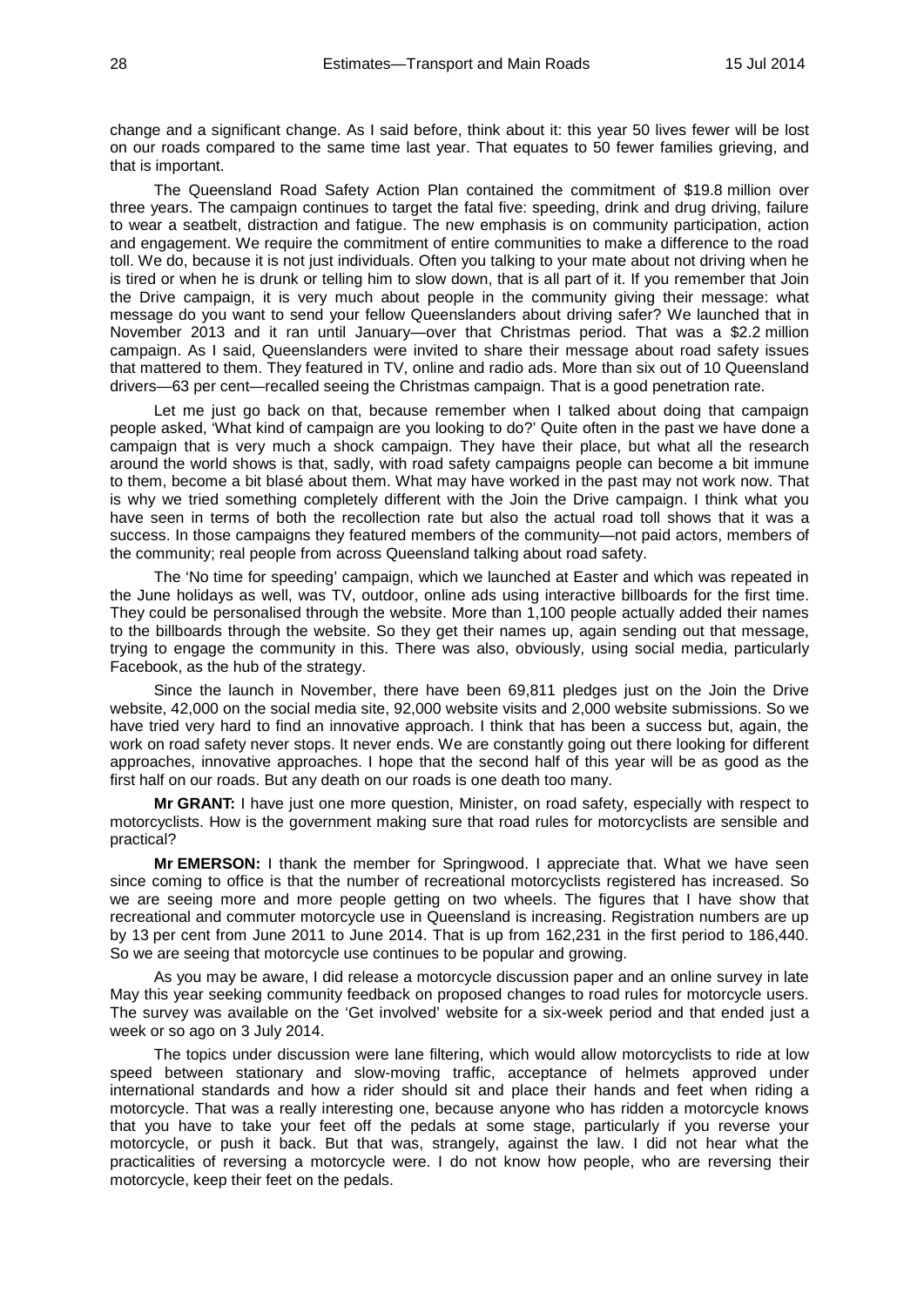change and a significant change. As I said before, think about it: this year 50 lives fewer will be lost on our roads compared to the same time last year. That equates to 50 fewer families grieving, and that is important.

The Queensland Road Safety Action Plan contained the commitment of \$19.8 million over three years. The campaign continues to target the fatal five: speeding, drink and drug driving, failure to wear a seatbelt, distraction and fatigue. The new emphasis is on community participation, action and engagement. We require the commitment of entire communities to make a difference to the road toll. We do, because it is not just individuals. Often you talking to your mate about not driving when he is tired or when he is drunk or telling him to slow down, that is all part of it. If you remember that Join the Drive campaign, it is very much about people in the community giving their message: what message do you want to send your fellow Queenslanders about driving safer? We launched that in November 2013 and it ran until January—over that Christmas period. That was a \$2.2 million campaign. As I said, Queenslanders were invited to share their message about road safety issues that mattered to them. They featured in TV, online and radio ads. More than six out of 10 Queensland drivers—63 per cent—recalled seeing the Christmas campaign. That is a good penetration rate.

Let me just go back on that, because remember when I talked about doing that campaign people asked, 'What kind of campaign are you looking to do?' Quite often in the past we have done a campaign that is very much a shock campaign. They have their place, but what all the research around the world shows is that, sadly, with road safety campaigns people can become a bit immune to them, become a bit blasé about them. What may have worked in the past may not work now. That is why we tried something completely different with the Join the Drive campaign. I think what you have seen in terms of both the recollection rate but also the actual road toll shows that it was a success. In those campaigns they featured members of the community—not paid actors, members of the community; real people from across Queensland talking about road safety.

The 'No time for speeding' campaign, which we launched at Easter and which was repeated in the June holidays as well, was TV, outdoor, online ads using interactive billboards for the first time. They could be personalised through the website. More than 1,100 people actually added their names to the billboards through the website. So they get their names up, again sending out that message, trying to engage the community in this. There was also, obviously, using social media, particularly Facebook, as the hub of the strategy.

Since the launch in November, there have been 69,811 pledges just on the Join the Drive website, 42,000 on the social media site, 92,000 website visits and 2,000 website submissions. So we have tried very hard to find an innovative approach. I think that has been a success but, again, the work on road safety never stops. It never ends. We are constantly going out there looking for different approaches, innovative approaches. I hope that the second half of this year will be as good as the first half on our roads. But any death on our roads is one death too many.

**Mr GRANT:** I have just one more question, Minister, on road safety, especially with respect to motorcyclists. How is the government making sure that road rules for motorcyclists are sensible and practical?

**Mr EMERSON:** I thank the member for Springwood. I appreciate that. What we have seen since coming to office is that the number of recreational motorcyclists registered has increased. So we are seeing more and more people getting on two wheels. The figures that I have show that recreational and commuter motorcycle use in Queensland is increasing. Registration numbers are up by 13 per cent from June 2011 to June 2014. That is up from 162,231 in the first period to 186,440. So we are seeing that motorcycle use continues to be popular and growing.

As you may be aware, I did release a motorcycle discussion paper and an online survey in late May this year seeking community feedback on proposed changes to road rules for motorcycle users. The survey was available on the 'Get involved' website for a six-week period and that ended just a week or so ago on 3 July 2014.

The topics under discussion were lane filtering, which would allow motorcyclists to ride at low speed between stationary and slow-moving traffic, acceptance of helmets approved under international standards and how a rider should sit and place their hands and feet when riding a motorcycle. That was a really interesting one, because anyone who has ridden a motorcycle knows that you have to take your feet off the pedals at some stage, particularly if you reverse your motorcycle, or push it back. But that was, strangely, against the law. I did not hear what the practicalities of reversing a motorcycle were. I do not know how people, who are reversing their motorcycle, keep their feet on the pedals.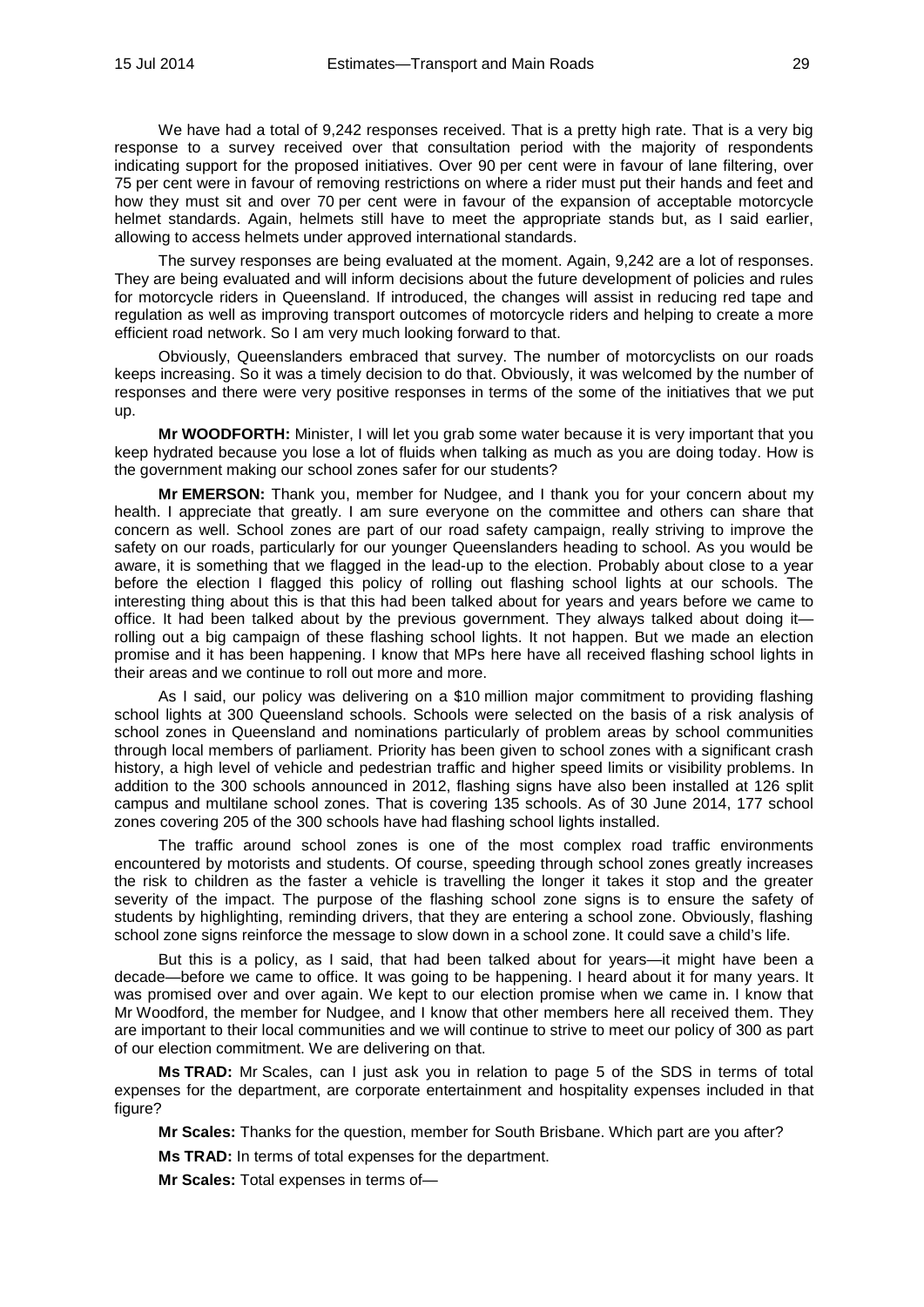We have had a total of 9,242 responses received. That is a pretty high rate. That is a very big response to a survey received over that consultation period with the majority of respondents indicating support for the proposed initiatives. Over 90 per cent were in favour of lane filtering, over 75 per cent were in favour of removing restrictions on where a rider must put their hands and feet and how they must sit and over 70 per cent were in favour of the expansion of acceptable motorcycle helmet standards. Again, helmets still have to meet the appropriate stands but, as I said earlier, allowing to access helmets under approved international standards.

The survey responses are being evaluated at the moment. Again, 9,242 are a lot of responses. They are being evaluated and will inform decisions about the future development of policies and rules for motorcycle riders in Queensland. If introduced, the changes will assist in reducing red tape and regulation as well as improving transport outcomes of motorcycle riders and helping to create a more efficient road network. So I am very much looking forward to that.

Obviously, Queenslanders embraced that survey. The number of motorcyclists on our roads keeps increasing. So it was a timely decision to do that. Obviously, it was welcomed by the number of responses and there were very positive responses in terms of the some of the initiatives that we put up.

**Mr WOODFORTH:** Minister, I will let you grab some water because it is very important that you keep hydrated because you lose a lot of fluids when talking as much as you are doing today. How is the government making our school zones safer for our students?

**Mr EMERSON:** Thank you, member for Nudgee, and I thank you for your concern about my health. I appreciate that greatly. I am sure everyone on the committee and others can share that concern as well. School zones are part of our road safety campaign, really striving to improve the safety on our roads, particularly for our younger Queenslanders heading to school. As you would be aware, it is something that we flagged in the lead-up to the election. Probably about close to a year before the election I flagged this policy of rolling out flashing school lights at our schools. The interesting thing about this is that this had been talked about for years and years before we came to office. It had been talked about by the previous government. They always talked about doing it rolling out a big campaign of these flashing school lights. It not happen. But we made an election promise and it has been happening. I know that MPs here have all received flashing school lights in their areas and we continue to roll out more and more.

As I said, our policy was delivering on a \$10 million major commitment to providing flashing school lights at 300 Queensland schools. Schools were selected on the basis of a risk analysis of school zones in Queensland and nominations particularly of problem areas by school communities through local members of parliament. Priority has been given to school zones with a significant crash history, a high level of vehicle and pedestrian traffic and higher speed limits or visibility problems. In addition to the 300 schools announced in 2012, flashing signs have also been installed at 126 split campus and multilane school zones. That is covering 135 schools. As of 30 June 2014, 177 school zones covering 205 of the 300 schools have had flashing school lights installed.

The traffic around school zones is one of the most complex road traffic environments encountered by motorists and students. Of course, speeding through school zones greatly increases the risk to children as the faster a vehicle is travelling the longer it takes it stop and the greater severity of the impact. The purpose of the flashing school zone signs is to ensure the safety of students by highlighting, reminding drivers, that they are entering a school zone. Obviously, flashing school zone signs reinforce the message to slow down in a school zone. It could save a child's life.

But this is a policy, as I said, that had been talked about for years—it might have been a decade—before we came to office. It was going to be happening. I heard about it for many years. It was promised over and over again. We kept to our election promise when we came in. I know that Mr Woodford, the member for Nudgee, and I know that other members here all received them. They are important to their local communities and we will continue to strive to meet our policy of 300 as part of our election commitment. We are delivering on that.

**Ms TRAD:** Mr Scales, can I just ask you in relation to page 5 of the SDS in terms of total expenses for the department, are corporate entertainment and hospitality expenses included in that figure?

**Mr Scales:** Thanks for the question, member for South Brisbane. Which part are you after?

**Ms TRAD:** In terms of total expenses for the department.

**Mr Scales:** Total expenses in terms of—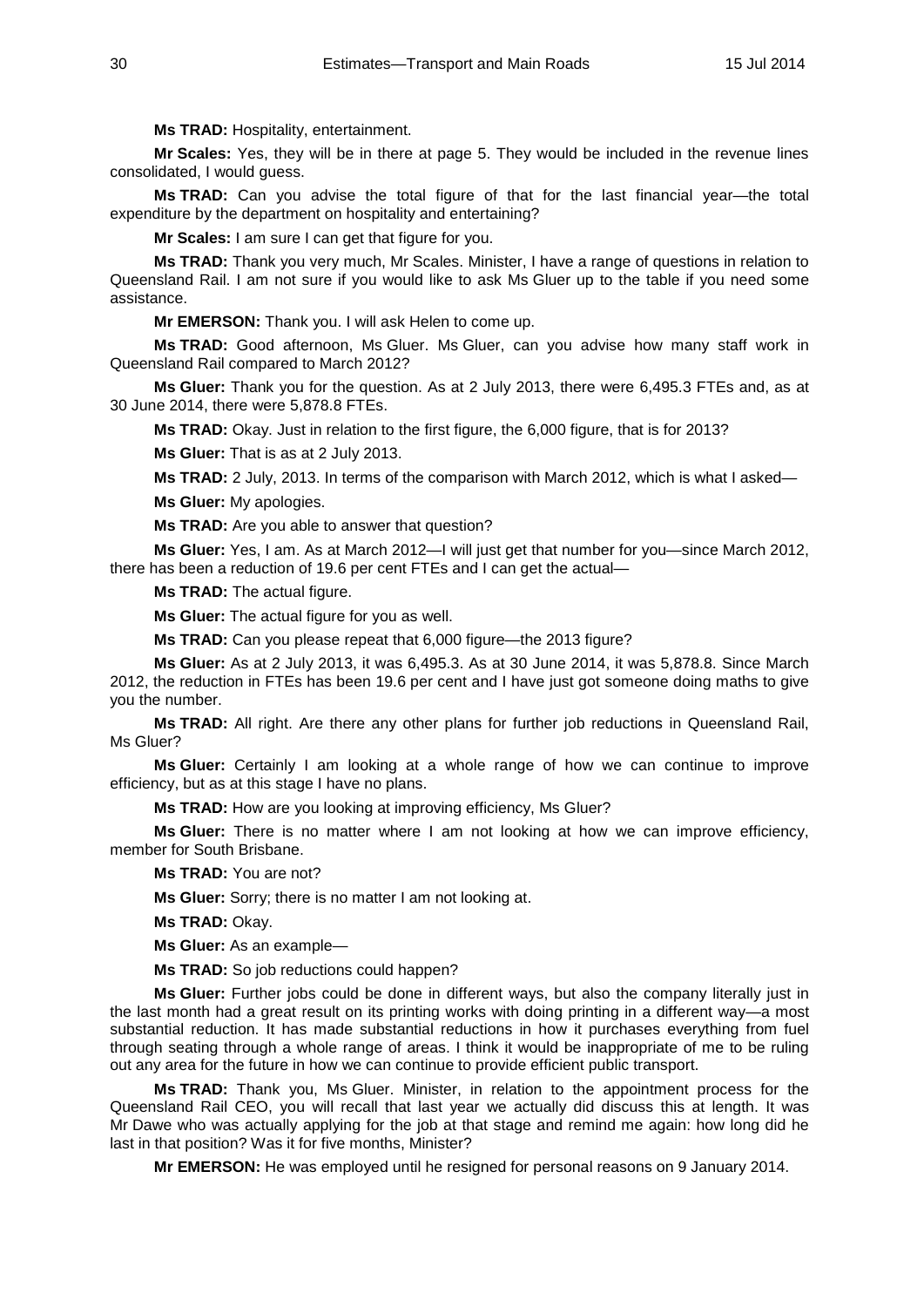**Ms TRAD:** Hospitality, entertainment.

**Mr Scales:** Yes, they will be in there at page 5. They would be included in the revenue lines consolidated, I would guess.

**Ms TRAD:** Can you advise the total figure of that for the last financial year—the total expenditure by the department on hospitality and entertaining?

**Mr Scales:** I am sure I can get that figure for you.

**Ms TRAD:** Thank you very much, Mr Scales. Minister, I have a range of questions in relation to Queensland Rail. I am not sure if you would like to ask Ms Gluer up to the table if you need some assistance.

**Mr EMERSON:** Thank you. I will ask Helen to come up.

**Ms TRAD:** Good afternoon, Ms Gluer. Ms Gluer, can you advise how many staff work in Queensland Rail compared to March 2012?

**Ms Gluer:** Thank you for the question. As at 2 July 2013, there were 6,495.3 FTEs and, as at 30 June 2014, there were 5,878.8 FTEs.

**Ms TRAD:** Okay. Just in relation to the first figure, the 6,000 figure, that is for 2013?

**Ms Gluer:** That is as at 2 July 2013.

**Ms TRAD:** 2 July, 2013. In terms of the comparison with March 2012, which is what I asked—

**Ms Gluer:** My apologies.

**Ms TRAD:** Are you able to answer that question?

**Ms Gluer:** Yes, I am. As at March 2012—I will just get that number for you—since March 2012, there has been a reduction of 19.6 per cent FTEs and I can get the actual—

**Ms TRAD:** The actual figure.

**Ms Gluer:** The actual figure for you as well.

**Ms TRAD:** Can you please repeat that 6,000 figure—the 2013 figure?

**Ms Gluer:** As at 2 July 2013, it was 6,495.3. As at 30 June 2014, it was 5,878.8. Since March 2012, the reduction in FTEs has been 19.6 per cent and I have just got someone doing maths to give you the number.

**Ms TRAD:** All right. Are there any other plans for further job reductions in Queensland Rail, Ms Gluer?

**Ms Gluer:** Certainly I am looking at a whole range of how we can continue to improve efficiency, but as at this stage I have no plans.

**Ms TRAD:** How are you looking at improving efficiency, Ms Gluer?

**Ms Gluer:** There is no matter where I am not looking at how we can improve efficiency, member for South Brisbane.

**Ms TRAD:** You are not?

**Ms Gluer:** Sorry; there is no matter I am not looking at.

**Ms TRAD:** Okay.

**Ms Gluer:** As an example—

**Ms TRAD:** So job reductions could happen?

**Ms Gluer:** Further jobs could be done in different ways, but also the company literally just in the last month had a great result on its printing works with doing printing in a different way—a most substantial reduction. It has made substantial reductions in how it purchases everything from fuel through seating through a whole range of areas. I think it would be inappropriate of me to be ruling out any area for the future in how we can continue to provide efficient public transport.

**Ms TRAD:** Thank you, Ms Gluer. Minister, in relation to the appointment process for the Queensland Rail CEO, you will recall that last year we actually did discuss this at length. It was Mr Dawe who was actually applying for the job at that stage and remind me again: how long did he last in that position? Was it for five months, Minister?

**Mr EMERSON:** He was employed until he resigned for personal reasons on 9 January 2014.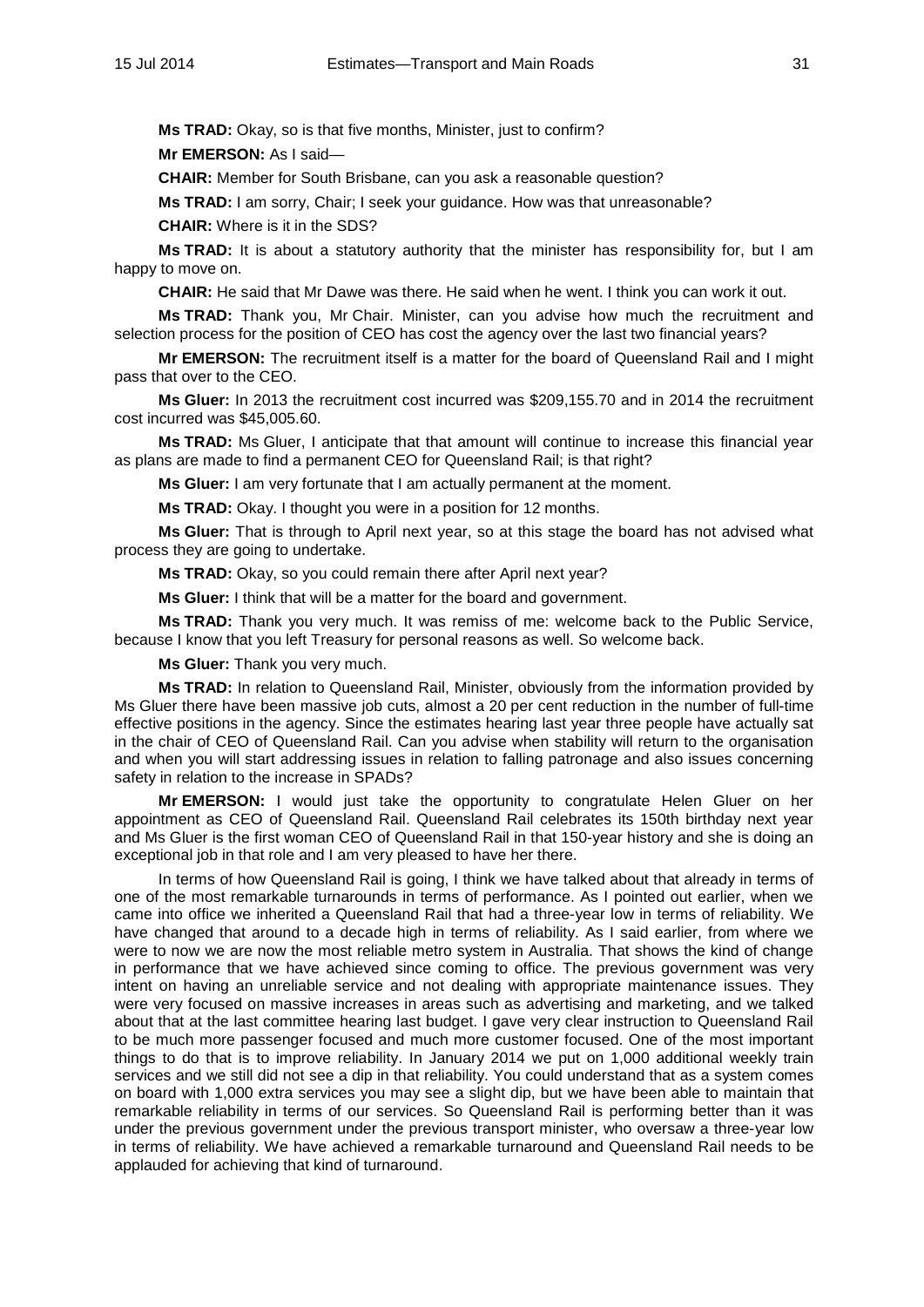**Ms TRAD:** Okay, so is that five months, Minister, just to confirm?

**Mr EMERSON:** As I said—

**CHAIR:** Member for South Brisbane, can you ask a reasonable question?

**Ms TRAD:** I am sorry, Chair; I seek your guidance. How was that unreasonable?

**CHAIR:** Where is it in the SDS?

**Ms TRAD:** It is about a statutory authority that the minister has responsibility for, but I am happy to move on.

**CHAIR:** He said that Mr Dawe was there. He said when he went. I think you can work it out.

**Ms TRAD:** Thank you, Mr Chair. Minister, can you advise how much the recruitment and selection process for the position of CEO has cost the agency over the last two financial years?

**Mr EMERSON:** The recruitment itself is a matter for the board of Queensland Rail and I might pass that over to the CEO.

**Ms Gluer:** In 2013 the recruitment cost incurred was \$209,155.70 and in 2014 the recruitment cost incurred was \$45,005.60.

**Ms TRAD:** Ms Gluer, I anticipate that that amount will continue to increase this financial year as plans are made to find a permanent CEO for Queensland Rail; is that right?

**Ms Gluer:** I am very fortunate that I am actually permanent at the moment.

**Ms TRAD:** Okay. I thought you were in a position for 12 months.

**Ms Gluer:** That is through to April next year, so at this stage the board has not advised what process they are going to undertake.

**Ms TRAD:** Okay, so you could remain there after April next year?

**Ms Gluer:** I think that will be a matter for the board and government.

**Ms TRAD:** Thank you very much. It was remiss of me: welcome back to the Public Service, because I know that you left Treasury for personal reasons as well. So welcome back.

**Ms Gluer:** Thank you very much.

**Ms TRAD:** In relation to Queensland Rail, Minister, obviously from the information provided by Ms Gluer there have been massive job cuts, almost a 20 per cent reduction in the number of full-time effective positions in the agency. Since the estimates hearing last year three people have actually sat in the chair of CEO of Queensland Rail. Can you advise when stability will return to the organisation and when you will start addressing issues in relation to falling patronage and also issues concerning safety in relation to the increase in SPADs?

**Mr EMERSON:** I would just take the opportunity to congratulate Helen Gluer on her appointment as CEO of Queensland Rail. Queensland Rail celebrates its 150th birthday next year and Ms Gluer is the first woman CEO of Queensland Rail in that 150-year history and she is doing an exceptional job in that role and I am very pleased to have her there.

In terms of how Queensland Rail is going, I think we have talked about that already in terms of one of the most remarkable turnarounds in terms of performance. As I pointed out earlier, when we came into office we inherited a Queensland Rail that had a three-year low in terms of reliability. We have changed that around to a decade high in terms of reliability. As I said earlier, from where we were to now we are now the most reliable metro system in Australia. That shows the kind of change in performance that we have achieved since coming to office. The previous government was very intent on having an unreliable service and not dealing with appropriate maintenance issues. They were very focused on massive increases in areas such as advertising and marketing, and we talked about that at the last committee hearing last budget. I gave very clear instruction to Queensland Rail to be much more passenger focused and much more customer focused. One of the most important things to do that is to improve reliability. In January 2014 we put on 1,000 additional weekly train services and we still did not see a dip in that reliability. You could understand that as a system comes on board with 1,000 extra services you may see a slight dip, but we have been able to maintain that remarkable reliability in terms of our services. So Queensland Rail is performing better than it was under the previous government under the previous transport minister, who oversaw a three-year low in terms of reliability. We have achieved a remarkable turnaround and Queensland Rail needs to be applauded for achieving that kind of turnaround.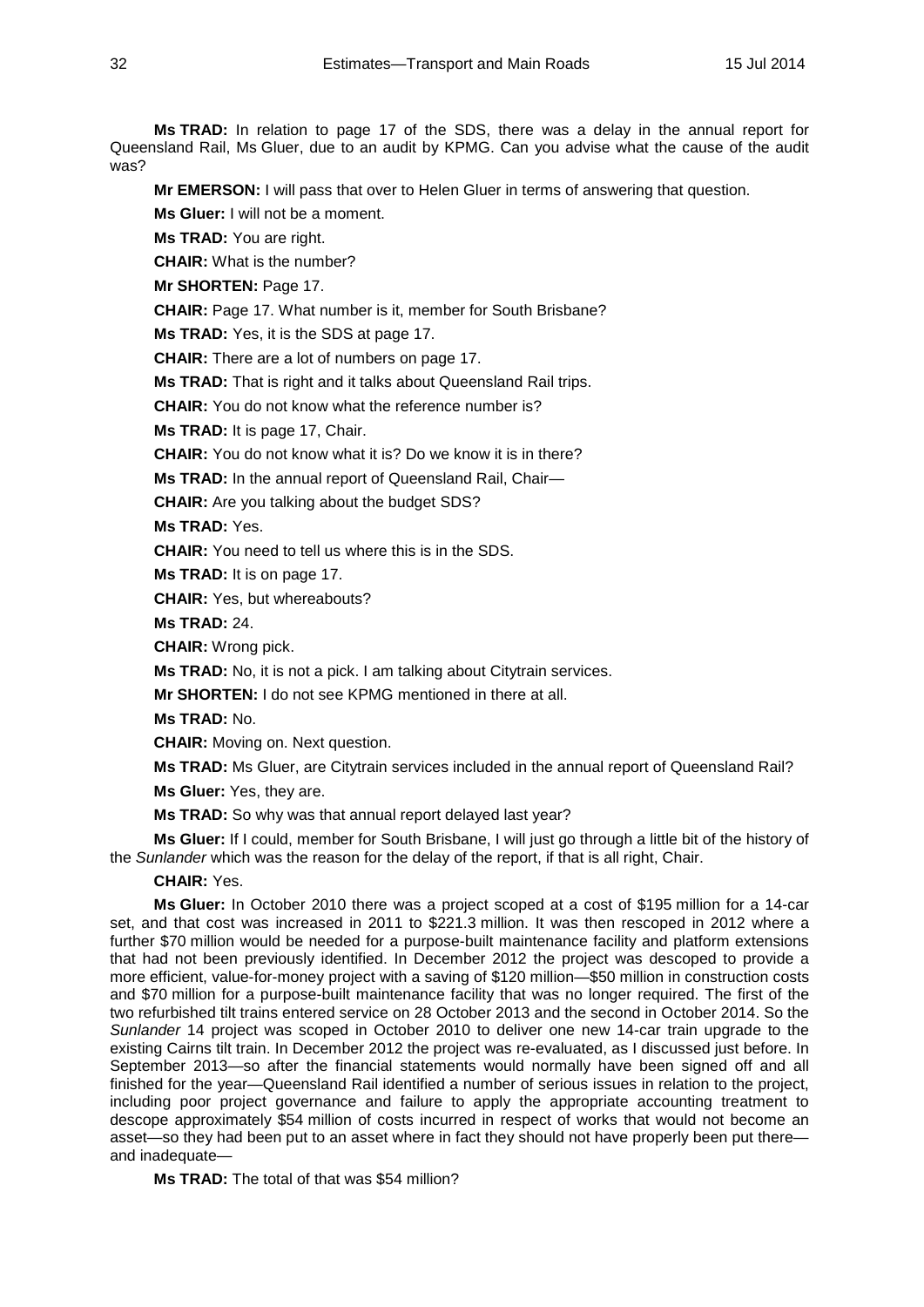**Ms TRAD:** In relation to page 17 of the SDS, there was a delay in the annual report for Queensland Rail, Ms Gluer, due to an audit by KPMG. Can you advise what the cause of the audit was?

**Mr EMERSON:** I will pass that over to Helen Gluer in terms of answering that question.

**Ms Gluer:** I will not be a moment.

**Ms TRAD:** You are right.

**CHAIR:** What is the number?

**Mr SHORTEN:** Page 17.

**CHAIR:** Page 17. What number is it, member for South Brisbane?

**Ms TRAD:** Yes, it is the SDS at page 17.

**CHAIR:** There are a lot of numbers on page 17.

**Ms TRAD:** That is right and it talks about Queensland Rail trips.

**CHAIR:** You do not know what the reference number is?

**Ms TRAD:** It is page 17, Chair.

**CHAIR:** You do not know what it is? Do we know it is in there?

**Ms TRAD:** In the annual report of Queensland Rail, Chair—

**CHAIR:** Are you talking about the budget SDS?

**Ms TRAD:** Yes.

**CHAIR:** You need to tell us where this is in the SDS.

**Ms TRAD:** It is on page 17.

**CHAIR:** Yes, but whereabouts?

**Ms TRAD:** 24.

**CHAIR:** Wrong pick.

**Ms TRAD:** No, it is not a pick. I am talking about Citytrain services.

**Mr SHORTEN:** I do not see KPMG mentioned in there at all.

**Ms TRAD:** No.

**CHAIR:** Moving on. Next question.

**Ms TRAD:** Ms Gluer, are Citytrain services included in the annual report of Queensland Rail?

**Ms Gluer:** Yes, they are.

**Ms TRAD:** So why was that annual report delayed last year?

**Ms Gluer:** If I could, member for South Brisbane, I will just go through a little bit of the history of the *Sunlander* which was the reason for the delay of the report, if that is all right, Chair.

#### **CHAIR:** Yes.

**Ms Gluer:** In October 2010 there was a project scoped at a cost of \$195 million for a 14-car set, and that cost was increased in 2011 to \$221.3 million. It was then rescoped in 2012 where a further \$70 million would be needed for a purpose-built maintenance facility and platform extensions that had not been previously identified. In December 2012 the project was descoped to provide a more efficient, value-for-money project with a saving of \$120 million—\$50 million in construction costs and \$70 million for a purpose-built maintenance facility that was no longer required. The first of the two refurbished tilt trains entered service on 28 October 2013 and the second in October 2014. So the *Sunlander* 14 project was scoped in October 2010 to deliver one new 14-car train upgrade to the existing Cairns tilt train. In December 2012 the project was re-evaluated, as I discussed just before. In September 2013—so after the financial statements would normally have been signed off and all finished for the year—Queensland Rail identified a number of serious issues in relation to the project, including poor project governance and failure to apply the appropriate accounting treatment to descope approximately \$54 million of costs incurred in respect of works that would not become an asset—so they had been put to an asset where in fact they should not have properly been put there and inadequate—

**Ms TRAD:** The total of that was \$54 million?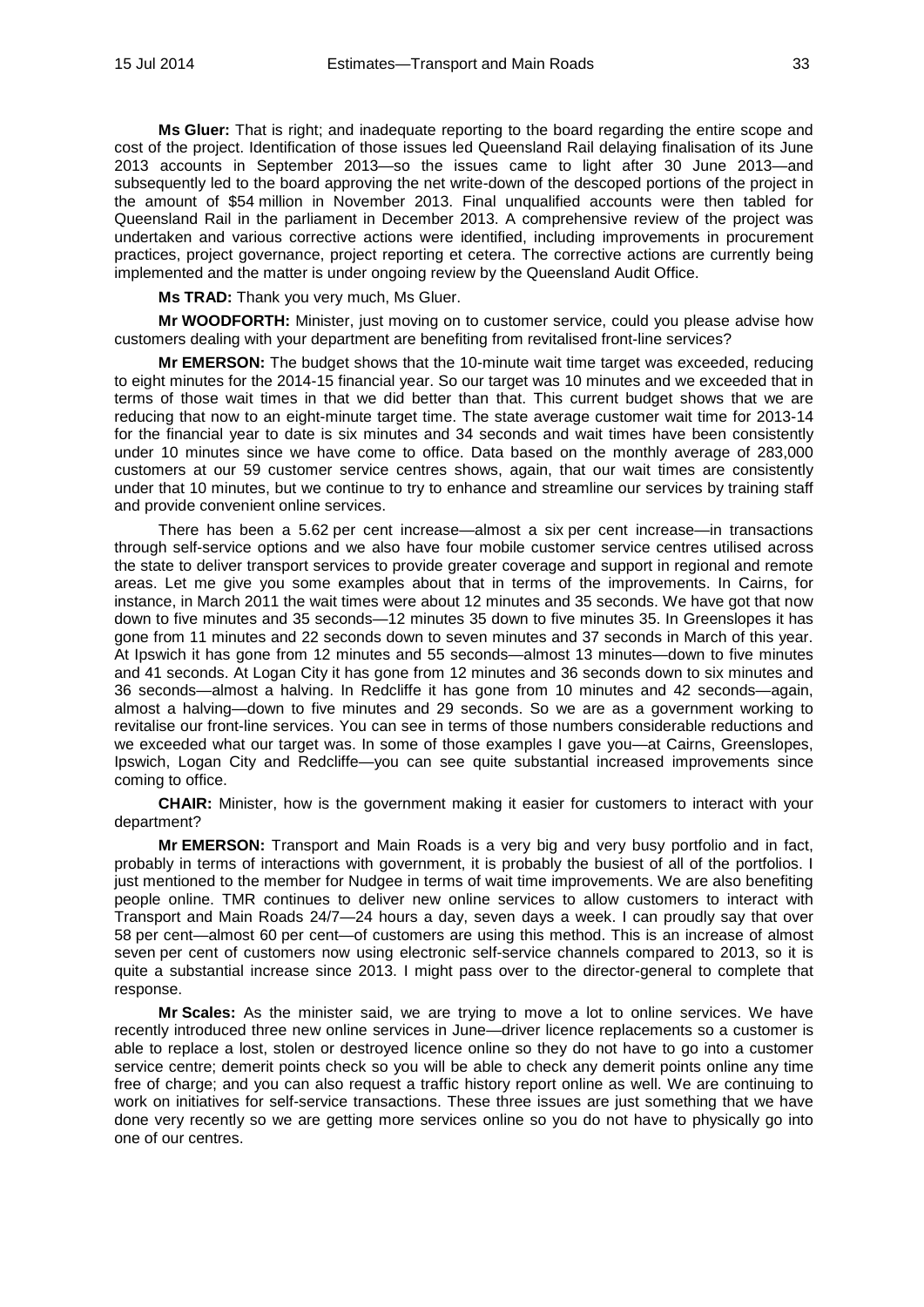**Ms Gluer:** That is right; and inadequate reporting to the board regarding the entire scope and cost of the project. Identification of those issues led Queensland Rail delaying finalisation of its June 2013 accounts in September 2013—so the issues came to light after 30 June 2013—and subsequently led to the board approving the net write-down of the descoped portions of the project in the amount of \$54 million in November 2013. Final unqualified accounts were then tabled for Queensland Rail in the parliament in December 2013. A comprehensive review of the project was undertaken and various corrective actions were identified, including improvements in procurement practices, project governance, project reporting et cetera. The corrective actions are currently being implemented and the matter is under ongoing review by the Queensland Audit Office.

**Ms TRAD:** Thank you very much, Ms Gluer.

**Mr WOODFORTH:** Minister, just moving on to customer service, could you please advise how customers dealing with your department are benefiting from revitalised front-line services?

**Mr EMERSON:** The budget shows that the 10-minute wait time target was exceeded, reducing to eight minutes for the 2014-15 financial year. So our target was 10 minutes and we exceeded that in terms of those wait times in that we did better than that. This current budget shows that we are reducing that now to an eight-minute target time. The state average customer wait time for 2013-14 for the financial year to date is six minutes and 34 seconds and wait times have been consistently under 10 minutes since we have come to office. Data based on the monthly average of 283,000 customers at our 59 customer service centres shows, again, that our wait times are consistently under that 10 minutes, but we continue to try to enhance and streamline our services by training staff and provide convenient online services.

There has been a 5.62 per cent increase—almost a six per cent increase—in transactions through self-service options and we also have four mobile customer service centres utilised across the state to deliver transport services to provide greater coverage and support in regional and remote areas. Let me give you some examples about that in terms of the improvements. In Cairns, for instance, in March 2011 the wait times were about 12 minutes and 35 seconds. We have got that now down to five minutes and 35 seconds—12 minutes 35 down to five minutes 35. In Greenslopes it has gone from 11 minutes and 22 seconds down to seven minutes and 37 seconds in March of this year. At Ipswich it has gone from 12 minutes and 55 seconds—almost 13 minutes—down to five minutes and 41 seconds. At Logan City it has gone from 12 minutes and 36 seconds down to six minutes and 36 seconds—almost a halving. In Redcliffe it has gone from 10 minutes and 42 seconds—again, almost a halving—down to five minutes and 29 seconds. So we are as a government working to revitalise our front-line services. You can see in terms of those numbers considerable reductions and we exceeded what our target was. In some of those examples I gave you—at Cairns, Greenslopes, Ipswich, Logan City and Redcliffe—you can see quite substantial increased improvements since coming to office.

**CHAIR:** Minister, how is the government making it easier for customers to interact with your department?

**Mr EMERSON:** Transport and Main Roads is a very big and very busy portfolio and in fact, probably in terms of interactions with government, it is probably the busiest of all of the portfolios. I just mentioned to the member for Nudgee in terms of wait time improvements. We are also benefiting people online. TMR continues to deliver new online services to allow customers to interact with Transport and Main Roads 24/7—24 hours a day, seven days a week. I can proudly say that over 58 per cent—almost 60 per cent—of customers are using this method. This is an increase of almost seven per cent of customers now using electronic self-service channels compared to 2013, so it is quite a substantial increase since 2013. I might pass over to the director-general to complete that response.

**Mr Scales:** As the minister said, we are trying to move a lot to online services. We have recently introduced three new online services in June—driver licence replacements so a customer is able to replace a lost, stolen or destroyed licence online so they do not have to go into a customer service centre; demerit points check so you will be able to check any demerit points online any time free of charge; and you can also request a traffic history report online as well. We are continuing to work on initiatives for self-service transactions. These three issues are just something that we have done very recently so we are getting more services online so you do not have to physically go into one of our centres.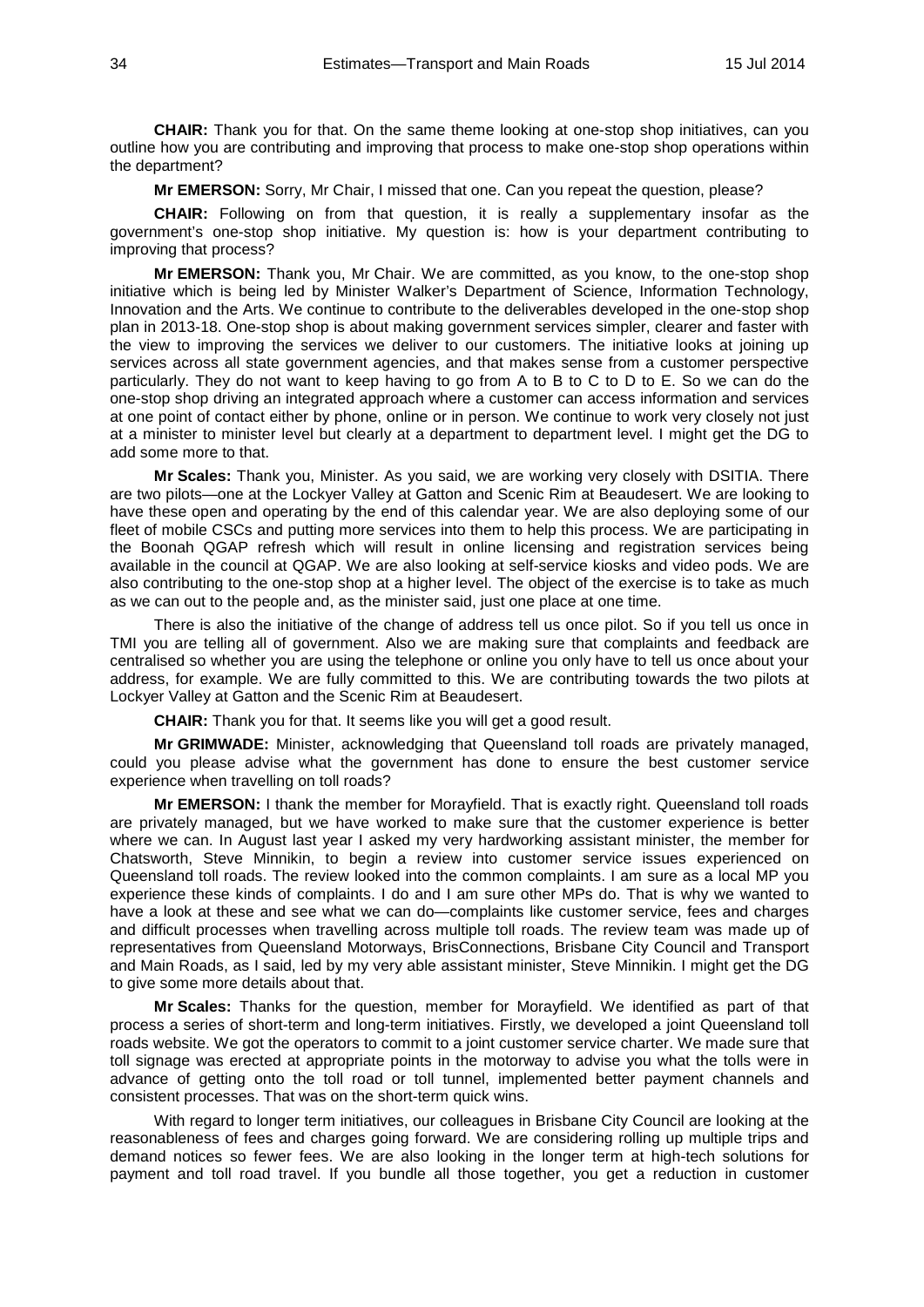**CHAIR:** Thank you for that. On the same theme looking at one-stop shop initiatives, can you outline how you are contributing and improving that process to make one-stop shop operations within the department?

**Mr EMERSON:** Sorry, Mr Chair, I missed that one. Can you repeat the question, please?

**CHAIR:** Following on from that question, it is really a supplementary insofar as the government's one-stop shop initiative. My question is: how is your department contributing to improving that process?

**Mr EMERSON:** Thank you, Mr Chair. We are committed, as you know, to the one-stop shop initiative which is being led by Minister Walker's Department of Science, Information Technology, Innovation and the Arts. We continue to contribute to the deliverables developed in the one-stop shop plan in 2013-18. One-stop shop is about making government services simpler, clearer and faster with the view to improving the services we deliver to our customers. The initiative looks at joining up services across all state government agencies, and that makes sense from a customer perspective particularly. They do not want to keep having to go from A to B to C to D to E. So we can do the one-stop shop driving an integrated approach where a customer can access information and services at one point of contact either by phone, online or in person. We continue to work very closely not just at a minister to minister level but clearly at a department to department level. I might get the DG to add some more to that.

**Mr Scales:** Thank you, Minister. As you said, we are working very closely with DSITIA. There are two pilots—one at the Lockyer Valley at Gatton and Scenic Rim at Beaudesert. We are looking to have these open and operating by the end of this calendar year. We are also deploying some of our fleet of mobile CSCs and putting more services into them to help this process. We are participating in the Boonah QGAP refresh which will result in online licensing and registration services being available in the council at QGAP. We are also looking at self-service kiosks and video pods. We are also contributing to the one-stop shop at a higher level. The object of the exercise is to take as much as we can out to the people and, as the minister said, just one place at one time.

There is also the initiative of the change of address tell us once pilot. So if you tell us once in TMI you are telling all of government. Also we are making sure that complaints and feedback are centralised so whether you are using the telephone or online you only have to tell us once about your address, for example. We are fully committed to this. We are contributing towards the two pilots at Lockyer Valley at Gatton and the Scenic Rim at Beaudesert.

**CHAIR:** Thank you for that. It seems like you will get a good result.

**Mr GRIMWADE:** Minister, acknowledging that Queensland toll roads are privately managed, could you please advise what the government has done to ensure the best customer service experience when travelling on toll roads?

**Mr EMERSON:** I thank the member for Morayfield. That is exactly right. Queensland toll roads are privately managed, but we have worked to make sure that the customer experience is better where we can. In August last year I asked my very hardworking assistant minister, the member for Chatsworth, Steve Minnikin, to begin a review into customer service issues experienced on Queensland toll roads. The review looked into the common complaints. I am sure as a local MP you experience these kinds of complaints. I do and I am sure other MPs do. That is why we wanted to have a look at these and see what we can do—complaints like customer service, fees and charges and difficult processes when travelling across multiple toll roads. The review team was made up of representatives from Queensland Motorways, BrisConnections, Brisbane City Council and Transport and Main Roads, as I said, led by my very able assistant minister, Steve Minnikin. I might get the DG to give some more details about that.

**Mr Scales:** Thanks for the question, member for Morayfield. We identified as part of that process a series of short-term and long-term initiatives. Firstly, we developed a joint Queensland toll roads website. We got the operators to commit to a joint customer service charter. We made sure that toll signage was erected at appropriate points in the motorway to advise you what the tolls were in advance of getting onto the toll road or toll tunnel, implemented better payment channels and consistent processes. That was on the short-term quick wins.

With regard to longer term initiatives, our colleagues in Brisbane City Council are looking at the reasonableness of fees and charges going forward. We are considering rolling up multiple trips and demand notices so fewer fees. We are also looking in the longer term at high-tech solutions for payment and toll road travel. If you bundle all those together, you get a reduction in customer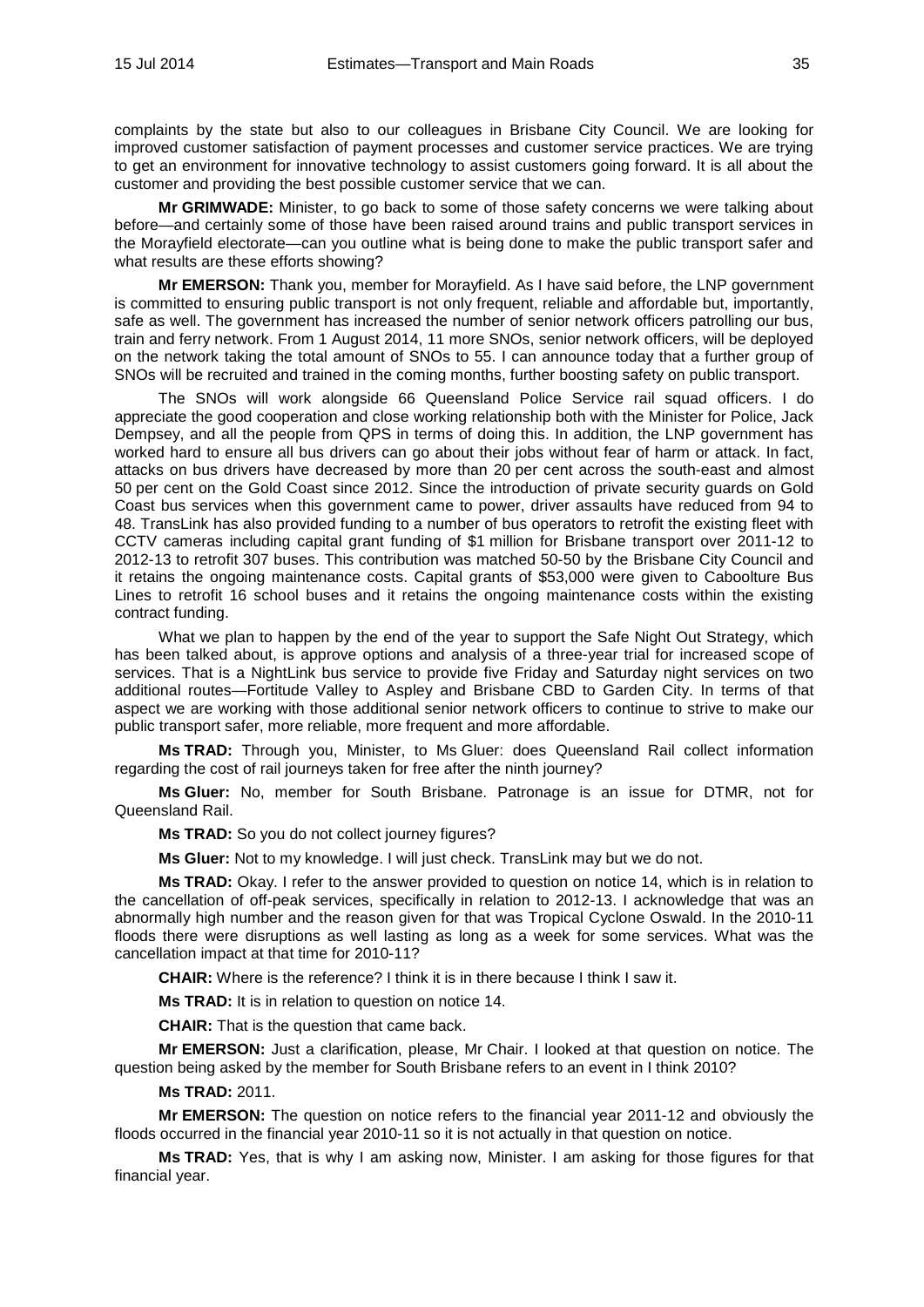complaints by the state but also to our colleagues in Brisbane City Council. We are looking for improved customer satisfaction of payment processes and customer service practices. We are trying to get an environment for innovative technology to assist customers going forward. It is all about the customer and providing the best possible customer service that we can.

**Mr GRIMWADE:** Minister, to go back to some of those safety concerns we were talking about before—and certainly some of those have been raised around trains and public transport services in the Morayfield electorate—can you outline what is being done to make the public transport safer and what results are these efforts showing?

**Mr EMERSON:** Thank you, member for Morayfield. As I have said before, the LNP government is committed to ensuring public transport is not only frequent, reliable and affordable but, importantly, safe as well. The government has increased the number of senior network officers patrolling our bus, train and ferry network. From 1 August 2014, 11 more SNOs, senior network officers, will be deployed on the network taking the total amount of SNOs to 55. I can announce today that a further group of SNOs will be recruited and trained in the coming months, further boosting safety on public transport.

The SNOs will work alongside 66 Queensland Police Service rail squad officers. I do appreciate the good cooperation and close working relationship both with the Minister for Police, Jack Dempsey, and all the people from QPS in terms of doing this. In addition, the LNP government has worked hard to ensure all bus drivers can go about their jobs without fear of harm or attack. In fact, attacks on bus drivers have decreased by more than 20 per cent across the south-east and almost 50 per cent on the Gold Coast since 2012. Since the introduction of private security guards on Gold Coast bus services when this government came to power, driver assaults have reduced from 94 to 48. TransLink has also provided funding to a number of bus operators to retrofit the existing fleet with CCTV cameras including capital grant funding of \$1 million for Brisbane transport over 2011-12 to 2012-13 to retrofit 307 buses. This contribution was matched 50-50 by the Brisbane City Council and it retains the ongoing maintenance costs. Capital grants of \$53,000 were given to Caboolture Bus Lines to retrofit 16 school buses and it retains the ongoing maintenance costs within the existing contract funding.

What we plan to happen by the end of the year to support the Safe Night Out Strategy, which has been talked about, is approve options and analysis of a three-year trial for increased scope of services. That is a NightLink bus service to provide five Friday and Saturday night services on two additional routes—Fortitude Valley to Aspley and Brisbane CBD to Garden City. In terms of that aspect we are working with those additional senior network officers to continue to strive to make our public transport safer, more reliable, more frequent and more affordable.

**Ms TRAD:** Through you, Minister, to Ms Gluer: does Queensland Rail collect information regarding the cost of rail journeys taken for free after the ninth journey?

**Ms Gluer:** No, member for South Brisbane. Patronage is an issue for DTMR, not for Queensland Rail.

**Ms TRAD:** So you do not collect journey figures?

**Ms Gluer:** Not to my knowledge. I will just check. TransLink may but we do not.

**Ms TRAD:** Okay. I refer to the answer provided to question on notice 14, which is in relation to the cancellation of off-peak services, specifically in relation to 2012-13. I acknowledge that was an abnormally high number and the reason given for that was Tropical Cyclone Oswald. In the 2010-11 floods there were disruptions as well lasting as long as a week for some services. What was the cancellation impact at that time for 2010-11?

**CHAIR:** Where is the reference? I think it is in there because I think I saw it.

**Ms TRAD:** It is in relation to question on notice 14.

**CHAIR:** That is the question that came back.

**Mr EMERSON:** Just a clarification, please, Mr Chair. I looked at that question on notice. The question being asked by the member for South Brisbane refers to an event in I think 2010?

**Ms TRAD:** 2011.

**Mr EMERSON:** The question on notice refers to the financial year 2011-12 and obviously the floods occurred in the financial year 2010-11 so it is not actually in that question on notice.

**Ms TRAD:** Yes, that is why I am asking now, Minister. I am asking for those figures for that financial year.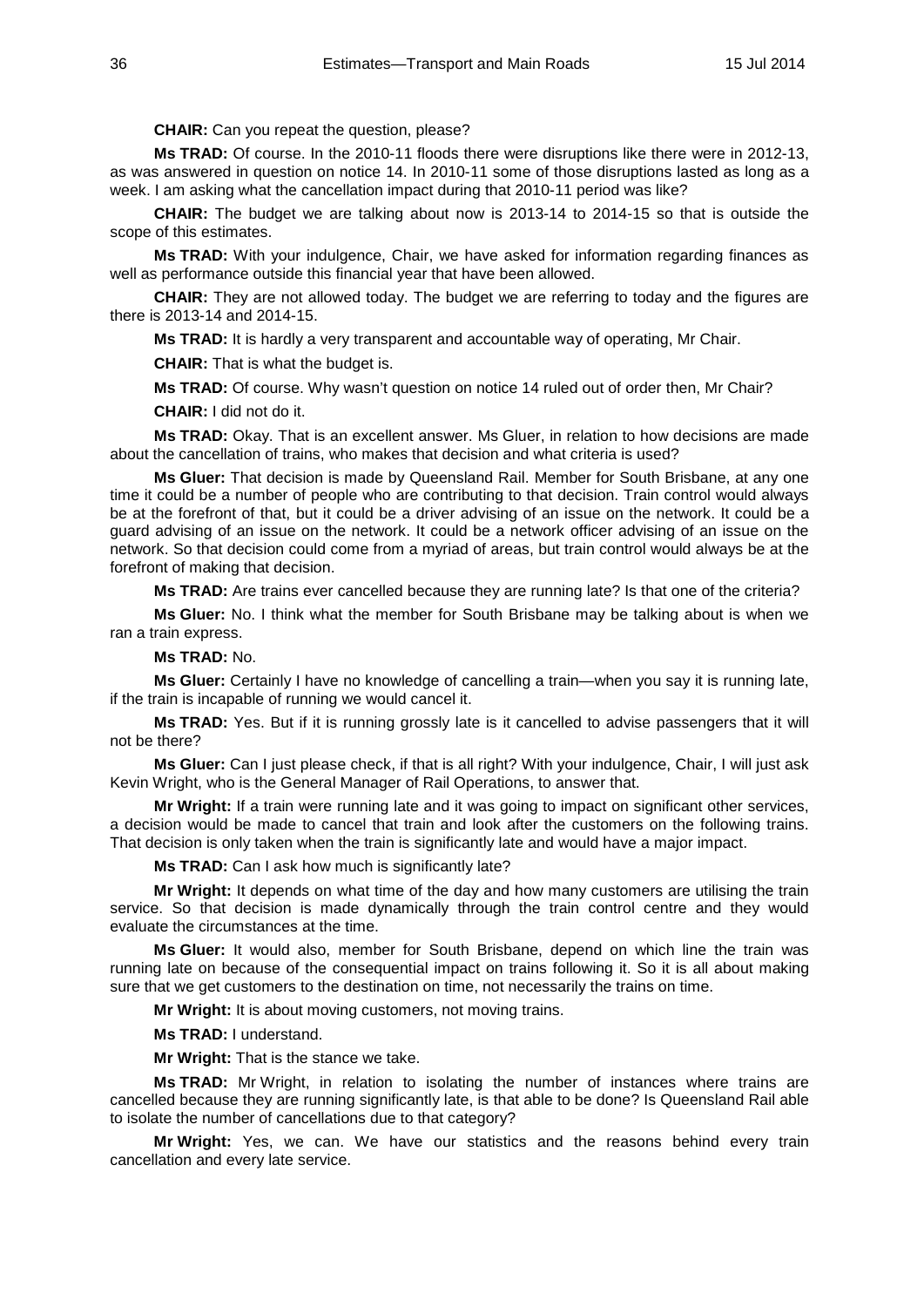### **CHAIR:** Can you repeat the question, please?

**Ms TRAD:** Of course. In the 2010-11 floods there were disruptions like there were in 2012-13, as was answered in question on notice 14. In 2010-11 some of those disruptions lasted as long as a week. I am asking what the cancellation impact during that 2010-11 period was like?

**CHAIR:** The budget we are talking about now is 2013-14 to 2014-15 so that is outside the scope of this estimates.

**Ms TRAD:** With your indulgence, Chair, we have asked for information regarding finances as well as performance outside this financial year that have been allowed.

**CHAIR:** They are not allowed today. The budget we are referring to today and the figures are there is 2013-14 and 2014-15.

**Ms TRAD:** It is hardly a very transparent and accountable way of operating, Mr Chair.

**CHAIR:** That is what the budget is.

**Ms TRAD:** Of course. Why wasn't question on notice 14 ruled out of order then, Mr Chair?

**CHAIR:** I did not do it.

**Ms TRAD:** Okay. That is an excellent answer. Ms Gluer, in relation to how decisions are made about the cancellation of trains, who makes that decision and what criteria is used?

**Ms Gluer:** That decision is made by Queensland Rail. Member for South Brisbane, at any one time it could be a number of people who are contributing to that decision. Train control would always be at the forefront of that, but it could be a driver advising of an issue on the network. It could be a guard advising of an issue on the network. It could be a network officer advising of an issue on the network. So that decision could come from a myriad of areas, but train control would always be at the forefront of making that decision.

**Ms TRAD:** Are trains ever cancelled because they are running late? Is that one of the criteria?

**Ms Gluer:** No. I think what the member for South Brisbane may be talking about is when we ran a train express.

**Ms TRAD:** No.

**Ms Gluer:** Certainly I have no knowledge of cancelling a train—when you say it is running late, if the train is incapable of running we would cancel it.

**Ms TRAD:** Yes. But if it is running grossly late is it cancelled to advise passengers that it will not be there?

**Ms Gluer:** Can I just please check, if that is all right? With your indulgence, Chair, I will just ask Kevin Wright, who is the General Manager of Rail Operations, to answer that.

**Mr Wright:** If a train were running late and it was going to impact on significant other services, a decision would be made to cancel that train and look after the customers on the following trains. That decision is only taken when the train is significantly late and would have a major impact.

**Ms TRAD:** Can I ask how much is significantly late?

**Mr Wright:** It depends on what time of the day and how many customers are utilising the train service. So that decision is made dynamically through the train control centre and they would evaluate the circumstances at the time.

**Ms Gluer:** It would also, member for South Brisbane, depend on which line the train was running late on because of the consequential impact on trains following it. So it is all about making sure that we get customers to the destination on time, not necessarily the trains on time.

**Mr Wright:** It is about moving customers, not moving trains.

**Ms TRAD:** I understand.

**Mr Wright:** That is the stance we take.

**Ms TRAD:** Mr Wright, in relation to isolating the number of instances where trains are cancelled because they are running significantly late, is that able to be done? Is Queensland Rail able to isolate the number of cancellations due to that category?

**Mr Wright:** Yes, we can. We have our statistics and the reasons behind every train cancellation and every late service.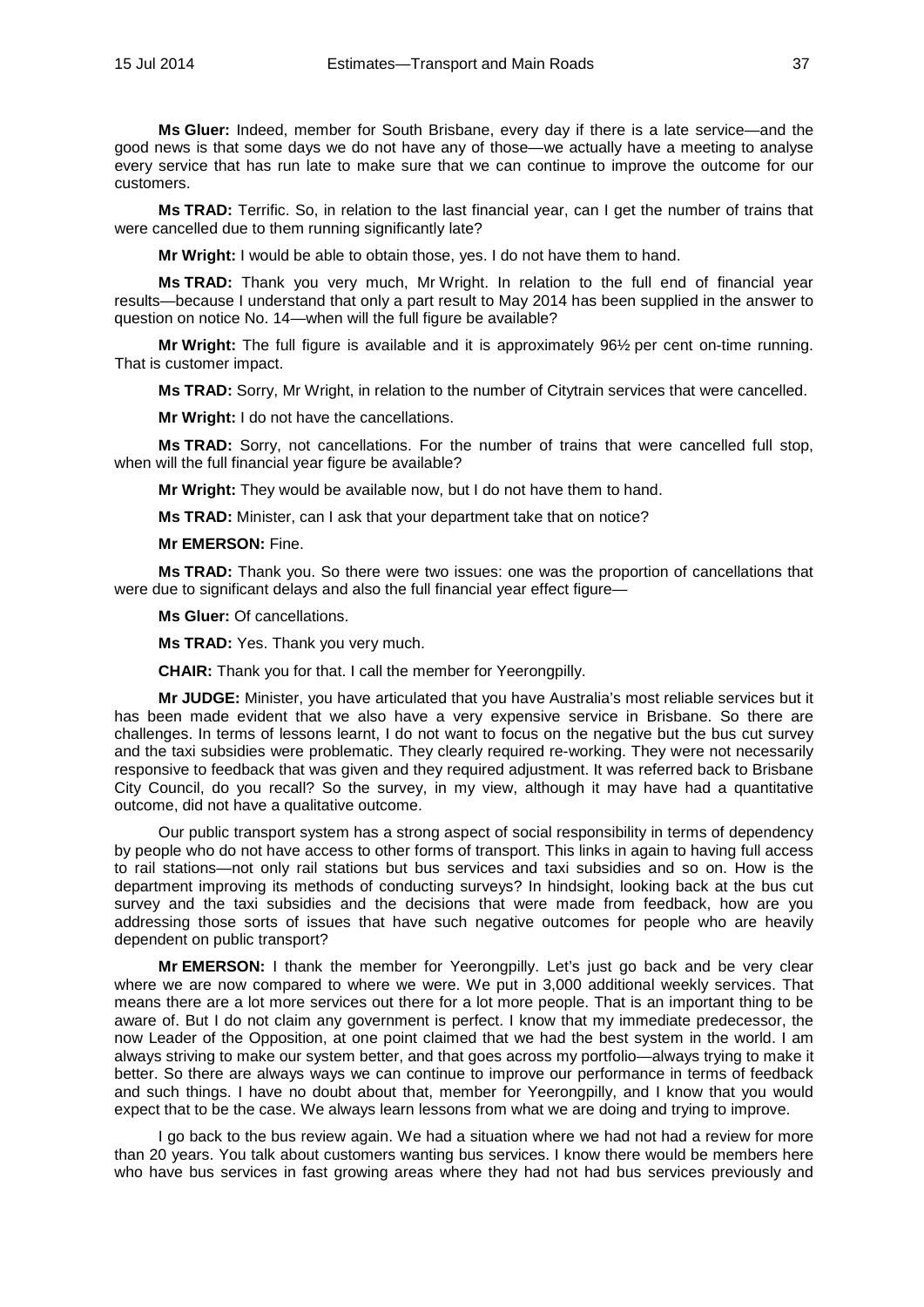**Ms Gluer:** Indeed, member for South Brisbane, every day if there is a late service—and the good news is that some days we do not have any of those—we actually have a meeting to analyse every service that has run late to make sure that we can continue to improve the outcome for our customers.

**Ms TRAD:** Terrific. So, in relation to the last financial year, can I get the number of trains that were cancelled due to them running significantly late?

**Mr Wright:** I would be able to obtain those, yes. I do not have them to hand.

**Ms TRAD:** Thank you very much, Mr Wright. In relation to the full end of financial year results—because I understand that only a part result to May 2014 has been supplied in the answer to question on notice No. 14—when will the full figure be available?

**Mr Wright:** The full figure is available and it is approximately 96½ per cent on-time running. That is customer impact.

**Ms TRAD:** Sorry, Mr Wright, in relation to the number of Citytrain services that were cancelled.

**Mr Wright:** I do not have the cancellations.

**Ms TRAD:** Sorry, not cancellations. For the number of trains that were cancelled full stop, when will the full financial year figure be available?

**Mr Wright:** They would be available now, but I do not have them to hand.

**Ms TRAD:** Minister, can I ask that your department take that on notice?

**Mr EMERSON:** Fine.

**Ms TRAD:** Thank you. So there were two issues: one was the proportion of cancellations that were due to significant delays and also the full financial year effect figure-

**Ms Gluer:** Of cancellations.

**Ms TRAD:** Yes. Thank you very much.

**CHAIR:** Thank you for that. I call the member for Yeerongpilly.

**Mr JUDGE:** Minister, you have articulated that you have Australia's most reliable services but it has been made evident that we also have a very expensive service in Brisbane. So there are challenges. In terms of lessons learnt, I do not want to focus on the negative but the bus cut survey and the taxi subsidies were problematic. They clearly required re-working. They were not necessarily responsive to feedback that was given and they required adjustment. It was referred back to Brisbane City Council, do you recall? So the survey, in my view, although it may have had a quantitative outcome, did not have a qualitative outcome.

Our public transport system has a strong aspect of social responsibility in terms of dependency by people who do not have access to other forms of transport. This links in again to having full access to rail stations—not only rail stations but bus services and taxi subsidies and so on. How is the department improving its methods of conducting surveys? In hindsight, looking back at the bus cut survey and the taxi subsidies and the decisions that were made from feedback, how are you addressing those sorts of issues that have such negative outcomes for people who are heavily dependent on public transport?

**Mr EMERSON:** I thank the member for Yeerongpilly. Let's just go back and be very clear where we are now compared to where we were. We put in 3,000 additional weekly services. That means there are a lot more services out there for a lot more people. That is an important thing to be aware of. But I do not claim any government is perfect. I know that my immediate predecessor, the now Leader of the Opposition, at one point claimed that we had the best system in the world. I am always striving to make our system better, and that goes across my portfolio—always trying to make it better. So there are always ways we can continue to improve our performance in terms of feedback and such things. I have no doubt about that, member for Yeerongpilly, and I know that you would expect that to be the case. We always learn lessons from what we are doing and trying to improve.

I go back to the bus review again. We had a situation where we had not had a review for more than 20 years. You talk about customers wanting bus services. I know there would be members here who have bus services in fast growing areas where they had not had bus services previously and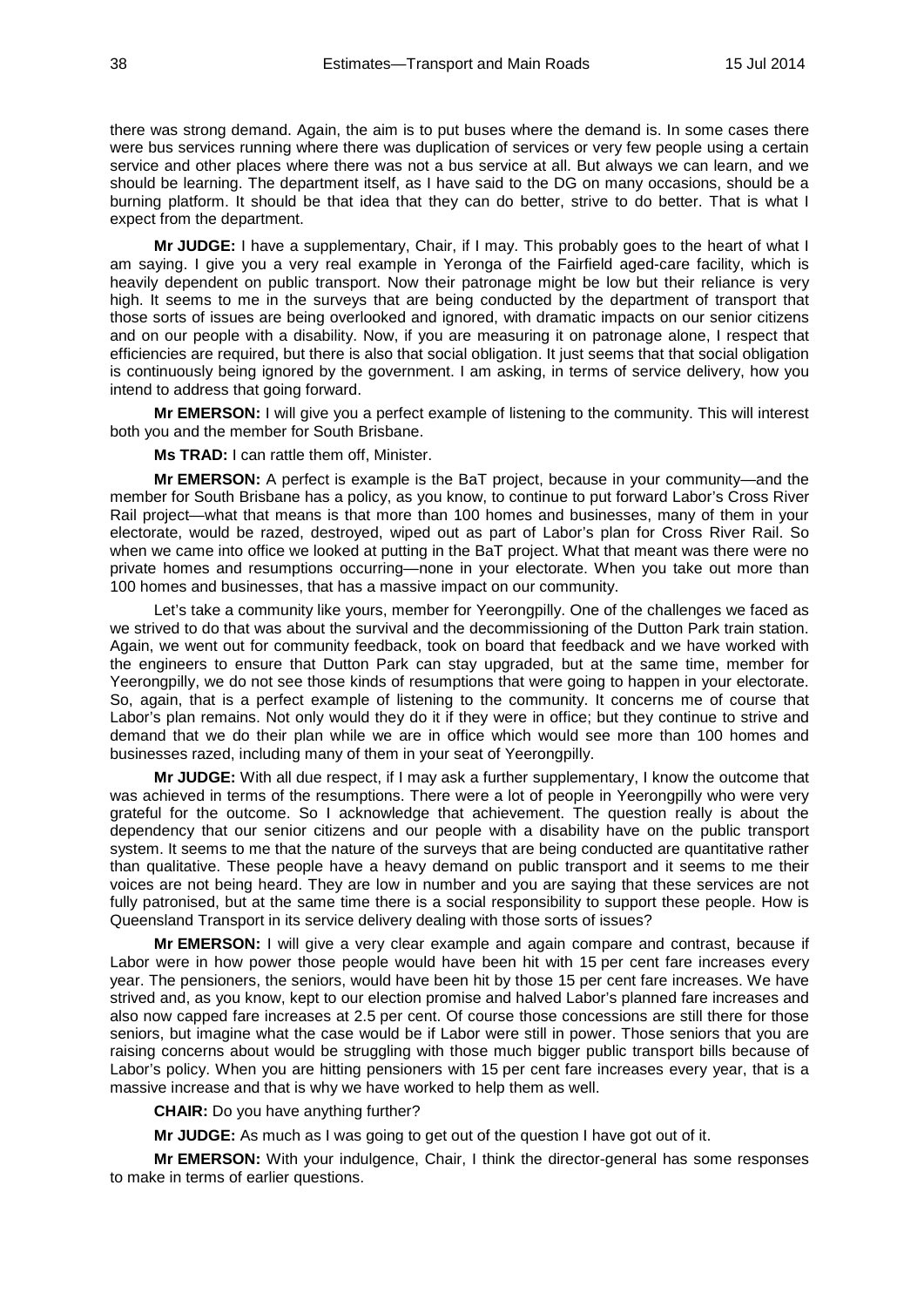there was strong demand. Again, the aim is to put buses where the demand is. In some cases there were bus services running where there was duplication of services or very few people using a certain service and other places where there was not a bus service at all. But always we can learn, and we should be learning. The department itself, as I have said to the DG on many occasions, should be a burning platform. It should be that idea that they can do better, strive to do better. That is what I expect from the department.

**Mr JUDGE:** I have a supplementary, Chair, if I may. This probably goes to the heart of what I am saying. I give you a very real example in Yeronga of the Fairfield aged-care facility, which is heavily dependent on public transport. Now their patronage might be low but their reliance is very high. It seems to me in the surveys that are being conducted by the department of transport that those sorts of issues are being overlooked and ignored, with dramatic impacts on our senior citizens and on our people with a disability. Now, if you are measuring it on patronage alone, I respect that efficiencies are required, but there is also that social obligation. It just seems that that social obligation is continuously being ignored by the government. I am asking, in terms of service delivery, how you intend to address that going forward.

**Mr EMERSON:** I will give you a perfect example of listening to the community. This will interest both you and the member for South Brisbane.

**Ms TRAD:** I can rattle them off, Minister.

**Mr EMERSON:** A perfect is example is the BaT project, because in your community—and the member for South Brisbane has a policy, as you know, to continue to put forward Labor's Cross River Rail project—what that means is that more than 100 homes and businesses, many of them in your electorate, would be razed, destroyed, wiped out as part of Labor's plan for Cross River Rail. So when we came into office we looked at putting in the BaT project. What that meant was there were no private homes and resumptions occurring—none in your electorate. When you take out more than 100 homes and businesses, that has a massive impact on our community.

Let's take a community like yours, member for Yeerongpilly. One of the challenges we faced as we strived to do that was about the survival and the decommissioning of the Dutton Park train station. Again, we went out for community feedback, took on board that feedback and we have worked with the engineers to ensure that Dutton Park can stay upgraded, but at the same time, member for Yeerongpilly, we do not see those kinds of resumptions that were going to happen in your electorate. So, again, that is a perfect example of listening to the community. It concerns me of course that Labor's plan remains. Not only would they do it if they were in office; but they continue to strive and demand that we do their plan while we are in office which would see more than 100 homes and businesses razed, including many of them in your seat of Yeerongpilly.

**Mr JUDGE:** With all due respect, if I may ask a further supplementary, I know the outcome that was achieved in terms of the resumptions. There were a lot of people in Yeerongpilly who were very grateful for the outcome. So I acknowledge that achievement. The question really is about the dependency that our senior citizens and our people with a disability have on the public transport system. It seems to me that the nature of the surveys that are being conducted are quantitative rather than qualitative. These people have a heavy demand on public transport and it seems to me their voices are not being heard. They are low in number and you are saying that these services are not fully patronised, but at the same time there is a social responsibility to support these people. How is Queensland Transport in its service delivery dealing with those sorts of issues?

**Mr EMERSON:** I will give a very clear example and again compare and contrast, because if Labor were in how power those people would have been hit with 15 per cent fare increases every year. The pensioners, the seniors, would have been hit by those 15 per cent fare increases. We have strived and, as you know, kept to our election promise and halved Labor's planned fare increases and also now capped fare increases at 2.5 per cent. Of course those concessions are still there for those seniors, but imagine what the case would be if Labor were still in power. Those seniors that you are raising concerns about would be struggling with those much bigger public transport bills because of Labor's policy. When you are hitting pensioners with 15 per cent fare increases every year, that is a massive increase and that is why we have worked to help them as well.

**CHAIR:** Do you have anything further?

**Mr JUDGE:** As much as I was going to get out of the question I have got out of it.

**Mr EMERSON:** With your indulgence, Chair, I think the director-general has some responses to make in terms of earlier questions.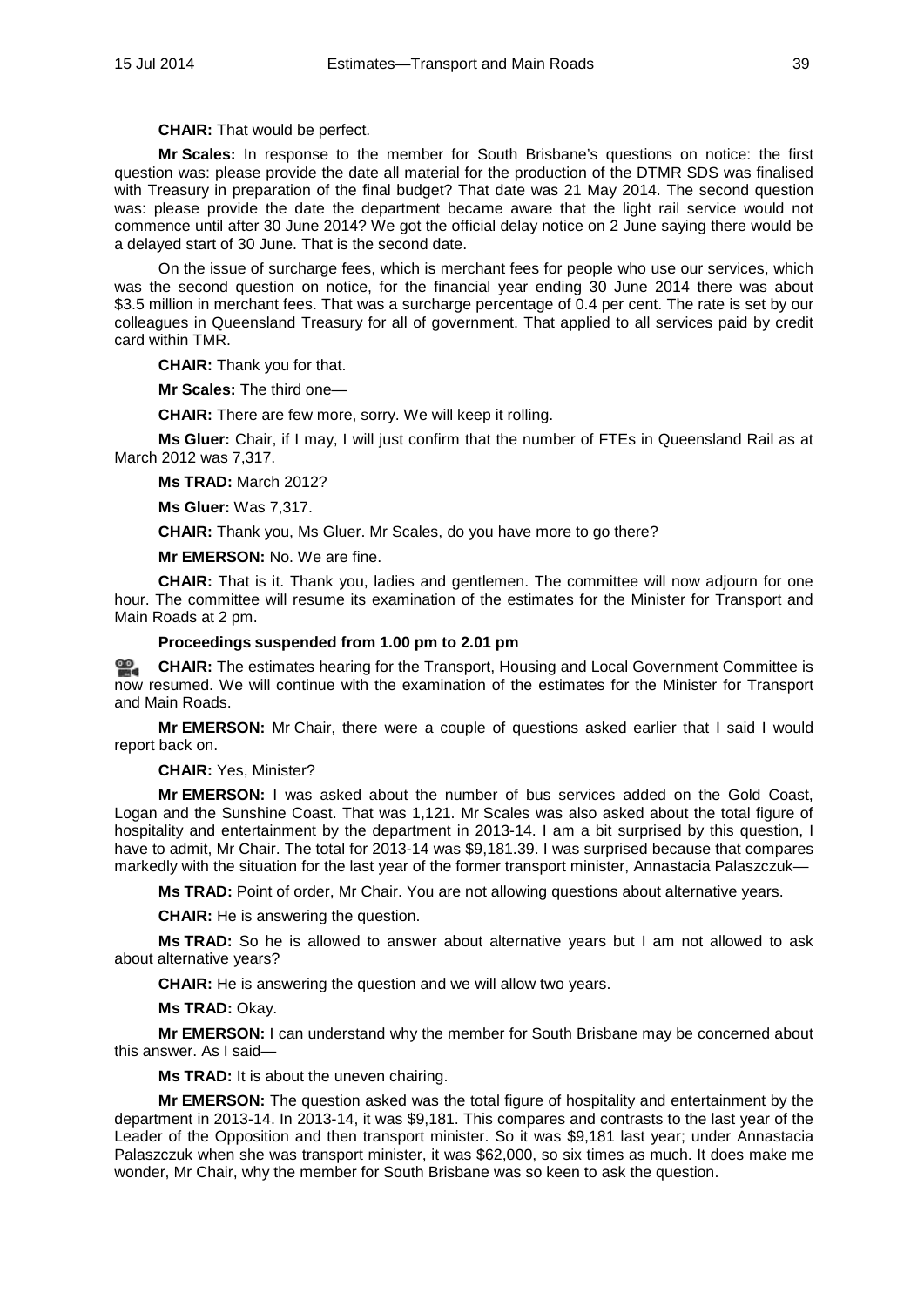**CHAIR:** That would be perfect.

**Mr Scales:** In response to the member for South Brisbane's questions on notice: the first question was: please provide the date all material for the production of the DTMR SDS was finalised with Treasury in preparation of the final budget? That date was 21 May 2014. The second question was: please provide the date the department became aware that the light rail service would not commence until after 30 June 2014? We got the official delay notice on 2 June saying there would be a delayed start of 30 June. That is the second date.

On the issue of surcharge fees, which is merchant fees for people who use our services, which was the second question on notice, for the financial year ending 30 June 2014 there was about \$3.5 million in merchant fees. That was a surcharge percentage of 0.4 per cent. The rate is set by our colleagues in Queensland Treasury for all of government. That applied to all services paid by credit card within TMR.

**CHAIR:** Thank you for that.

**Mr Scales:** The third one—

**CHAIR:** There are few more, sorry. We will keep it rolling.

**Ms Gluer:** Chair, if I may, I will just confirm that the number of FTEs in Queensland Rail as at March 2012 was 7,317.

**Ms TRAD:** March 2012?

**Ms Gluer:** Was 7,317.

**CHAIR:** Thank you, Ms Gluer. Mr Scales, do you have more to go there?

**Mr EMERSON:** No. We are fine.

**CHAIR:** That is it. Thank you, ladies and gentlemen. The committee will now adjourn for one hour. The committee will resume its examination of the estimates for the Minister for Transport and Main Roads at 2 pm.

#### **Proceedings suspended from 1.00 pm to 2.01 pm**

**[CHAIR:](http://www.parliament.qld.gov.au/docs/find.aspx?id=0MbaTHLGC20140715_140109)** The estimates hearing for the Transport, Housing and Local Government Committee is now resumed. We will continue with the examination of the estimates for the Minister for Transport and Main Roads.

**Mr EMERSON:** Mr Chair, there were a couple of questions asked earlier that I said I would report back on.

**CHAIR:** Yes, Minister?

**Mr EMERSON:** I was asked about the number of bus services added on the Gold Coast, Logan and the Sunshine Coast. That was 1,121. Mr Scales was also asked about the total figure of hospitality and entertainment by the department in 2013-14. I am a bit surprised by this question, I have to admit, Mr Chair. The total for 2013-14 was \$9,181.39. I was surprised because that compares markedly with the situation for the last year of the former transport minister, Annastacia Palaszczuk—

**Ms TRAD:** Point of order, Mr Chair. You are not allowing questions about alternative years.

**CHAIR:** He is answering the question.

**Ms TRAD:** So he is allowed to answer about alternative years but I am not allowed to ask about alternative years?

**CHAIR:** He is answering the question and we will allow two years.

**Ms TRAD:** Okay.

**Mr EMERSON:** I can understand why the member for South Brisbane may be concerned about this answer. As I said—

**Ms TRAD:** It is about the uneven chairing.

**Mr EMERSON:** The question asked was the total figure of hospitality and entertainment by the department in 2013-14. In 2013-14, it was \$9,181. This compares and contrasts to the last year of the Leader of the Opposition and then transport minister. So it was \$9,181 last year; under Annastacia Palaszczuk when she was transport minister, it was \$62,000, so six times as much. It does make me wonder, Mr Chair, why the member for South Brisbane was so keen to ask the question.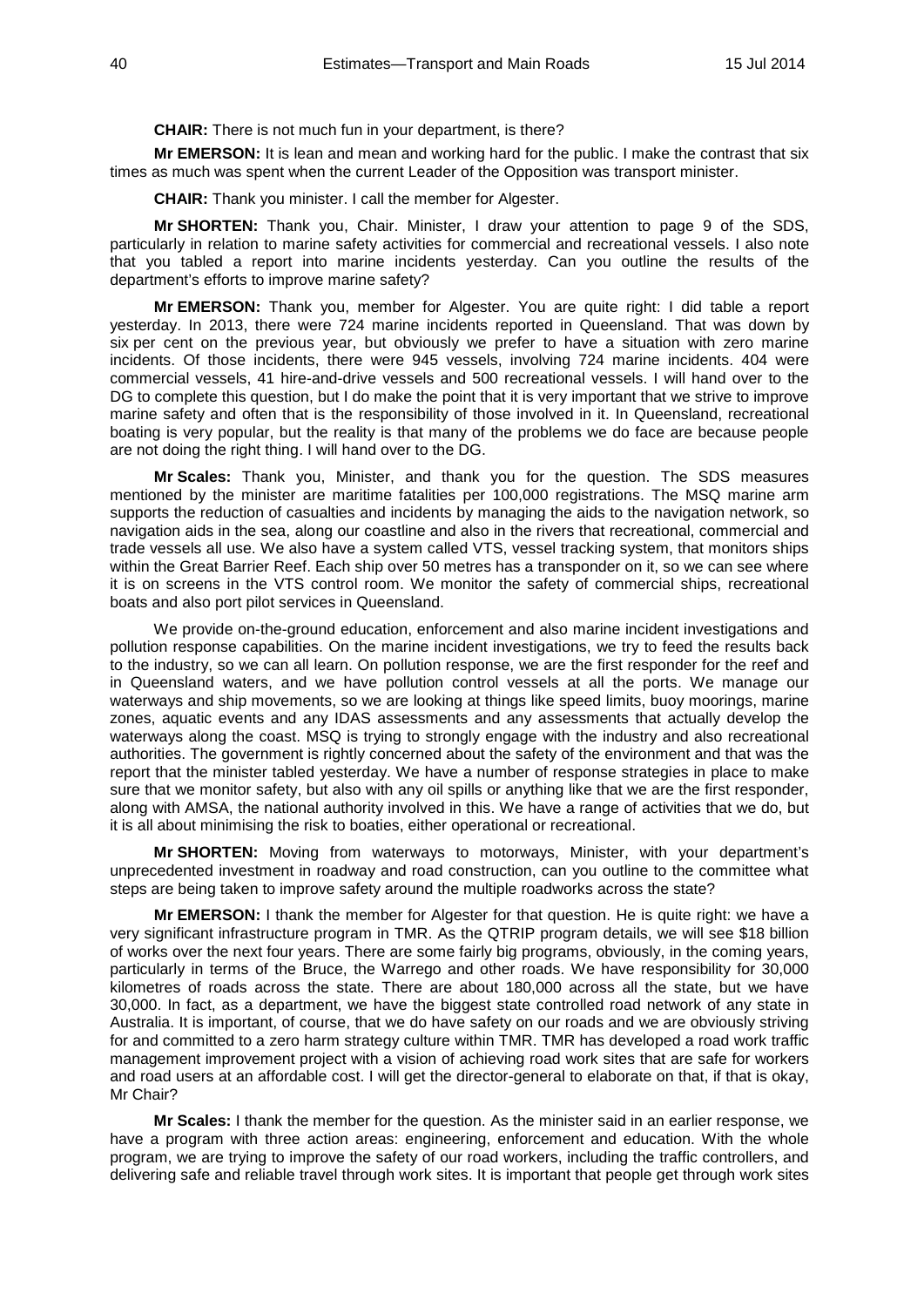**CHAIR:** There is not much fun in your department, is there?

**Mr EMERSON:** It is lean and mean and working hard for the public. I make the contrast that six times as much was spent when the current Leader of the Opposition was transport minister.

**CHAIR:** Thank you minister. I call the member for Algester.

**Mr SHORTEN:** Thank you, Chair. Minister, I draw your attention to page 9 of the SDS, particularly in relation to marine safety activities for commercial and recreational vessels. I also note that you tabled a report into marine incidents yesterday. Can you outline the results of the department's efforts to improve marine safety?

**Mr EMERSON:** Thank you, member for Algester. You are quite right: I did table a report yesterday. In 2013, there were 724 marine incidents reported in Queensland. That was down by six per cent on the previous year, but obviously we prefer to have a situation with zero marine incidents. Of those incidents, there were 945 vessels, involving 724 marine incidents. 404 were commercial vessels, 41 hire-and-drive vessels and 500 recreational vessels. I will hand over to the DG to complete this question, but I do make the point that it is very important that we strive to improve marine safety and often that is the responsibility of those involved in it. In Queensland, recreational boating is very popular, but the reality is that many of the problems we do face are because people are not doing the right thing. I will hand over to the DG.

**Mr Scales:** Thank you, Minister, and thank you for the question. The SDS measures mentioned by the minister are maritime fatalities per 100,000 registrations. The MSQ marine arm supports the reduction of casualties and incidents by managing the aids to the navigation network, so navigation aids in the sea, along our coastline and also in the rivers that recreational, commercial and trade vessels all use. We also have a system called VTS, vessel tracking system, that monitors ships within the Great Barrier Reef. Each ship over 50 metres has a transponder on it, so we can see where it is on screens in the VTS control room. We monitor the safety of commercial ships, recreational boats and also port pilot services in Queensland.

We provide on-the-ground education, enforcement and also marine incident investigations and pollution response capabilities. On the marine incident investigations, we try to feed the results back to the industry, so we can all learn. On pollution response, we are the first responder for the reef and in Queensland waters, and we have pollution control vessels at all the ports. We manage our waterways and ship movements, so we are looking at things like speed limits, buoy moorings, marine zones, aquatic events and any IDAS assessments and any assessments that actually develop the waterways along the coast. MSQ is trying to strongly engage with the industry and also recreational authorities. The government is rightly concerned about the safety of the environment and that was the report that the minister tabled yesterday. We have a number of response strategies in place to make sure that we monitor safety, but also with any oil spills or anything like that we are the first responder, along with AMSA, the national authority involved in this. We have a range of activities that we do, but it is all about minimising the risk to boaties, either operational or recreational.

**Mr SHORTEN:** Moving from waterways to motorways, Minister, with your department's unprecedented investment in roadway and road construction, can you outline to the committee what steps are being taken to improve safety around the multiple roadworks across the state?

**Mr EMERSON:** I thank the member for Algester for that question. He is quite right: we have a very significant infrastructure program in TMR. As the QTRIP program details, we will see \$18 billion of works over the next four years. There are some fairly big programs, obviously, in the coming years, particularly in terms of the Bruce, the Warrego and other roads. We have responsibility for 30,000 kilometres of roads across the state. There are about 180,000 across all the state, but we have 30,000. In fact, as a department, we have the biggest state controlled road network of any state in Australia. It is important, of course, that we do have safety on our roads and we are obviously striving for and committed to a zero harm strategy culture within TMR. TMR has developed a road work traffic management improvement project with a vision of achieving road work sites that are safe for workers and road users at an affordable cost. I will get the director-general to elaborate on that, if that is okay, Mr Chair?

**Mr Scales:** I thank the member for the question. As the minister said in an earlier response, we have a program with three action areas: engineering, enforcement and education. With the whole program, we are trying to improve the safety of our road workers, including the traffic controllers, and delivering safe and reliable travel through work sites. It is important that people get through work sites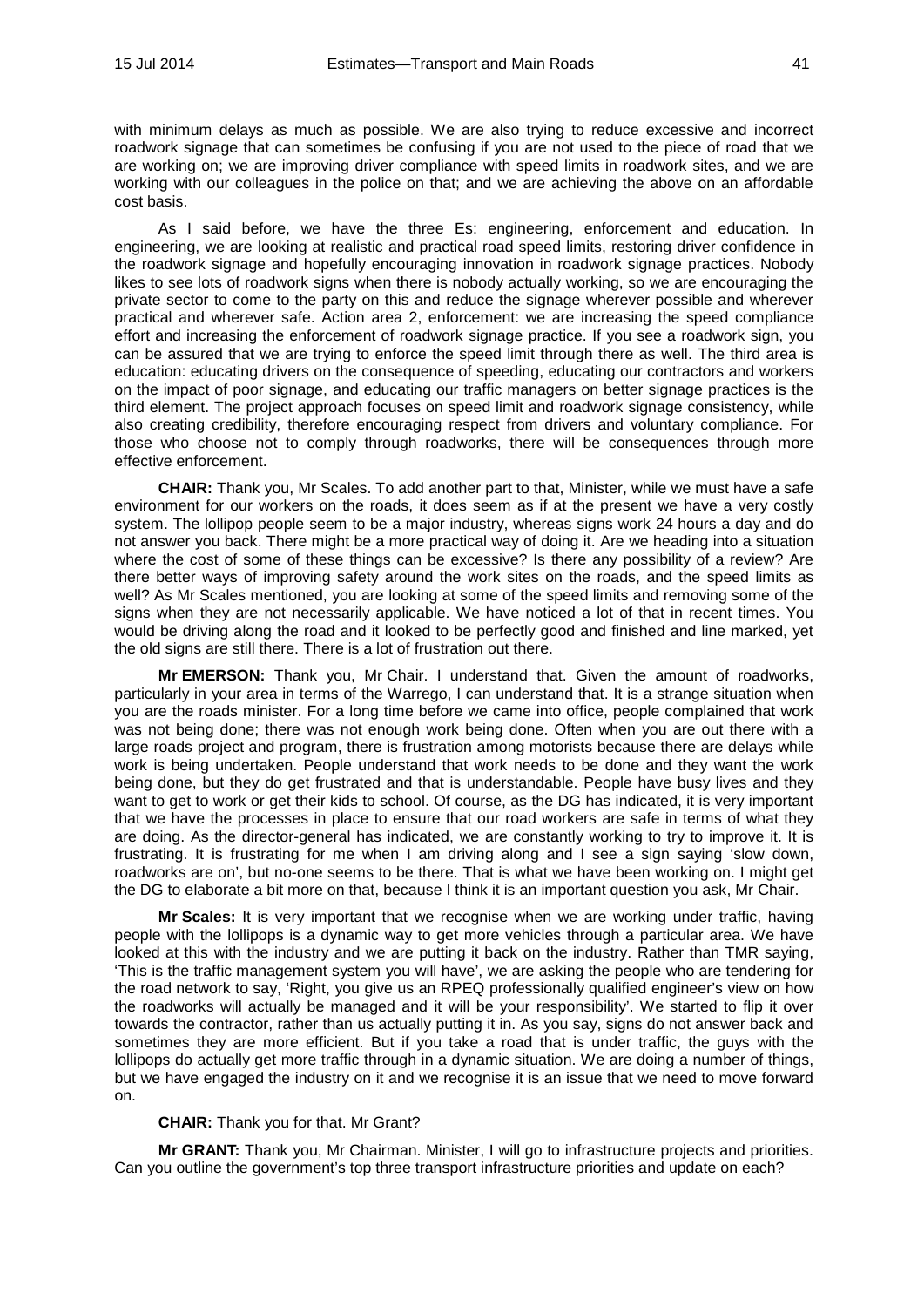with minimum delays as much as possible. We are also trying to reduce excessive and incorrect roadwork signage that can sometimes be confusing if you are not used to the piece of road that we are working on; we are improving driver compliance with speed limits in roadwork sites, and we are working with our colleagues in the police on that; and we are achieving the above on an affordable cost basis.

As I said before, we have the three Es: engineering, enforcement and education. In engineering, we are looking at realistic and practical road speed limits, restoring driver confidence in the roadwork signage and hopefully encouraging innovation in roadwork signage practices. Nobody likes to see lots of roadwork signs when there is nobody actually working, so we are encouraging the private sector to come to the party on this and reduce the signage wherever possible and wherever practical and wherever safe. Action area 2, enforcement: we are increasing the speed compliance effort and increasing the enforcement of roadwork signage practice. If you see a roadwork sign, you can be assured that we are trying to enforce the speed limit through there as well. The third area is education: educating drivers on the consequence of speeding, educating our contractors and workers on the impact of poor signage, and educating our traffic managers on better signage practices is the third element. The project approach focuses on speed limit and roadwork signage consistency, while also creating credibility, therefore encouraging respect from drivers and voluntary compliance. For those who choose not to comply through roadworks, there will be consequences through more effective enforcement.

**CHAIR:** Thank you, Mr Scales. To add another part to that, Minister, while we must have a safe environment for our workers on the roads, it does seem as if at the present we have a very costly system. The lollipop people seem to be a major industry, whereas signs work 24 hours a day and do not answer you back. There might be a more practical way of doing it. Are we heading into a situation where the cost of some of these things can be excessive? Is there any possibility of a review? Are there better ways of improving safety around the work sites on the roads, and the speed limits as well? As Mr Scales mentioned, you are looking at some of the speed limits and removing some of the signs when they are not necessarily applicable. We have noticed a lot of that in recent times. You would be driving along the road and it looked to be perfectly good and finished and line marked, yet the old signs are still there. There is a lot of frustration out there.

**Mr EMERSON:** Thank you, Mr Chair. I understand that. Given the amount of roadworks, particularly in your area in terms of the Warrego, I can understand that. It is a strange situation when you are the roads minister. For a long time before we came into office, people complained that work was not being done; there was not enough work being done. Often when you are out there with a large roads project and program, there is frustration among motorists because there are delays while work is being undertaken. People understand that work needs to be done and they want the work being done, but they do get frustrated and that is understandable. People have busy lives and they want to get to work or get their kids to school. Of course, as the DG has indicated, it is very important that we have the processes in place to ensure that our road workers are safe in terms of what they are doing. As the director-general has indicated, we are constantly working to try to improve it. It is frustrating. It is frustrating for me when I am driving along and I see a sign saying 'slow down, roadworks are on', but no-one seems to be there. That is what we have been working on. I might get the DG to elaborate a bit more on that, because I think it is an important question you ask, Mr Chair.

**Mr Scales:** It is very important that we recognise when we are working under traffic, having people with the lollipops is a dynamic way to get more vehicles through a particular area. We have looked at this with the industry and we are putting it back on the industry. Rather than TMR saying, 'This is the traffic management system you will have', we are asking the people who are tendering for the road network to say, 'Right, you give us an RPEQ professionally qualified engineer's view on how the roadworks will actually be managed and it will be your responsibility'. We started to flip it over towards the contractor, rather than us actually putting it in. As you say, signs do not answer back and sometimes they are more efficient. But if you take a road that is under traffic, the guys with the lollipops do actually get more traffic through in a dynamic situation. We are doing a number of things, but we have engaged the industry on it and we recognise it is an issue that we need to move forward on.

#### **CHAIR:** Thank you for that. Mr Grant?

**Mr GRANT:** Thank you, Mr Chairman. Minister, I will go to infrastructure projects and priorities. Can you outline the government's top three transport infrastructure priorities and update on each?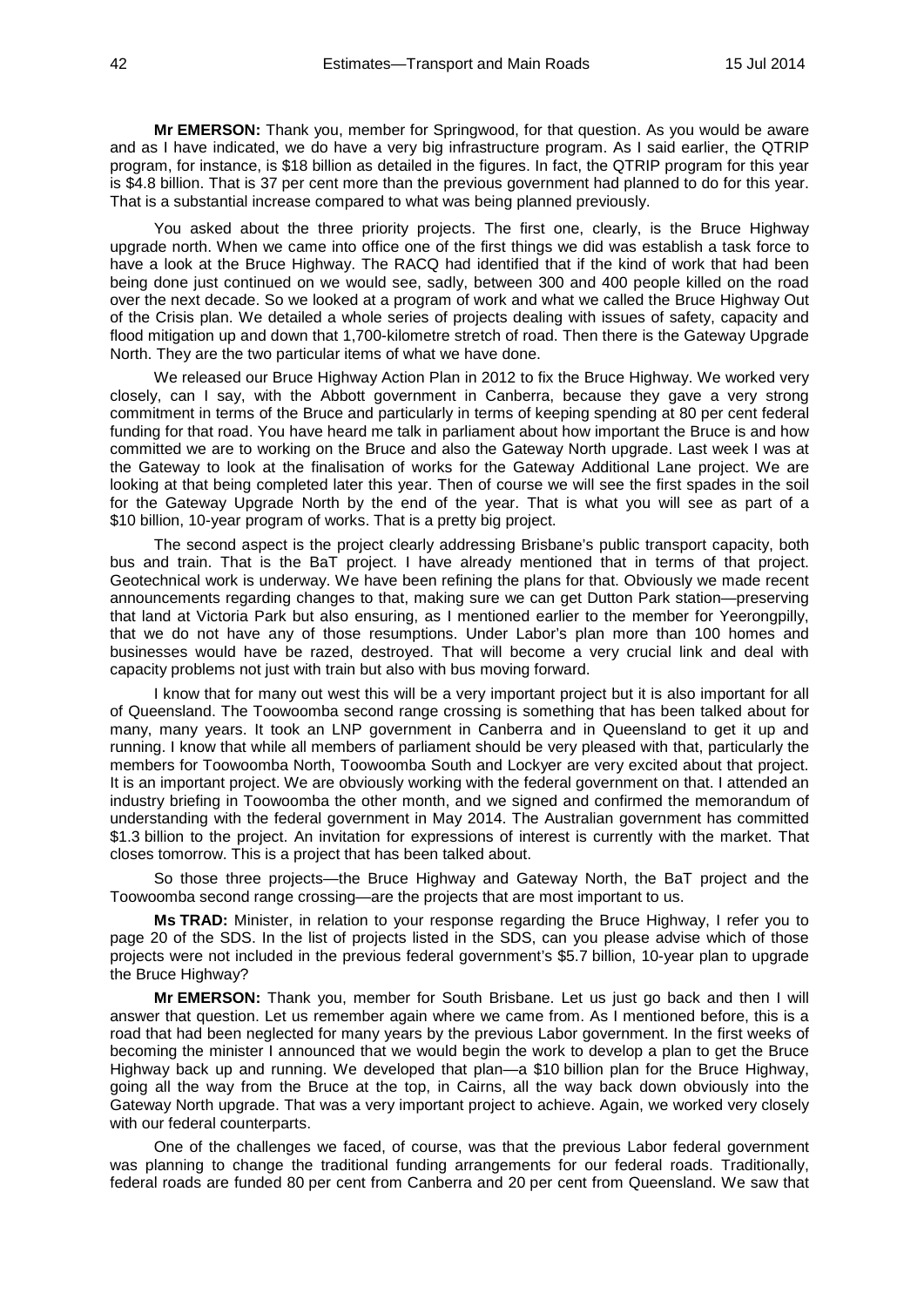**Mr EMERSON:** Thank you, member for Springwood, for that question. As you would be aware and as I have indicated, we do have a very big infrastructure program. As I said earlier, the QTRIP program, for instance, is \$18 billion as detailed in the figures. In fact, the QTRIP program for this year is \$4.8 billion. That is 37 per cent more than the previous government had planned to do for this year. That is a substantial increase compared to what was being planned previously.

You asked about the three priority projects. The first one, clearly, is the Bruce Highway upgrade north. When we came into office one of the first things we did was establish a task force to have a look at the Bruce Highway. The RACQ had identified that if the kind of work that had been being done just continued on we would see, sadly, between 300 and 400 people killed on the road over the next decade. So we looked at a program of work and what we called the Bruce Highway Out of the Crisis plan. We detailed a whole series of projects dealing with issues of safety, capacity and flood mitigation up and down that 1,700-kilometre stretch of road. Then there is the Gateway Upgrade North. They are the two particular items of what we have done.

We released our Bruce Highway Action Plan in 2012 to fix the Bruce Highway. We worked very closely, can I say, with the Abbott government in Canberra, because they gave a very strong commitment in terms of the Bruce and particularly in terms of keeping spending at 80 per cent federal funding for that road. You have heard me talk in parliament about how important the Bruce is and how committed we are to working on the Bruce and also the Gateway North upgrade. Last week I was at the Gateway to look at the finalisation of works for the Gateway Additional Lane project. We are looking at that being completed later this year. Then of course we will see the first spades in the soil for the Gateway Upgrade North by the end of the year. That is what you will see as part of a \$10 billion, 10-year program of works. That is a pretty big project.

The second aspect is the project clearly addressing Brisbane's public transport capacity, both bus and train. That is the BaT project. I have already mentioned that in terms of that project. Geotechnical work is underway. We have been refining the plans for that. Obviously we made recent announcements regarding changes to that, making sure we can get Dutton Park station—preserving that land at Victoria Park but also ensuring, as I mentioned earlier to the member for Yeerongpilly, that we do not have any of those resumptions. Under Labor's plan more than 100 homes and businesses would have be razed, destroyed. That will become a very crucial link and deal with capacity problems not just with train but also with bus moving forward.

I know that for many out west this will be a very important project but it is also important for all of Queensland. The Toowoomba second range crossing is something that has been talked about for many, many years. It took an LNP government in Canberra and in Queensland to get it up and running. I know that while all members of parliament should be very pleased with that, particularly the members for Toowoomba North, Toowoomba South and Lockyer are very excited about that project. It is an important project. We are obviously working with the federal government on that. I attended an industry briefing in Toowoomba the other month, and we signed and confirmed the memorandum of understanding with the federal government in May 2014. The Australian government has committed \$1.3 billion to the project. An invitation for expressions of interest is currently with the market. That closes tomorrow. This is a project that has been talked about.

So those three projects—the Bruce Highway and Gateway North, the BaT project and the Toowoomba second range crossing—are the projects that are most important to us.

**Ms TRAD:** Minister, in relation to your response regarding the Bruce Highway, I refer you to page 20 of the SDS. In the list of projects listed in the SDS, can you please advise which of those projects were not included in the previous federal government's \$5.7 billion, 10-year plan to upgrade the Bruce Highway?

**Mr EMERSON:** Thank you, member for South Brisbane. Let us just go back and then I will answer that question. Let us remember again where we came from. As I mentioned before, this is a road that had been neglected for many years by the previous Labor government. In the first weeks of becoming the minister I announced that we would begin the work to develop a plan to get the Bruce Highway back up and running. We developed that plan—a \$10 billion plan for the Bruce Highway, going all the way from the Bruce at the top, in Cairns, all the way back down obviously into the Gateway North upgrade. That was a very important project to achieve. Again, we worked very closely with our federal counterparts.

One of the challenges we faced, of course, was that the previous Labor federal government was planning to change the traditional funding arrangements for our federal roads. Traditionally, federal roads are funded 80 per cent from Canberra and 20 per cent from Queensland. We saw that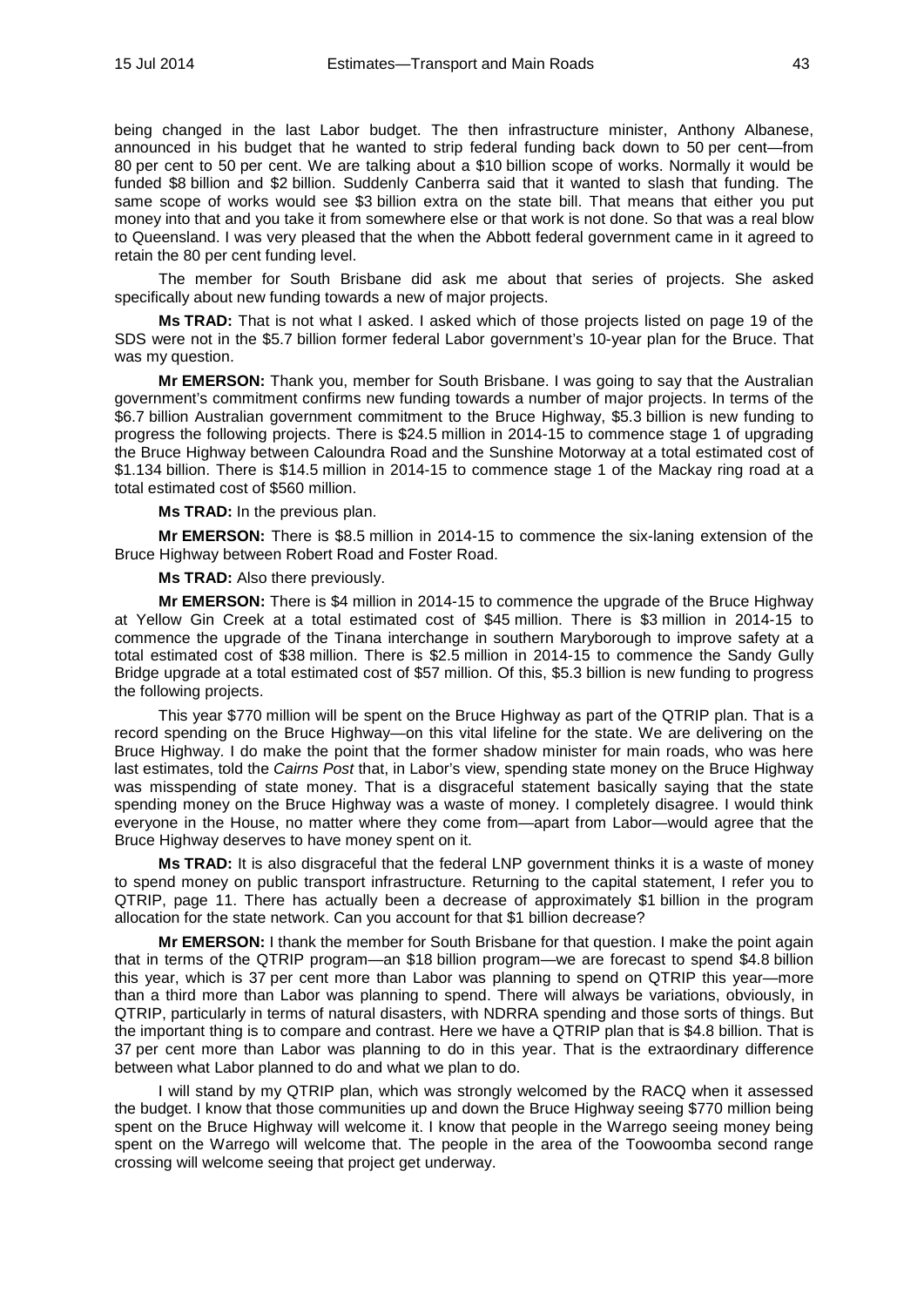being changed in the last Labor budget. The then infrastructure minister, Anthony Albanese, announced in his budget that he wanted to strip federal funding back down to 50 per cent—from 80 per cent to 50 per cent. We are talking about a \$10 billion scope of works. Normally it would be funded \$8 billion and \$2 billion. Suddenly Canberra said that it wanted to slash that funding. The same scope of works would see \$3 billion extra on the state bill. That means that either you put money into that and you take it from somewhere else or that work is not done. So that was a real blow to Queensland. I was very pleased that the when the Abbott federal government came in it agreed to retain the 80 per cent funding level.

The member for South Brisbane did ask me about that series of projects. She asked specifically about new funding towards a new of major projects.

**Ms TRAD:** That is not what I asked. I asked which of those projects listed on page 19 of the SDS were not in the \$5.7 billion former federal Labor government's 10-year plan for the Bruce. That was my question.

**Mr EMERSON:** Thank you, member for South Brisbane. I was going to say that the Australian government's commitment confirms new funding towards a number of major projects. In terms of the \$6.7 billion Australian government commitment to the Bruce Highway, \$5.3 billion is new funding to progress the following projects. There is \$24.5 million in 2014-15 to commence stage 1 of upgrading the Bruce Highway between Caloundra Road and the Sunshine Motorway at a total estimated cost of \$1.134 billion. There is \$14.5 million in 2014-15 to commence stage 1 of the Mackay ring road at a total estimated cost of \$560 million.

**Ms TRAD:** In the previous plan.

**Mr EMERSON:** There is \$8.5 million in 2014-15 to commence the six-laning extension of the Bruce Highway between Robert Road and Foster Road.

**Ms TRAD:** Also there previously.

**Mr EMERSON:** There is \$4 million in 2014-15 to commence the upgrade of the Bruce Highway at Yellow Gin Creek at a total estimated cost of \$45 million. There is \$3 million in 2014-15 to commence the upgrade of the Tinana interchange in southern Maryborough to improve safety at a total estimated cost of \$38 million. There is \$2.5 million in 2014-15 to commence the Sandy Gully Bridge upgrade at a total estimated cost of \$57 million. Of this, \$5.3 billion is new funding to progress the following projects.

This year \$770 million will be spent on the Bruce Highway as part of the QTRIP plan. That is a record spending on the Bruce Highway—on this vital lifeline for the state. We are delivering on the Bruce Highway. I do make the point that the former shadow minister for main roads, who was here last estimates, told the *Cairns Post* that, in Labor's view, spending state money on the Bruce Highway was misspending of state money. That is a disgraceful statement basically saying that the state spending money on the Bruce Highway was a waste of money. I completely disagree. I would think everyone in the House, no matter where they come from—apart from Labor—would agree that the Bruce Highway deserves to have money spent on it.

**Ms TRAD:** It is also disgraceful that the federal LNP government thinks it is a waste of money to spend money on public transport infrastructure. Returning to the capital statement, I refer you to QTRIP, page 11. There has actually been a decrease of approximately \$1 billion in the program allocation for the state network. Can you account for that \$1 billion decrease?

**Mr EMERSON:** I thank the member for South Brisbane for that question. I make the point again that in terms of the QTRIP program—an \$18 billion program—we are forecast to spend \$4.8 billion this year, which is 37 per cent more than Labor was planning to spend on QTRIP this year—more than a third more than Labor was planning to spend. There will always be variations, obviously, in QTRIP, particularly in terms of natural disasters, with NDRRA spending and those sorts of things. But the important thing is to compare and contrast. Here we have a QTRIP plan that is \$4.8 billion. That is 37 per cent more than Labor was planning to do in this year. That is the extraordinary difference between what Labor planned to do and what we plan to do.

I will stand by my QTRIP plan, which was strongly welcomed by the RACQ when it assessed the budget. I know that those communities up and down the Bruce Highway seeing \$770 million being spent on the Bruce Highway will welcome it. I know that people in the Warrego seeing money being spent on the Warrego will welcome that. The people in the area of the Toowoomba second range crossing will welcome seeing that project get underway.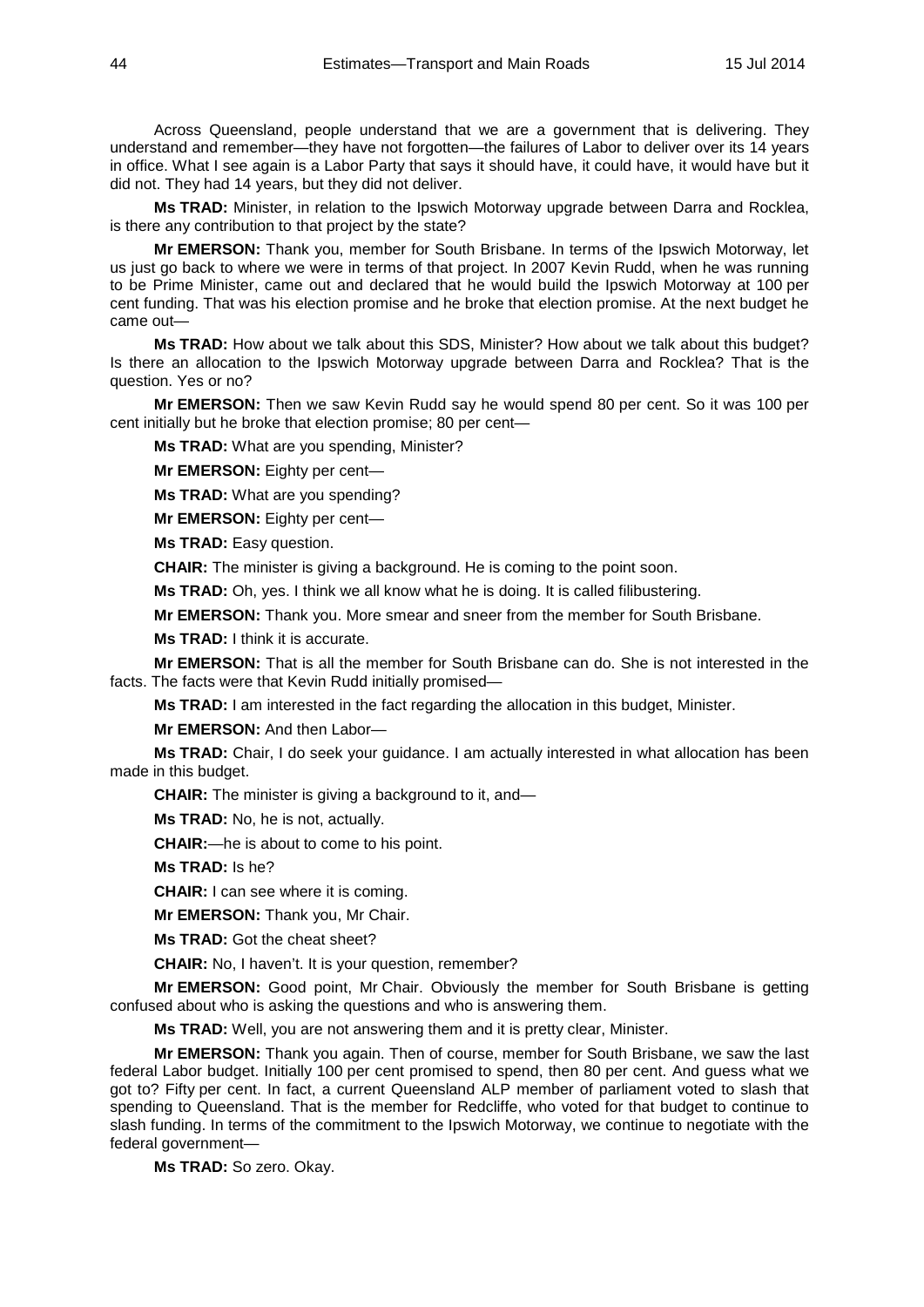Across Queensland, people understand that we are a government that is delivering. They understand and remember—they have not forgotten—the failures of Labor to deliver over its 14 years in office. What I see again is a Labor Party that says it should have, it could have, it would have but it did not. They had 14 years, but they did not deliver.

**Ms TRAD:** Minister, in relation to the Ipswich Motorway upgrade between Darra and Rocklea, is there any contribution to that project by the state?

**Mr EMERSON:** Thank you, member for South Brisbane. In terms of the Ipswich Motorway, let us just go back to where we were in terms of that project. In 2007 Kevin Rudd, when he was running to be Prime Minister, came out and declared that he would build the Ipswich Motorway at 100 per cent funding. That was his election promise and he broke that election promise. At the next budget he came out—

**Ms TRAD:** How about we talk about this SDS, Minister? How about we talk about this budget? Is there an allocation to the Ipswich Motorway upgrade between Darra and Rocklea? That is the question. Yes or no?

**Mr EMERSON:** Then we saw Kevin Rudd say he would spend 80 per cent. So it was 100 per cent initially but he broke that election promise; 80 per cent—

**Ms TRAD:** What are you spending, Minister?

**Mr EMERSON:** Eighty per cent—

**Ms TRAD:** What are you spending?

**Mr EMERSON:** Eighty per cent—

**Ms TRAD:** Easy question.

**CHAIR:** The minister is giving a background. He is coming to the point soon.

**Ms TRAD:** Oh, yes. I think we all know what he is doing. It is called filibustering.

**Mr EMERSON:** Thank you. More smear and sneer from the member for South Brisbane.

**Ms TRAD:** I think it is accurate.

**Mr EMERSON:** That is all the member for South Brisbane can do. She is not interested in the facts. The facts were that Kevin Rudd initially promised—

**Ms TRAD:** I am interested in the fact regarding the allocation in this budget, Minister.

**Mr EMERSON:** And then Labor—

**Ms TRAD:** Chair, I do seek your guidance. I am actually interested in what allocation has been made in this budget.

**CHAIR:** The minister is giving a background to it, and—

**Ms TRAD:** No, he is not, actually.

**CHAIR:**—he is about to come to his point.

**Ms TRAD:** Is he?

**CHAIR:** I can see where it is coming.

**Mr EMERSON:** Thank you, Mr Chair.

**Ms TRAD:** Got the cheat sheet?

**CHAIR:** No, I haven't. It is your question, remember?

**Mr EMERSON:** Good point, Mr Chair. Obviously the member for South Brisbane is getting confused about who is asking the questions and who is answering them.

**Ms TRAD:** Well, you are not answering them and it is pretty clear, Minister.

**Mr EMERSON:** Thank you again. Then of course, member for South Brisbane, we saw the last federal Labor budget. Initially 100 per cent promised to spend, then 80 per cent. And guess what we got to? Fifty per cent. In fact, a current Queensland ALP member of parliament voted to slash that spending to Queensland. That is the member for Redcliffe, who voted for that budget to continue to slash funding. In terms of the commitment to the Ipswich Motorway, we continue to negotiate with the federal government—

**Ms TRAD:** So zero. Okay.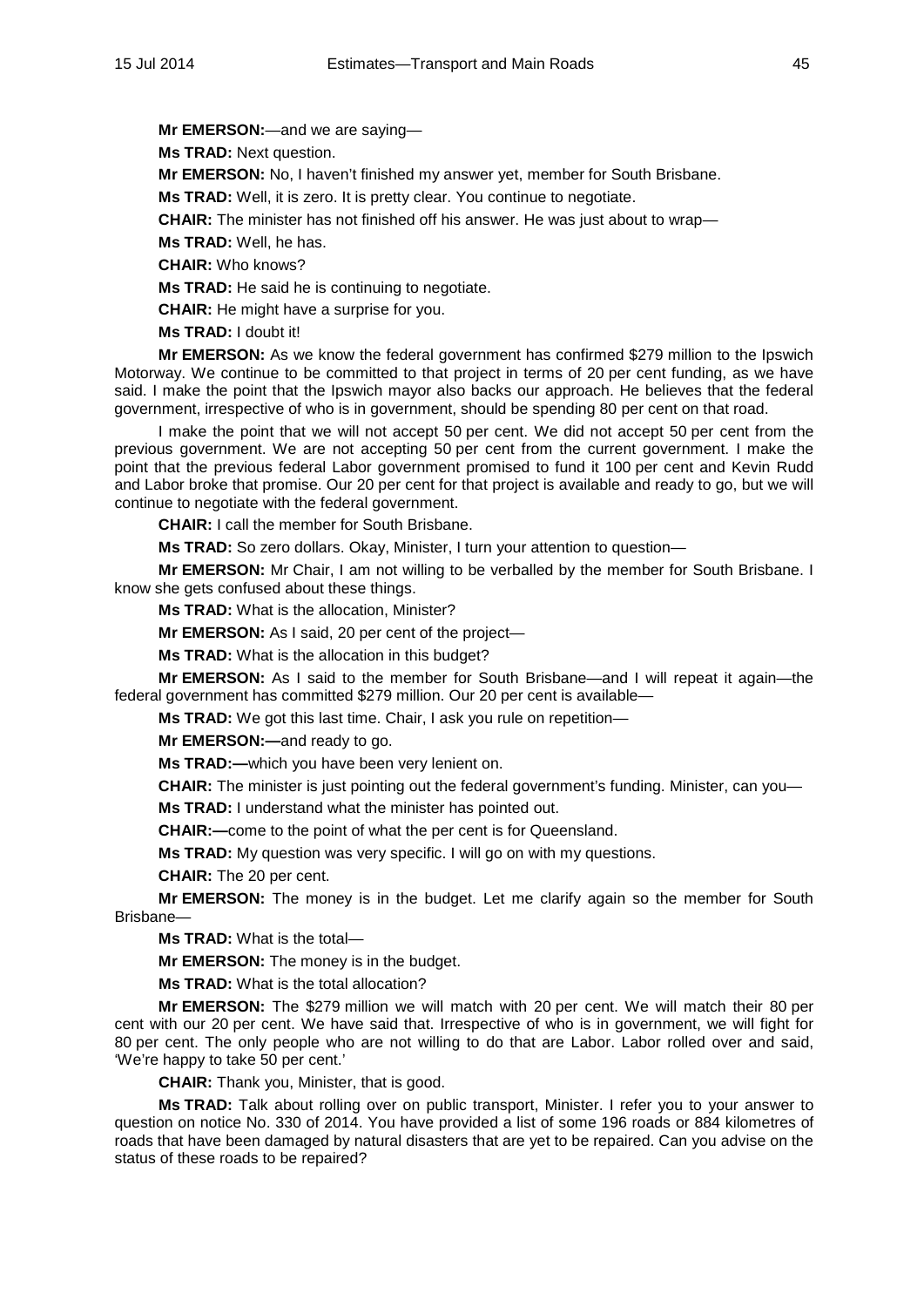**Mr EMERSON:**—and we are saying—

**Ms TRAD:** Next question.

**Mr EMERSON:** No, I haven't finished my answer yet, member for South Brisbane.

**Ms TRAD:** Well, it is zero. It is pretty clear. You continue to negotiate.

**CHAIR:** The minister has not finished off his answer. He was just about to wrap—

**Ms TRAD:** Well, he has.

**CHAIR:** Who knows?

**Ms TRAD:** He said he is continuing to negotiate.

**CHAIR:** He might have a surprise for you.

**Ms TRAD:** I doubt it!

**Mr EMERSON:** As we know the federal government has confirmed \$279 million to the Ipswich Motorway. We continue to be committed to that project in terms of 20 per cent funding, as we have said. I make the point that the Ipswich mayor also backs our approach. He believes that the federal government, irrespective of who is in government, should be spending 80 per cent on that road.

I make the point that we will not accept 50 per cent. We did not accept 50 per cent from the previous government. We are not accepting 50 per cent from the current government. I make the point that the previous federal Labor government promised to fund it 100 per cent and Kevin Rudd and Labor broke that promise. Our 20 per cent for that project is available and ready to go, but we will continue to negotiate with the federal government.

**CHAIR:** I call the member for South Brisbane.

**Ms TRAD:** So zero dollars. Okay, Minister, I turn your attention to question—

**Mr EMERSON:** Mr Chair, I am not willing to be verballed by the member for South Brisbane. I know she gets confused about these things.

**Ms TRAD:** What is the allocation, Minister?

**Mr EMERSON:** As I said, 20 per cent of the project—

**Ms TRAD:** What is the allocation in this budget?

**Mr EMERSON:** As I said to the member for South Brisbane—and I will repeat it again—the federal government has committed \$279 million. Our 20 per cent is available—

**Ms TRAD:** We got this last time. Chair, I ask you rule on repetition—

**Mr EMERSON:—**and ready to go.

**Ms TRAD:—**which you have been very lenient on.

**CHAIR:** The minister is just pointing out the federal government's funding. Minister, can you—

**Ms TRAD:** I understand what the minister has pointed out.

**CHAIR:—**come to the point of what the per cent is for Queensland.

**Ms TRAD:** My question was very specific. I will go on with my questions.

**CHAIR:** The 20 per cent.

**Mr EMERSON:** The money is in the budget. Let me clarify again so the member for South Brisbane—

**Ms TRAD:** What is the total—

**Mr EMERSON:** The money is in the budget.

**Ms TRAD:** What is the total allocation?

**Mr EMERSON:** The \$279 million we will match with 20 per cent. We will match their 80 per cent with our 20 per cent. We have said that. Irrespective of who is in government, we will fight for 80 per cent. The only people who are not willing to do that are Labor. Labor rolled over and said, 'We're happy to take 50 per cent.'

**CHAIR:** Thank you, Minister, that is good.

**Ms TRAD:** Talk about rolling over on public transport, Minister. I refer you to your answer to question on notice No. 330 of 2014. You have provided a list of some 196 roads or 884 kilometres of roads that have been damaged by natural disasters that are yet to be repaired. Can you advise on the status of these roads to be repaired?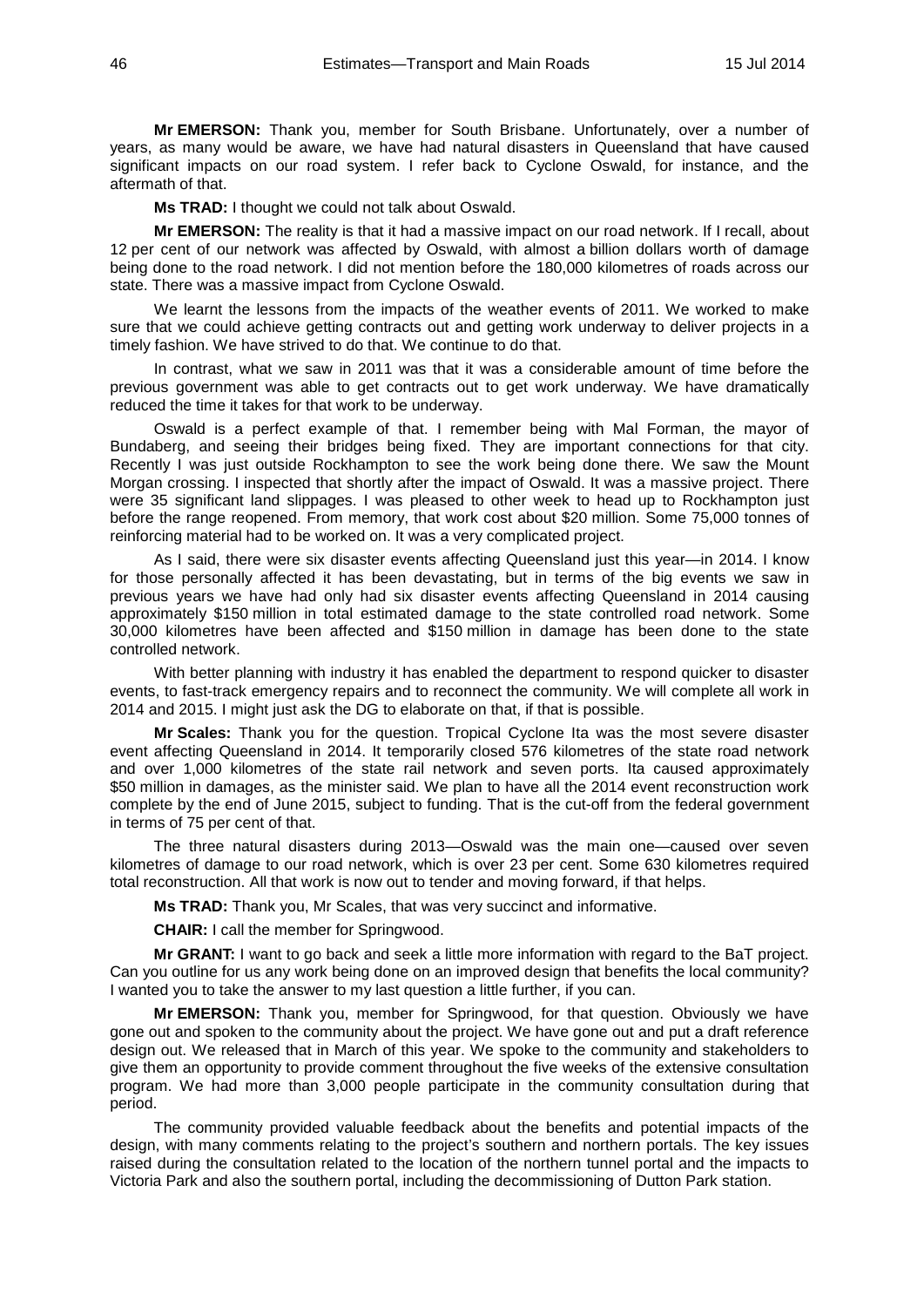**Mr EMERSON:** Thank you, member for South Brisbane. Unfortunately, over a number of years, as many would be aware, we have had natural disasters in Queensland that have caused significant impacts on our road system. I refer back to Cyclone Oswald, for instance, and the aftermath of that.

**Ms TRAD:** I thought we could not talk about Oswald.

**Mr EMERSON:** The reality is that it had a massive impact on our road network. If I recall, about 12 per cent of our network was affected by Oswald, with almost a billion dollars worth of damage being done to the road network. I did not mention before the 180,000 kilometres of roads across our state. There was a massive impact from Cyclone Oswald.

We learnt the lessons from the impacts of the weather events of 2011. We worked to make sure that we could achieve getting contracts out and getting work underway to deliver projects in a timely fashion. We have strived to do that. We continue to do that.

In contrast, what we saw in 2011 was that it was a considerable amount of time before the previous government was able to get contracts out to get work underway. We have dramatically reduced the time it takes for that work to be underway.

Oswald is a perfect example of that. I remember being with Mal Forman, the mayor of Bundaberg, and seeing their bridges being fixed. They are important connections for that city. Recently I was just outside Rockhampton to see the work being done there. We saw the Mount Morgan crossing. I inspected that shortly after the impact of Oswald. It was a massive project. There were 35 significant land slippages. I was pleased to other week to head up to Rockhampton just before the range reopened. From memory, that work cost about \$20 million. Some 75,000 tonnes of reinforcing material had to be worked on. It was a very complicated project.

As I said, there were six disaster events affecting Queensland just this year—in 2014. I know for those personally affected it has been devastating, but in terms of the big events we saw in previous years we have had only had six disaster events affecting Queensland in 2014 causing approximately \$150 million in total estimated damage to the state controlled road network. Some 30,000 kilometres have been affected and \$150 million in damage has been done to the state controlled network.

With better planning with industry it has enabled the department to respond quicker to disaster events, to fast-track emergency repairs and to reconnect the community. We will complete all work in 2014 and 2015. I might just ask the DG to elaborate on that, if that is possible.

**Mr Scales:** Thank you for the question. Tropical Cyclone Ita was the most severe disaster event affecting Queensland in 2014. It temporarily closed 576 kilometres of the state road network and over 1,000 kilometres of the state rail network and seven ports. Ita caused approximately \$50 million in damages, as the minister said. We plan to have all the 2014 event reconstruction work complete by the end of June 2015, subject to funding. That is the cut-off from the federal government in terms of 75 per cent of that.

The three natural disasters during 2013—Oswald was the main one—caused over seven kilometres of damage to our road network, which is over 23 per cent. Some 630 kilometres required total reconstruction. All that work is now out to tender and moving forward, if that helps.

**Ms TRAD:** Thank you, Mr Scales, that was very succinct and informative.

**CHAIR:** I call the member for Springwood.

**Mr GRANT:** I want to go back and seek a little more information with regard to the BaT project. Can you outline for us any work being done on an improved design that benefits the local community? I wanted you to take the answer to my last question a little further, if you can.

**Mr EMERSON:** Thank you, member for Springwood, for that question. Obviously we have gone out and spoken to the community about the project. We have gone out and put a draft reference design out. We released that in March of this year. We spoke to the community and stakeholders to give them an opportunity to provide comment throughout the five weeks of the extensive consultation program. We had more than 3,000 people participate in the community consultation during that period.

The community provided valuable feedback about the benefits and potential impacts of the design, with many comments relating to the project's southern and northern portals. The key issues raised during the consultation related to the location of the northern tunnel portal and the impacts to Victoria Park and also the southern portal, including the decommissioning of Dutton Park station.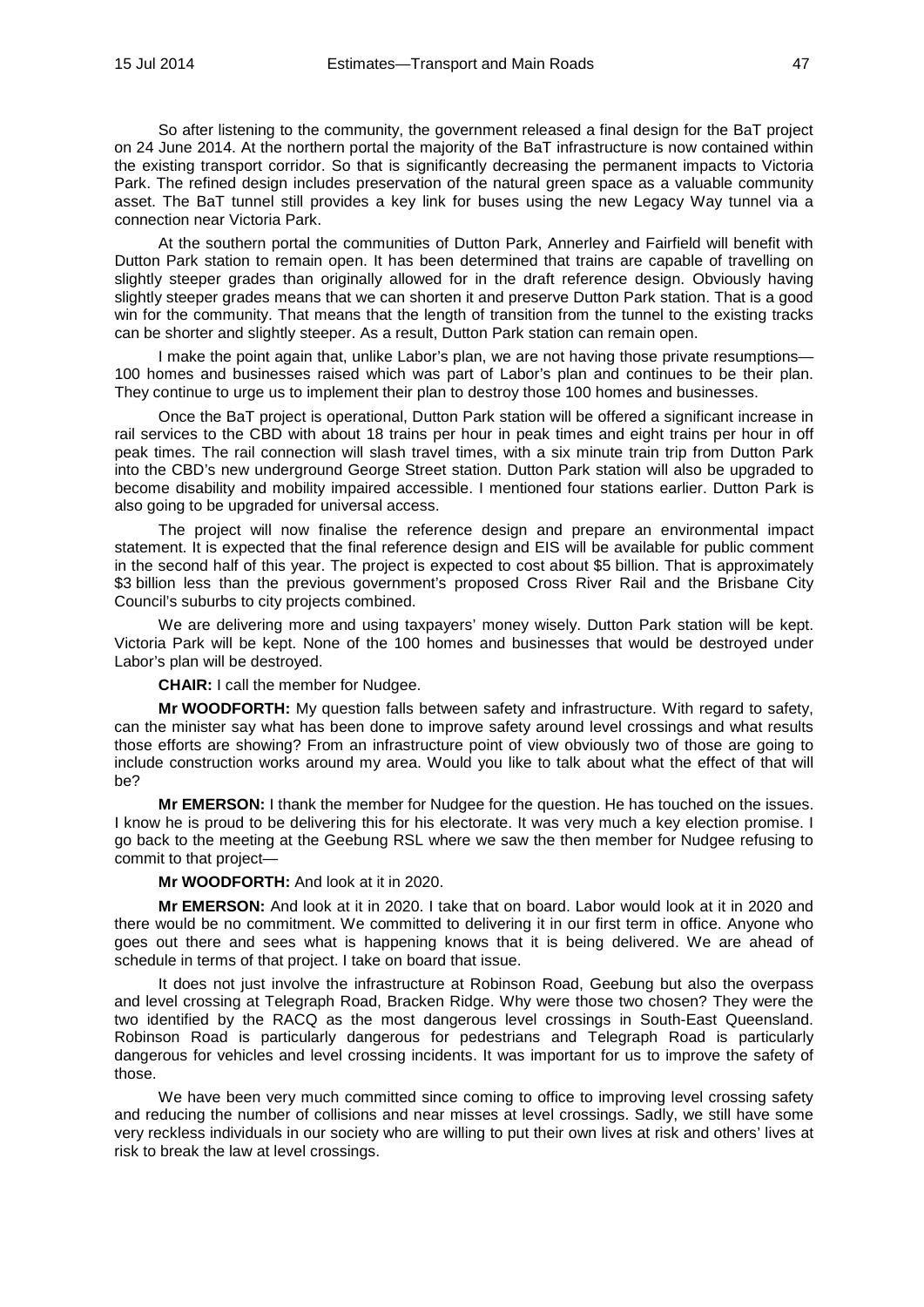So after listening to the community, the government released a final design for the BaT project on 24 June 2014. At the northern portal the majority of the BaT infrastructure is now contained within the existing transport corridor. So that is significantly decreasing the permanent impacts to Victoria Park. The refined design includes preservation of the natural green space as a valuable community asset. The BaT tunnel still provides a key link for buses using the new Legacy Way tunnel via a connection near Victoria Park.

At the southern portal the communities of Dutton Park, Annerley and Fairfield will benefit with Dutton Park station to remain open. It has been determined that trains are capable of travelling on slightly steeper grades than originally allowed for in the draft reference design. Obviously having slightly steeper grades means that we can shorten it and preserve Dutton Park station. That is a good win for the community. That means that the length of transition from the tunnel to the existing tracks can be shorter and slightly steeper. As a result, Dutton Park station can remain open.

I make the point again that, unlike Labor's plan, we are not having those private resumptions— 100 homes and businesses raised which was part of Labor's plan and continues to be their plan. They continue to urge us to implement their plan to destroy those 100 homes and businesses.

Once the BaT project is operational, Dutton Park station will be offered a significant increase in rail services to the CBD with about 18 trains per hour in peak times and eight trains per hour in off peak times. The rail connection will slash travel times, with a six minute train trip from Dutton Park into the CBD's new underground George Street station. Dutton Park station will also be upgraded to become disability and mobility impaired accessible. I mentioned four stations earlier. Dutton Park is also going to be upgraded for universal access.

The project will now finalise the reference design and prepare an environmental impact statement. It is expected that the final reference design and EIS will be available for public comment in the second half of this year. The project is expected to cost about \$5 billion. That is approximately \$3 billion less than the previous government's proposed Cross River Rail and the Brisbane City Council's suburbs to city projects combined.

We are delivering more and using taxpayers' money wisely. Dutton Park station will be kept. Victoria Park will be kept. None of the 100 homes and businesses that would be destroyed under Labor's plan will be destroyed.

**CHAIR:** I call the member for Nudgee.

**Mr WOODFORTH:** My question falls between safety and infrastructure. With regard to safety, can the minister say what has been done to improve safety around level crossings and what results those efforts are showing? From an infrastructure point of view obviously two of those are going to include construction works around my area. Would you like to talk about what the effect of that will be?

**Mr EMERSON:** I thank the member for Nudgee for the question. He has touched on the issues. I know he is proud to be delivering this for his electorate. It was very much a key election promise. I go back to the meeting at the Geebung RSL where we saw the then member for Nudgee refusing to commit to that project—

# **Mr WOODFORTH:** And look at it in 2020.

**Mr EMERSON:** And look at it in 2020. I take that on board. Labor would look at it in 2020 and there would be no commitment. We committed to delivering it in our first term in office. Anyone who goes out there and sees what is happening knows that it is being delivered. We are ahead of schedule in terms of that project. I take on board that issue.

It does not just involve the infrastructure at Robinson Road, Geebung but also the overpass and level crossing at Telegraph Road, Bracken Ridge. Why were those two chosen? They were the two identified by the RACQ as the most dangerous level crossings in South-East Queensland. Robinson Road is particularly dangerous for pedestrians and Telegraph Road is particularly dangerous for vehicles and level crossing incidents. It was important for us to improve the safety of those.

We have been very much committed since coming to office to improving level crossing safety and reducing the number of collisions and near misses at level crossings. Sadly, we still have some very reckless individuals in our society who are willing to put their own lives at risk and others' lives at risk to break the law at level crossings.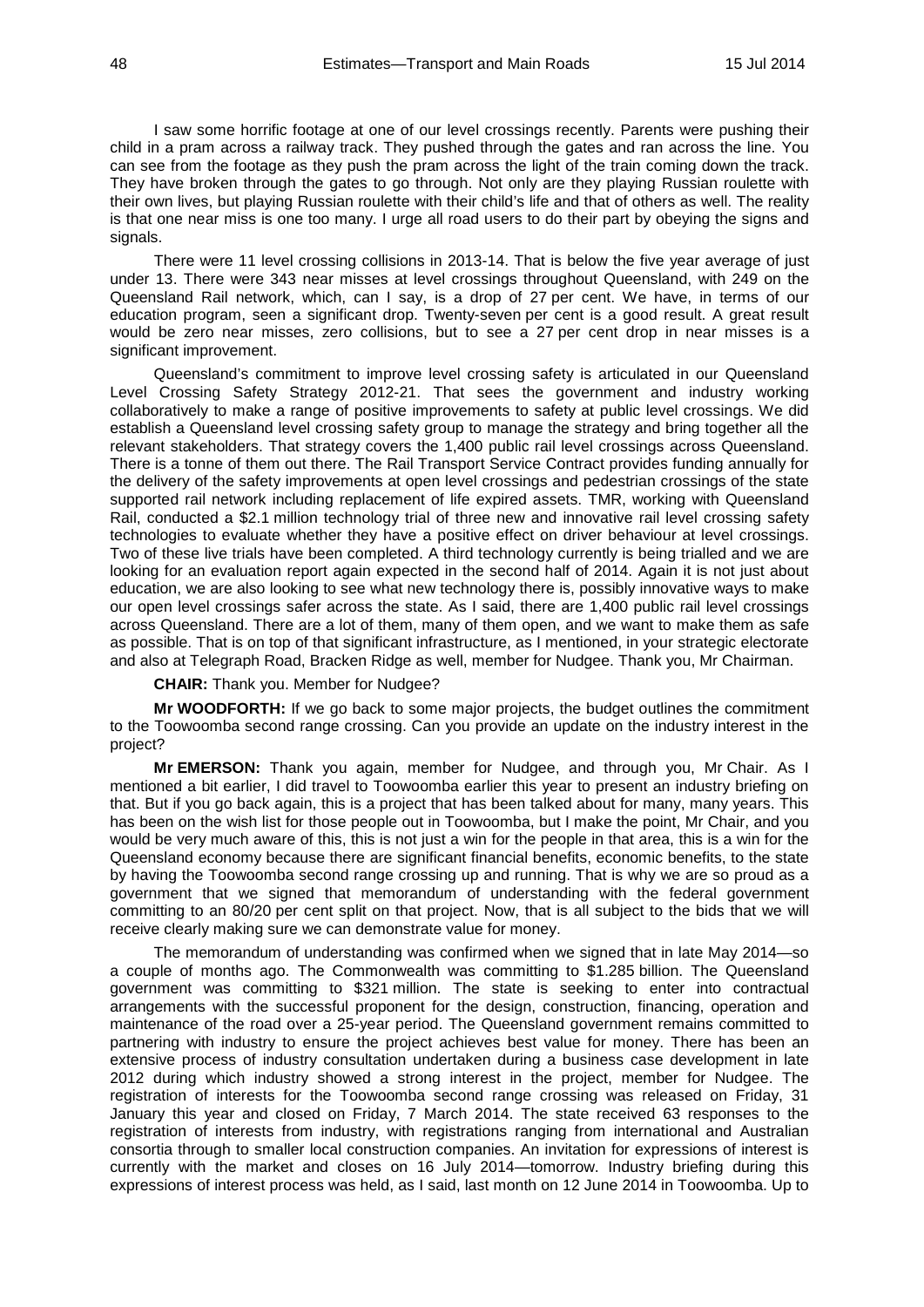I saw some horrific footage at one of our level crossings recently. Parents were pushing their child in a pram across a railway track. They pushed through the gates and ran across the line. You can see from the footage as they push the pram across the light of the train coming down the track. They have broken through the gates to go through. Not only are they playing Russian roulette with their own lives, but playing Russian roulette with their child's life and that of others as well. The reality is that one near miss is one too many. I urge all road users to do their part by obeying the signs and signals.

There were 11 level crossing collisions in 2013-14. That is below the five year average of just under 13. There were 343 near misses at level crossings throughout Queensland, with 249 on the Queensland Rail network, which, can I say, is a drop of 27 per cent. We have, in terms of our education program, seen a significant drop. Twenty-seven per cent is a good result. A great result would be zero near misses, zero collisions, but to see a 27 per cent drop in near misses is a significant improvement.

Queensland's commitment to improve level crossing safety is articulated in our Queensland Level Crossing Safety Strategy 2012-21. That sees the government and industry working collaboratively to make a range of positive improvements to safety at public level crossings. We did establish a Queensland level crossing safety group to manage the strategy and bring together all the relevant stakeholders. That strategy covers the 1,400 public rail level crossings across Queensland. There is a tonne of them out there. The Rail Transport Service Contract provides funding annually for the delivery of the safety improvements at open level crossings and pedestrian crossings of the state supported rail network including replacement of life expired assets. TMR, working with Queensland Rail, conducted a \$2.1 million technology trial of three new and innovative rail level crossing safety technologies to evaluate whether they have a positive effect on driver behaviour at level crossings. Two of these live trials have been completed. A third technology currently is being trialled and we are looking for an evaluation report again expected in the second half of 2014. Again it is not just about education, we are also looking to see what new technology there is, possibly innovative ways to make our open level crossings safer across the state. As I said, there are 1,400 public rail level crossings across Queensland. There are a lot of them, many of them open, and we want to make them as safe as possible. That is on top of that significant infrastructure, as I mentioned, in your strategic electorate and also at Telegraph Road, Bracken Ridge as well, member for Nudgee. Thank you, Mr Chairman.

**CHAIR:** Thank you. Member for Nudgee?

**Mr WOODFORTH:** If we go back to some major projects, the budget outlines the commitment to the Toowoomba second range crossing. Can you provide an update on the industry interest in the project?

**Mr EMERSON:** Thank you again, member for Nudgee, and through you, Mr Chair. As I mentioned a bit earlier, I did travel to Toowoomba earlier this year to present an industry briefing on that. But if you go back again, this is a project that has been talked about for many, many years. This has been on the wish list for those people out in Toowoomba, but I make the point, Mr Chair, and you would be very much aware of this, this is not just a win for the people in that area, this is a win for the Queensland economy because there are significant financial benefits, economic benefits, to the state by having the Toowoomba second range crossing up and running. That is why we are so proud as a government that we signed that memorandum of understanding with the federal government committing to an 80/20 per cent split on that project. Now, that is all subject to the bids that we will receive clearly making sure we can demonstrate value for money.

The memorandum of understanding was confirmed when we signed that in late May 2014—so a couple of months ago. The Commonwealth was committing to \$1.285 billion. The Queensland government was committing to \$321 million. The state is seeking to enter into contractual arrangements with the successful proponent for the design, construction, financing, operation and maintenance of the road over a 25-year period. The Queensland government remains committed to partnering with industry to ensure the project achieves best value for money. There has been an extensive process of industry consultation undertaken during a business case development in late 2012 during which industry showed a strong interest in the project, member for Nudgee. The registration of interests for the Toowoomba second range crossing was released on Friday, 31 January this year and closed on Friday, 7 March 2014. The state received 63 responses to the registration of interests from industry, with registrations ranging from international and Australian consortia through to smaller local construction companies. An invitation for expressions of interest is currently with the market and closes on 16 July 2014—tomorrow. Industry briefing during this expressions of interest process was held, as I said, last month on 12 June 2014 in Toowoomba. Up to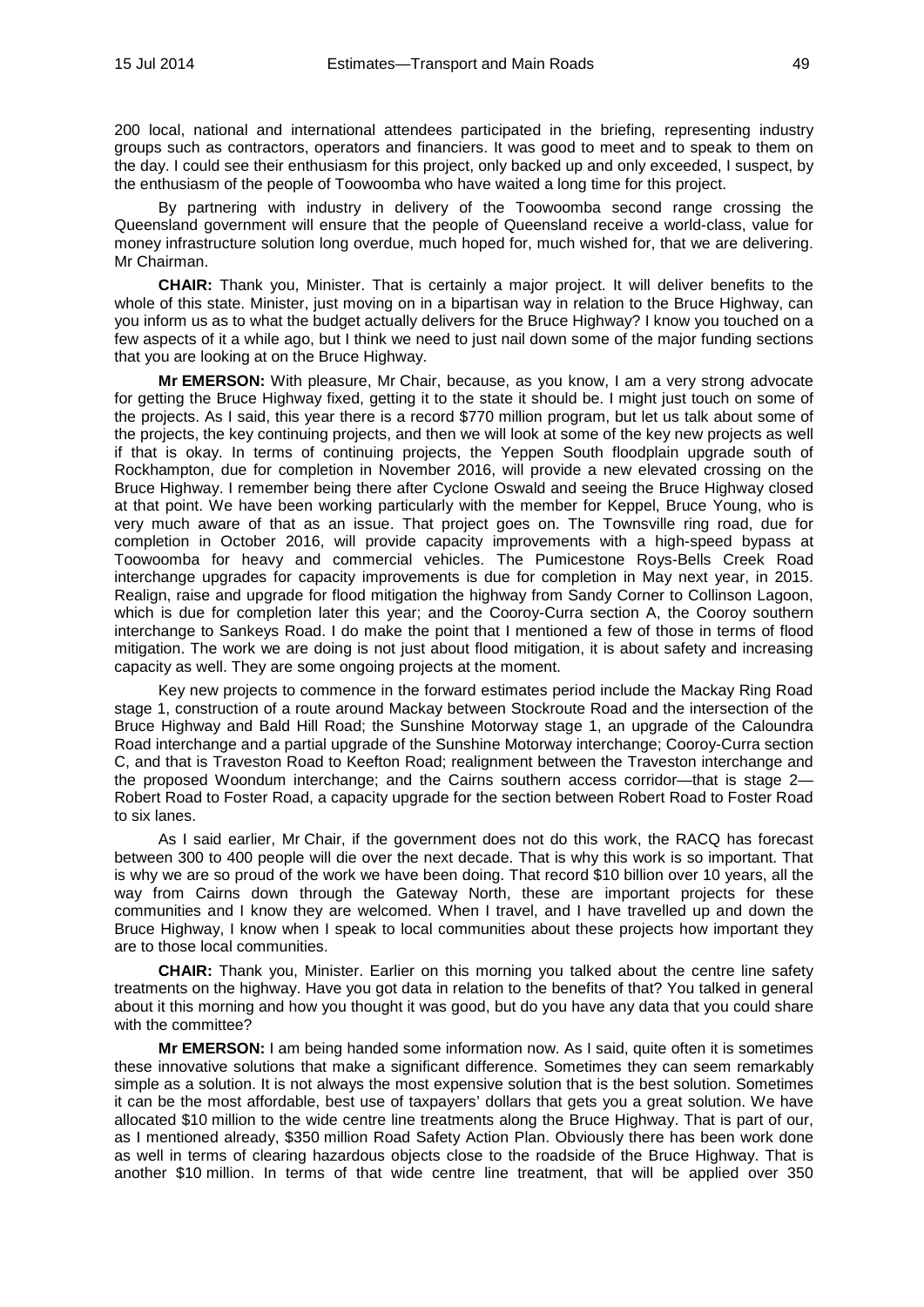200 local, national and international attendees participated in the briefing, representing industry groups such as contractors, operators and financiers. It was good to meet and to speak to them on the day. I could see their enthusiasm for this project, only backed up and only exceeded, I suspect, by the enthusiasm of the people of Toowoomba who have waited a long time for this project.

By partnering with industry in delivery of the Toowoomba second range crossing the Queensland government will ensure that the people of Queensland receive a world-class, value for money infrastructure solution long overdue, much hoped for, much wished for, that we are delivering. Mr Chairman.

**CHAIR:** Thank you, Minister. That is certainly a major project. It will deliver benefits to the whole of this state. Minister, just moving on in a bipartisan way in relation to the Bruce Highway, can you inform us as to what the budget actually delivers for the Bruce Highway? I know you touched on a few aspects of it a while ago, but I think we need to just nail down some of the major funding sections that you are looking at on the Bruce Highway.

**Mr EMERSON:** With pleasure, Mr Chair, because, as you know, I am a very strong advocate for getting the Bruce Highway fixed, getting it to the state it should be. I might just touch on some of the projects. As I said, this year there is a record \$770 million program, but let us talk about some of the projects, the key continuing projects, and then we will look at some of the key new projects as well if that is okay. In terms of continuing projects, the Yeppen South floodplain upgrade south of Rockhampton, due for completion in November 2016, will provide a new elevated crossing on the Bruce Highway. I remember being there after Cyclone Oswald and seeing the Bruce Highway closed at that point. We have been working particularly with the member for Keppel, Bruce Young, who is very much aware of that as an issue. That project goes on. The Townsville ring road, due for completion in October 2016, will provide capacity improvements with a high-speed bypass at Toowoomba for heavy and commercial vehicles. The Pumicestone Roys-Bells Creek Road interchange upgrades for capacity improvements is due for completion in May next year, in 2015. Realign, raise and upgrade for flood mitigation the highway from Sandy Corner to Collinson Lagoon, which is due for completion later this year; and the Cooroy-Curra section A, the Cooroy southern interchange to Sankeys Road. I do make the point that I mentioned a few of those in terms of flood mitigation. The work we are doing is not just about flood mitigation, it is about safety and increasing capacity as well. They are some ongoing projects at the moment.

Key new projects to commence in the forward estimates period include the Mackay Ring Road stage 1, construction of a route around Mackay between Stockroute Road and the intersection of the Bruce Highway and Bald Hill Road; the Sunshine Motorway stage 1, an upgrade of the Caloundra Road interchange and a partial upgrade of the Sunshine Motorway interchange; Cooroy-Curra section C, and that is Traveston Road to Keefton Road; realignment between the Traveston interchange and the proposed Woondum interchange; and the Cairns southern access corridor—that is stage 2— Robert Road to Foster Road, a capacity upgrade for the section between Robert Road to Foster Road to six lanes.

As I said earlier, Mr Chair, if the government does not do this work, the RACQ has forecast between 300 to 400 people will die over the next decade. That is why this work is so important. That is why we are so proud of the work we have been doing. That record \$10 billion over 10 years, all the way from Cairns down through the Gateway North, these are important projects for these communities and I know they are welcomed. When I travel, and I have travelled up and down the Bruce Highway, I know when I speak to local communities about these projects how important they are to those local communities.

**CHAIR:** Thank you, Minister. Earlier on this morning you talked about the centre line safety treatments on the highway. Have you got data in relation to the benefits of that? You talked in general about it this morning and how you thought it was good, but do you have any data that you could share with the committee?

**Mr EMERSON:** I am being handed some information now. As I said, quite often it is sometimes these innovative solutions that make a significant difference. Sometimes they can seem remarkably simple as a solution. It is not always the most expensive solution that is the best solution. Sometimes it can be the most affordable, best use of taxpayers' dollars that gets you a great solution. We have allocated \$10 million to the wide centre line treatments along the Bruce Highway. That is part of our, as I mentioned already, \$350 million Road Safety Action Plan. Obviously there has been work done as well in terms of clearing hazardous objects close to the roadside of the Bruce Highway. That is another \$10 million. In terms of that wide centre line treatment, that will be applied over 350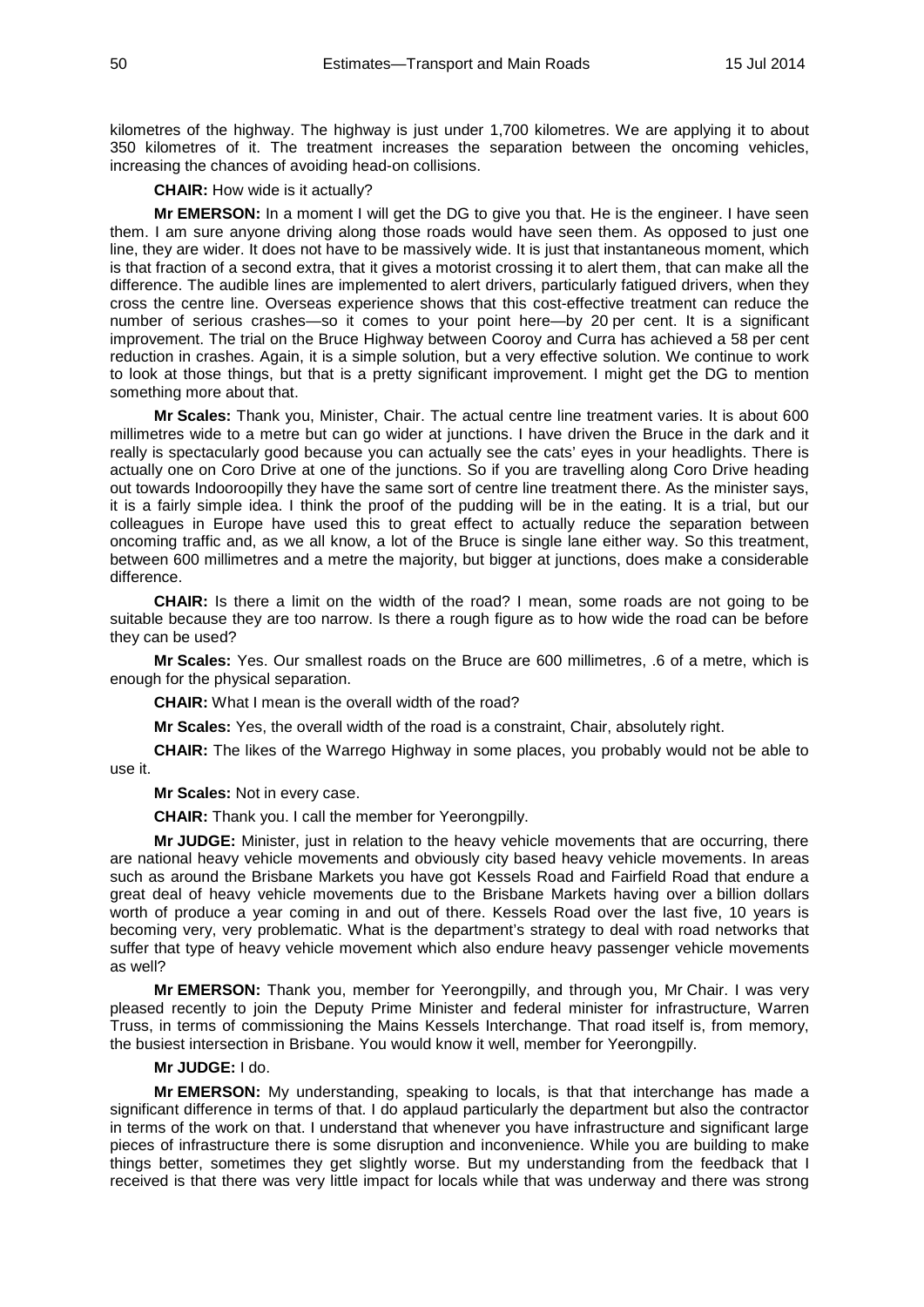kilometres of the highway. The highway is just under 1,700 kilometres. We are applying it to about 350 kilometres of it. The treatment increases the separation between the oncoming vehicles, increasing the chances of avoiding head-on collisions.

**CHAIR:** How wide is it actually?

**Mr EMERSON:** In a moment I will get the DG to give you that. He is the engineer. I have seen them. I am sure anyone driving along those roads would have seen them. As opposed to just one line, they are wider. It does not have to be massively wide. It is just that instantaneous moment, which is that fraction of a second extra, that it gives a motorist crossing it to alert them, that can make all the difference. The audible lines are implemented to alert drivers, particularly fatigued drivers, when they cross the centre line. Overseas experience shows that this cost-effective treatment can reduce the number of serious crashes—so it comes to your point here—by 20 per cent. It is a significant improvement. The trial on the Bruce Highway between Cooroy and Curra has achieved a 58 per cent reduction in crashes. Again, it is a simple solution, but a very effective solution. We continue to work to look at those things, but that is a pretty significant improvement. I might get the DG to mention something more about that.

**Mr Scales:** Thank you, Minister, Chair. The actual centre line treatment varies. It is about 600 millimetres wide to a metre but can go wider at junctions. I have driven the Bruce in the dark and it really is spectacularly good because you can actually see the cats' eyes in your headlights. There is actually one on Coro Drive at one of the junctions. So if you are travelling along Coro Drive heading out towards Indooroopilly they have the same sort of centre line treatment there. As the minister says, it is a fairly simple idea. I think the proof of the pudding will be in the eating. It is a trial, but our colleagues in Europe have used this to great effect to actually reduce the separation between oncoming traffic and, as we all know, a lot of the Bruce is single lane either way. So this treatment, between 600 millimetres and a metre the majority, but bigger at junctions, does make a considerable difference.

**CHAIR:** Is there a limit on the width of the road? I mean, some roads are not going to be suitable because they are too narrow. Is there a rough figure as to how wide the road can be before they can be used?

**Mr Scales:** Yes. Our smallest roads on the Bruce are 600 millimetres, .6 of a metre, which is enough for the physical separation.

**CHAIR:** What I mean is the overall width of the road?

**Mr Scales:** Yes, the overall width of the road is a constraint, Chair, absolutely right.

**CHAIR:** The likes of the Warrego Highway in some places, you probably would not be able to use it.

**Mr Scales:** Not in every case.

**CHAIR:** Thank you. I call the member for Yeerongpilly.

**Mr JUDGE:** Minister, just in relation to the heavy vehicle movements that are occurring, there are national heavy vehicle movements and obviously city based heavy vehicle movements. In areas such as around the Brisbane Markets you have got Kessels Road and Fairfield Road that endure a great deal of heavy vehicle movements due to the Brisbane Markets having over a billion dollars worth of produce a year coming in and out of there. Kessels Road over the last five, 10 years is becoming very, very problematic. What is the department's strategy to deal with road networks that suffer that type of heavy vehicle movement which also endure heavy passenger vehicle movements as well?

**Mr EMERSON:** Thank you, member for Yeerongpilly, and through you, Mr Chair. I was very pleased recently to join the Deputy Prime Minister and federal minister for infrastructure, Warren Truss, in terms of commissioning the Mains Kessels Interchange. That road itself is, from memory, the busiest intersection in Brisbane. You would know it well, member for Yeerongpilly.

#### **Mr JUDGE:** I do.

**Mr EMERSON:** My understanding, speaking to locals, is that that interchange has made a significant difference in terms of that. I do applaud particularly the department but also the contractor in terms of the work on that. I understand that whenever you have infrastructure and significant large pieces of infrastructure there is some disruption and inconvenience. While you are building to make things better, sometimes they get slightly worse. But my understanding from the feedback that I received is that there was very little impact for locals while that was underway and there was strong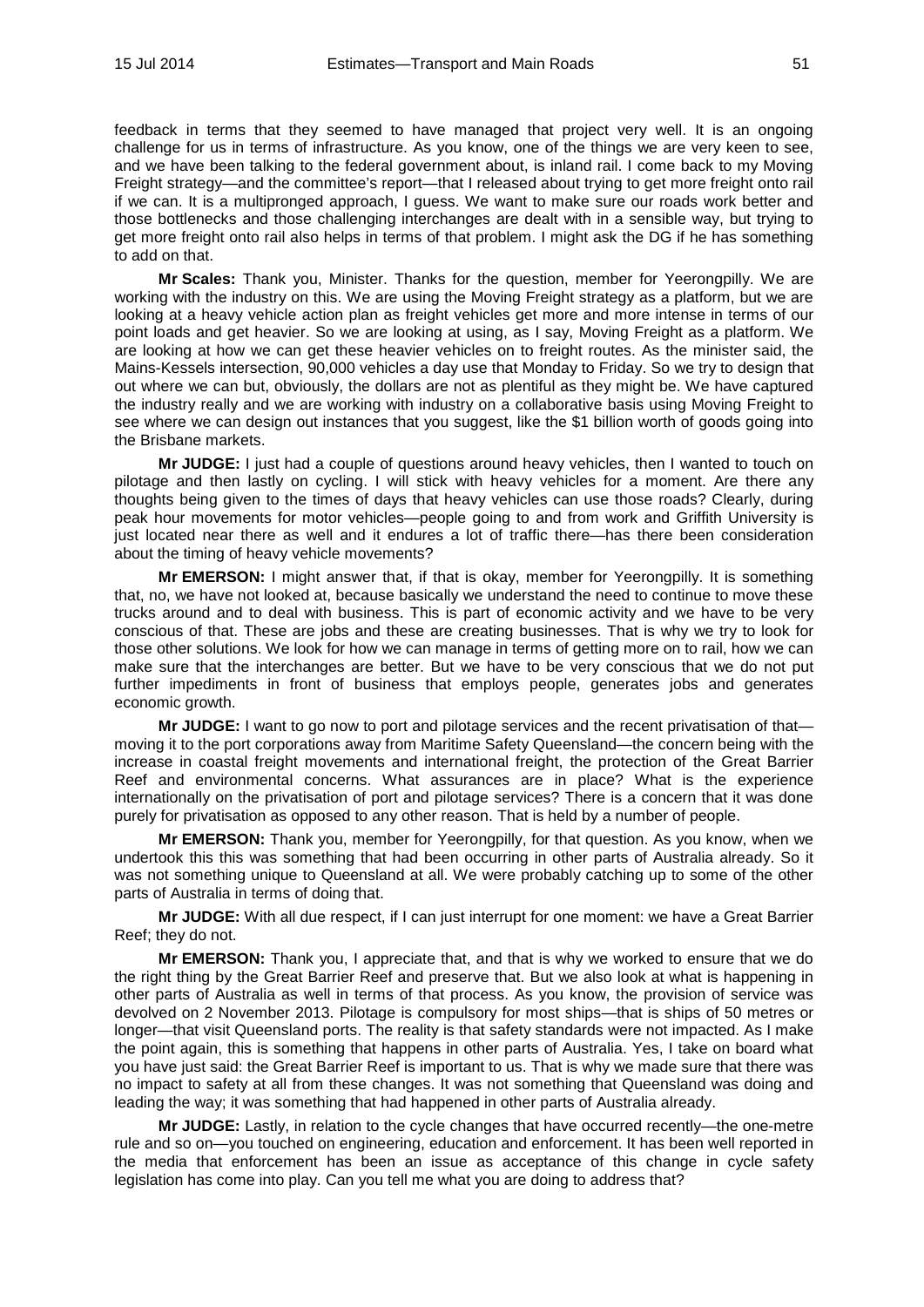feedback in terms that they seemed to have managed that project very well. It is an ongoing challenge for us in terms of infrastructure. As you know, one of the things we are very keen to see, and we have been talking to the federal government about, is inland rail. I come back to my Moving Freight strategy—and the committee's report—that I released about trying to get more freight onto rail if we can. It is a multipronged approach, I guess. We want to make sure our roads work better and those bottlenecks and those challenging interchanges are dealt with in a sensible way, but trying to get more freight onto rail also helps in terms of that problem. I might ask the DG if he has something to add on that.

**Mr Scales:** Thank you, Minister. Thanks for the question, member for Yeerongpilly. We are working with the industry on this. We are using the Moving Freight strategy as a platform, but we are looking at a heavy vehicle action plan as freight vehicles get more and more intense in terms of our point loads and get heavier. So we are looking at using, as I say, Moving Freight as a platform. We are looking at how we can get these heavier vehicles on to freight routes. As the minister said, the Mains-Kessels intersection, 90,000 vehicles a day use that Monday to Friday. So we try to design that out where we can but, obviously, the dollars are not as plentiful as they might be. We have captured the industry really and we are working with industry on a collaborative basis using Moving Freight to see where we can design out instances that you suggest, like the \$1 billion worth of goods going into the Brisbane markets.

**Mr JUDGE:** I just had a couple of questions around heavy vehicles, then I wanted to touch on pilotage and then lastly on cycling. I will stick with heavy vehicles for a moment. Are there any thoughts being given to the times of days that heavy vehicles can use those roads? Clearly, during peak hour movements for motor vehicles—people going to and from work and Griffith University is just located near there as well and it endures a lot of traffic there—has there been consideration about the timing of heavy vehicle movements?

**Mr EMERSON:** I might answer that, if that is okay, member for Yeerongpilly. It is something that, no, we have not looked at, because basically we understand the need to continue to move these trucks around and to deal with business. This is part of economic activity and we have to be very conscious of that. These are jobs and these are creating businesses. That is why we try to look for those other solutions. We look for how we can manage in terms of getting more on to rail, how we can make sure that the interchanges are better. But we have to be very conscious that we do not put further impediments in front of business that employs people, generates jobs and generates economic growth.

**Mr JUDGE:** I want to go now to port and pilotage services and the recent privatisation of that moving it to the port corporations away from Maritime Safety Queensland—the concern being with the increase in coastal freight movements and international freight, the protection of the Great Barrier Reef and environmental concerns. What assurances are in place? What is the experience internationally on the privatisation of port and pilotage services? There is a concern that it was done purely for privatisation as opposed to any other reason. That is held by a number of people.

**Mr EMERSON:** Thank you, member for Yeerongpilly, for that question. As you know, when we undertook this this was something that had been occurring in other parts of Australia already. So it was not something unique to Queensland at all. We were probably catching up to some of the other parts of Australia in terms of doing that.

**Mr JUDGE:** With all due respect, if I can just interrupt for one moment: we have a Great Barrier Reef; they do not.

**Mr EMERSON:** Thank you, I appreciate that, and that is why we worked to ensure that we do the right thing by the Great Barrier Reef and preserve that. But we also look at what is happening in other parts of Australia as well in terms of that process. As you know, the provision of service was devolved on 2 November 2013. Pilotage is compulsory for most ships—that is ships of 50 metres or longer—that visit Queensland ports. The reality is that safety standards were not impacted. As I make the point again, this is something that happens in other parts of Australia. Yes, I take on board what you have just said: the Great Barrier Reef is important to us. That is why we made sure that there was no impact to safety at all from these changes. It was not something that Queensland was doing and leading the way; it was something that had happened in other parts of Australia already.

**Mr JUDGE:** Lastly, in relation to the cycle changes that have occurred recently—the one-metre rule and so on—you touched on engineering, education and enforcement. It has been well reported in the media that enforcement has been an issue as acceptance of this change in cycle safety legislation has come into play. Can you tell me what you are doing to address that?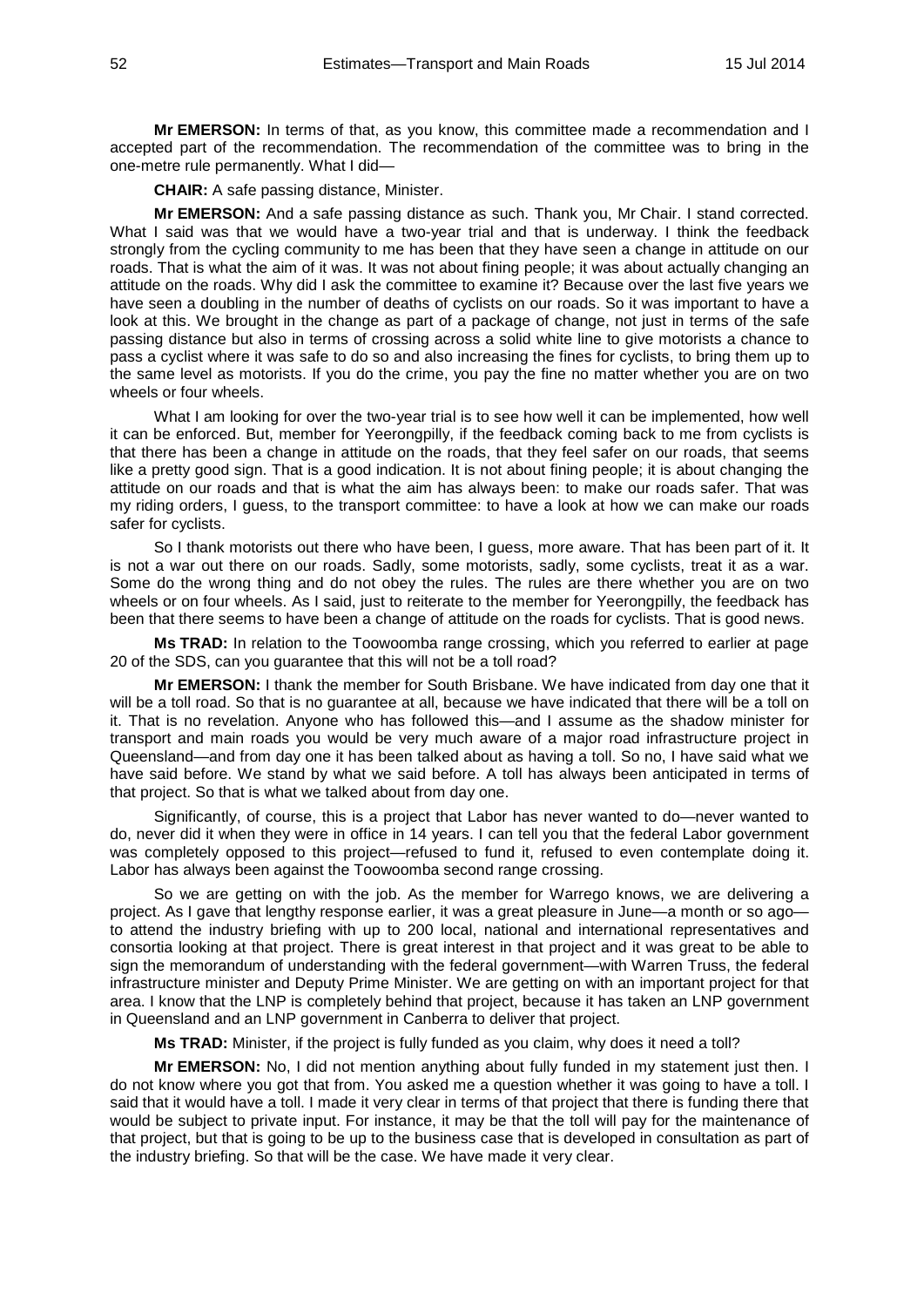**Mr EMERSON:** In terms of that, as you know, this committee made a recommendation and I accepted part of the recommendation. The recommendation of the committee was to bring in the one-metre rule permanently. What I did—

**CHAIR:** A safe passing distance, Minister.

**Mr EMERSON:** And a safe passing distance as such. Thank you, Mr Chair. I stand corrected. What I said was that we would have a two-year trial and that is underway. I think the feedback strongly from the cycling community to me has been that they have seen a change in attitude on our roads. That is what the aim of it was. It was not about fining people; it was about actually changing an attitude on the roads. Why did I ask the committee to examine it? Because over the last five years we have seen a doubling in the number of deaths of cyclists on our roads. So it was important to have a look at this. We brought in the change as part of a package of change, not just in terms of the safe passing distance but also in terms of crossing across a solid white line to give motorists a chance to pass a cyclist where it was safe to do so and also increasing the fines for cyclists, to bring them up to the same level as motorists. If you do the crime, you pay the fine no matter whether you are on two wheels or four wheels.

What I am looking for over the two-year trial is to see how well it can be implemented, how well it can be enforced. But, member for Yeerongpilly, if the feedback coming back to me from cyclists is that there has been a change in attitude on the roads, that they feel safer on our roads, that seems like a pretty good sign. That is a good indication. It is not about fining people; it is about changing the attitude on our roads and that is what the aim has always been: to make our roads safer. That was my riding orders, I guess, to the transport committee: to have a look at how we can make our roads safer for cyclists.

So I thank motorists out there who have been, I guess, more aware. That has been part of it. It is not a war out there on our roads. Sadly, some motorists, sadly, some cyclists, treat it as a war. Some do the wrong thing and do not obey the rules. The rules are there whether you are on two wheels or on four wheels. As I said, just to reiterate to the member for Yeerongpilly, the feedback has been that there seems to have been a change of attitude on the roads for cyclists. That is good news.

**Ms TRAD:** In relation to the Toowoomba range crossing, which you referred to earlier at page 20 of the SDS, can you guarantee that this will not be a toll road?

**Mr EMERSON:** I thank the member for South Brisbane. We have indicated from day one that it will be a toll road. So that is no guarantee at all, because we have indicated that there will be a toll on it. That is no revelation. Anyone who has followed this—and I assume as the shadow minister for transport and main roads you would be very much aware of a major road infrastructure project in Queensland—and from day one it has been talked about as having a toll. So no, I have said what we have said before. We stand by what we said before. A toll has always been anticipated in terms of that project. So that is what we talked about from day one.

Significantly, of course, this is a project that Labor has never wanted to do—never wanted to do, never did it when they were in office in 14 years. I can tell you that the federal Labor government was completely opposed to this project—refused to fund it, refused to even contemplate doing it. Labor has always been against the Toowoomba second range crossing.

So we are getting on with the job. As the member for Warrego knows, we are delivering a project. As I gave that lengthy response earlier, it was a great pleasure in June—a month or so ago to attend the industry briefing with up to 200 local, national and international representatives and consortia looking at that project. There is great interest in that project and it was great to be able to sign the memorandum of understanding with the federal government—with Warren Truss, the federal infrastructure minister and Deputy Prime Minister. We are getting on with an important project for that area. I know that the LNP is completely behind that project, because it has taken an LNP government in Queensland and an LNP government in Canberra to deliver that project.

**Ms TRAD:** Minister, if the project is fully funded as you claim, why does it need a toll?

**Mr EMERSON:** No, I did not mention anything about fully funded in my statement just then. I do not know where you got that from. You asked me a question whether it was going to have a toll. I said that it would have a toll. I made it very clear in terms of that project that there is funding there that would be subject to private input. For instance, it may be that the toll will pay for the maintenance of that project, but that is going to be up to the business case that is developed in consultation as part of the industry briefing. So that will be the case. We have made it very clear.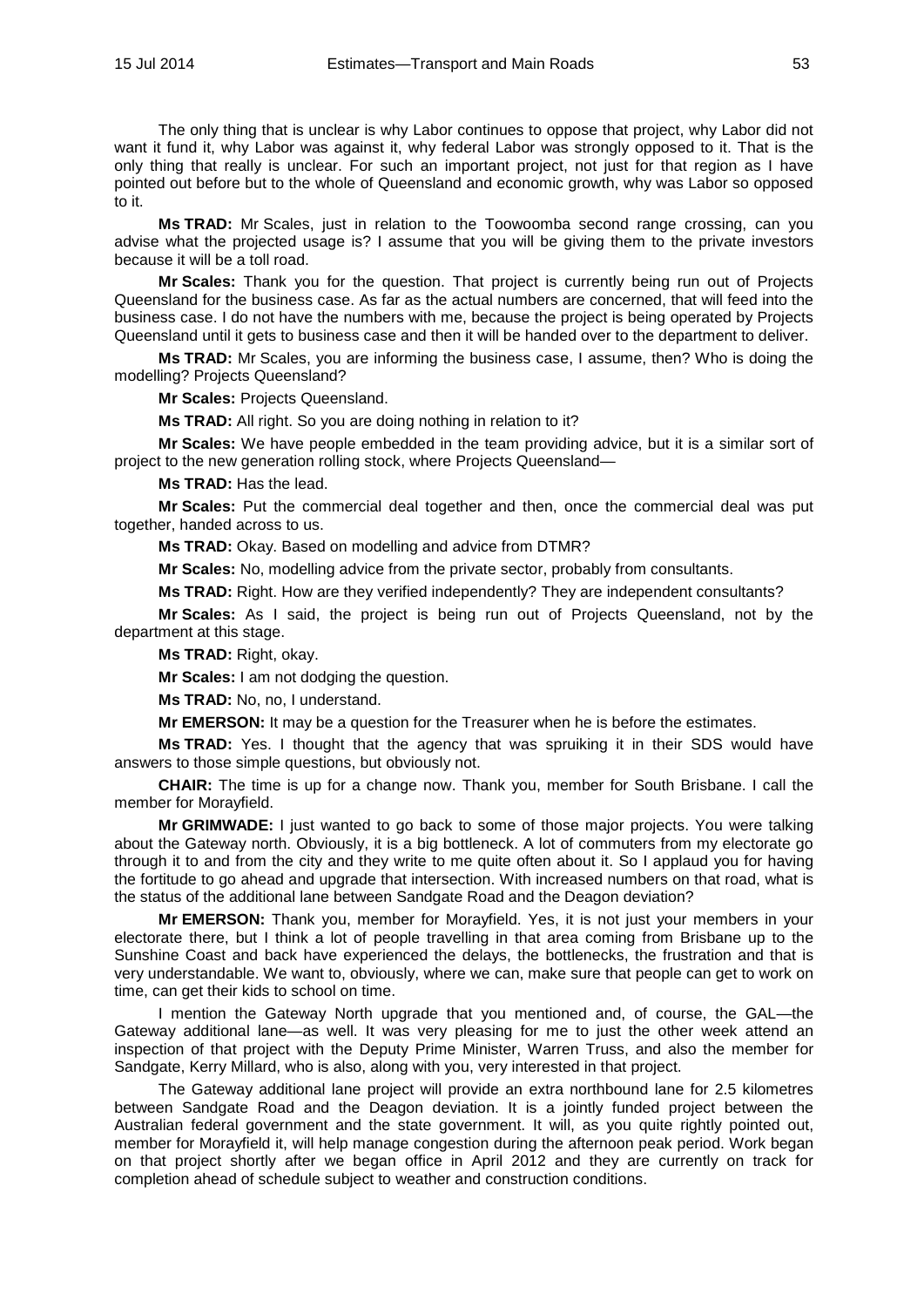The only thing that is unclear is why Labor continues to oppose that project, why Labor did not want it fund it, why Labor was against it, why federal Labor was strongly opposed to it. That is the only thing that really is unclear. For such an important project, not just for that region as I have pointed out before but to the whole of Queensland and economic growth, why was Labor so opposed to it.

**Ms TRAD:** Mr Scales, just in relation to the Toowoomba second range crossing, can you advise what the projected usage is? I assume that you will be giving them to the private investors because it will be a toll road.

**Mr Scales:** Thank you for the question. That project is currently being run out of Projects Queensland for the business case. As far as the actual numbers are concerned, that will feed into the business case. I do not have the numbers with me, because the project is being operated by Projects Queensland until it gets to business case and then it will be handed over to the department to deliver.

**Ms TRAD:** Mr Scales, you are informing the business case, I assume, then? Who is doing the modelling? Projects Queensland?

**Mr Scales:** Projects Queensland.

**Ms TRAD:** All right. So you are doing nothing in relation to it?

**Mr Scales:** We have people embedded in the team providing advice, but it is a similar sort of project to the new generation rolling stock, where Projects Queensland—

**Ms TRAD:** Has the lead.

**Mr Scales:** Put the commercial deal together and then, once the commercial deal was put together, handed across to us.

**Ms TRAD:** Okay. Based on modelling and advice from DTMR?

**Mr Scales:** No, modelling advice from the private sector, probably from consultants.

**Ms TRAD:** Right. How are they verified independently? They are independent consultants?

**Mr Scales:** As I said, the project is being run out of Projects Queensland, not by the department at this stage.

**Ms TRAD:** Right, okay.

**Mr Scales:** I am not dodging the question.

**Ms TRAD:** No, no, I understand.

**Mr EMERSON:** It may be a question for the Treasurer when he is before the estimates.

**Ms TRAD:** Yes. I thought that the agency that was spruiking it in their SDS would have answers to those simple questions, but obviously not.

**CHAIR:** The time is up for a change now. Thank you, member for South Brisbane. I call the member for Morayfield.

**Mr GRIMWADE:** I just wanted to go back to some of those major projects. You were talking about the Gateway north. Obviously, it is a big bottleneck. A lot of commuters from my electorate go through it to and from the city and they write to me quite often about it. So I applaud you for having the fortitude to go ahead and upgrade that intersection. With increased numbers on that road, what is the status of the additional lane between Sandgate Road and the Deagon deviation?

**Mr EMERSON:** Thank you, member for Morayfield. Yes, it is not just your members in your electorate there, but I think a lot of people travelling in that area coming from Brisbane up to the Sunshine Coast and back have experienced the delays, the bottlenecks, the frustration and that is very understandable. We want to, obviously, where we can, make sure that people can get to work on time, can get their kids to school on time.

I mention the Gateway North upgrade that you mentioned and, of course, the GAL—the Gateway additional lane—as well. It was very pleasing for me to just the other week attend an inspection of that project with the Deputy Prime Minister, Warren Truss, and also the member for Sandgate, Kerry Millard, who is also, along with you, very interested in that project.

The Gateway additional lane project will provide an extra northbound lane for 2.5 kilometres between Sandgate Road and the Deagon deviation. It is a jointly funded project between the Australian federal government and the state government. It will, as you quite rightly pointed out, member for Morayfield it, will help manage congestion during the afternoon peak period. Work began on that project shortly after we began office in April 2012 and they are currently on track for completion ahead of schedule subject to weather and construction conditions.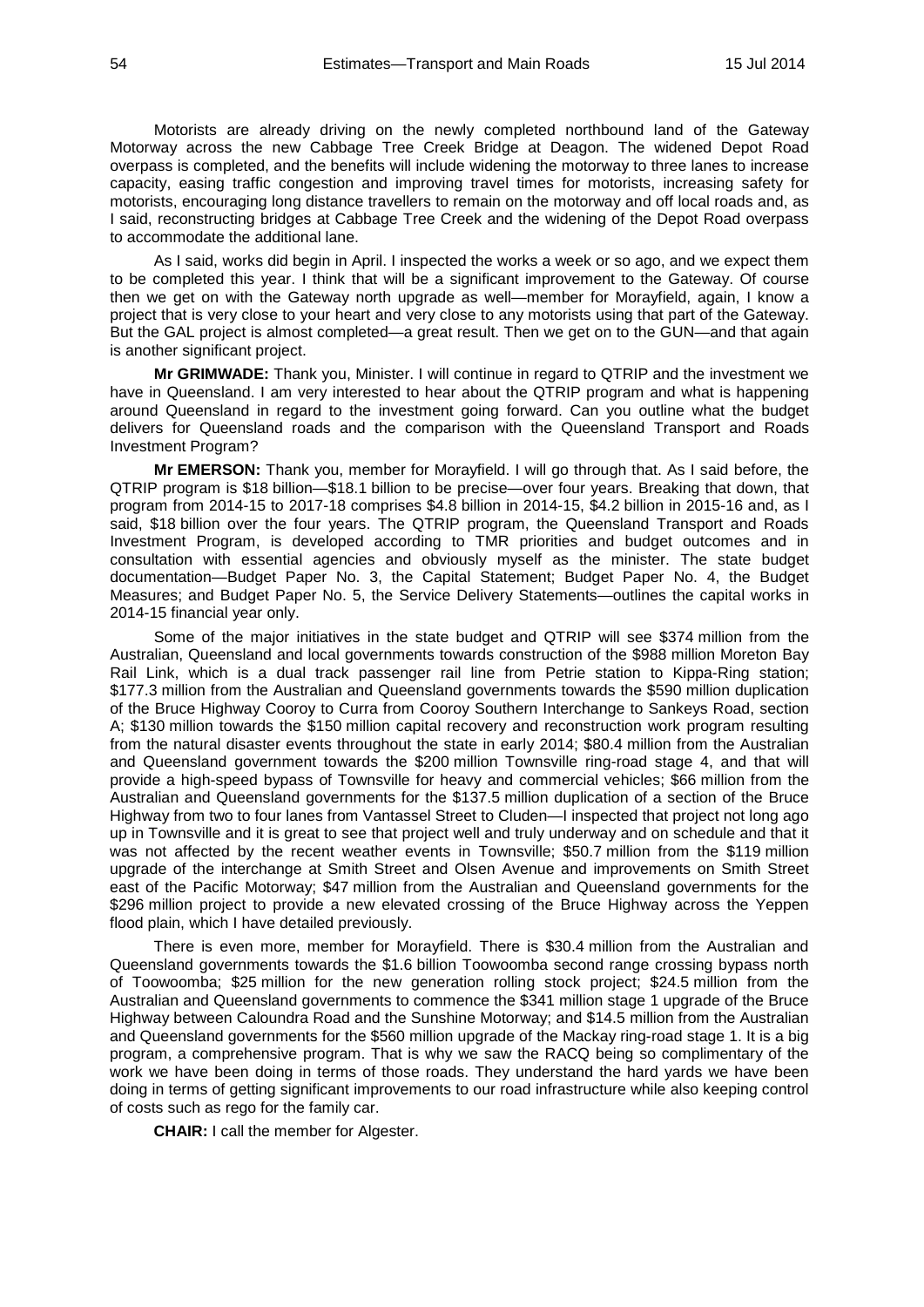Motorists are already driving on the newly completed northbound land of the Gateway Motorway across the new Cabbage Tree Creek Bridge at Deagon. The widened Depot Road overpass is completed, and the benefits will include widening the motorway to three lanes to increase capacity, easing traffic congestion and improving travel times for motorists, increasing safety for motorists, encouraging long distance travellers to remain on the motorway and off local roads and, as I said, reconstructing bridges at Cabbage Tree Creek and the widening of the Depot Road overpass to accommodate the additional lane.

As I said, works did begin in April. I inspected the works a week or so ago, and we expect them to be completed this year. I think that will be a significant improvement to the Gateway. Of course then we get on with the Gateway north upgrade as well—member for Morayfield, again, I know a project that is very close to your heart and very close to any motorists using that part of the Gateway. But the GAL project is almost completed—a great result. Then we get on to the GUN—and that again is another significant project.

**Mr GRIMWADE:** Thank you, Minister. I will continue in regard to QTRIP and the investment we have in Queensland. I am very interested to hear about the QTRIP program and what is happening around Queensland in regard to the investment going forward. Can you outline what the budget delivers for Queensland roads and the comparison with the Queensland Transport and Roads Investment Program?

**Mr EMERSON:** Thank you, member for Morayfield. I will go through that. As I said before, the QTRIP program is \$18 billion—\$18.1 billion to be precise—over four years. Breaking that down, that program from 2014-15 to 2017-18 comprises \$4.8 billion in 2014-15, \$4.2 billion in 2015-16 and, as I said, \$18 billion over the four years. The QTRIP program, the Queensland Transport and Roads Investment Program, is developed according to TMR priorities and budget outcomes and in consultation with essential agencies and obviously myself as the minister. The state budget documentation—Budget Paper No. 3, the Capital Statement; Budget Paper No. 4, the Budget Measures; and Budget Paper No. 5, the Service Delivery Statements—outlines the capital works in 2014-15 financial year only.

Some of the major initiatives in the state budget and QTRIP will see \$374 million from the Australian, Queensland and local governments towards construction of the \$988 million Moreton Bay Rail Link, which is a dual track passenger rail line from Petrie station to Kippa-Ring station; \$177.3 million from the Australian and Queensland governments towards the \$590 million duplication of the Bruce Highway Cooroy to Curra from Cooroy Southern Interchange to Sankeys Road, section A; \$130 million towards the \$150 million capital recovery and reconstruction work program resulting from the natural disaster events throughout the state in early 2014; \$80.4 million from the Australian and Queensland government towards the \$200 million Townsville ring-road stage 4, and that will provide a high-speed bypass of Townsville for heavy and commercial vehicles; \$66 million from the Australian and Queensland governments for the \$137.5 million duplication of a section of the Bruce Highway from two to four lanes from Vantassel Street to Cluden—I inspected that project not long ago up in Townsville and it is great to see that project well and truly underway and on schedule and that it was not affected by the recent weather events in Townsville; \$50.7 million from the \$119 million upgrade of the interchange at Smith Street and Olsen Avenue and improvements on Smith Street east of the Pacific Motorway; \$47 million from the Australian and Queensland governments for the \$296 million project to provide a new elevated crossing of the Bruce Highway across the Yeppen flood plain, which I have detailed previously.

There is even more, member for Morayfield. There is \$30.4 million from the Australian and Queensland governments towards the \$1.6 billion Toowoomba second range crossing bypass north of Toowoomba; \$25 million for the new generation rolling stock project; \$24.5 million from the Australian and Queensland governments to commence the \$341 million stage 1 upgrade of the Bruce Highway between Caloundra Road and the Sunshine Motorway; and \$14.5 million from the Australian and Queensland governments for the \$560 million upgrade of the Mackay ring-road stage 1. It is a big program, a comprehensive program. That is why we saw the RACQ being so complimentary of the work we have been doing in terms of those roads. They understand the hard yards we have been doing in terms of getting significant improvements to our road infrastructure while also keeping control of costs such as rego for the family car.

**CHAIR:** I call the member for Algester.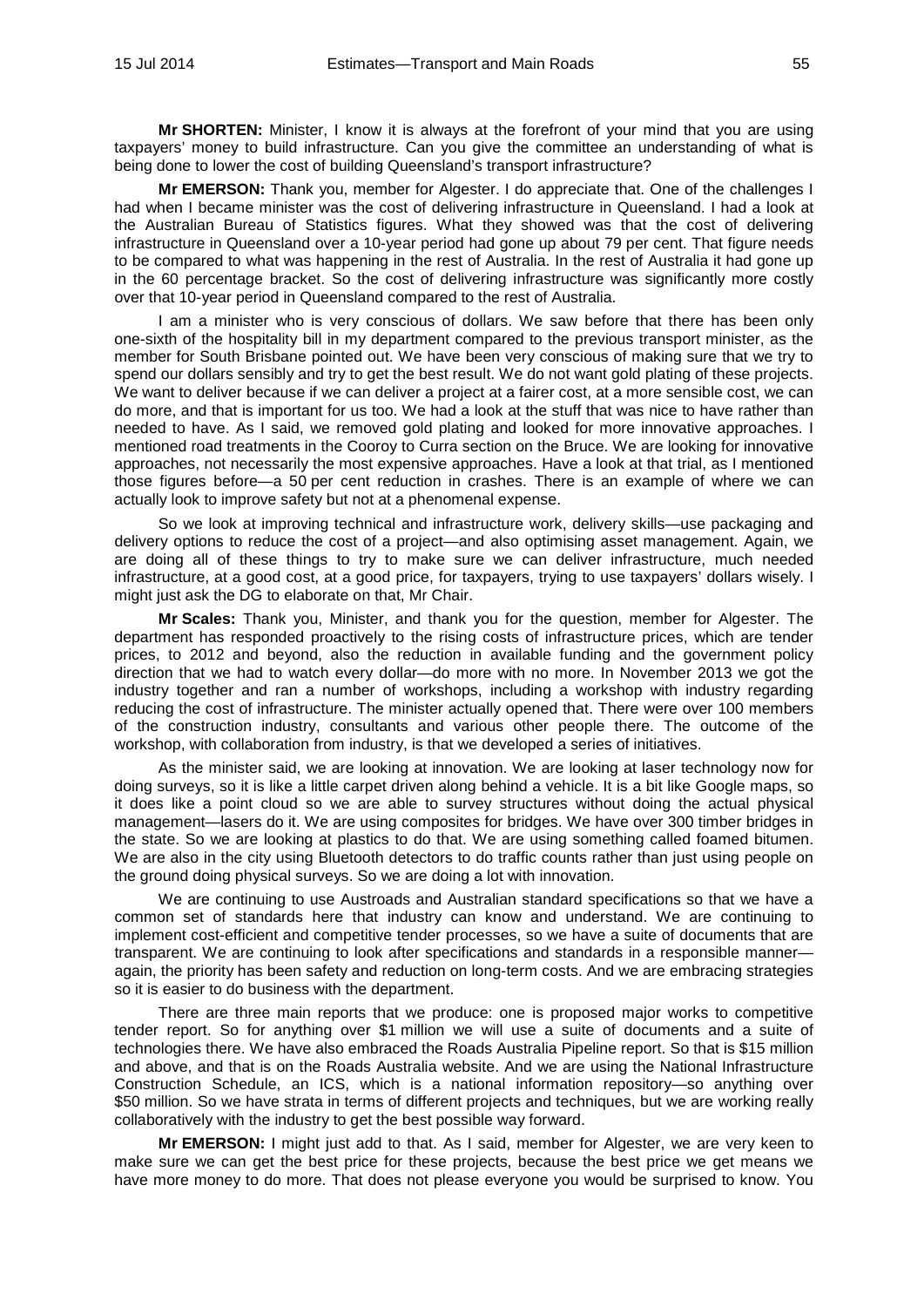**Mr SHORTEN:** Minister, I know it is always at the forefront of your mind that you are using taxpayers' money to build infrastructure. Can you give the committee an understanding of what is being done to lower the cost of building Queensland's transport infrastructure?

**Mr EMERSON:** Thank you, member for Algester. I do appreciate that. One of the challenges I had when I became minister was the cost of delivering infrastructure in Queensland. I had a look at the Australian Bureau of Statistics figures. What they showed was that the cost of delivering infrastructure in Queensland over a 10-year period had gone up about 79 per cent. That figure needs to be compared to what was happening in the rest of Australia. In the rest of Australia it had gone up in the 60 percentage bracket. So the cost of delivering infrastructure was significantly more costly over that 10-year period in Queensland compared to the rest of Australia.

I am a minister who is very conscious of dollars. We saw before that there has been only one-sixth of the hospitality bill in my department compared to the previous transport minister, as the member for South Brisbane pointed out. We have been very conscious of making sure that we try to spend our dollars sensibly and try to get the best result. We do not want gold plating of these projects. We want to deliver because if we can deliver a project at a fairer cost, at a more sensible cost, we can do more, and that is important for us too. We had a look at the stuff that was nice to have rather than needed to have. As I said, we removed gold plating and looked for more innovative approaches. I mentioned road treatments in the Cooroy to Curra section on the Bruce. We are looking for innovative approaches, not necessarily the most expensive approaches. Have a look at that trial, as I mentioned those figures before—a 50 per cent reduction in crashes. There is an example of where we can actually look to improve safety but not at a phenomenal expense.

So we look at improving technical and infrastructure work, delivery skills—use packaging and delivery options to reduce the cost of a project—and also optimising asset management. Again, we are doing all of these things to try to make sure we can deliver infrastructure, much needed infrastructure, at a good cost, at a good price, for taxpayers, trying to use taxpayers' dollars wisely. I might just ask the DG to elaborate on that, Mr Chair.

**Mr Scales:** Thank you, Minister, and thank you for the question, member for Algester. The department has responded proactively to the rising costs of infrastructure prices, which are tender prices, to 2012 and beyond, also the reduction in available funding and the government policy direction that we had to watch every dollar—do more with no more. In November 2013 we got the industry together and ran a number of workshops, including a workshop with industry regarding reducing the cost of infrastructure. The minister actually opened that. There were over 100 members of the construction industry, consultants and various other people there. The outcome of the workshop, with collaboration from industry, is that we developed a series of initiatives.

As the minister said, we are looking at innovation. We are looking at laser technology now for doing surveys, so it is like a little carpet driven along behind a vehicle. It is a bit like Google maps, so it does like a point cloud so we are able to survey structures without doing the actual physical management—lasers do it. We are using composites for bridges. We have over 300 timber bridges in the state. So we are looking at plastics to do that. We are using something called foamed bitumen. We are also in the city using Bluetooth detectors to do traffic counts rather than just using people on the ground doing physical surveys. So we are doing a lot with innovation.

We are continuing to use Austroads and Australian standard specifications so that we have a common set of standards here that industry can know and understand. We are continuing to implement cost-efficient and competitive tender processes, so we have a suite of documents that are transparent. We are continuing to look after specifications and standards in a responsible manner again, the priority has been safety and reduction on long-term costs. And we are embracing strategies so it is easier to do business with the department.

There are three main reports that we produce: one is proposed major works to competitive tender report. So for anything over \$1 million we will use a suite of documents and a suite of technologies there. We have also embraced the Roads Australia Pipeline report. So that is \$15 million and above, and that is on the Roads Australia website. And we are using the National Infrastructure Construction Schedule, an ICS, which is a national information repository—so anything over \$50 million. So we have strata in terms of different projects and techniques, but we are working really collaboratively with the industry to get the best possible way forward.

**Mr EMERSON:** I might just add to that. As I said, member for Algester, we are very keen to make sure we can get the best price for these projects, because the best price we get means we have more money to do more. That does not please everyone you would be surprised to know. You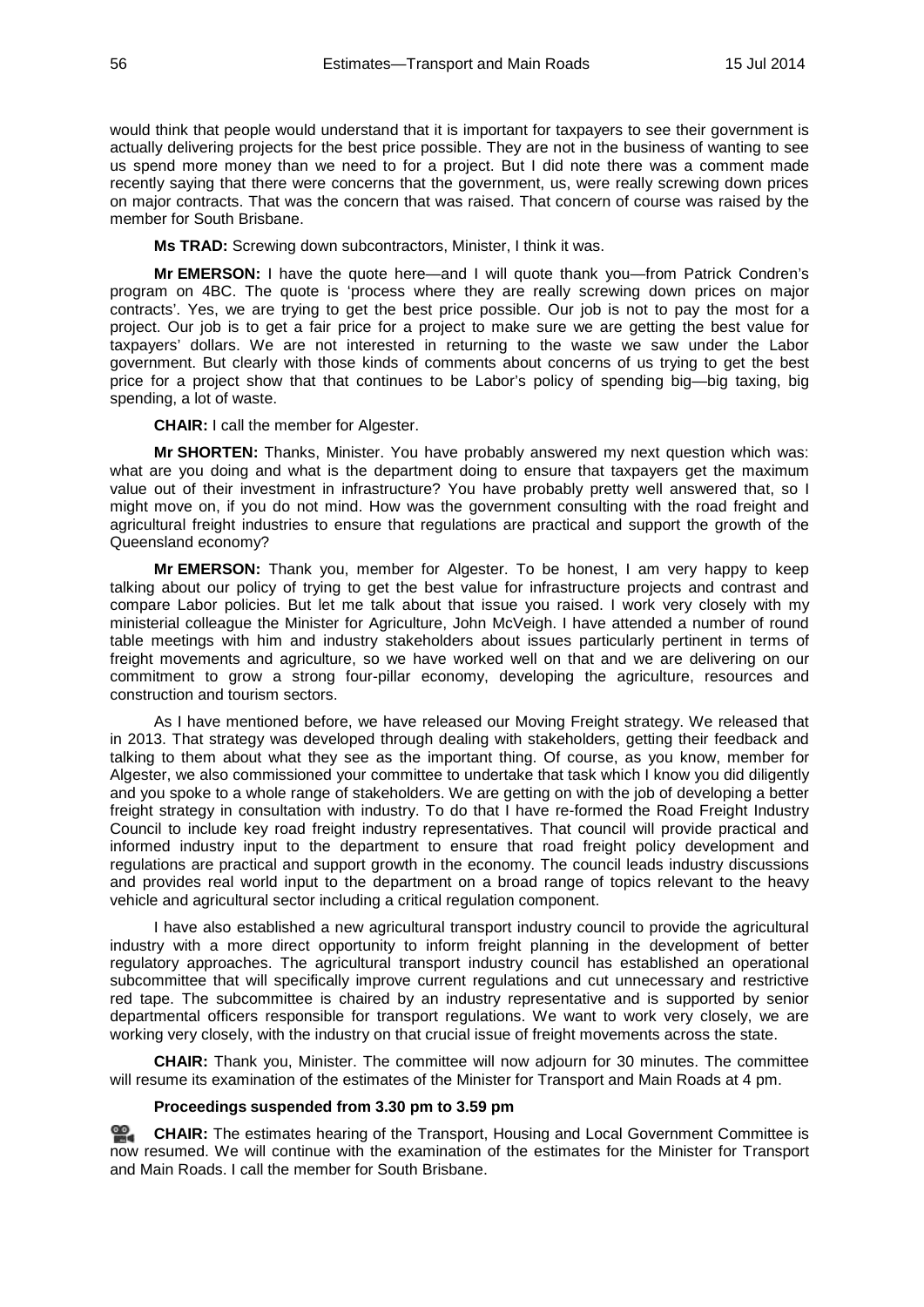would think that people would understand that it is important for taxpayers to see their government is actually delivering projects for the best price possible. They are not in the business of wanting to see us spend more money than we need to for a project. But I did note there was a comment made recently saying that there were concerns that the government, us, were really screwing down prices on major contracts. That was the concern that was raised. That concern of course was raised by the member for South Brisbane.

**Ms TRAD:** Screwing down subcontractors, Minister, I think it was.

**Mr EMERSON:** I have the quote here—and I will quote thank you—from Patrick Condren's program on 4BC. The quote is 'process where they are really screwing down prices on major contracts'. Yes, we are trying to get the best price possible. Our job is not to pay the most for a project. Our job is to get a fair price for a project to make sure we are getting the best value for taxpayers' dollars. We are not interested in returning to the waste we saw under the Labor government. But clearly with those kinds of comments about concerns of us trying to get the best price for a project show that that continues to be Labor's policy of spending big—big taxing, big spending, a lot of waste.

**CHAIR:** I call the member for Algester.

**Mr SHORTEN:** Thanks, Minister. You have probably answered my next question which was: what are you doing and what is the department doing to ensure that taxpayers get the maximum value out of their investment in infrastructure? You have probably pretty well answered that, so I might move on, if you do not mind. How was the government consulting with the road freight and agricultural freight industries to ensure that regulations are practical and support the growth of the Queensland economy?

**Mr EMERSON:** Thank you, member for Algester. To be honest, I am very happy to keep talking about our policy of trying to get the best value for infrastructure projects and contrast and compare Labor policies. But let me talk about that issue you raised. I work very closely with my ministerial colleague the Minister for Agriculture, John McVeigh. I have attended a number of round table meetings with him and industry stakeholders about issues particularly pertinent in terms of freight movements and agriculture, so we have worked well on that and we are delivering on our commitment to grow a strong four-pillar economy, developing the agriculture, resources and construction and tourism sectors.

As I have mentioned before, we have released our Moving Freight strategy. We released that in 2013. That strategy was developed through dealing with stakeholders, getting their feedback and talking to them about what they see as the important thing. Of course, as you know, member for Algester, we also commissioned your committee to undertake that task which I know you did diligently and you spoke to a whole range of stakeholders. We are getting on with the job of developing a better freight strategy in consultation with industry. To do that I have re-formed the Road Freight Industry Council to include key road freight industry representatives. That council will provide practical and informed industry input to the department to ensure that road freight policy development and regulations are practical and support growth in the economy. The council leads industry discussions and provides real world input to the department on a broad range of topics relevant to the heavy vehicle and agricultural sector including a critical regulation component.

I have also established a new agricultural transport industry council to provide the agricultural industry with a more direct opportunity to inform freight planning in the development of better regulatory approaches. The agricultural transport industry council has established an operational subcommittee that will specifically improve current regulations and cut unnecessary and restrictive red tape. The subcommittee is chaired by an industry representative and is supported by senior departmental officers responsible for transport regulations. We want to work very closely, we are working very closely, with the industry on that crucial issue of freight movements across the state.

**CHAIR:** Thank you, Minister. The committee will now adjourn for 30 minutes. The committee will resume its examination of the estimates of the Minister for Transport and Main Roads at 4 pm.

#### **Proceedings suspended from 3.30 pm to 3.59 pm**

≌. **[CHAIR:](http://www.parliament.qld.gov.au/docs/find.aspx?id=0MbaTHLGC20140715_155940)** The estimates hearing of the Transport, Housing and Local Government Committee is now resumed. We will continue with the examination of the estimates for the Minister for Transport and Main Roads. I call the member for South Brisbane.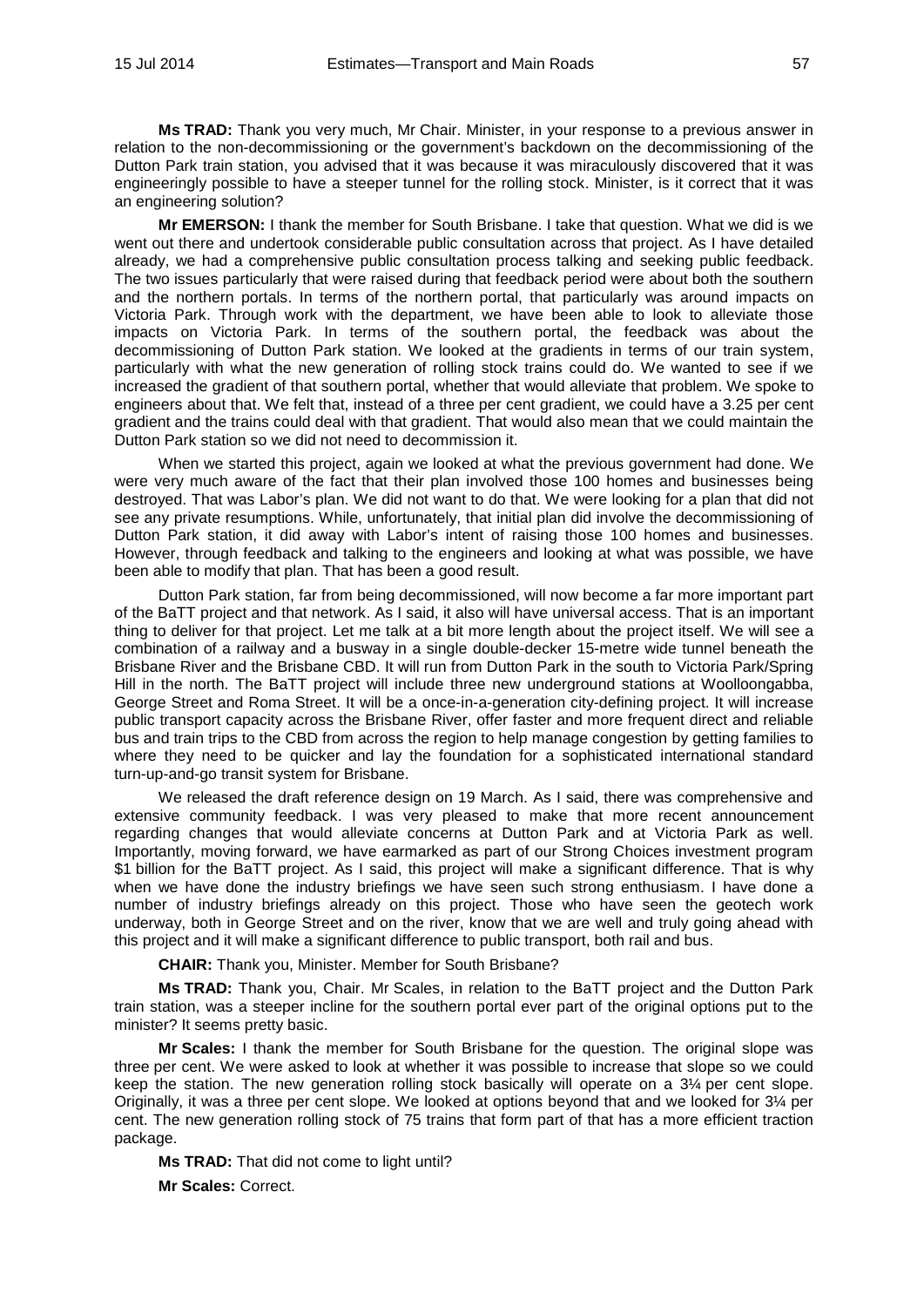**Ms TRAD:** Thank you very much, Mr Chair. Minister, in your response to a previous answer in relation to the non-decommissioning or the government's backdown on the decommissioning of the Dutton Park train station, you advised that it was because it was miraculously discovered that it was engineeringly possible to have a steeper tunnel for the rolling stock. Minister, is it correct that it was an engineering solution?

**Mr EMERSON:** I thank the member for South Brisbane. I take that question. What we did is we went out there and undertook considerable public consultation across that project. As I have detailed already, we had a comprehensive public consultation process talking and seeking public feedback. The two issues particularly that were raised during that feedback period were about both the southern and the northern portals. In terms of the northern portal, that particularly was around impacts on Victoria Park. Through work with the department, we have been able to look to alleviate those impacts on Victoria Park. In terms of the southern portal, the feedback was about the decommissioning of Dutton Park station. We looked at the gradients in terms of our train system, particularly with what the new generation of rolling stock trains could do. We wanted to see if we increased the gradient of that southern portal, whether that would alleviate that problem. We spoke to engineers about that. We felt that, instead of a three per cent gradient, we could have a 3.25 per cent gradient and the trains could deal with that gradient. That would also mean that we could maintain the Dutton Park station so we did not need to decommission it.

When we started this project, again we looked at what the previous government had done. We were very much aware of the fact that their plan involved those 100 homes and businesses being destroyed. That was Labor's plan. We did not want to do that. We were looking for a plan that did not see any private resumptions. While, unfortunately, that initial plan did involve the decommissioning of Dutton Park station, it did away with Labor's intent of raising those 100 homes and businesses. However, through feedback and talking to the engineers and looking at what was possible, we have been able to modify that plan. That has been a good result.

Dutton Park station, far from being decommissioned, will now become a far more important part of the BaTT project and that network. As I said, it also will have universal access. That is an important thing to deliver for that project. Let me talk at a bit more length about the project itself. We will see a combination of a railway and a busway in a single double-decker 15-metre wide tunnel beneath the Brisbane River and the Brisbane CBD. It will run from Dutton Park in the south to Victoria Park/Spring Hill in the north. The BaTT project will include three new underground stations at Woolloongabba, George Street and Roma Street. It will be a once-in-a-generation city-defining project. It will increase public transport capacity across the Brisbane River, offer faster and more frequent direct and reliable bus and train trips to the CBD from across the region to help manage congestion by getting families to where they need to be quicker and lay the foundation for a sophisticated international standard turn-up-and-go transit system for Brisbane.

We released the draft reference design on 19 March. As I said, there was comprehensive and extensive community feedback. I was very pleased to make that more recent announcement regarding changes that would alleviate concerns at Dutton Park and at Victoria Park as well. Importantly, moving forward, we have earmarked as part of our Strong Choices investment program \$1 billion for the BaTT project. As I said, this project will make a significant difference. That is why when we have done the industry briefings we have seen such strong enthusiasm. I have done a number of industry briefings already on this project. Those who have seen the geotech work underway, both in George Street and on the river, know that we are well and truly going ahead with this project and it will make a significant difference to public transport, both rail and bus.

**CHAIR:** Thank you, Minister. Member for South Brisbane?

**Ms TRAD:** Thank you, Chair. Mr Scales, in relation to the BaTT project and the Dutton Park train station, was a steeper incline for the southern portal ever part of the original options put to the minister? It seems pretty basic.

**Mr Scales:** I thank the member for South Brisbane for the question. The original slope was three per cent. We were asked to look at whether it was possible to increase that slope so we could keep the station. The new generation rolling stock basically will operate on a 3¼ per cent slope. Originally, it was a three per cent slope. We looked at options beyond that and we looked for 3¼ per cent. The new generation rolling stock of 75 trains that form part of that has a more efficient traction package.

**Ms TRAD:** That did not come to light until? **Mr Scales:** Correct.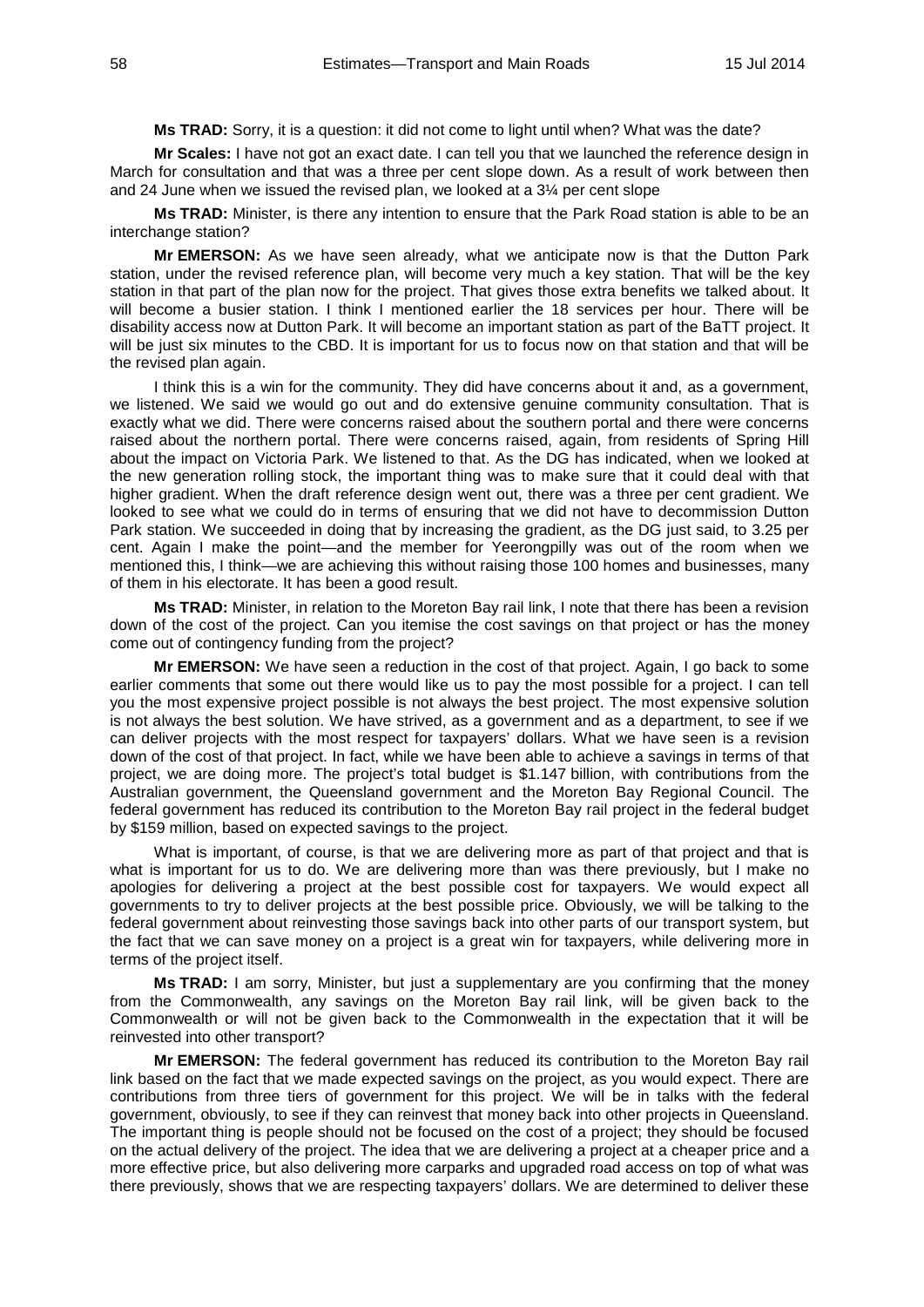**Ms TRAD:** Sorry, it is a question: it did not come to light until when? What was the date?

**Mr Scales:** I have not got an exact date. I can tell you that we launched the reference design in March for consultation and that was a three per cent slope down. As a result of work between then and 24 June when we issued the revised plan, we looked at a 3¼ per cent slope

**Ms TRAD:** Minister, is there any intention to ensure that the Park Road station is able to be an interchange station?

**Mr EMERSON:** As we have seen already, what we anticipate now is that the Dutton Park station, under the revised reference plan, will become very much a key station. That will be the key station in that part of the plan now for the project. That gives those extra benefits we talked about. It will become a busier station. I think I mentioned earlier the 18 services per hour. There will be disability access now at Dutton Park. It will become an important station as part of the BaTT project. It will be just six minutes to the CBD. It is important for us to focus now on that station and that will be the revised plan again.

I think this is a win for the community. They did have concerns about it and, as a government, we listened. We said we would go out and do extensive genuine community consultation. That is exactly what we did. There were concerns raised about the southern portal and there were concerns raised about the northern portal. There were concerns raised, again, from residents of Spring Hill about the impact on Victoria Park. We listened to that. As the DG has indicated, when we looked at the new generation rolling stock, the important thing was to make sure that it could deal with that higher gradient. When the draft reference design went out, there was a three per cent gradient. We looked to see what we could do in terms of ensuring that we did not have to decommission Dutton Park station. We succeeded in doing that by increasing the gradient, as the DG just said, to 3.25 per cent. Again I make the point—and the member for Yeerongpilly was out of the room when we mentioned this, I think—we are achieving this without raising those 100 homes and businesses, many of them in his electorate. It has been a good result.

**Ms TRAD:** Minister, in relation to the Moreton Bay rail link, I note that there has been a revision down of the cost of the project. Can you itemise the cost savings on that project or has the money come out of contingency funding from the project?

**Mr EMERSON:** We have seen a reduction in the cost of that project. Again, I go back to some earlier comments that some out there would like us to pay the most possible for a project. I can tell you the most expensive project possible is not always the best project. The most expensive solution is not always the best solution. We have strived, as a government and as a department, to see if we can deliver projects with the most respect for taxpayers' dollars. What we have seen is a revision down of the cost of that project. In fact, while we have been able to achieve a savings in terms of that project, we are doing more. The project's total budget is \$1.147 billion, with contributions from the Australian government, the Queensland government and the Moreton Bay Regional Council. The federal government has reduced its contribution to the Moreton Bay rail project in the federal budget by \$159 million, based on expected savings to the project.

What is important, of course, is that we are delivering more as part of that project and that is what is important for us to do. We are delivering more than was there previously, but I make no apologies for delivering a project at the best possible cost for taxpayers. We would expect all governments to try to deliver projects at the best possible price. Obviously, we will be talking to the federal government about reinvesting those savings back into other parts of our transport system, but the fact that we can save money on a project is a great win for taxpayers, while delivering more in terms of the project itself.

**Ms TRAD:** I am sorry, Minister, but just a supplementary are you confirming that the money from the Commonwealth, any savings on the Moreton Bay rail link, will be given back to the Commonwealth or will not be given back to the Commonwealth in the expectation that it will be reinvested into other transport?

**Mr EMERSON:** The federal government has reduced its contribution to the Moreton Bay rail link based on the fact that we made expected savings on the project, as you would expect. There are contributions from three tiers of government for this project. We will be in talks with the federal government, obviously, to see if they can reinvest that money back into other projects in Queensland. The important thing is people should not be focused on the cost of a project; they should be focused on the actual delivery of the project. The idea that we are delivering a project at a cheaper price and a more effective price, but also delivering more carparks and upgraded road access on top of what was there previously, shows that we are respecting taxpayers' dollars. We are determined to deliver these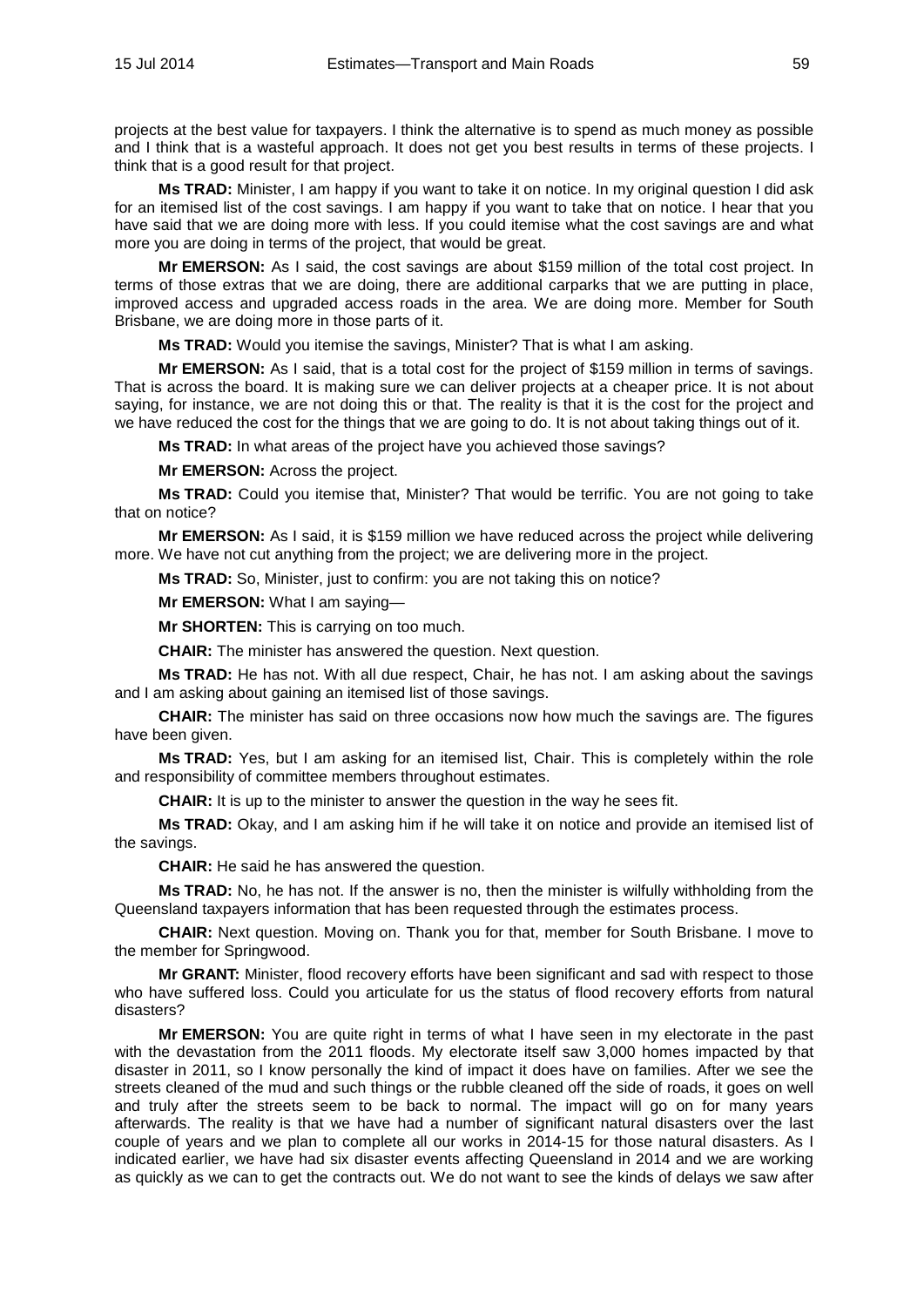projects at the best value for taxpayers. I think the alternative is to spend as much money as possible and I think that is a wasteful approach. It does not get you best results in terms of these projects. I think that is a good result for that project.

**Ms TRAD:** Minister, I am happy if you want to take it on notice. In my original question I did ask for an itemised list of the cost savings. I am happy if you want to take that on notice. I hear that you have said that we are doing more with less. If you could itemise what the cost savings are and what more you are doing in terms of the project, that would be great.

**Mr EMERSON:** As I said, the cost savings are about \$159 million of the total cost project. In terms of those extras that we are doing, there are additional carparks that we are putting in place, improved access and upgraded access roads in the area. We are doing more. Member for South Brisbane, we are doing more in those parts of it.

**Ms TRAD:** Would you itemise the savings, Minister? That is what I am asking.

**Mr EMERSON:** As I said, that is a total cost for the project of \$159 million in terms of savings. That is across the board. It is making sure we can deliver projects at a cheaper price. It is not about saying, for instance, we are not doing this or that. The reality is that it is the cost for the project and we have reduced the cost for the things that we are going to do. It is not about taking things out of it.

**Ms TRAD:** In what areas of the project have you achieved those savings?

**Mr EMERSON:** Across the project.

**Ms TRAD:** Could you itemise that, Minister? That would be terrific. You are not going to take that on notice?

**Mr EMERSON:** As I said, it is \$159 million we have reduced across the project while delivering more. We have not cut anything from the project; we are delivering more in the project.

**Ms TRAD:** So, Minister, just to confirm: you are not taking this on notice?

**Mr EMERSON:** What I am saying—

**Mr SHORTEN:** This is carrying on too much.

**CHAIR:** The minister has answered the question. Next question.

**Ms TRAD:** He has not. With all due respect, Chair, he has not. I am asking about the savings and I am asking about gaining an itemised list of those savings.

**CHAIR:** The minister has said on three occasions now how much the savings are. The figures have been given.

**Ms TRAD:** Yes, but I am asking for an itemised list, Chair. This is completely within the role and responsibility of committee members throughout estimates.

**CHAIR:** It is up to the minister to answer the question in the way he sees fit.

**Ms TRAD:** Okay, and I am asking him if he will take it on notice and provide an itemised list of the savings.

**CHAIR:** He said he has answered the question.

**Ms TRAD:** No, he has not. If the answer is no, then the minister is wilfully withholding from the Queensland taxpayers information that has been requested through the estimates process.

**CHAIR:** Next question. Moving on. Thank you for that, member for South Brisbane. I move to the member for Springwood.

**Mr GRANT:** Minister, flood recovery efforts have been significant and sad with respect to those who have suffered loss. Could you articulate for us the status of flood recovery efforts from natural disasters?

**Mr EMERSON:** You are quite right in terms of what I have seen in my electorate in the past with the devastation from the 2011 floods. My electorate itself saw 3,000 homes impacted by that disaster in 2011, so I know personally the kind of impact it does have on families. After we see the streets cleaned of the mud and such things or the rubble cleaned off the side of roads, it goes on well and truly after the streets seem to be back to normal. The impact will go on for many years afterwards. The reality is that we have had a number of significant natural disasters over the last couple of years and we plan to complete all our works in 2014-15 for those natural disasters. As I indicated earlier, we have had six disaster events affecting Queensland in 2014 and we are working as quickly as we can to get the contracts out. We do not want to see the kinds of delays we saw after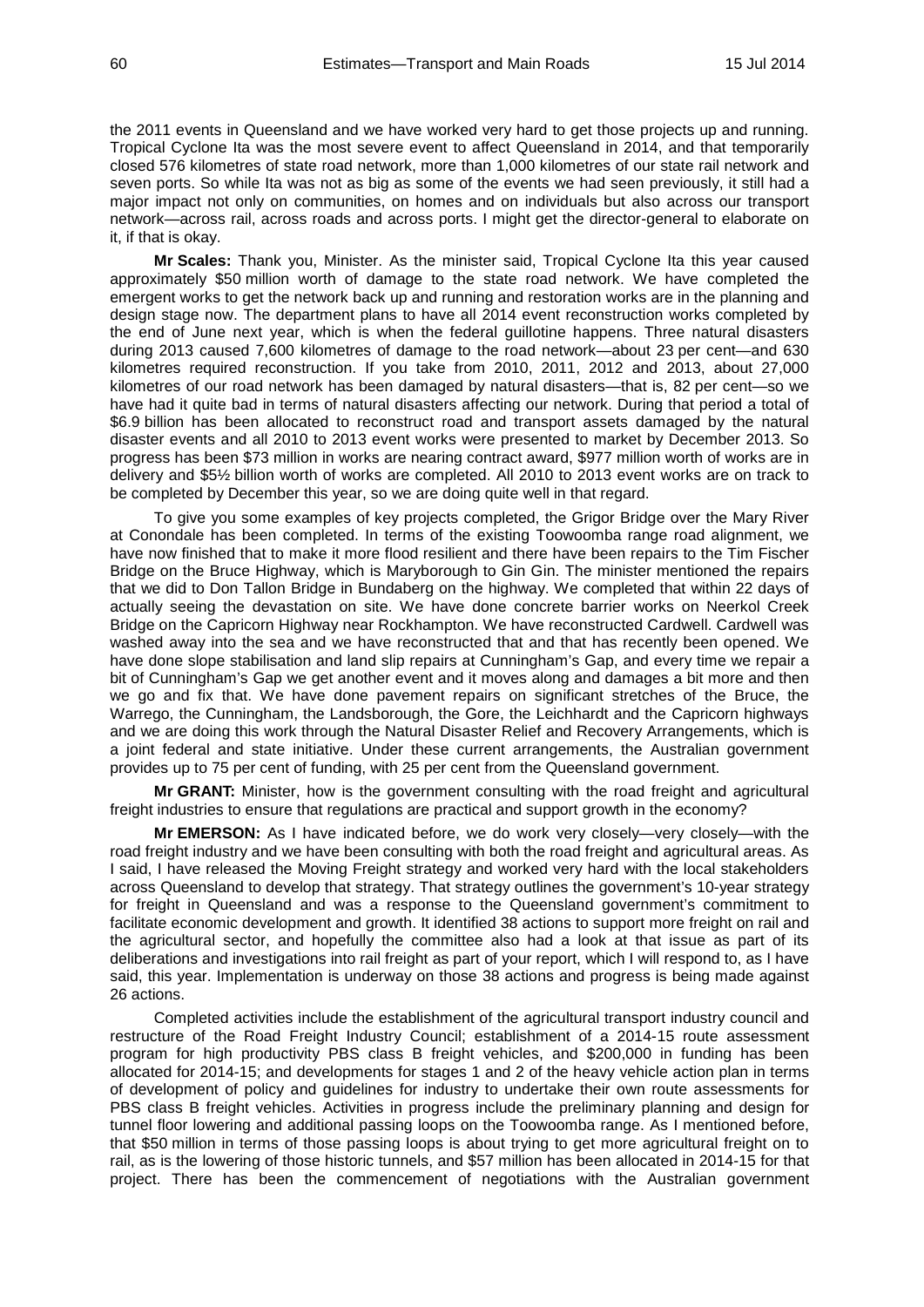the 2011 events in Queensland and we have worked very hard to get those projects up and running. Tropical Cyclone Ita was the most severe event to affect Queensland in 2014, and that temporarily closed 576 kilometres of state road network, more than 1,000 kilometres of our state rail network and seven ports. So while Ita was not as big as some of the events we had seen previously, it still had a major impact not only on communities, on homes and on individuals but also across our transport network—across rail, across roads and across ports. I might get the director-general to elaborate on it, if that is okay.

**Mr Scales:** Thank you, Minister. As the minister said, Tropical Cyclone Ita this year caused approximately \$50 million worth of damage to the state road network. We have completed the emergent works to get the network back up and running and restoration works are in the planning and design stage now. The department plans to have all 2014 event reconstruction works completed by the end of June next year, which is when the federal guillotine happens. Three natural disasters during 2013 caused 7,600 kilometres of damage to the road network—about 23 per cent—and 630 kilometres required reconstruction. If you take from 2010, 2011, 2012 and 2013, about 27,000 kilometres of our road network has been damaged by natural disasters—that is, 82 per cent—so we have had it quite bad in terms of natural disasters affecting our network. During that period a total of \$6.9 billion has been allocated to reconstruct road and transport assets damaged by the natural disaster events and all 2010 to 2013 event works were presented to market by December 2013. So progress has been \$73 million in works are nearing contract award, \$977 million worth of works are in delivery and \$5½ billion worth of works are completed. All 2010 to 2013 event works are on track to be completed by December this year, so we are doing quite well in that regard.

To give you some examples of key projects completed, the Grigor Bridge over the Mary River at Conondale has been completed. In terms of the existing Toowoomba range road alignment, we have now finished that to make it more flood resilient and there have been repairs to the Tim Fischer Bridge on the Bruce Highway, which is Maryborough to Gin Gin. The minister mentioned the repairs that we did to Don Tallon Bridge in Bundaberg on the highway. We completed that within 22 days of actually seeing the devastation on site. We have done concrete barrier works on Neerkol Creek Bridge on the Capricorn Highway near Rockhampton. We have reconstructed Cardwell. Cardwell was washed away into the sea and we have reconstructed that and that has recently been opened. We have done slope stabilisation and land slip repairs at Cunningham's Gap, and every time we repair a bit of Cunningham's Gap we get another event and it moves along and damages a bit more and then we go and fix that. We have done pavement repairs on significant stretches of the Bruce, the Warrego, the Cunningham, the Landsborough, the Gore, the Leichhardt and the Capricorn highways and we are doing this work through the Natural Disaster Relief and Recovery Arrangements, which is a joint federal and state initiative. Under these current arrangements, the Australian government provides up to 75 per cent of funding, with 25 per cent from the Queensland government.

**Mr GRANT:** Minister, how is the government consulting with the road freight and agricultural freight industries to ensure that regulations are practical and support growth in the economy?

**Mr EMERSON:** As I have indicated before, we do work very closely—very closely—with the road freight industry and we have been consulting with both the road freight and agricultural areas. As I said, I have released the Moving Freight strategy and worked very hard with the local stakeholders across Queensland to develop that strategy. That strategy outlines the government's 10-year strategy for freight in Queensland and was a response to the Queensland government's commitment to facilitate economic development and growth. It identified 38 actions to support more freight on rail and the agricultural sector, and hopefully the committee also had a look at that issue as part of its deliberations and investigations into rail freight as part of your report, which I will respond to, as I have said, this year. Implementation is underway on those 38 actions and progress is being made against 26 actions.

Completed activities include the establishment of the agricultural transport industry council and restructure of the Road Freight Industry Council; establishment of a 2014-15 route assessment program for high productivity PBS class B freight vehicles, and \$200,000 in funding has been allocated for 2014-15; and developments for stages 1 and 2 of the heavy vehicle action plan in terms of development of policy and guidelines for industry to undertake their own route assessments for PBS class B freight vehicles. Activities in progress include the preliminary planning and design for tunnel floor lowering and additional passing loops on the Toowoomba range. As I mentioned before, that \$50 million in terms of those passing loops is about trying to get more agricultural freight on to rail, as is the lowering of those historic tunnels, and \$57 million has been allocated in 2014-15 for that project. There has been the commencement of negotiations with the Australian government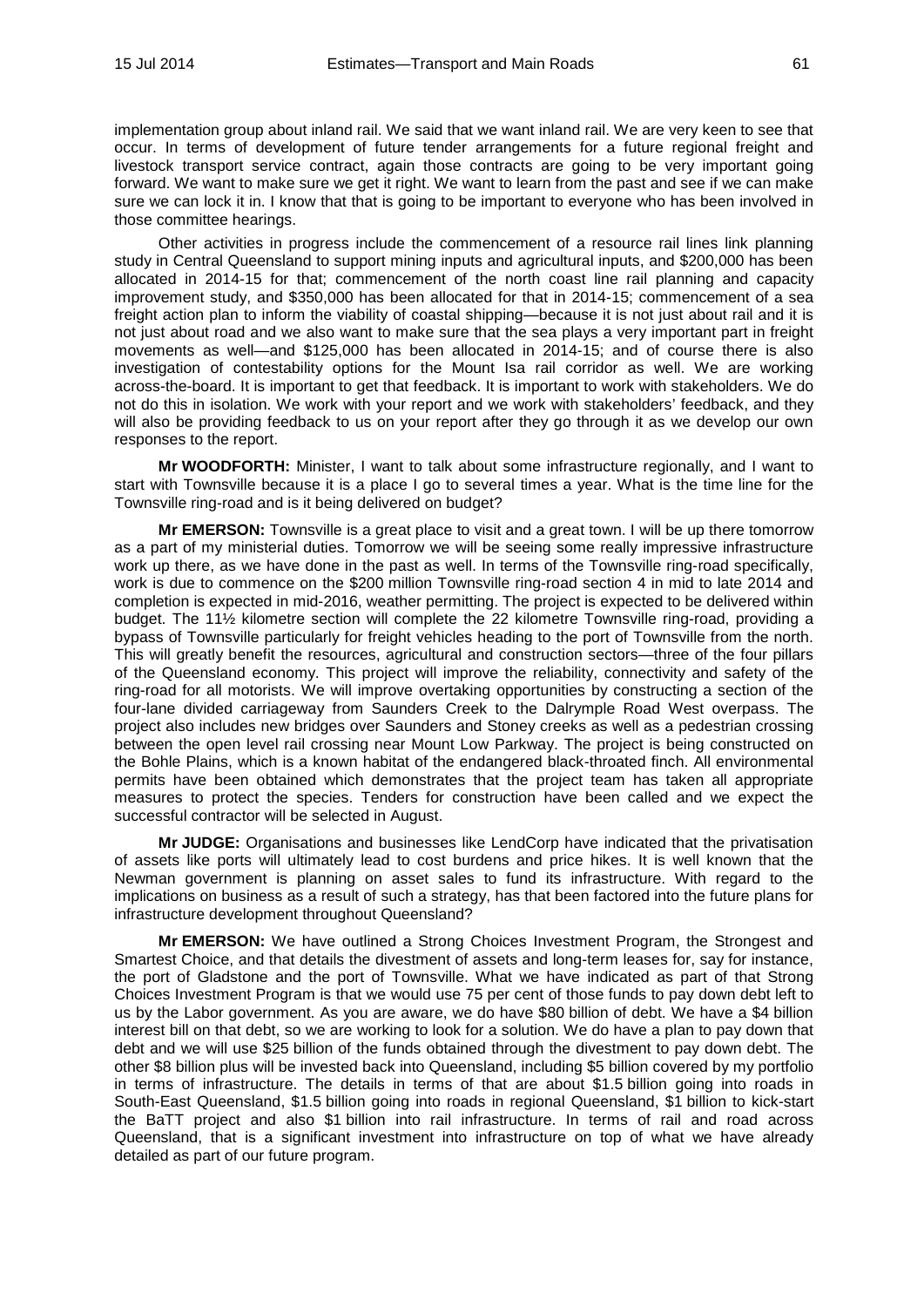implementation group about inland rail. We said that we want inland rail. We are very keen to see that occur. In terms of development of future tender arrangements for a future regional freight and livestock transport service contract, again those contracts are going to be very important going forward. We want to make sure we get it right. We want to learn from the past and see if we can make sure we can lock it in. I know that that is going to be important to everyone who has been involved in those committee hearings.

Other activities in progress include the commencement of a resource rail lines link planning study in Central Queensland to support mining inputs and agricultural inputs, and \$200,000 has been allocated in 2014-15 for that; commencement of the north coast line rail planning and capacity improvement study, and \$350,000 has been allocated for that in 2014-15; commencement of a sea freight action plan to inform the viability of coastal shipping—because it is not just about rail and it is not just about road and we also want to make sure that the sea plays a very important part in freight movements as well—and \$125,000 has been allocated in 2014-15; and of course there is also investigation of contestability options for the Mount Isa rail corridor as well. We are working across-the-board. It is important to get that feedback. It is important to work with stakeholders. We do not do this in isolation. We work with your report and we work with stakeholders' feedback, and they will also be providing feedback to us on your report after they go through it as we develop our own responses to the report.

**Mr WOODFORTH:** Minister, I want to talk about some infrastructure regionally, and I want to start with Townsville because it is a place I go to several times a year. What is the time line for the Townsville ring-road and is it being delivered on budget?

**Mr EMERSON:** Townsville is a great place to visit and a great town. I will be up there tomorrow as a part of my ministerial duties. Tomorrow we will be seeing some really impressive infrastructure work up there, as we have done in the past as well. In terms of the Townsville ring-road specifically, work is due to commence on the \$200 million Townsville ring-road section 4 in mid to late 2014 and completion is expected in mid-2016, weather permitting. The project is expected to be delivered within budget. The 11½ kilometre section will complete the 22 kilometre Townsville ring-road, providing a bypass of Townsville particularly for freight vehicles heading to the port of Townsville from the north. This will greatly benefit the resources, agricultural and construction sectors—three of the four pillars of the Queensland economy. This project will improve the reliability, connectivity and safety of the ring-road for all motorists. We will improve overtaking opportunities by constructing a section of the four-lane divided carriageway from Saunders Creek to the Dalrymple Road West overpass. The project also includes new bridges over Saunders and Stoney creeks as well as a pedestrian crossing between the open level rail crossing near Mount Low Parkway. The project is being constructed on the Bohle Plains, which is a known habitat of the endangered black-throated finch. All environmental permits have been obtained which demonstrates that the project team has taken all appropriate measures to protect the species. Tenders for construction have been called and we expect the successful contractor will be selected in August.

**Mr JUDGE:** Organisations and businesses like LendCorp have indicated that the privatisation of assets like ports will ultimately lead to cost burdens and price hikes. It is well known that the Newman government is planning on asset sales to fund its infrastructure. With regard to the implications on business as a result of such a strategy, has that been factored into the future plans for infrastructure development throughout Queensland?

**Mr EMERSON:** We have outlined a Strong Choices Investment Program, the Strongest and Smartest Choice, and that details the divestment of assets and long-term leases for, say for instance, the port of Gladstone and the port of Townsville. What we have indicated as part of that Strong Choices Investment Program is that we would use 75 per cent of those funds to pay down debt left to us by the Labor government. As you are aware, we do have \$80 billion of debt. We have a \$4 billion interest bill on that debt, so we are working to look for a solution. We do have a plan to pay down that debt and we will use \$25 billion of the funds obtained through the divestment to pay down debt. The other \$8 billion plus will be invested back into Queensland, including \$5 billion covered by my portfolio in terms of infrastructure. The details in terms of that are about \$1.5 billion going into roads in South-East Queensland, \$1.5 billion going into roads in regional Queensland, \$1 billion to kick-start the BaTT project and also \$1 billion into rail infrastructure. In terms of rail and road across Queensland, that is a significant investment into infrastructure on top of what we have already detailed as part of our future program.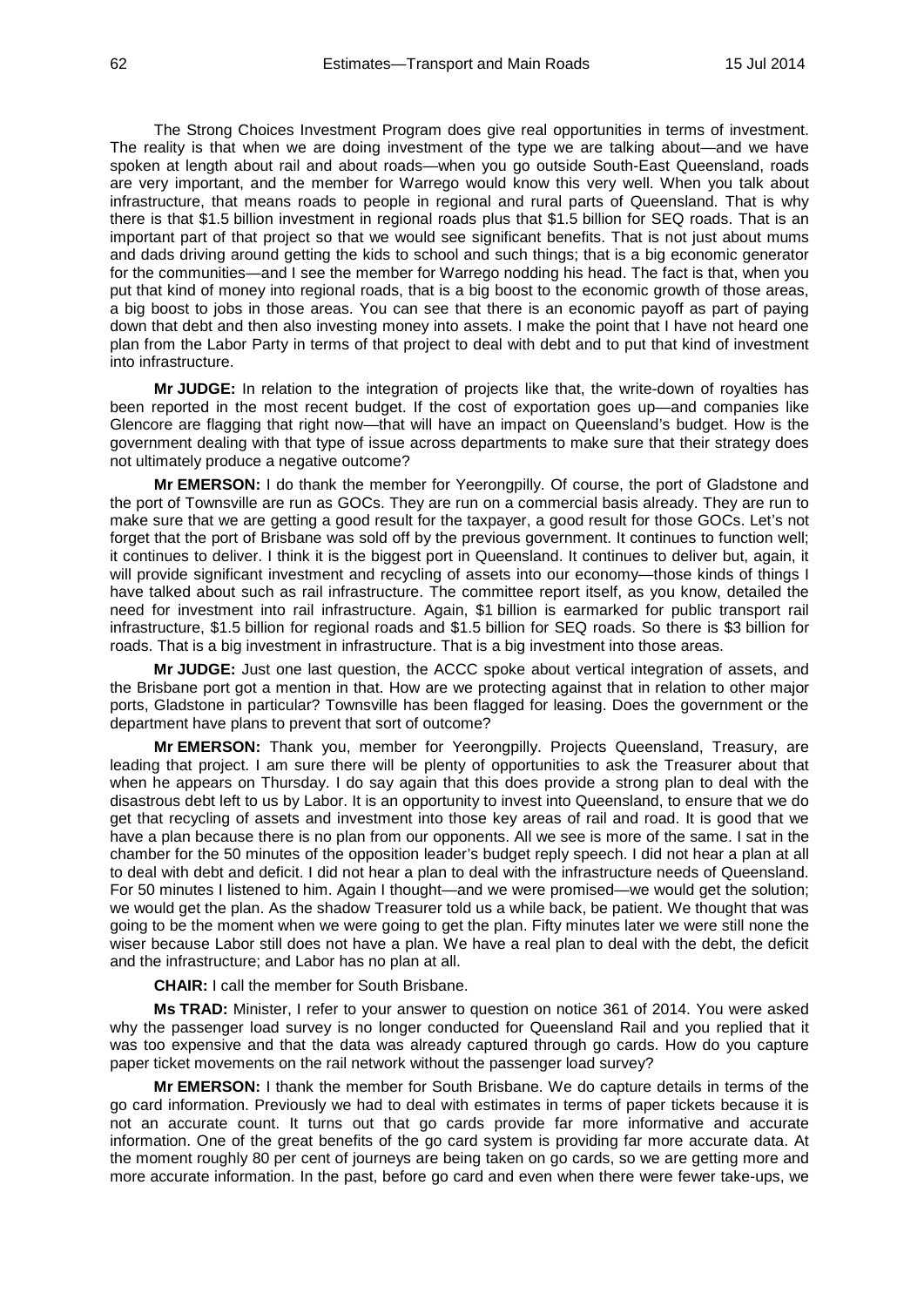The Strong Choices Investment Program does give real opportunities in terms of investment. The reality is that when we are doing investment of the type we are talking about—and we have spoken at length about rail and about roads—when you go outside South-East Queensland, roads are very important, and the member for Warrego would know this very well. When you talk about infrastructure, that means roads to people in regional and rural parts of Queensland. That is why there is that \$1.5 billion investment in regional roads plus that \$1.5 billion for SEQ roads. That is an important part of that project so that we would see significant benefits. That is not just about mums and dads driving around getting the kids to school and such things; that is a big economic generator for the communities—and I see the member for Warrego nodding his head. The fact is that, when you put that kind of money into regional roads, that is a big boost to the economic growth of those areas, a big boost to jobs in those areas. You can see that there is an economic payoff as part of paying down that debt and then also investing money into assets. I make the point that I have not heard one plan from the Labor Party in terms of that project to deal with debt and to put that kind of investment into infrastructure.

**Mr JUDGE:** In relation to the integration of projects like that, the write-down of royalties has been reported in the most recent budget. If the cost of exportation goes up—and companies like Glencore are flagging that right now—that will have an impact on Queensland's budget. How is the government dealing with that type of issue across departments to make sure that their strategy does not ultimately produce a negative outcome?

**Mr EMERSON:** I do thank the member for Yeerongpilly. Of course, the port of Gladstone and the port of Townsville are run as GOCs. They are run on a commercial basis already. They are run to make sure that we are getting a good result for the taxpayer, a good result for those GOCs. Let's not forget that the port of Brisbane was sold off by the previous government. It continues to function well; it continues to deliver. I think it is the biggest port in Queensland. It continues to deliver but, again, it will provide significant investment and recycling of assets into our economy—those kinds of things I have talked about such as rail infrastructure. The committee report itself, as you know, detailed the need for investment into rail infrastructure. Again, \$1 billion is earmarked for public transport rail infrastructure, \$1.5 billion for regional roads and \$1.5 billion for SEQ roads. So there is \$3 billion for roads. That is a big investment in infrastructure. That is a big investment into those areas.

**Mr JUDGE:** Just one last question, the ACCC spoke about vertical integration of assets, and the Brisbane port got a mention in that. How are we protecting against that in relation to other major ports, Gladstone in particular? Townsville has been flagged for leasing. Does the government or the department have plans to prevent that sort of outcome?

**Mr EMERSON:** Thank you, member for Yeerongpilly. Projects Queensland, Treasury, are leading that project. I am sure there will be plenty of opportunities to ask the Treasurer about that when he appears on Thursday. I do say again that this does provide a strong plan to deal with the disastrous debt left to us by Labor. It is an opportunity to invest into Queensland, to ensure that we do get that recycling of assets and investment into those key areas of rail and road. It is good that we have a plan because there is no plan from our opponents. All we see is more of the same. I sat in the chamber for the 50 minutes of the opposition leader's budget reply speech. I did not hear a plan at all to deal with debt and deficit. I did not hear a plan to deal with the infrastructure needs of Queensland. For 50 minutes I listened to him. Again I thought—and we were promised—we would get the solution; we would get the plan. As the shadow Treasurer told us a while back, be patient. We thought that was going to be the moment when we were going to get the plan. Fifty minutes later we were still none the wiser because Labor still does not have a plan. We have a real plan to deal with the debt, the deficit and the infrastructure; and Labor has no plan at all.

**CHAIR:** I call the member for South Brisbane.

**Ms TRAD:** Minister, I refer to your answer to question on notice 361 of 2014. You were asked why the passenger load survey is no longer conducted for Queensland Rail and you replied that it was too expensive and that the data was already captured through go cards. How do you capture paper ticket movements on the rail network without the passenger load survey?

**Mr EMERSON:** I thank the member for South Brisbane. We do capture details in terms of the go card information. Previously we had to deal with estimates in terms of paper tickets because it is not an accurate count. It turns out that go cards provide far more informative and accurate information. One of the great benefits of the go card system is providing far more accurate data. At the moment roughly 80 per cent of journeys are being taken on go cards, so we are getting more and more accurate information. In the past, before go card and even when there were fewer take-ups, we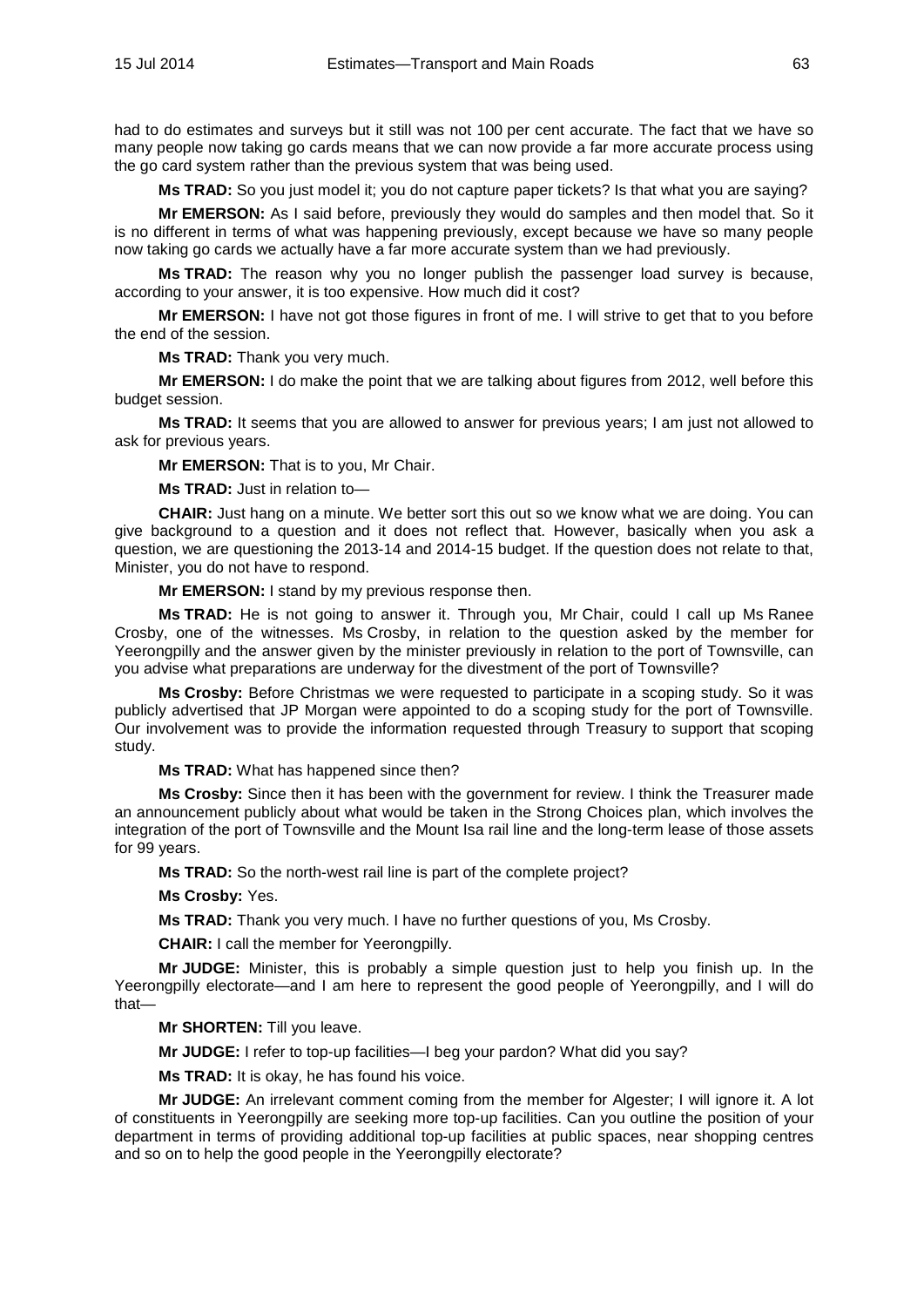had to do estimates and surveys but it still was not 100 per cent accurate. The fact that we have so many people now taking go cards means that we can now provide a far more accurate process using the go card system rather than the previous system that was being used.

**Ms TRAD:** So you just model it; you do not capture paper tickets? Is that what you are saying?

**Mr EMERSON:** As I said before, previously they would do samples and then model that. So it is no different in terms of what was happening previously, except because we have so many people now taking go cards we actually have a far more accurate system than we had previously.

**Ms TRAD:** The reason why you no longer publish the passenger load survey is because, according to your answer, it is too expensive. How much did it cost?

**Mr EMERSON:** I have not got those figures in front of me. I will strive to get that to you before the end of the session.

**Ms TRAD:** Thank you very much.

**Mr EMERSON:** I do make the point that we are talking about figures from 2012, well before this budget session.

**Ms TRAD:** It seems that you are allowed to answer for previous years; I am just not allowed to ask for previous years.

**Mr EMERSON:** That is to you, Mr Chair.

**Ms TRAD:** Just in relation to—

**CHAIR:** Just hang on a minute. We better sort this out so we know what we are doing. You can give background to a question and it does not reflect that. However, basically when you ask a question, we are questioning the 2013-14 and 2014-15 budget. If the question does not relate to that, Minister, you do not have to respond.

**Mr EMERSON:** I stand by my previous response then.

**Ms TRAD:** He is not going to answer it. Through you, Mr Chair, could I call up Ms Ranee Crosby, one of the witnesses. Ms Crosby, in relation to the question asked by the member for Yeerongpilly and the answer given by the minister previously in relation to the port of Townsville, can you advise what preparations are underway for the divestment of the port of Townsville?

**Ms Crosby:** Before Christmas we were requested to participate in a scoping study. So it was publicly advertised that JP Morgan were appointed to do a scoping study for the port of Townsville. Our involvement was to provide the information requested through Treasury to support that scoping study.

**Ms TRAD:** What has happened since then?

**Ms Crosby:** Since then it has been with the government for review. I think the Treasurer made an announcement publicly about what would be taken in the Strong Choices plan, which involves the integration of the port of Townsville and the Mount Isa rail line and the long-term lease of those assets for 99 years.

**Ms TRAD:** So the north-west rail line is part of the complete project?

**Ms Crosby:** Yes.

**Ms TRAD:** Thank you very much. I have no further questions of you, Ms Crosby.

**CHAIR:** I call the member for Yeerongpilly.

**Mr JUDGE:** Minister, this is probably a simple question just to help you finish up. In the Yeerongpilly electorate—and I am here to represent the good people of Yeerongpilly, and I will do that—

**Mr SHORTEN:** Till you leave.

**Mr JUDGE:** I refer to top-up facilities—I beg your pardon? What did you say?

**Ms TRAD:** It is okay, he has found his voice.

**Mr JUDGE:** An irrelevant comment coming from the member for Algester; I will ignore it. A lot of constituents in Yeerongpilly are seeking more top-up facilities. Can you outline the position of your department in terms of providing additional top-up facilities at public spaces, near shopping centres and so on to help the good people in the Yeerongpilly electorate?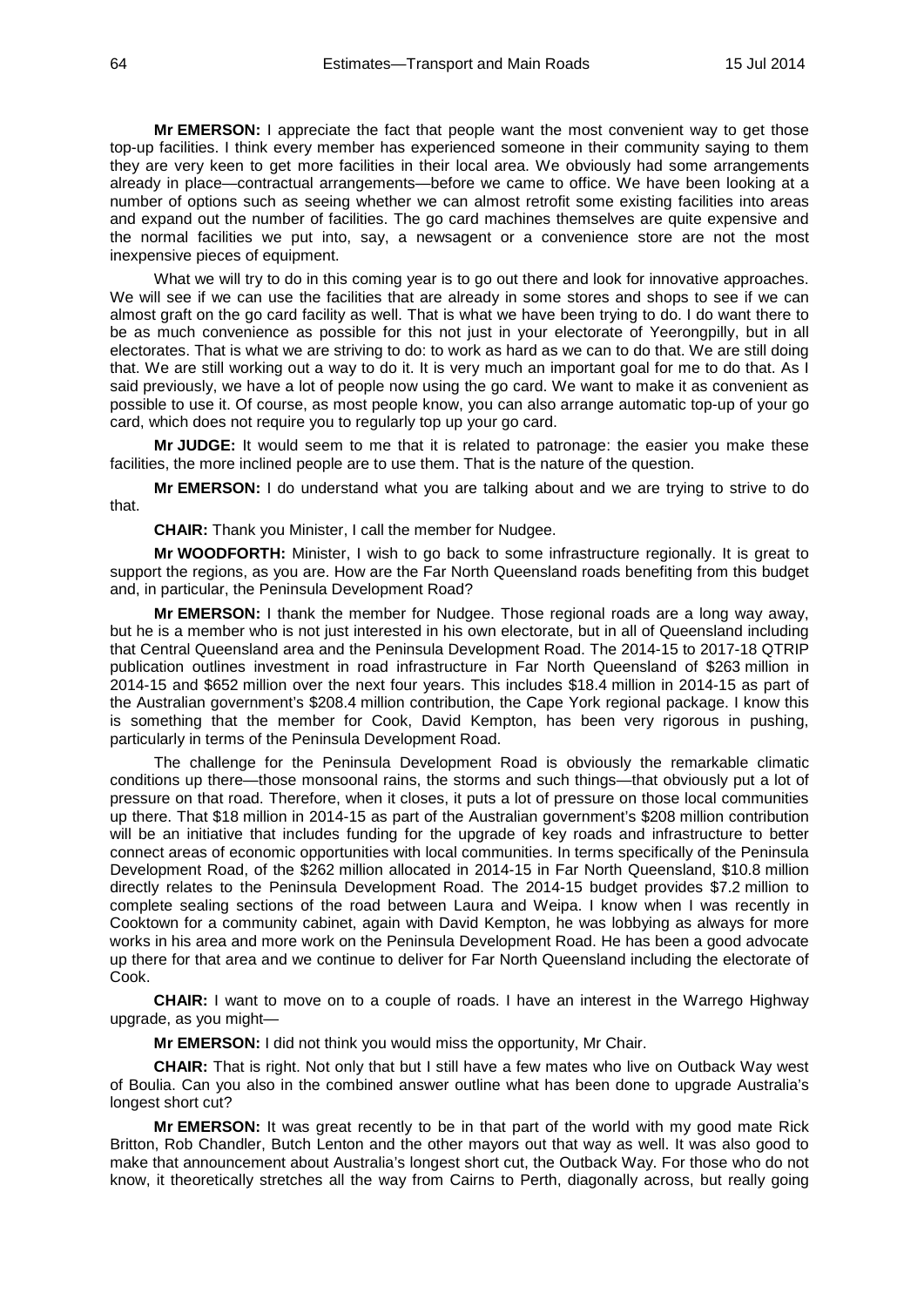**Mr EMERSON:** I appreciate the fact that people want the most convenient way to get those top-up facilities. I think every member has experienced someone in their community saying to them they are very keen to get more facilities in their local area. We obviously had some arrangements already in place—contractual arrangements—before we came to office. We have been looking at a number of options such as seeing whether we can almost retrofit some existing facilities into areas and expand out the number of facilities. The go card machines themselves are quite expensive and the normal facilities we put into, say, a newsagent or a convenience store are not the most inexpensive pieces of equipment.

What we will try to do in this coming year is to go out there and look for innovative approaches. We will see if we can use the facilities that are already in some stores and shops to see if we can almost graft on the go card facility as well. That is what we have been trying to do. I do want there to be as much convenience as possible for this not just in your electorate of Yeerongpilly, but in all electorates. That is what we are striving to do: to work as hard as we can to do that. We are still doing that. We are still working out a way to do it. It is very much an important goal for me to do that. As I said previously, we have a lot of people now using the go card. We want to make it as convenient as possible to use it. Of course, as most people know, you can also arrange automatic top-up of your go card, which does not require you to regularly top up your go card.

**Mr JUDGE:** It would seem to me that it is related to patronage: the easier you make these facilities, the more inclined people are to use them. That is the nature of the question.

**Mr EMERSON:** I do understand what you are talking about and we are trying to strive to do that.

**CHAIR:** Thank you Minister, I call the member for Nudgee.

**Mr WOODFORTH:** Minister, I wish to go back to some infrastructure regionally. It is great to support the regions, as you are. How are the Far North Queensland roads benefiting from this budget and, in particular, the Peninsula Development Road?

**Mr EMERSON:** I thank the member for Nudgee. Those regional roads are a long way away, but he is a member who is not just interested in his own electorate, but in all of Queensland including that Central Queensland area and the Peninsula Development Road. The 2014-15 to 2017-18 QTRIP publication outlines investment in road infrastructure in Far North Queensland of \$263 million in 2014-15 and \$652 million over the next four years. This includes \$18.4 million in 2014-15 as part of the Australian government's \$208.4 million contribution, the Cape York regional package. I know this is something that the member for Cook, David Kempton, has been very rigorous in pushing, particularly in terms of the Peninsula Development Road.

The challenge for the Peninsula Development Road is obviously the remarkable climatic conditions up there—those monsoonal rains, the storms and such things—that obviously put a lot of pressure on that road. Therefore, when it closes, it puts a lot of pressure on those local communities up there. That \$18 million in 2014-15 as part of the Australian government's \$208 million contribution will be an initiative that includes funding for the upgrade of key roads and infrastructure to better connect areas of economic opportunities with local communities. In terms specifically of the Peninsula Development Road, of the \$262 million allocated in 2014-15 in Far North Queensland, \$10.8 million directly relates to the Peninsula Development Road. The 2014-15 budget provides \$7.2 million to complete sealing sections of the road between Laura and Weipa. I know when I was recently in Cooktown for a community cabinet, again with David Kempton, he was lobbying as always for more works in his area and more work on the Peninsula Development Road. He has been a good advocate up there for that area and we continue to deliver for Far North Queensland including the electorate of Cook.

**CHAIR:** I want to move on to a couple of roads. I have an interest in the Warrego Highway upgrade, as you might—

**Mr EMERSON:** I did not think you would miss the opportunity, Mr Chair.

**CHAIR:** That is right. Not only that but I still have a few mates who live on Outback Way west of Boulia. Can you also in the combined answer outline what has been done to upgrade Australia's longest short cut?

**Mr EMERSON:** It was great recently to be in that part of the world with my good mate Rick Britton, Rob Chandler, Butch Lenton and the other mayors out that way as well. It was also good to make that announcement about Australia's longest short cut, the Outback Way. For those who do not know, it theoretically stretches all the way from Cairns to Perth, diagonally across, but really going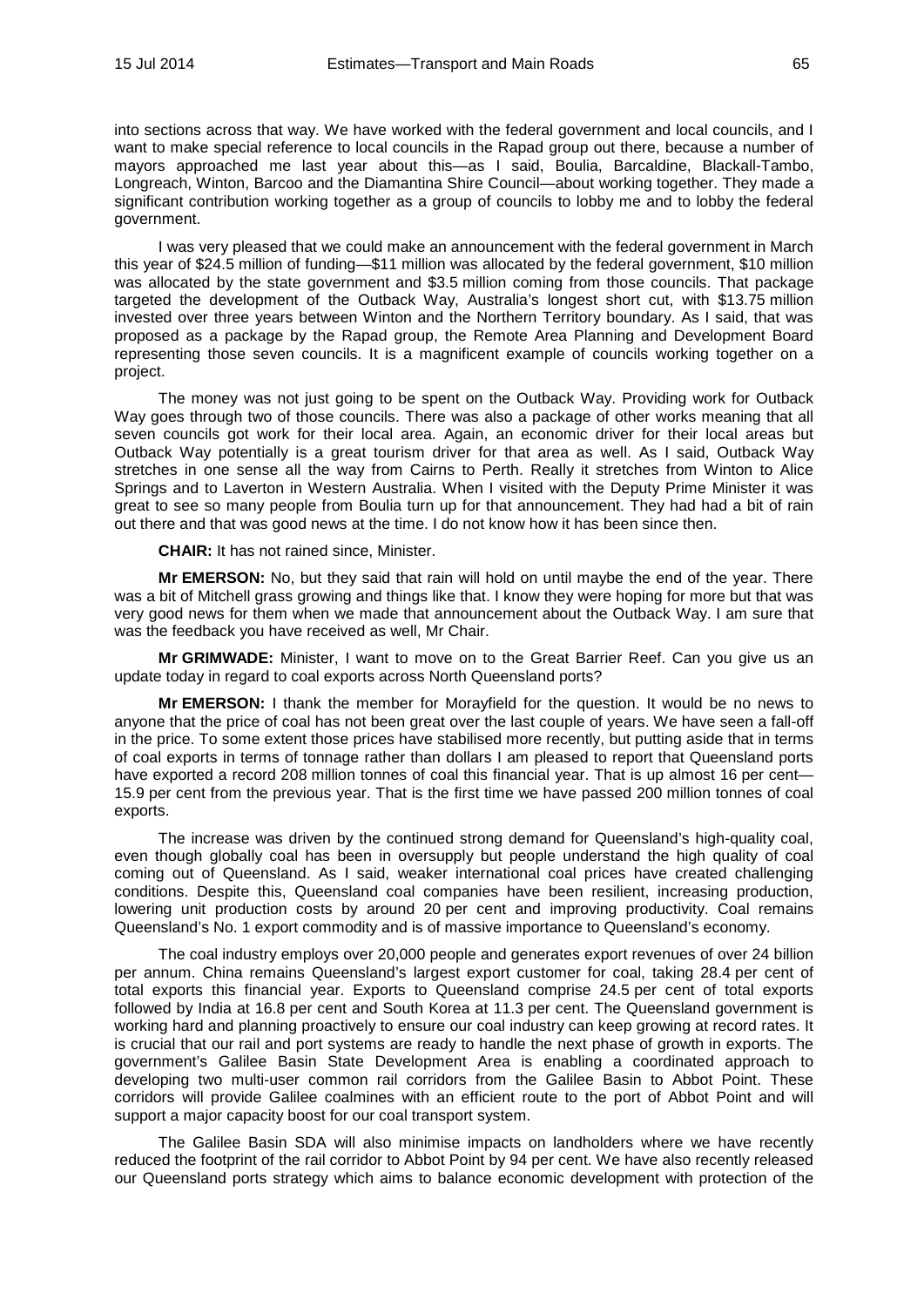into sections across that way. We have worked with the federal government and local councils, and I want to make special reference to local councils in the Rapad group out there, because a number of mayors approached me last year about this—as I said, Boulia, Barcaldine, Blackall-Tambo, Longreach, Winton, Barcoo and the Diamantina Shire Council—about working together. They made a significant contribution working together as a group of councils to lobby me and to lobby the federal government.

I was very pleased that we could make an announcement with the federal government in March this year of \$24.5 million of funding—\$11 million was allocated by the federal government, \$10 million was allocated by the state government and \$3.5 million coming from those councils. That package targeted the development of the Outback Way, Australia's longest short cut, with \$13.75 million invested over three years between Winton and the Northern Territory boundary. As I said, that was proposed as a package by the Rapad group, the Remote Area Planning and Development Board representing those seven councils. It is a magnificent example of councils working together on a project.

The money was not just going to be spent on the Outback Way. Providing work for Outback Way goes through two of those councils. There was also a package of other works meaning that all seven councils got work for their local area. Again, an economic driver for their local areas but Outback Way potentially is a great tourism driver for that area as well. As I said, Outback Way stretches in one sense all the way from Cairns to Perth. Really it stretches from Winton to Alice Springs and to Laverton in Western Australia. When I visited with the Deputy Prime Minister it was great to see so many people from Boulia turn up for that announcement. They had had a bit of rain out there and that was good news at the time. I do not know how it has been since then.

**CHAIR:** It has not rained since, Minister.

**Mr EMERSON:** No, but they said that rain will hold on until maybe the end of the year. There was a bit of Mitchell grass growing and things like that. I know they were hoping for more but that was very good news for them when we made that announcement about the Outback Way. I am sure that was the feedback you have received as well, Mr Chair.

**Mr GRIMWADE:** Minister, I want to move on to the Great Barrier Reef. Can you give us an update today in regard to coal exports across North Queensland ports?

**Mr EMERSON:** I thank the member for Morayfield for the question. It would be no news to anyone that the price of coal has not been great over the last couple of years. We have seen a fall-off in the price. To some extent those prices have stabilised more recently, but putting aside that in terms of coal exports in terms of tonnage rather than dollars I am pleased to report that Queensland ports have exported a record 208 million tonnes of coal this financial year. That is up almost 16 per cent— 15.9 per cent from the previous year. That is the first time we have passed 200 million tonnes of coal exports.

The increase was driven by the continued strong demand for Queensland's high-quality coal, even though globally coal has been in oversupply but people understand the high quality of coal coming out of Queensland. As I said, weaker international coal prices have created challenging conditions. Despite this, Queensland coal companies have been resilient, increasing production, lowering unit production costs by around 20 per cent and improving productivity. Coal remains Queensland's No. 1 export commodity and is of massive importance to Queensland's economy.

The coal industry employs over 20,000 people and generates export revenues of over 24 billion per annum. China remains Queensland's largest export customer for coal, taking 28.4 per cent of total exports this financial year. Exports to Queensland comprise 24.5 per cent of total exports followed by India at 16.8 per cent and South Korea at 11.3 per cent. The Queensland government is working hard and planning proactively to ensure our coal industry can keep growing at record rates. It is crucial that our rail and port systems are ready to handle the next phase of growth in exports. The government's Galilee Basin State Development Area is enabling a coordinated approach to developing two multi-user common rail corridors from the Galilee Basin to Abbot Point. These corridors will provide Galilee coalmines with an efficient route to the port of Abbot Point and will support a major capacity boost for our coal transport system.

The Galilee Basin SDA will also minimise impacts on landholders where we have recently reduced the footprint of the rail corridor to Abbot Point by 94 per cent. We have also recently released our Queensland ports strategy which aims to balance economic development with protection of the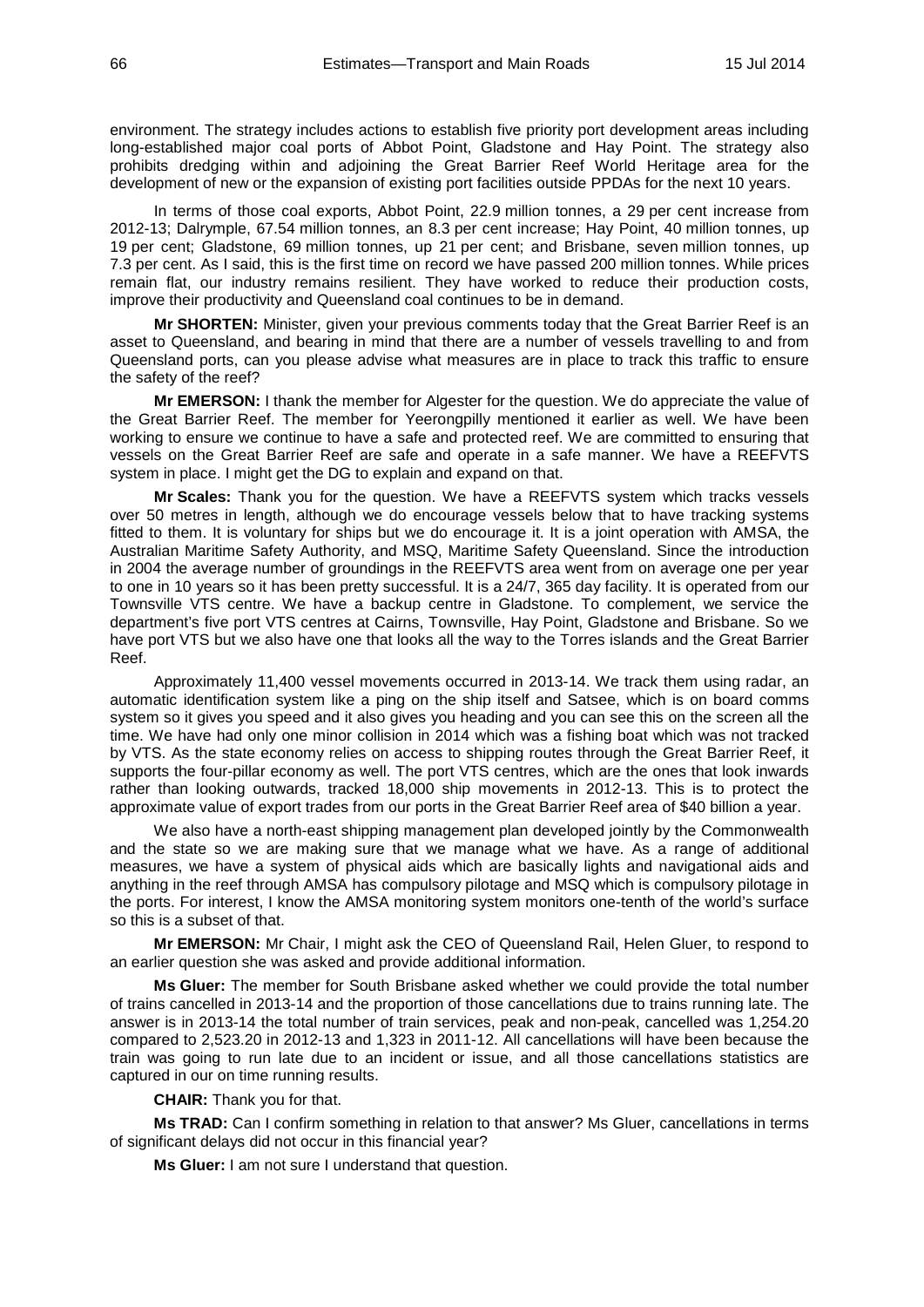environment. The strategy includes actions to establish five priority port development areas including long-established major coal ports of Abbot Point, Gladstone and Hay Point. The strategy also prohibits dredging within and adjoining the Great Barrier Reef World Heritage area for the development of new or the expansion of existing port facilities outside PPDAs for the next 10 years.

In terms of those coal exports, Abbot Point, 22.9 million tonnes, a 29 per cent increase from 2012-13; Dalrymple, 67.54 million tonnes, an 8.3 per cent increase; Hay Point, 40 million tonnes, up 19 per cent; Gladstone, 69 million tonnes, up 21 per cent; and Brisbane, seven million tonnes, up 7.3 per cent. As I said, this is the first time on record we have passed 200 million tonnes. While prices remain flat, our industry remains resilient. They have worked to reduce their production costs, improve their productivity and Queensland coal continues to be in demand.

**Mr SHORTEN:** Minister, given your previous comments today that the Great Barrier Reef is an asset to Queensland, and bearing in mind that there are a number of vessels travelling to and from Queensland ports, can you please advise what measures are in place to track this traffic to ensure the safety of the reef?

**Mr EMERSON:** I thank the member for Algester for the question. We do appreciate the value of the Great Barrier Reef. The member for Yeerongpilly mentioned it earlier as well. We have been working to ensure we continue to have a safe and protected reef. We are committed to ensuring that vessels on the Great Barrier Reef are safe and operate in a safe manner. We have a REEFVTS system in place. I might get the DG to explain and expand on that.

**Mr Scales:** Thank you for the question. We have a REEFVTS system which tracks vessels over 50 metres in length, although we do encourage vessels below that to have tracking systems fitted to them. It is voluntary for ships but we do encourage it. It is a joint operation with AMSA, the Australian Maritime Safety Authority, and MSQ, Maritime Safety Queensland. Since the introduction in 2004 the average number of groundings in the REEFVTS area went from on average one per year to one in 10 years so it has been pretty successful. It is a 24/7, 365 day facility. It is operated from our Townsville VTS centre. We have a backup centre in Gladstone. To complement, we service the department's five port VTS centres at Cairns, Townsville, Hay Point, Gladstone and Brisbane. So we have port VTS but we also have one that looks all the way to the Torres islands and the Great Barrier Reef.

Approximately 11,400 vessel movements occurred in 2013-14. We track them using radar, an automatic identification system like a ping on the ship itself and Satsee, which is on board comms system so it gives you speed and it also gives you heading and you can see this on the screen all the time. We have had only one minor collision in 2014 which was a fishing boat which was not tracked by VTS. As the state economy relies on access to shipping routes through the Great Barrier Reef, it supports the four-pillar economy as well. The port VTS centres, which are the ones that look inwards rather than looking outwards, tracked 18,000 ship movements in 2012-13. This is to protect the approximate value of export trades from our ports in the Great Barrier Reef area of \$40 billion a year.

We also have a north-east shipping management plan developed jointly by the Commonwealth and the state so we are making sure that we manage what we have. As a range of additional measures, we have a system of physical aids which are basically lights and navigational aids and anything in the reef through AMSA has compulsory pilotage and MSQ which is compulsory pilotage in the ports. For interest, I know the AMSA monitoring system monitors one-tenth of the world's surface so this is a subset of that.

**Mr EMERSON:** Mr Chair, I might ask the CEO of Queensland Rail, Helen Gluer, to respond to an earlier question she was asked and provide additional information.

**Ms Gluer:** The member for South Brisbane asked whether we could provide the total number of trains cancelled in 2013-14 and the proportion of those cancellations due to trains running late. The answer is in 2013-14 the total number of train services, peak and non-peak, cancelled was 1,254.20 compared to 2,523.20 in 2012-13 and 1,323 in 2011-12. All cancellations will have been because the train was going to run late due to an incident or issue, and all those cancellations statistics are captured in our on time running results.

**CHAIR:** Thank you for that.

**Ms TRAD:** Can I confirm something in relation to that answer? Ms Gluer, cancellations in terms of significant delays did not occur in this financial year?

**Ms Gluer:** I am not sure I understand that question.